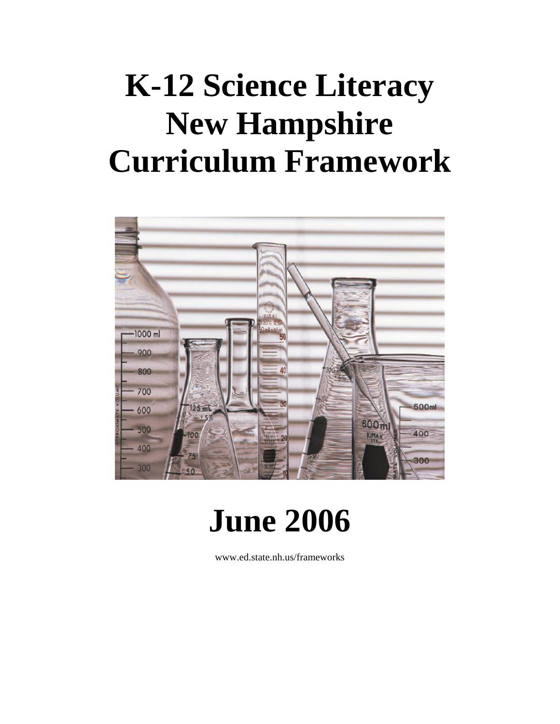# **K-12 Science Literacy New Hampshire Curriculum Framework**



# **June 2006**

www.ed.state.nh.us/frameworks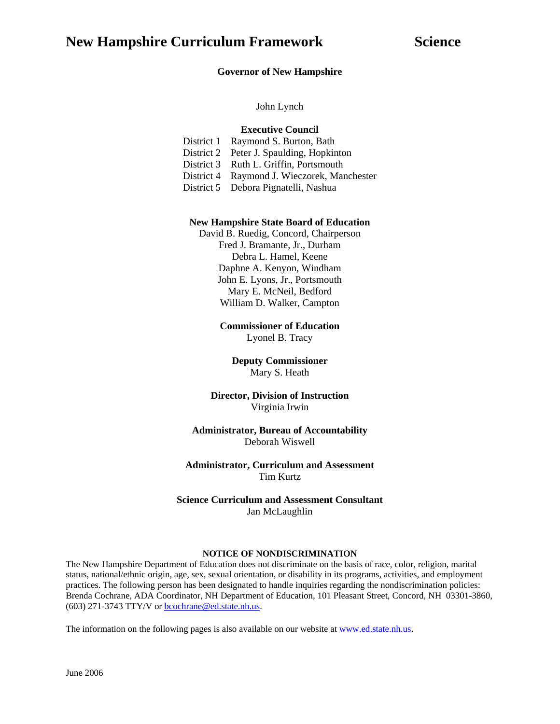#### **Governor of New Hampshire**

John Lynch

#### **Executive Council**

District 1 Raymond S. Burton, Bath District 2 Peter J. Spaulding, Hopkinton District 3 Ruth L. Griffin, Portsmouth District 4 Raymond J. Wieczorek, Manchester District 5 Debora Pignatelli, Nashua

#### **New Hampshire State Board of Education**

David B. Ruedig, Concord, Chairperson Fred J. Bramante, Jr., Durham Debra L. Hamel, Keene Daphne A. Kenyon, Windham John E. Lyons, Jr., Portsmouth Mary E. McNeil, Bedford William D. Walker, Campton

> **Commissioner of Education**  Lyonel B. Tracy

**Deputy Commissioner**  Mary S. Heath

#### **Director, Division of Instruction**  Virginia Irwin

#### **Administrator, Bureau of Accountability**  Deborah Wiswell

#### **Administrator, Curriculum and Assessment**  Tim Kurtz

**Science Curriculum and Assessment Consultant**  Jan McLaughlin

#### **NOTICE OF NONDISCRIMINATION**

The New Hampshire Department of Education does not discriminate on the basis of race, color, religion, marital status, national/ethnic origin, age, sex, sexual orientation, or disability in its programs, activities, and employment practices. The following person has been designated to handle inquiries regarding the nondiscrimination policies: Brenda Cochrane, ADA Coordinator, NH Department of Education, 101 Pleasant Street, Concord, NH 03301-3860, (603) 271-3743 TTY/V or [bcochrane@ed.state.nh.us](mailto:bcochrane@ed.state.nh.us).

The information on the following pages is also available on our website at [www.ed.state.nh.us.](http://www.ed.state.nh.us/)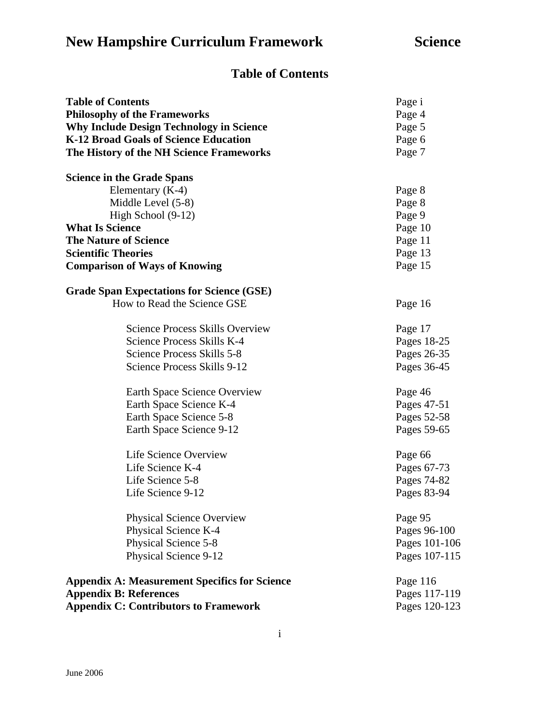# **Table of Contents**

| <b>Table of Contents</b>                             | Page i        |  |
|------------------------------------------------------|---------------|--|
| <b>Philosophy of the Frameworks</b>                  | Page 4        |  |
| <b>Why Include Design Technology in Science</b>      | Page 5        |  |
| K-12 Broad Goals of Science Education                | Page 6        |  |
| The History of the NH Science Frameworks             | Page 7        |  |
| <b>Science in the Grade Spans</b>                    |               |  |
| Elementary $(K-4)$                                   | Page 8        |  |
| Middle Level (5-8)                                   | Page 8        |  |
| High School $(9-12)$                                 | Page 9        |  |
| <b>What Is Science</b>                               | Page 10       |  |
| <b>The Nature of Science</b>                         | Page 11       |  |
| <b>Scientific Theories</b>                           | Page 13       |  |
| <b>Comparison of Ways of Knowing</b>                 | Page 15       |  |
| <b>Grade Span Expectations for Science (GSE)</b>     |               |  |
| How to Read the Science GSE                          | Page 16       |  |
| <b>Science Process Skills Overview</b>               | Page 17       |  |
| Science Process Skills K-4                           | Pages 18-25   |  |
| Science Process Skills 5-8                           | Pages 26-35   |  |
| Science Process Skills 9-12                          | Pages 36-45   |  |
| Earth Space Science Overview                         | Page 46       |  |
| Earth Space Science K-4                              | Pages 47-51   |  |
| Earth Space Science 5-8                              | Pages 52-58   |  |
| Earth Space Science 9-12                             | Pages 59-65   |  |
| Life Science Overview                                | Page 66       |  |
| Life Science K-4                                     | Pages 67-73   |  |
| Life Science 5-8                                     | Pages 74-82   |  |
| Life Science 9-12                                    | Pages 83-94   |  |
| <b>Physical Science Overview</b>                     | Page 95       |  |
| Physical Science K-4                                 | Pages 96-100  |  |
| Physical Science 5-8                                 | Pages 101-106 |  |
| Physical Science 9-12                                | Pages 107-115 |  |
| <b>Appendix A: Measurement Specifics for Science</b> | Page 116      |  |
| <b>Appendix B: References</b>                        | Pages 117-119 |  |
| <b>Appendix C: Contributors to Framework</b>         | Pages 120-123 |  |

i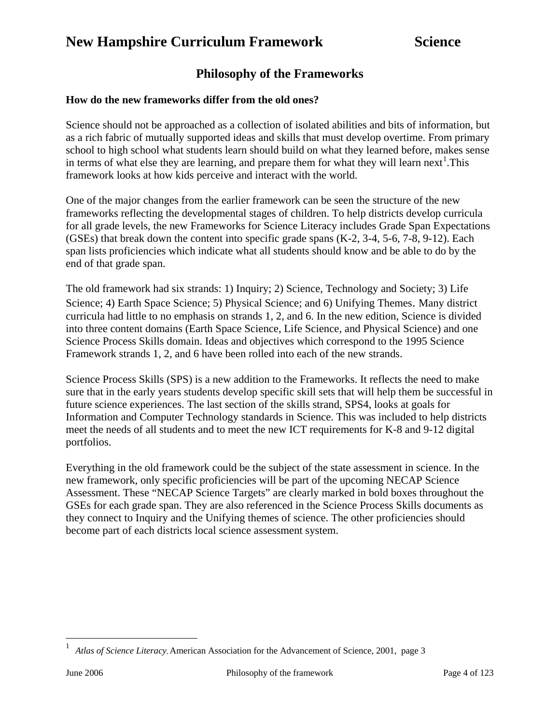# **Philosophy of the Frameworks**

#### **How do the new frameworks differ from the old ones?**

Science should not be approached as a collection of isolated abilities and bits of information, but as a rich fabric of mutually supported ideas and skills that must develop overtime. From primary school to high school what students learn should build on what they learned before, makes sense in terms of what else they are learning, and prepare them for what they will learn next<sup>[1](#page-3-0)</sup>. This framework looks at how kids perceive and interact with the world.

One of the major changes from the earlier framework can be seen the structure of the new frameworks reflecting the developmental stages of children. To help districts develop curricula for all grade levels, the new Frameworks for Science Literacy includes Grade Span Expectations (GSEs) that break down the content into specific grade spans (K-2, 3-4, 5-6, 7-8, 9-12). Each span lists proficiencies which indicate what all students should know and be able to do by the end of that grade span.

The old framework had six strands: 1) Inquiry; 2) Science, Technology and Society; 3) Life Science; 4) Earth Space Science; 5) Physical Science; and 6) Unifying Themes. Many district curricula had little to no emphasis on strands 1, 2, and 6. In the new edition, Science is divided into three content domains (Earth Space Science, Life Science, and Physical Science) and one Science Process Skills domain. Ideas and objectives which correspond to the 1995 Science Framework strands 1, 2, and 6 have been rolled into each of the new strands.

Science Process Skills (SPS) is a new addition to the Frameworks. It reflects the need to make sure that in the early years students develop specific skill sets that will help them be successful in future science experiences. The last section of the skills strand, SPS4, looks at goals for Information and Computer Technology standards in Science. This was included to help districts meet the needs of all students and to meet the new ICT requirements for K-8 and 9-12 digital portfolios.

Everything in the old framework could be the subject of the state assessment in science. In the new framework, only specific proficiencies will be part of the upcoming NECAP Science Assessment. These "NECAP Science Targets" are clearly marked in bold boxes throughout the GSEs for each grade span. They are also referenced in the Science Process Skills documents as they connect to Inquiry and the Unifying themes of science. The other proficiencies should become part of each districts local science assessment system.

<span id="page-3-0"></span> $\overline{a}$ 

<sup>1</sup> *Atlas of Science Literacy*, American Association for the Advancement of Science, 2001, page 3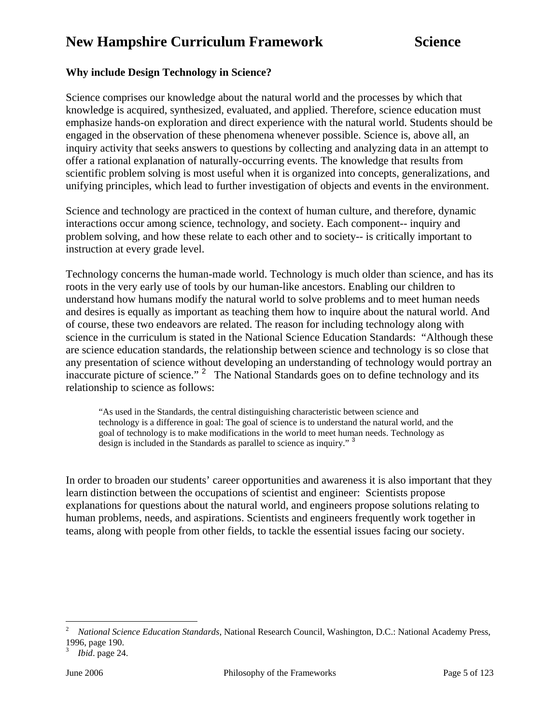### **Why include Design Technology in Science?**

Science comprises our knowledge about the natural world and the processes by which that knowledge is acquired, synthesized, evaluated, and applied. Therefore, science education must emphasize hands-on exploration and direct experience with the natural world. Students should be engaged in the observation of these phenomena whenever possible. Science is, above all, an inquiry activity that seeks answers to questions by collecting and analyzing data in an attempt to offer a rational explanation of naturally-occurring events. The knowledge that results from scientific problem solving is most useful when it is organized into concepts, generalizations, and unifying principles, which lead to further investigation of objects and events in the environment.

Science and technology are practiced in the context of human culture, and therefore, dynamic interactions occur among science, technology, and society. Each component-- inquiry and problem solving, and how these relate to each other and to society-- is critically important to instruction at every grade level.

Technology concerns the human-made world. Technology is much older than science, and has its roots in the very early use of tools by our human-like ancestors. Enabling our children to understand how humans modify the natural world to solve problems and to meet human needs and desires is equally as important as teaching them how to inquire about the natural world. And of course, these two endeavors are related. The reason for including technology along with science in the curriculum is stated in the National Science Education Standards: "Although these are science education standards, the relationship between science and technology is so close that any presentation of science without developing an understanding of technology would portray an inaccurate picture of science."<sup>[2](#page-4-0)</sup> The National Standards goes on to define technology and its relationship to science as follows:

"As used in the Standards, the central distinguishing characteristic between science and technology is a difference in goal: The goal of science is to understand the natural world, and the goal of technology is to make modifications in the world to meet human needs. Technology as design is included in the Standards as parallel to science as inquiry."<sup>[3](#page-4-1)</sup>

In order to broaden our students' career opportunities and awareness it is also important that they learn distinction between the occupations of scientist and engineer: Scientists propose explanations for questions about the natural world, and engineers propose solutions relating to human problems, needs, and aspirations. Scientists and engineers frequently work together in teams, along with people from other fields, to tackle the essential issues facing our society.

 $\overline{a}$ 

<span id="page-4-0"></span><sup>2</sup> *National Science Education Standards*, National Research Council, Washington, D.C.: National Academy Press, 1996, page 190.

<span id="page-4-1"></span><sup>3</sup> *Ibid*. page 24.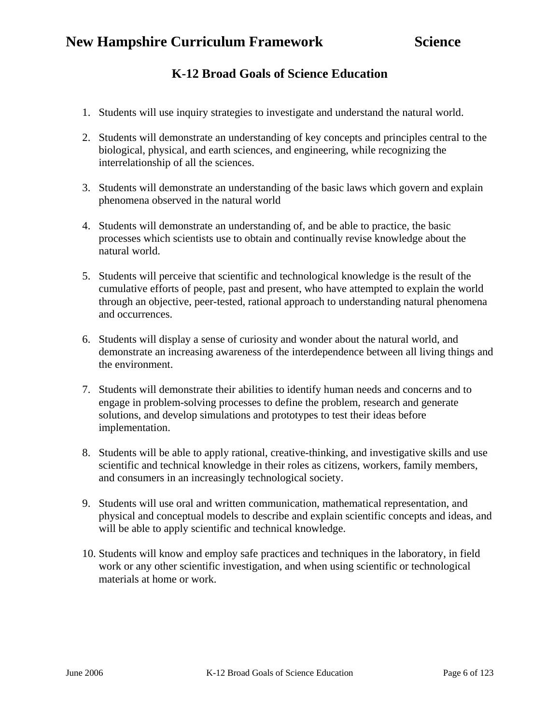# **K-12 Broad Goals of Science Education**

- 1. Students will use inquiry strategies to investigate and understand the natural world.
- 2. Students will demonstrate an understanding of key concepts and principles central to the biological, physical, and earth sciences, and engineering, while recognizing the interrelationship of all the sciences.
- 3. Students will demonstrate an understanding of the basic laws which govern and explain phenomena observed in the natural world
- 4. Students will demonstrate an understanding of, and be able to practice, the basic processes which scientists use to obtain and continually revise knowledge about the natural world.
- 5. Students will perceive that scientific and technological knowledge is the result of the cumulative efforts of people, past and present, who have attempted to explain the world through an objective, peer-tested, rational approach to understanding natural phenomena and occurrences.
- 6. Students will display a sense of curiosity and wonder about the natural world, and demonstrate an increasing awareness of the interdependence between all living things and the environment.
- 7. Students will demonstrate their abilities to identify human needs and concerns and to engage in problem-solving processes to define the problem, research and generate solutions, and develop simulations and prototypes to test their ideas before implementation.
- 8. Students will be able to apply rational, creative-thinking, and investigative skills and use scientific and technical knowledge in their roles as citizens, workers, family members, and consumers in an increasingly technological society.
- 9. Students will use oral and written communication, mathematical representation, and physical and conceptual models to describe and explain scientific concepts and ideas, and will be able to apply scientific and technical knowledge.
- 10. Students will know and employ safe practices and techniques in the laboratory, in field work or any other scientific investigation, and when using scientific or technological materials at home or work.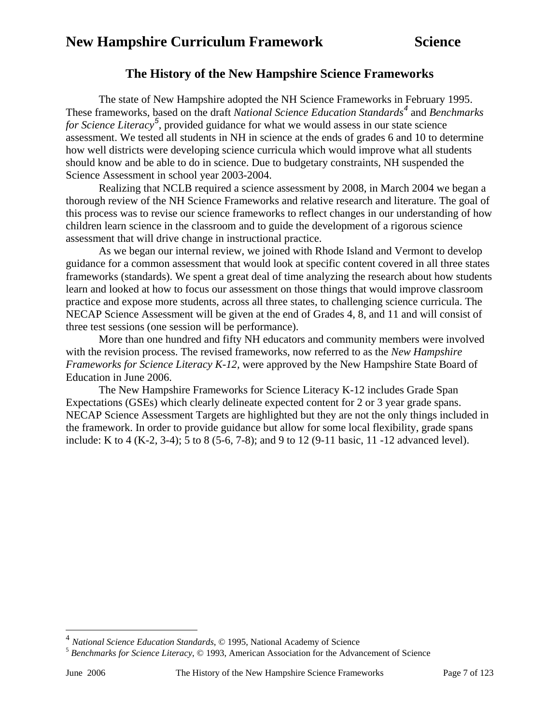# **The History of the New Hampshire Science Frameworks**

The state of New Hampshire adopted the NH Science Frameworks in February 1995. These frameworks, based on the draft *National Science Education Standards[4](#page-6-0)* and *Benchmarks for Science Literacy[5](#page-6-1)* , provided guidance for what we would assess in our state science assessment. We tested all students in NH in science at the ends of grades 6 and 10 to determine how well districts were developing science curricula which would improve what all students should know and be able to do in science. Due to budgetary constraints, NH suspended the Science Assessment in school year 2003-2004.

Realizing that NCLB required a science assessment by 2008, in March 2004 we began a thorough review of the NH Science Frameworks and relative research and literature. The goal of this process was to revise our science frameworks to reflect changes in our understanding of how children learn science in the classroom and to guide the development of a rigorous science assessment that will drive change in instructional practice.

As we began our internal review, we joined with Rhode Island and Vermont to develop guidance for a common assessment that would look at specific content covered in all three states frameworks (standards). We spent a great deal of time analyzing the research about how students learn and looked at how to focus our assessment on those things that would improve classroom practice and expose more students, across all three states, to challenging science curricula. The NECAP Science Assessment will be given at the end of Grades 4, 8, and 11 and will consist of three test sessions (one session will be performance).

More than one hundred and fifty NH educators and community members were involved with the revision process. The revised frameworks, now referred to as the *New Hampshire Frameworks for Science Literacy K-12,* were approved by the New Hampshire State Board of Education in June 2006.

The New Hampshire Frameworks for Science Literacy K-12 includes Grade Span Expectations (GSEs) which clearly delineate expected content for 2 or 3 year grade spans. NECAP Science Assessment Targets are highlighted but they are not the only things included in the framework. In order to provide guidance but allow for some local flexibility, grade spans include: K to 4 (K-2, 3-4); 5 to 8 (5-6, 7-8); and 9 to 12 (9-11 basic, 11 -12 advanced level).

<span id="page-6-0"></span><sup>&</sup>lt;sup>4</sup> National Science Education Standards, © 1995, National Academy of Science

<span id="page-6-1"></span><sup>&</sup>lt;sup>5</sup> Benchmarks for Science Literacy, © 1993, American Association for the Advancement of Science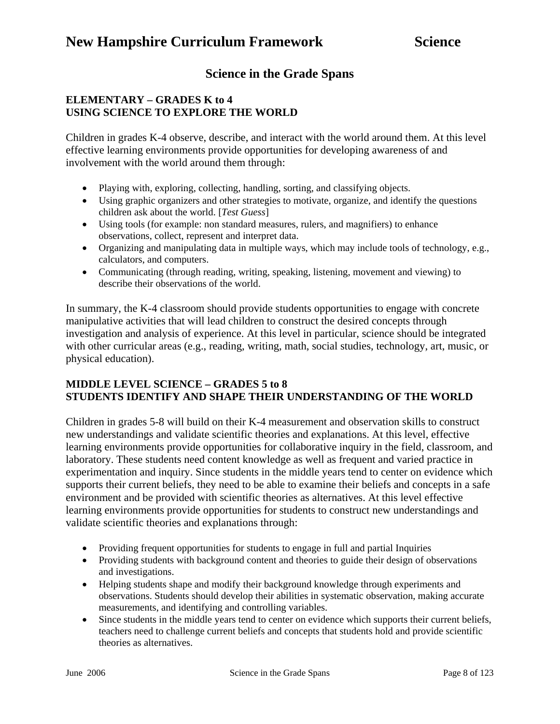# **Science in the Grade Spans**

#### **ELEMENTARY – GRADES K to 4 USING SCIENCE TO EXPLORE THE WORLD**

Children in grades K-4 observe, describe, and interact with the world around them. At this level effective learning environments provide opportunities for developing awareness of and involvement with the world around them through:

- Playing with, exploring, collecting, handling, sorting, and classifying objects.
- Using graphic organizers and other strategies to motivate, organize, and identify the questions children ask about the world. [*Test Guess*]
- Using tools (for example: non standard measures, rulers, and magnifiers) to enhance observations, collect, represent and interpret data.
- Organizing and manipulating data in multiple ways, which may include tools of technology, e.g., calculators, and computers.
- Communicating (through reading, writing, speaking, listening, movement and viewing) to describe their observations of the world.

In summary, the K-4 classroom should provide students opportunities to engage with concrete manipulative activities that will lead children to construct the desired concepts through investigation and analysis of experience. At this level in particular, science should be integrated with other curricular areas (e.g., reading, writing, math, social studies, technology, art, music, or physical education).

### **MIDDLE LEVEL SCIENCE – GRADES 5 to 8 STUDENTS IDENTIFY AND SHAPE THEIR UNDERSTANDING OF THE WORLD**

Children in grades 5-8 will build on their K-4 measurement and observation skills to construct new understandings and validate scientific theories and explanations. At this level, effective learning environments provide opportunities for collaborative inquiry in the field, classroom, and laboratory. These students need content knowledge as well as frequent and varied practice in experimentation and inquiry. Since students in the middle years tend to center on evidence which supports their current beliefs, they need to be able to examine their beliefs and concepts in a safe environment and be provided with scientific theories as alternatives. At this level effective learning environments provide opportunities for students to construct new understandings and validate scientific theories and explanations through:

- Providing frequent opportunities for students to engage in full and partial Inquiries
- Providing students with background content and theories to guide their design of observations and investigations.
- Helping students shape and modify their background knowledge through experiments and observations. Students should develop their abilities in systematic observation, making accurate measurements, and identifying and controlling variables.
- Since students in the middle years tend to center on evidence which supports their current beliefs, teachers need to challenge current beliefs and concepts that students hold and provide scientific theories as alternatives.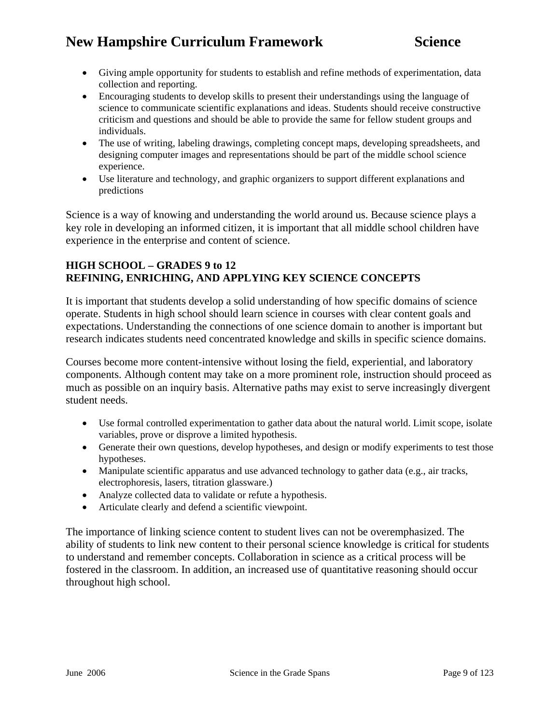- Giving ample opportunity for students to establish and refine methods of experimentation, data collection and reporting.
- Encouraging students to develop skills to present their understandings using the language of science to communicate scientific explanations and ideas. Students should receive constructive criticism and questions and should be able to provide the same for fellow student groups and individuals.
- The use of writing, labeling drawings, completing concept maps, developing spreadsheets, and designing computer images and representations should be part of the middle school science experience.
- Use literature and technology, and graphic organizers to support different explanations and predictions

Science is a way of knowing and understanding the world around us. Because science plays a key role in developing an informed citizen, it is important that all middle school children have experience in the enterprise and content of science.

#### **HIGH SCHOOL – GRADES 9 to 12 REFINING, ENRICHING, AND APPLYING KEY SCIENCE CONCEPTS**

It is important that students develop a solid understanding of how specific domains of science operate. Students in high school should learn science in courses with clear content goals and expectations. Understanding the connections of one science domain to another is important but research indicates students need concentrated knowledge and skills in specific science domains.

Courses become more content-intensive without losing the field, experiential, and laboratory components. Although content may take on a more prominent role, instruction should proceed as much as possible on an inquiry basis. Alternative paths may exist to serve increasingly divergent student needs.

- Use formal controlled experimentation to gather data about the natural world. Limit scope, isolate variables, prove or disprove a limited hypothesis.
- Generate their own questions, develop hypotheses, and design or modify experiments to test those hypotheses.
- Manipulate scientific apparatus and use advanced technology to gather data (e.g., air tracks, electrophoresis, lasers, titration glassware.)
- Analyze collected data to validate or refute a hypothesis.
- Articulate clearly and defend a scientific viewpoint.

The importance of linking science content to student lives can not be overemphasized. The ability of students to link new content to their personal science knowledge is critical for students to understand and remember concepts. Collaboration in science as a critical process will be fostered in the classroom. In addition, an increased use of quantitative reasoning should occur throughout high school.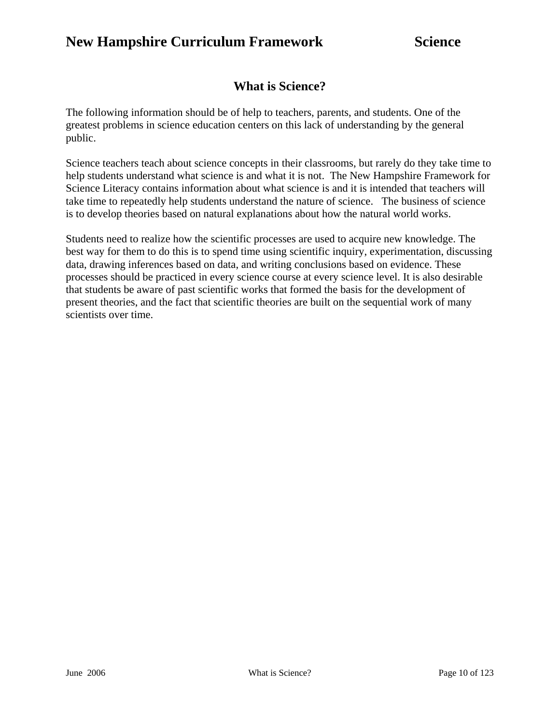# **What is Science?**

The following information should be of help to teachers, parents, and students. One of the greatest problems in science education centers on this lack of understanding by the general public.

Science teachers teach about science concepts in their classrooms, but rarely do they take time to help students understand what science is and what it is not. The New Hampshire Framework for Science Literacy contains information about what science is and it is intended that teachers will take time to repeatedly help students understand the nature of science. The business of science is to develop theories based on natural explanations about how the natural world works.

Students need to realize how the scientific processes are used to acquire new knowledge. The best way for them to do this is to spend time using scientific inquiry, experimentation, discussing data, drawing inferences based on data, and writing conclusions based on evidence. These processes should be practiced in every science course at every science level. It is also desirable that students be aware of past scientific works that formed the basis for the development of present theories, and the fact that scientific theories are built on the sequential work of many scientists over time.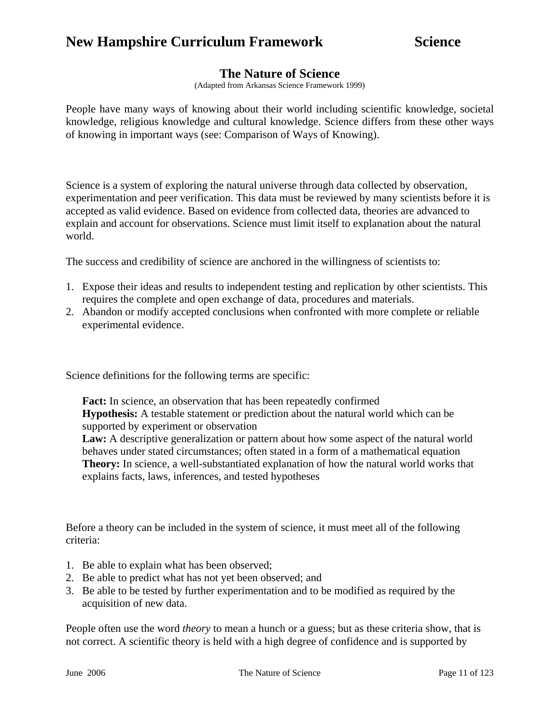### **The Nature of Science**

(Adapted from Arkansas Science Framework 1999)

People have many ways of knowing about their world including scientific knowledge, societal knowledge, religious knowledge and cultural knowledge. Science differs from these other ways of knowing in important ways (see: Comparison of Ways of Knowing).

Science is a system of exploring the natural universe through data collected by observation, experimentation and peer verification. This data must be reviewed by many scientists before it is accepted as valid evidence. Based on evidence from collected data, theories are advanced to explain and account for observations. Science must limit itself to explanation about the natural world.

The success and credibility of science are anchored in the willingness of scientists to:

- 1. Expose their ideas and results to independent testing and replication by other scientists. This requires the complete and open exchange of data, procedures and materials.
- 2. Abandon or modify accepted conclusions when confronted with more complete or reliable experimental evidence.

Science definitions for the following terms are specific:

**Fact:** In science, an observation that has been repeatedly confirmed **Hypothesis:** A testable statement or prediction about the natural world which can be supported by experiment or observation **Law:** A descriptive generalization or pattern about how some aspect of the natural world behaves under stated circumstances; often stated in a form of a mathematical equation **Theory:** In science, a well-substantiated explanation of how the natural world works that explains facts, laws, inferences, and tested hypotheses

Before a theory can be included in the system of science, it must meet all of the following criteria:

- 1. Be able to explain what has been observed;
- 2. Be able to predict what has not yet been observed; and
- 3. Be able to be tested by further experimentation and to be modified as required by the acquisition of new data.

People often use the word *theory* to mean a hunch or a guess; but as these criteria show, that is not correct. A scientific theory is held with a high degree of confidence and is supported by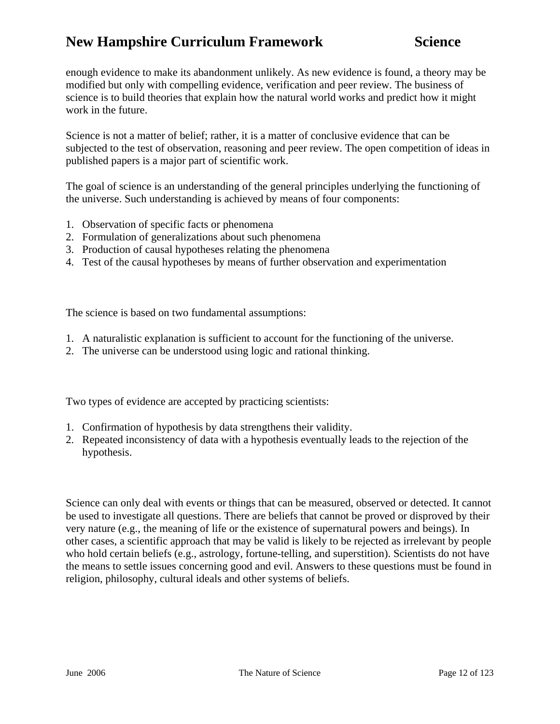enough evidence to make its abandonment unlikely. As new evidence is found, a theory may be modified but only with compelling evidence, verification and peer review. The business of science is to build theories that explain how the natural world works and predict how it might work in the future.

Science is not a matter of belief; rather, it is a matter of conclusive evidence that can be subjected to the test of observation, reasoning and peer review. The open competition of ideas in published papers is a major part of scientific work.

The goal of science is an understanding of the general principles underlying the functioning of the universe. Such understanding is achieved by means of four components:

- 1. Observation of specific facts or phenomena
- 2. Formulation of generalizations about such phenomena
- 3. Production of causal hypotheses relating the phenomena
- 4. Test of the causal hypotheses by means of further observation and experimentation

The science is based on two fundamental assumptions:

- 1. A naturalistic explanation is sufficient to account for the functioning of the universe.
- 2. The universe can be understood using logic and rational thinking.

Two types of evidence are accepted by practicing scientists:

- 1. Confirmation of hypothesis by data strengthens their validity.
- 2. Repeated inconsistency of data with a hypothesis eventually leads to the rejection of the hypothesis.

Science can only deal with events or things that can be measured, observed or detected. It cannot be used to investigate all questions. There are beliefs that cannot be proved or disproved by their very nature (e.g., the meaning of life or the existence of supernatural powers and beings). In other cases, a scientific approach that may be valid is likely to be rejected as irrelevant by people who hold certain beliefs (e.g., astrology, fortune-telling, and superstition). Scientists do not have the means to settle issues concerning good and evil. Answers to these questions must be found in religion, philosophy, cultural ideals and other systems of beliefs.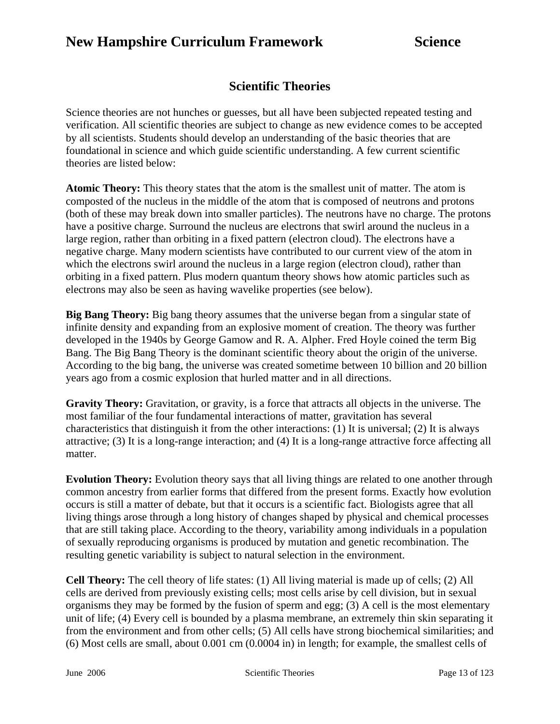### **Scientific Theories**

Science theories are not hunches or guesses, but all have been subjected repeated testing and verification. All scientific theories are subject to change as new evidence comes to be accepted by all scientists. Students should develop an understanding of the basic theories that are foundational in science and which guide scientific understanding. A few current scientific theories are listed below:

**Atomic Theory:** This theory states that the atom is the smallest unit of matter. The atom is composted of the nucleus in the middle of the atom that is composed of neutrons and protons (both of these may break down into smaller particles). The neutrons have no charge. The protons have a positive charge. Surround the nucleus are electrons that swirl around the nucleus in a large region, rather than orbiting in a fixed pattern (electron cloud). The electrons have a negative charge. Many modern scientists have contributed to our current view of the atom in which the electrons swirl around the nucleus in a large region (electron cloud), rather than orbiting in a fixed pattern. Plus modern quantum theory shows how atomic particles such as electrons may also be seen as having wavelike properties (see below).

**Big Bang Theory:** Big bang theory assumes that the universe began from a singular state of infinite density and expanding from an explosive moment of creation. The theory was further developed in the 1940s by George Gamow and R. A. Alpher. Fred Hoyle coined the term Big Bang. The Big Bang Theory is the dominant scientific theory about the origin of the universe. According to the big bang, the universe was created sometime between 10 billion and 20 billion years ago from a cosmic explosion that hurled matter and in all directions.

**Gravity Theory:** Gravitation, or gravity, is a force that attracts all objects in the universe. The most familiar of the four fundamental interactions of matter, gravitation has several characteristics that distinguish it from the other interactions: (1) It is universal; (2) It is always attractive; (3) It is a long-range interaction; and (4) It is a long-range attractive force affecting all matter.

**Evolution Theory:** Evolution theory says that all living things are related to one another through common ancestry from earlier forms that differed from the present forms. Exactly how evolution occurs is still a matter of debate, but that it occurs is a scientific fact. Biologists agree that all living things arose through a long history of changes shaped by physical and chemical processes that are still taking place. According to the theory, variability among individuals in a population of sexually reproducing organisms is produced by mutation and genetic recombination. The resulting genetic variability is subject to natural selection in the environment.

**Cell Theory:** The cell theory of life states: (1) All living material is made up of cells; (2) All cells are derived from previously existing cells; most cells arise by cell division, but in sexual organisms they may be formed by the fusion of sperm and egg; (3) A cell is the most elementary unit of life; (4) Every cell is bounded by a plasma membrane, an extremely thin skin separating it from the environment and from other cells; (5) All cells have strong biochemical similarities; and (6) Most cells are small, about 0.001 cm (0.0004 in) in length; for example, the smallest cells of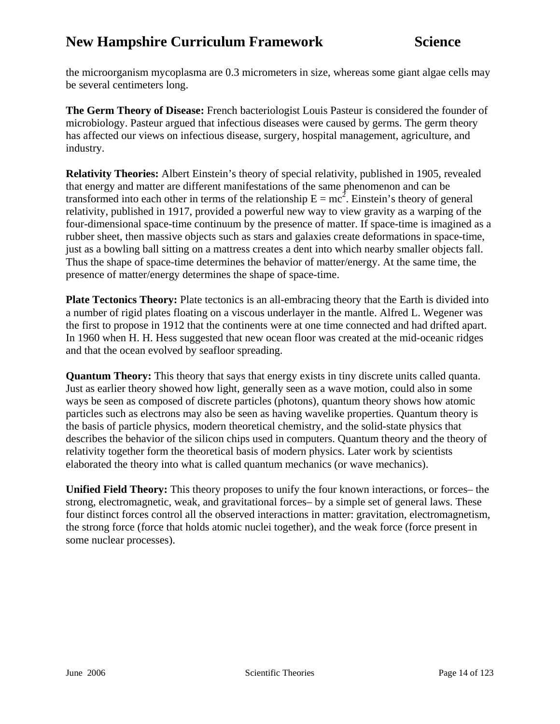the microorganism mycoplasma are 0.3 micrometers in size, whereas some giant algae cells may be several centimeters long.

**The Germ Theory of Disease:** French bacteriologist Louis Pasteur is considered the founder of microbiology. Pasteur argued that infectious diseases were caused by germs. The germ theory has affected our views on infectious disease, surgery, hospital management, agriculture, and industry.

**Relativity Theories:** Albert Einstein's theory of special relativity, published in 1905, revealed that energy and matter are different manifestations of the same phenomenon and can be transformed into each other in terms of the relationship  $E = mc^2$ . Einstein's theory of general relativity, published in 1917, provided a powerful new way to view gravity as a warping of the four-dimensional space-time continuum by the presence of matter. If space-time is imagined as a rubber sheet, then massive objects such as stars and galaxies create deformations in space-time, just as a bowling ball sitting on a mattress creates a dent into which nearby smaller objects fall. Thus the shape of space-time determines the behavior of matter/energy. At the same time, the presence of matter/energy determines the shape of space-time.

**Plate Tectonics Theory:** Plate tectonics is an all-embracing theory that the Earth is divided into a number of rigid plates floating on a viscous underlayer in the mantle. Alfred L. Wegener was the first to propose in 1912 that the continents were at one time connected and had drifted apart. In 1960 when H. H. Hess suggested that new ocean floor was created at the mid-oceanic ridges and that the ocean evolved by seafloor spreading.

**Quantum Theory:** This theory that says that energy exists in tiny discrete units called quanta. Just as earlier theory showed how light, generally seen as a wave motion, could also in some ways be seen as composed of discrete particles (photons), quantum theory shows how atomic particles such as electrons may also be seen as having wavelike properties. Quantum theory is the basis of particle physics, modern theoretical chemistry, and the solid-state physics that describes the behavior of the silicon chips used in computers. Quantum theory and the theory of relativity together form the theoretical basis of modern physics. Later work by scientists elaborated the theory into what is called quantum mechanics (or wave mechanics).

**Unified Field Theory:** This theory proposes to unify the four known interactions, or forces– the strong, electromagnetic, weak, and gravitational forces– by a simple set of general laws. These four distinct forces control all the observed interactions in matter: gravitation, electromagnetism, the strong force (force that holds atomic nuclei together), and the weak force (force present in some nuclear processes).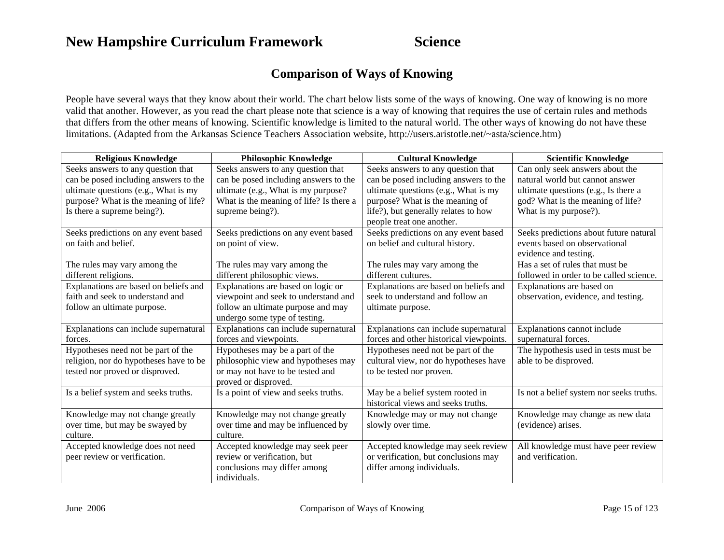## **Comparison of Ways of Knowing**

People have several ways that they know about their world. The chart below lists some of the ways of knowing. One way of knowing is no more valid that another. However, as you read the chart please note that science is a way of knowing that requires the use of certain rules and methods that differs from the other means of knowing. Scientific knowledge is limited to the natural world. The other ways of knowing do not have these limitations. (Adapted from the Arkansas Science Teachers Association website,<http://users.aristotle.net/~asta/science.htm>)

| <b>Religious Knowledge</b>             | <b>Philosophic Knowledge</b>            | <b>Cultural Knowledge</b>               | <b>Scientific Knowledge</b>              |
|----------------------------------------|-----------------------------------------|-----------------------------------------|------------------------------------------|
| Seeks answers to any question that     | Seeks answers to any question that      | Seeks answers to any question that      | Can only seek answers about the          |
| can be posed including answers to the  | can be posed including answers to the   | can be posed including answers to the   | natural world but cannot answer          |
| ultimate questions (e.g., What is my   | ultimate (e.g., What is my purpose?     | ultimate questions (e.g., What is my    | ultimate questions (e.g., Is there a     |
| purpose? What is the meaning of life?  | What is the meaning of life? Is there a | purpose? What is the meaning of         | god? What is the meaning of life?        |
| Is there a supreme being?).            | supreme being?).                        | life?), but generally relates to how    | What is my purpose?).                    |
|                                        |                                         | people treat one another.               |                                          |
|                                        |                                         |                                         |                                          |
| Seeks predictions on any event based   | Seeks predictions on any event based    | Seeks predictions on any event based    | Seeks predictions about future natural   |
| on faith and belief.                   | on point of view.                       | on belief and cultural history.         | events based on observational            |
|                                        |                                         |                                         | evidence and testing.                    |
| The rules may vary among the           | The rules may vary among the            | The rules may vary among the            | Has a set of rules that must be          |
| different religions.                   | different philosophic views.            | different cultures.                     | followed in order to be called science.  |
| Explanations are based on beliefs and  | Explanations are based on logic or      | Explanations are based on beliefs and   | Explanations are based on                |
| faith and seek to understand and       | viewpoint and seek to understand and    | seek to understand and follow an        | observation, evidence, and testing.      |
| follow an ultimate purpose.            | follow an ultimate purpose and may      | ultimate purpose.                       |                                          |
|                                        | undergo some type of testing.           |                                         |                                          |
| Explanations can include supernatural  | Explanations can include supernatural   | Explanations can include supernatural   | Explanations cannot include              |
| forces.                                | forces and viewpoints.                  | forces and other historical viewpoints. | supernatural forces.                     |
| Hypotheses need not be part of the     | Hypotheses may be a part of the         | Hypotheses need not be part of the      | The hypothesis used in tests must be     |
| religion, nor do hypotheses have to be | philosophic view and hypotheses may     | cultural view, nor do hypotheses have   | able to be disproved.                    |
| tested nor proved or disproved.        | or may not have to be tested and        | to be tested nor proven.                |                                          |
|                                        | proved or disproved.                    |                                         |                                          |
| Is a belief system and seeks truths.   | Is a point of view and seeks truths.    | May be a belief system rooted in        | Is not a belief system nor seeks truths. |
|                                        |                                         | historical views and seeks truths.      |                                          |
| Knowledge may not change greatly       | Knowledge may not change greatly        | Knowledge may or may not change         | Knowledge may change as new data         |
| over time, but may be swayed by        | over time and may be influenced by      | slowly over time.                       | (evidence) arises.                       |
| culture.                               | culture.                                |                                         |                                          |
| Accepted knowledge does not need       | Accepted knowledge may seek peer        | Accepted knowledge may seek review      | All knowledge must have peer review      |
| peer review or verification.           | review or verification, but             | or verification, but conclusions may    | and verification.                        |
|                                        | conclusions may differ among            | differ among individuals.               |                                          |
|                                        | individuals.                            |                                         |                                          |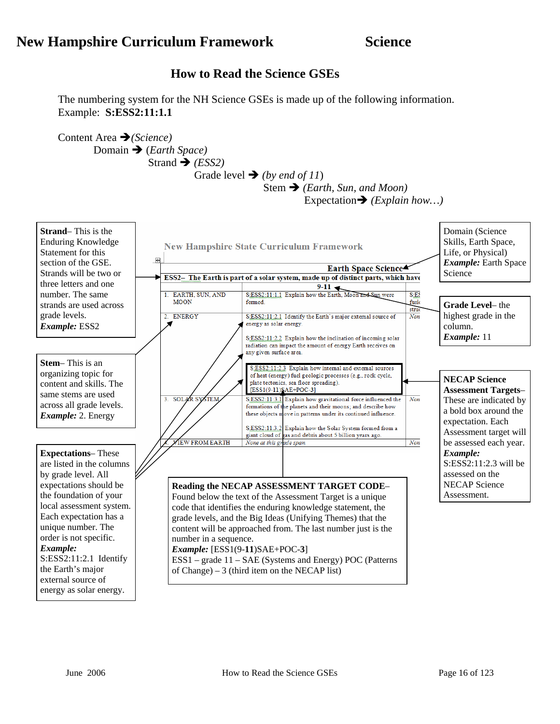### **How to Read the Science GSEs**

The numbering system for the NH Science GSEs is made up of the following information. Example: **S:ESS2:11:1.1**

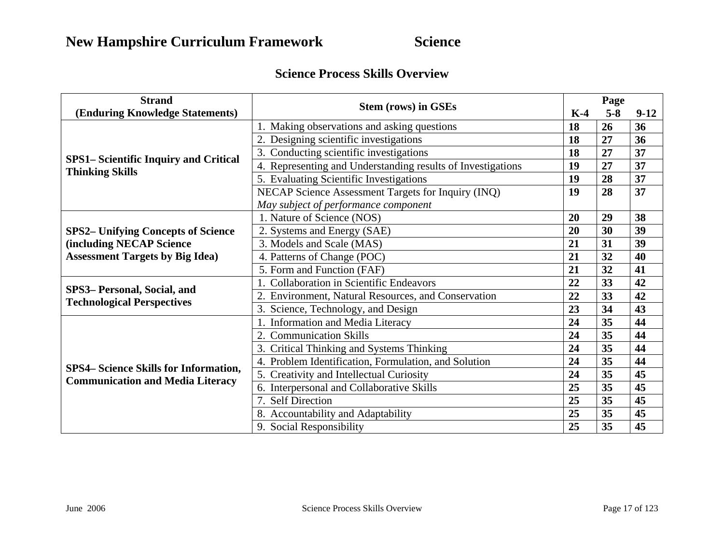### **Science Process Skills Overview**

| <b>Strand</b>                                                         |                                                             | Page |         |        |
|-----------------------------------------------------------------------|-------------------------------------------------------------|------|---------|--------|
| (Enduring Knowledge Statements)                                       | <b>Stem (rows) in GSEs</b>                                  |      | $5 - 8$ | $9-12$ |
|                                                                       | 1. Making observations and asking questions                 | 18   | 26      | 36     |
|                                                                       | 2. Designing scientific investigations                      | 18   | 27      | 36     |
|                                                                       | 3. Conducting scientific investigations                     | 18   | 27      | 37     |
| <b>SPS1-Scientific Inquiry and Critical</b><br><b>Thinking Skills</b> | 4. Representing and Understanding results of Investigations | 19   | 27      | 37     |
|                                                                       | 5. Evaluating Scientific Investigations                     | 19   | 28      | 37     |
|                                                                       | NECAP Science Assessment Targets for Inquiry (INQ)          | 19   | 28      | 37     |
|                                                                       | May subject of performance component                        |      |         |        |
|                                                                       | 1. Nature of Science (NOS)                                  | 20   | 29      | 38     |
| <b>SPS2- Unifying Concepts of Science</b>                             | 2. Systems and Energy (SAE)                                 | 20   | 30      | 39     |
| <b>(including NECAP Science)</b>                                      | 3. Models and Scale (MAS)                                   | 21   | 31      | 39     |
| <b>Assessment Targets by Big Idea)</b>                                | 4. Patterns of Change (POC)                                 | 21   | 32      | 40     |
|                                                                       | 5. Form and Function (FAF)                                  | 21   | 32      | 41     |
|                                                                       | 1. Collaboration in Scientific Endeavors                    | 22   | 33      | 42     |
| SPS3- Personal, Social, and                                           | 2. Environment, Natural Resources, and Conservation         | 22   | 33      | 42     |
| <b>Technological Perspectives</b>                                     | 3. Science, Technology, and Design                          | 23   | 34      | 43     |
|                                                                       | 1. Information and Media Literacy                           | 24   | 35      | 44     |
|                                                                       | 2. Communication Skills                                     | 24   | 35      | 44     |
|                                                                       | 3. Critical Thinking and Systems Thinking                   | 24   | 35      | 44     |
|                                                                       | 4. Problem Identification, Formulation, and Solution        | 24   | 35      | 44     |
| <b>SPS4– Science Skills for Information,</b>                          | 5. Creativity and Intellectual Curiosity                    | 24   | 35      | 45     |
| <b>Communication and Media Literacy</b>                               | 6. Interpersonal and Collaborative Skills                   | 25   | 35      | 45     |
|                                                                       | 7. Self Direction                                           | 25   | 35      | 45     |
|                                                                       | 8. Accountability and Adaptability                          | 25   | 35      | 45     |
|                                                                       | 9. Social Responsibility                                    | 25   | 35      | 45     |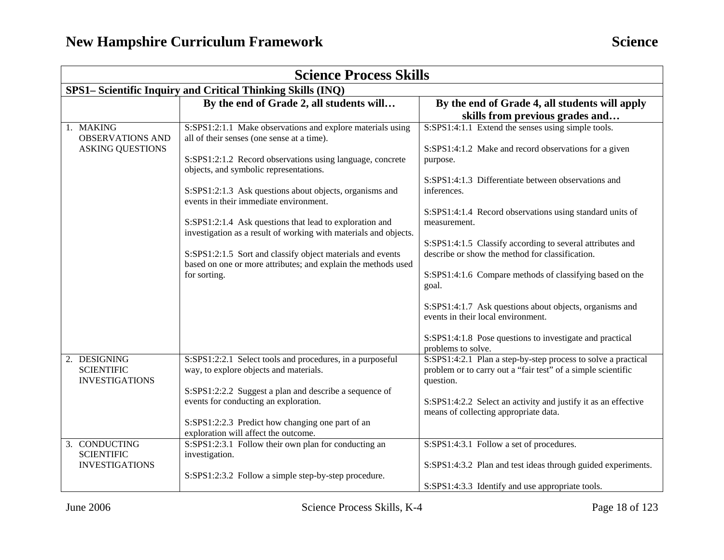| <b>Science Process Skills</b>                                   |                                                                                                                                                                                                                                                                                                                                                                                                                                                                                                                                                                                                    |                                                                                                                                                                                                                                                                                                                                                                                                                                                                                                                                                                                                                                                   |  |
|-----------------------------------------------------------------|----------------------------------------------------------------------------------------------------------------------------------------------------------------------------------------------------------------------------------------------------------------------------------------------------------------------------------------------------------------------------------------------------------------------------------------------------------------------------------------------------------------------------------------------------------------------------------------------------|---------------------------------------------------------------------------------------------------------------------------------------------------------------------------------------------------------------------------------------------------------------------------------------------------------------------------------------------------------------------------------------------------------------------------------------------------------------------------------------------------------------------------------------------------------------------------------------------------------------------------------------------------|--|
|                                                                 | SPS1– Scientific Inquiry and Critical Thinking Skills (INQ)                                                                                                                                                                                                                                                                                                                                                                                                                                                                                                                                        |                                                                                                                                                                                                                                                                                                                                                                                                                                                                                                                                                                                                                                                   |  |
|                                                                 | By the end of Grade 2, all students will                                                                                                                                                                                                                                                                                                                                                                                                                                                                                                                                                           | By the end of Grade 4, all students will apply<br>skills from previous grades and                                                                                                                                                                                                                                                                                                                                                                                                                                                                                                                                                                 |  |
| 1. MAKING<br><b>OBSERVATIONS AND</b><br><b>ASKING QUESTIONS</b> | S:SPS1:2:1.1 Make observations and explore materials using<br>all of their senses (one sense at a time).<br>S:SPS1:2:1.2 Record observations using language, concrete<br>objects, and symbolic representations.<br>S:SPS1:2:1.3 Ask questions about objects, organisms and<br>events in their immediate environment.<br>S:SPS1:2:1.4 Ask questions that lead to exploration and<br>investigation as a result of working with materials and objects.<br>S:SPS1:2:1.5 Sort and classify object materials and events<br>based on one or more attributes; and explain the methods used<br>for sorting. | S:SPS1:4:1.1 Extend the senses using simple tools.<br>S:SPS1:4:1.2 Make and record observations for a given<br>purpose.<br>S:SPS1:4:1.3 Differentiate between observations and<br>inferences.<br>S:SPS1:4:1.4 Record observations using standard units of<br>measurement.<br>S:SPS1:4:1.5 Classify according to several attributes and<br>describe or show the method for classification.<br>S:SPS1:4:1.6 Compare methods of classifying based on the<br>goal.<br>S:SPS1:4:1.7 Ask questions about objects, organisms and<br>events in their local environment.<br>S:SPS1:4:1.8 Pose questions to investigate and practical<br>problems to solve. |  |
| 2. DESIGNING<br><b>SCIENTIFIC</b><br><b>INVESTIGATIONS</b>      | S:SPS1:2:2.1 Select tools and procedures, in a purposeful<br>way, to explore objects and materials.<br>S:SPS1:2:2.2 Suggest a plan and describe a sequence of<br>events for conducting an exploration.<br>S:SPS1:2:2.3 Predict how changing one part of an<br>exploration will affect the outcome.                                                                                                                                                                                                                                                                                                 | S:SPS1:4:2.1 Plan a step-by-step process to solve a practical<br>problem or to carry out a "fair test" of a simple scientific<br>question.<br>S:SPS1:4:2.2 Select an activity and justify it as an effective<br>means of collecting appropriate data.                                                                                                                                                                                                                                                                                                                                                                                             |  |
| 3. CONDUCTING<br><b>SCIENTIFIC</b><br><b>INVESTIGATIONS</b>     | S:SPS1:2:3.1 Follow their own plan for conducting an<br>investigation.<br>S:SPS1:2:3.2 Follow a simple step-by-step procedure.                                                                                                                                                                                                                                                                                                                                                                                                                                                                     | S:SPS1:4:3.1 Follow a set of procedures.<br>S:SPS1:4:3.2 Plan and test ideas through guided experiments.<br>S:SPS1:4:3.3 Identify and use appropriate tools.                                                                                                                                                                                                                                                                                                                                                                                                                                                                                      |  |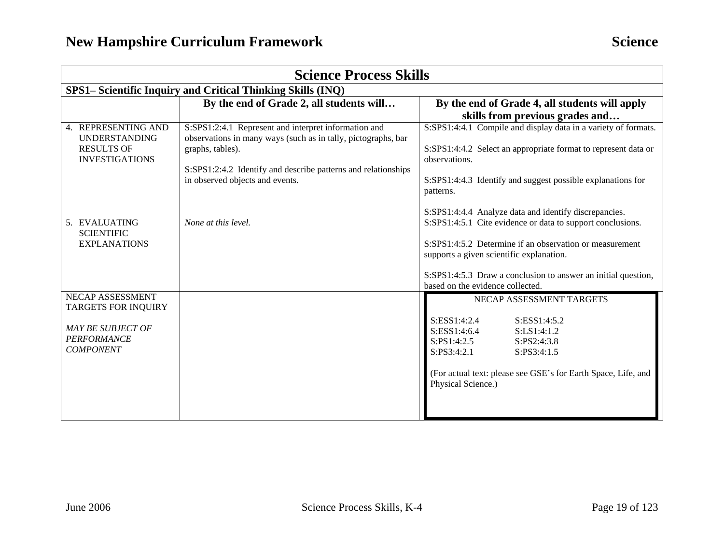| <b>Science Process Skills</b>                                                                                               |                                                                                                                                                                                                                                               |                                                                                                                                                                                                                                                                                                                                 |  |  |
|-----------------------------------------------------------------------------------------------------------------------------|-----------------------------------------------------------------------------------------------------------------------------------------------------------------------------------------------------------------------------------------------|---------------------------------------------------------------------------------------------------------------------------------------------------------------------------------------------------------------------------------------------------------------------------------------------------------------------------------|--|--|
|                                                                                                                             | SPS1- Scientific Inquiry and Critical Thinking Skills (INQ)                                                                                                                                                                                   |                                                                                                                                                                                                                                                                                                                                 |  |  |
|                                                                                                                             | By the end of Grade 2, all students will                                                                                                                                                                                                      | By the end of Grade 4, all students will apply<br>skills from previous grades and                                                                                                                                                                                                                                               |  |  |
| 4. REPRESENTING AND<br><b>UNDERSTANDING</b><br><b>RESULTS OF</b><br><b>INVESTIGATIONS</b>                                   | S:SPS1:2:4.1 Represent and interpret information and<br>observations in many ways (such as in tally, pictographs, bar<br>graphs, tables).<br>S:SPS1:2:4.2 Identify and describe patterns and relationships<br>in observed objects and events. | S:SPS1:4:4.1 Compile and display data in a variety of formats.<br>S:SPS1:4:4.2 Select an appropriate format to represent data or<br>observations.<br>S:SPS1:4:4.3 Identify and suggest possible explanations for<br>patterns.                                                                                                   |  |  |
| 5. EVALUATING<br><b>SCIENTIFIC</b><br><b>EXPLANATIONS</b>                                                                   | None at this level.                                                                                                                                                                                                                           | S:SPS1:4:4.4 Analyze data and identify discrepancies.<br>S:SPS1:4:5.1 Cite evidence or data to support conclusions.<br>S:SPS1:4:5.2 Determine if an observation or measurement<br>supports a given scientific explanation.<br>S:SPS1:4:5.3 Draw a conclusion to answer an initial question,<br>based on the evidence collected. |  |  |
| <b>NECAP ASSESSMENT</b><br><b>TARGETS FOR INQUIRY</b><br><b>MAY BE SUBJECT OF</b><br><b>PERFORMANCE</b><br><b>COMPONENT</b> |                                                                                                                                                                                                                                               | NECAP ASSESSMENT TARGETS<br>S:ESS1:4:2.4<br>S:ESS1:4:5.2<br>S:ESS1:4:6.4<br>S:LS1:4:1.2<br>S:PS1:4:2.5<br>S:PS2:4:3.8<br>S:PS3:4:2.1<br>S:PS3:4:1.5<br>(For actual text: please see GSE's for Earth Space, Life, and<br>Physical Science.)                                                                                      |  |  |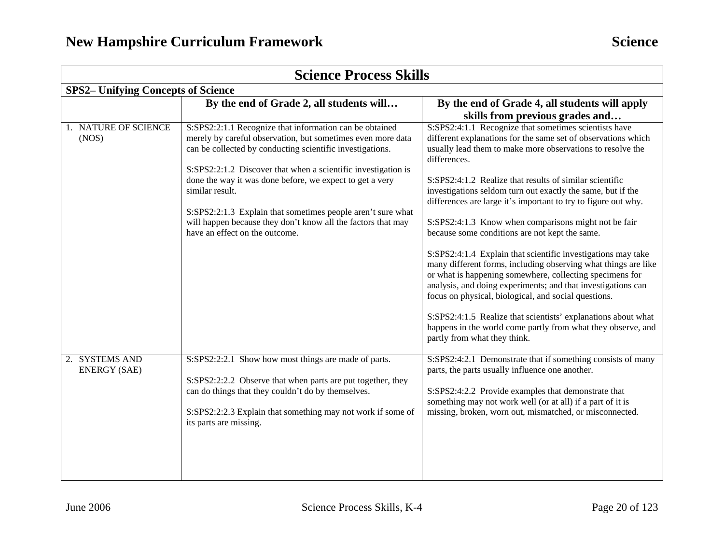| <b>Science Process Skills</b>             |                                                                                                                                                                                                                                          |                                                                                                                                                                                                                                                                                                                    |  |
|-------------------------------------------|------------------------------------------------------------------------------------------------------------------------------------------------------------------------------------------------------------------------------------------|--------------------------------------------------------------------------------------------------------------------------------------------------------------------------------------------------------------------------------------------------------------------------------------------------------------------|--|
| <b>SPS2-</b> Unifying Concepts of Science |                                                                                                                                                                                                                                          |                                                                                                                                                                                                                                                                                                                    |  |
|                                           | By the end of Grade 2, all students will                                                                                                                                                                                                 | By the end of Grade 4, all students will apply<br>skills from previous grades and                                                                                                                                                                                                                                  |  |
| 1. NATURE OF SCIENCE<br>(NOS)             | S:SPS2:2:1.1 Recognize that information can be obtained<br>merely by careful observation, but sometimes even more data<br>can be collected by conducting scientific investigations.                                                      | S:SPS2:4:1.1 Recognize that sometimes scientists have<br>different explanations for the same set of observations which<br>usually lead them to make more observations to resolve the<br>differences.                                                                                                               |  |
|                                           | S:SPS2:2:1.2 Discover that when a scientific investigation is<br>done the way it was done before, we expect to get a very<br>similar result.                                                                                             | S:SPS2:4:1.2 Realize that results of similar scientific<br>investigations seldom turn out exactly the same, but if the<br>differences are large it's important to try to figure out why.                                                                                                                           |  |
|                                           | S:SPS2:2:1.3 Explain that sometimes people aren't sure what<br>will happen because they don't know all the factors that may<br>have an effect on the outcome.                                                                            | S:SPS2:4:1.3 Know when comparisons might not be fair<br>because some conditions are not kept the same.                                                                                                                                                                                                             |  |
|                                           |                                                                                                                                                                                                                                          | S:SPS2:4:1.4 Explain that scientific investigations may take<br>many different forms, including observing what things are like<br>or what is happening somewhere, collecting specimens for<br>analysis, and doing experiments; and that investigations can<br>focus on physical, biological, and social questions. |  |
|                                           |                                                                                                                                                                                                                                          | S:SPS2:4:1.5 Realize that scientists' explanations about what<br>happens in the world come partly from what they observe, and<br>partly from what they think.                                                                                                                                                      |  |
| 2. SYSTEMS AND<br><b>ENERGY (SAE)</b>     | S:SPS2:2:2.1 Show how most things are made of parts.<br>S:SPS2:2:2.2 Observe that when parts are put together, they<br>can do things that they couldn't do by themselves.<br>S:SPS2:2:2.3 Explain that something may not work if some of | S:SPS2:4:2.1 Demonstrate that if something consists of many<br>parts, the parts usually influence one another.<br>S:SPS2:4:2.2 Provide examples that demonstrate that<br>something may not work well (or at all) if a part of it is<br>missing, broken, worn out, mismatched, or misconnected.                     |  |
|                                           | its parts are missing.                                                                                                                                                                                                                   |                                                                                                                                                                                                                                                                                                                    |  |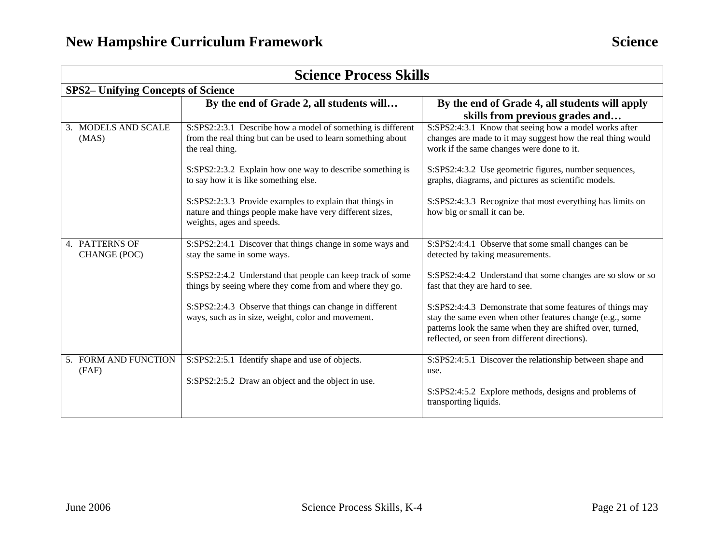| <b>Science Process Skills</b>  |                                                                                                                                                  |                                                                                                                                                                                                                                        |  |  |
|--------------------------------|--------------------------------------------------------------------------------------------------------------------------------------------------|----------------------------------------------------------------------------------------------------------------------------------------------------------------------------------------------------------------------------------------|--|--|
|                                | <b>SPS2-</b> Unifying Concepts of Science                                                                                                        |                                                                                                                                                                                                                                        |  |  |
|                                | By the end of Grade 2, all students will                                                                                                         | By the end of Grade 4, all students will apply<br>skills from previous grades and                                                                                                                                                      |  |  |
| 3. MODELS AND SCALE<br>(MAS)   | S:SPS2:2:3.1 Describe how a model of something is different<br>from the real thing but can be used to learn something about<br>the real thing.   | S:SPS2:4:3.1 Know that seeing how a model works after<br>changes are made to it may suggest how the real thing would<br>work if the same changes were done to it.                                                                      |  |  |
|                                | S:SPS2:2:3.2 Explain how one way to describe something is<br>to say how it is like something else.                                               | S:SPS2:4:3.2 Use geometric figures, number sequences,<br>graphs, diagrams, and pictures as scientific models.                                                                                                                          |  |  |
|                                | S:SPS2:2:3.3 Provide examples to explain that things in<br>nature and things people make have very different sizes,<br>weights, ages and speeds. | S:SPS2:4:3.3 Recognize that most everything has limits on<br>how big or small it can be.                                                                                                                                               |  |  |
| 4. PATTERNS OF<br>CHANGE (POC) | S:SPS2:2:4.1 Discover that things change in some ways and<br>stay the same in some ways.                                                         | S:SPS2:4:4.1 Observe that some small changes can be<br>detected by taking measurements.                                                                                                                                                |  |  |
|                                | S:SPS2:2:4.2 Understand that people can keep track of some<br>things by seeing where they come from and where they go.                           | S:SPS2:4:4.2 Understand that some changes are so slow or so<br>fast that they are hard to see.                                                                                                                                         |  |  |
|                                | S:SPS2:2:4.3 Observe that things can change in different<br>ways, such as in size, weight, color and movement.                                   | S:SPS2:4:4.3 Demonstrate that some features of things may<br>stay the same even when other features change (e.g., some<br>patterns look the same when they are shifted over, turned,<br>reflected, or seen from different directions). |  |  |
| 5. FORM AND FUNCTION<br>(FAF)  | S:SPS2:2:5.1 Identify shape and use of objects.<br>S:SPS2:2:5.2 Draw an object and the object in use.                                            | S:SPS2:4:5.1 Discover the relationship between shape and<br>use.<br>S:SPS2:4:5.2 Explore methods, designs and problems of                                                                                                              |  |  |
|                                |                                                                                                                                                  | transporting liquids.                                                                                                                                                                                                                  |  |  |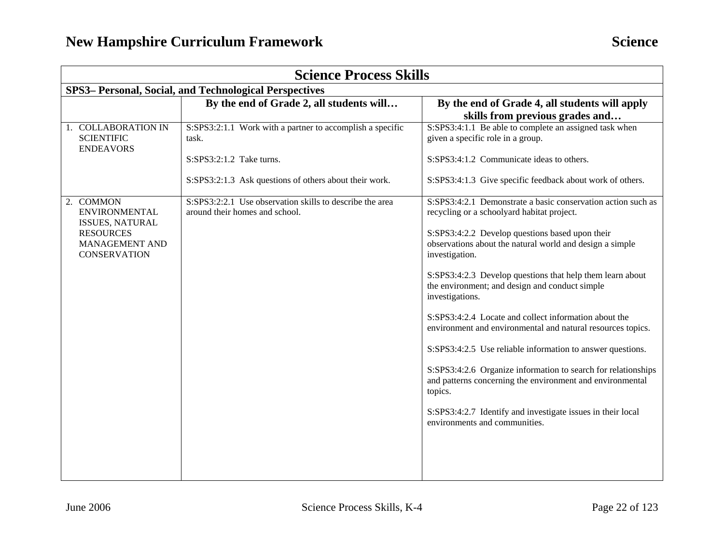| <b>Science Process Skills</b>                                    |                                                                                            |                                                                                                                                       |  |
|------------------------------------------------------------------|--------------------------------------------------------------------------------------------|---------------------------------------------------------------------------------------------------------------------------------------|--|
|                                                                  | SPS3- Personal, Social, and Technological Perspectives                                     |                                                                                                                                       |  |
|                                                                  | By the end of Grade 2, all students will                                                   | By the end of Grade 4, all students will apply<br>skills from previous grades and                                                     |  |
| 1. COLLABORATION IN<br><b>SCIENTIFIC</b><br><b>ENDEAVORS</b>     | S:SPS3:2:1.1 Work with a partner to accomplish a specific<br>task.                         | S:SPS3:4:1.1 Be able to complete an assigned task when<br>given a specific role in a group.                                           |  |
|                                                                  | S:SPS3:2:1.2 Take turns.                                                                   | S:SPS3:4:1.2 Communicate ideas to others.                                                                                             |  |
|                                                                  | S:SPS3:2:1.3 Ask questions of others about their work.                                     | S:SPS3:4:1.3 Give specific feedback about work of others.                                                                             |  |
| 2. COMMON<br><b>ENVIRONMENTAL</b><br><b>ISSUES, NATURAL</b>      | S:SPS3:2:2.1 Use observation skills to describe the area<br>around their homes and school. | S:SPS3:4:2.1 Demonstrate a basic conservation action such as<br>recycling or a schoolyard habitat project.                            |  |
| <b>RESOURCES</b><br><b>MANAGEMENT AND</b><br><b>CONSERVATION</b> |                                                                                            | S:SPS3:4:2.2 Develop questions based upon their<br>observations about the natural world and design a simple<br>investigation.         |  |
|                                                                  |                                                                                            | S:SPS3:4:2.3 Develop questions that help them learn about<br>the environment; and design and conduct simple<br>investigations.        |  |
|                                                                  |                                                                                            | S:SPS3:4:2.4 Locate and collect information about the<br>environment and environmental and natural resources topics.                  |  |
|                                                                  |                                                                                            | S:SPS3:4:2.5 Use reliable information to answer questions.                                                                            |  |
|                                                                  |                                                                                            | S:SPS3:4:2.6 Organize information to search for relationships<br>and patterns concerning the environment and environmental<br>topics. |  |
|                                                                  |                                                                                            | S:SPS3:4:2.7 Identify and investigate issues in their local<br>environments and communities.                                          |  |
|                                                                  |                                                                                            |                                                                                                                                       |  |
|                                                                  |                                                                                            |                                                                                                                                       |  |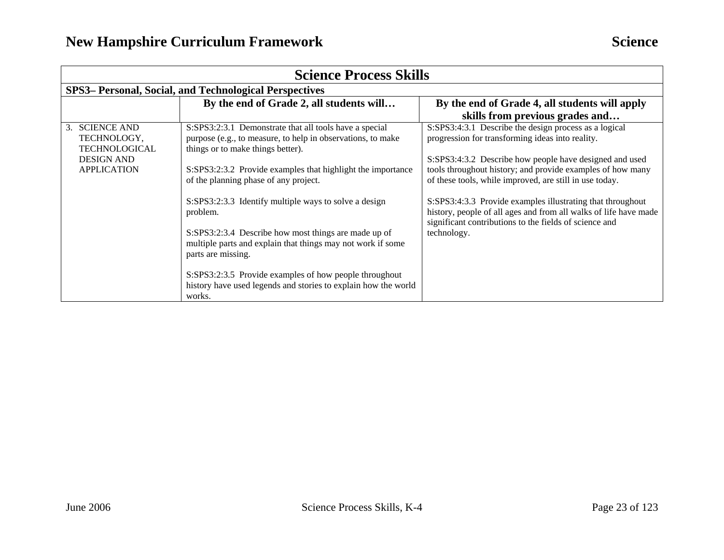| <b>Science Process Skills</b>                                              |                                                                                                                                                            |                                                                                                                                                                                          |  |
|----------------------------------------------------------------------------|------------------------------------------------------------------------------------------------------------------------------------------------------------|------------------------------------------------------------------------------------------------------------------------------------------------------------------------------------------|--|
|                                                                            | SPS3- Personal, Social, and Technological Perspectives                                                                                                     |                                                                                                                                                                                          |  |
|                                                                            | By the end of Grade 2, all students will                                                                                                                   | By the end of Grade 4, all students will apply<br>skills from previous grades and                                                                                                        |  |
| 3. SCIENCE AND<br>TECHNOLOGY,<br><b>TECHNOLOGICAL</b><br><b>DESIGN AND</b> | S:SPS3:2:3.1 Demonstrate that all tools have a special<br>purpose (e.g., to measure, to help in observations, to make<br>things or to make things better). | S:SPS3:4:3.1 Describe the design process as a logical<br>progression for transforming ideas into reality.<br>S:SPS3:4:3.2 Describe how people have designed and used                     |  |
| <b>APPLICATION</b>                                                         | S:SPS3:2:3.2 Provide examples that highlight the importance<br>of the planning phase of any project.                                                       | tools throughout history; and provide examples of how many<br>of these tools, while improved, are still in use today.                                                                    |  |
|                                                                            | S:SPS3:2:3.3 Identify multiple ways to solve a design<br>problem.                                                                                          | S:SPS3:4:3.3 Provide examples illustrating that throughout<br>history, people of all ages and from all walks of life have made<br>significant contributions to the fields of science and |  |
|                                                                            | S:SPS3:2:3.4 Describe how most things are made up of<br>multiple parts and explain that things may not work if some<br>parts are missing.                  | technology.                                                                                                                                                                              |  |
|                                                                            | S:SPS3:2:3.5 Provide examples of how people throughout<br>history have used legends and stories to explain how the world<br>works.                         |                                                                                                                                                                                          |  |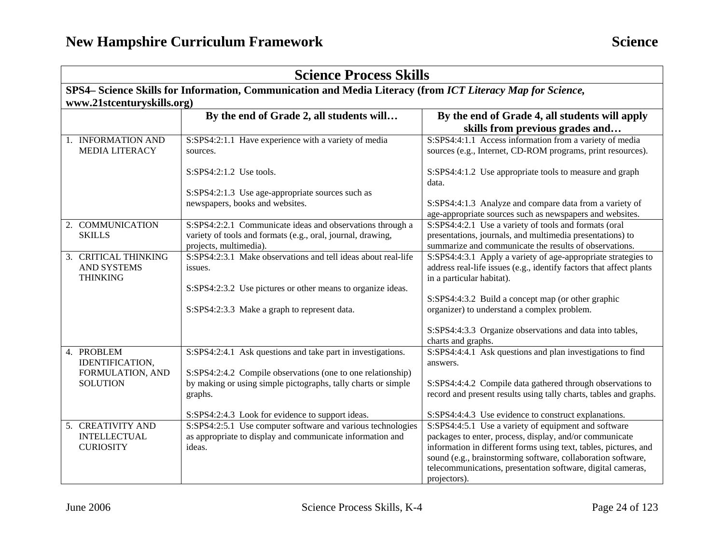| <b>Science Process Skills</b> |                                             |                                                                                                                                                                                             |                                                                                                                                                                                                                                                            |
|-------------------------------|---------------------------------------------|---------------------------------------------------------------------------------------------------------------------------------------------------------------------------------------------|------------------------------------------------------------------------------------------------------------------------------------------------------------------------------------------------------------------------------------------------------------|
|                               |                                             | SPS4- Science Skills for Information, Communication and Media Literacy (from ICT Literacy Map for Science,                                                                                  |                                                                                                                                                                                                                                                            |
|                               | www.21stcenturyskills.org)                  |                                                                                                                                                                                             |                                                                                                                                                                                                                                                            |
|                               |                                             | By the end of Grade 2, all students will                                                                                                                                                    | By the end of Grade 4, all students will apply                                                                                                                                                                                                             |
|                               |                                             |                                                                                                                                                                                             | skills from previous grades and                                                                                                                                                                                                                            |
|                               | 1. INFORMATION AND<br><b>MEDIA LITERACY</b> | S:SPS4:2:1.1 Have experience with a variety of media<br>sources.                                                                                                                            | S:SPS4:4:1.1 Access information from a variety of media<br>sources (e.g., Internet, CD-ROM programs, print resources).                                                                                                                                     |
|                               |                                             | $S:SPS4:2:1.2$ Use tools.                                                                                                                                                                   | S:SPS4:4:1.2 Use appropriate tools to measure and graph<br>data.                                                                                                                                                                                           |
|                               |                                             | S:SPS4:2:1.3 Use age-appropriate sources such as<br>newspapers, books and websites.                                                                                                         | S:SPS4:4:1.3 Analyze and compare data from a variety of<br>age-appropriate sources such as newspapers and websites.                                                                                                                                        |
| <b>SKILLS</b>                 | 2. COMMUNICATION                            | S:SPS4:2:2.1 Communicate ideas and observations through a<br>variety of tools and formats (e.g., oral, journal, drawing,<br>projects, multimedia).                                          | S:SPS4:4:2.1 Use a variety of tools and formats (oral<br>presentations, journals, and multimedia presentations) to<br>summarize and communicate the results of observations.                                                                               |
| <b>THINKING</b>               | 3. CRITICAL THINKING<br><b>AND SYSTEMS</b>  | S:SPS4:2:3.1 Make observations and tell ideas about real-life<br>issues.<br>S:SPS4:2:3.2 Use pictures or other means to organize ideas.                                                     | S:SPS4:4:3.1 Apply a variety of age-appropriate strategies to<br>address real-life issues (e.g., identify factors that affect plants<br>in a particular habitat).                                                                                          |
|                               |                                             | S:SPS4:2:3.3 Make a graph to represent data.                                                                                                                                                | S:SPS4:4:3.2 Build a concept map (or other graphic<br>organizer) to understand a complex problem.                                                                                                                                                          |
|                               |                                             |                                                                                                                                                                                             | S:SPS4:4:3.3 Organize observations and data into tables,<br>charts and graphs.                                                                                                                                                                             |
| 4. PROBLEM<br><b>SOLUTION</b> | IDENTIFICATION,<br>FORMULATION, AND         | S:SPS4:2:4.1 Ask questions and take part in investigations.<br>S:SPS4:2:4.2 Compile observations (one to one relationship)<br>by making or using simple pictographs, tally charts or simple | S:SPS4:4:4.1 Ask questions and plan investigations to find<br>answers.                                                                                                                                                                                     |
|                               |                                             | graphs.                                                                                                                                                                                     | S:SPS4:4:4.2 Compile data gathered through observations to<br>record and present results using tally charts, tables and graphs.                                                                                                                            |
|                               | 5. CREATIVITY AND                           | S:SPS4:2:4.3 Look for evidence to support ideas.<br>S:SPS4:2:5.1 Use computer software and various technologies                                                                             | S:SPS4:4:4.3 Use evidence to construct explanations.<br>S:SPS4:4:5.1 Use a variety of equipment and software                                                                                                                                               |
|                               | <b>INTELLECTUAL</b><br><b>CURIOSITY</b>     | as appropriate to display and communicate information and<br>ideas.                                                                                                                         | packages to enter, process, display, and/or communicate<br>information in different forms using text, tables, pictures, and<br>sound (e.g., brainstorming software, collaboration software,<br>telecommunications, presentation software, digital cameras, |
|                               |                                             |                                                                                                                                                                                             | projectors).                                                                                                                                                                                                                                               |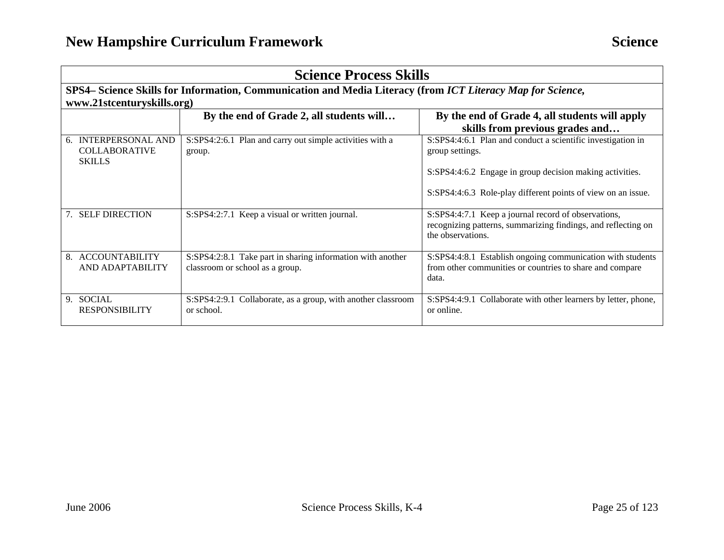| <b>Science Process Skills</b>                                                                              |                                                                                               |                                                                                                                                           |  |
|------------------------------------------------------------------------------------------------------------|-----------------------------------------------------------------------------------------------|-------------------------------------------------------------------------------------------------------------------------------------------|--|
| SPS4– Science Skills for Information, Communication and Media Literacy (from ICT Literacy Map for Science, |                                                                                               |                                                                                                                                           |  |
| www.21stcenturyskills.org)                                                                                 |                                                                                               |                                                                                                                                           |  |
|                                                                                                            | By the end of Grade 2, all students will                                                      | By the end of Grade 4, all students will apply<br>skills from previous grades and                                                         |  |
| 6. INTERPERSONAL AND<br><b>COLLABORATIVE</b><br><b>SKILLS</b>                                              | S:SPS4:2:6.1 Plan and carry out simple activities with a<br>group.                            | S:SPS4:4:6.1 Plan and conduct a scientific investigation in<br>group settings.                                                            |  |
|                                                                                                            |                                                                                               | S:SPS4:4:6.2 Engage in group decision making activities.                                                                                  |  |
|                                                                                                            |                                                                                               | S:SPS4:4:6.3 Role-play different points of view on an issue.                                                                              |  |
| 7. SELF DIRECTION                                                                                          | S:SPS4:2:7.1 Keep a visual or written journal.                                                | S:SPS4:4:7.1 Keep a journal record of observations,<br>recognizing patterns, summarizing findings, and reflecting on<br>the observations. |  |
| 8. ACCOUNTABILITY<br>AND ADAPTABILITY                                                                      | S:SPS4:2:8.1 Take part in sharing information with another<br>classroom or school as a group. | S:SPS4:4:8.1 Establish ongoing communication with students<br>from other communities or countries to share and compare<br>data.           |  |
| 9. SOCIAL<br><b>RESPONSIBILITY</b>                                                                         | S:SPS4:2:9.1 Collaborate, as a group, with another classroom<br>or school.                    | S:SPS4:4:9.1 Collaborate with other learners by letter, phone,<br>or online.                                                              |  |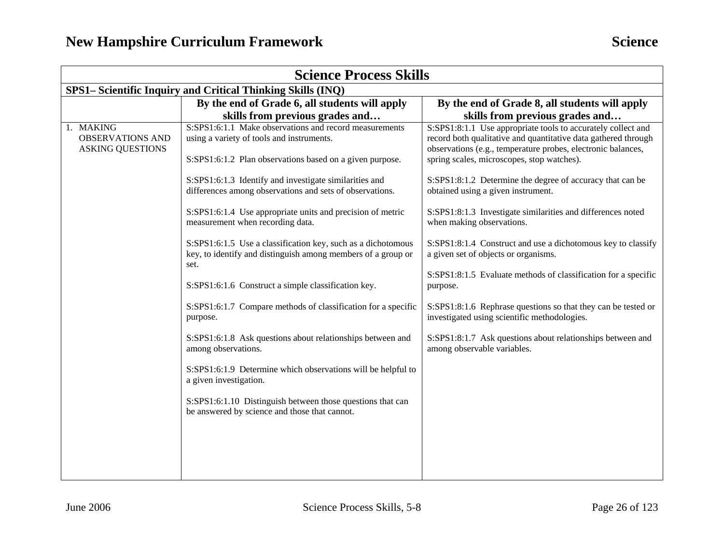| <b>Science Process Skills</b>                                   |                                                                                                                                                                 |                                                                                                                                                                                                                                              |  |  |  |
|-----------------------------------------------------------------|-----------------------------------------------------------------------------------------------------------------------------------------------------------------|----------------------------------------------------------------------------------------------------------------------------------------------------------------------------------------------------------------------------------------------|--|--|--|
|                                                                 | SPS1– Scientific Inquiry and Critical Thinking Skills (INQ)                                                                                                     |                                                                                                                                                                                                                                              |  |  |  |
|                                                                 | By the end of Grade 6, all students will apply                                                                                                                  | By the end of Grade 8, all students will apply                                                                                                                                                                                               |  |  |  |
|                                                                 | skills from previous grades and                                                                                                                                 | skills from previous grades and                                                                                                                                                                                                              |  |  |  |
| 1. MAKING<br><b>OBSERVATIONS AND</b><br><b>ASKING QUESTIONS</b> | S:SPS1:6:1.1 Make observations and record measurements<br>using a variety of tools and instruments.<br>S:SPS1:6:1.2 Plan observations based on a given purpose. | S:SPS1:8:1.1 Use appropriate tools to accurately collect and<br>record both qualitative and quantitative data gathered through<br>observations (e.g., temperature probes, electronic balances,<br>spring scales, microscopes, stop watches). |  |  |  |
|                                                                 | S:SPS1:6:1.3 Identify and investigate similarities and<br>differences among observations and sets of observations.                                              | S:SPS1:8:1.2 Determine the degree of accuracy that can be<br>obtained using a given instrument.                                                                                                                                              |  |  |  |
|                                                                 | S:SPS1:6:1.4 Use appropriate units and precision of metric<br>measurement when recording data.                                                                  | S:SPS1:8:1.3 Investigate similarities and differences noted<br>when making observations.                                                                                                                                                     |  |  |  |
|                                                                 | S:SPS1:6:1.5 Use a classification key, such as a dichotomous<br>key, to identify and distinguish among members of a group or<br>set.                            | S:SPS1:8:1.4 Construct and use a dichotomous key to classify<br>a given set of objects or organisms.                                                                                                                                         |  |  |  |
|                                                                 | S:SPS1:6:1.6 Construct a simple classification key.                                                                                                             | S:SPS1:8:1.5 Evaluate methods of classification for a specific<br>purpose.                                                                                                                                                                   |  |  |  |
|                                                                 | S:SPS1:6:1.7 Compare methods of classification for a specific<br>purpose.                                                                                       | S:SPS1:8:1.6 Rephrase questions so that they can be tested or<br>investigated using scientific methodologies.                                                                                                                                |  |  |  |
|                                                                 | S:SPS1:6:1.8 Ask questions about relationships between and<br>among observations.                                                                               | S:SPS1:8:1.7 Ask questions about relationships between and<br>among observable variables.                                                                                                                                                    |  |  |  |
|                                                                 | S:SPS1:6:1.9 Determine which observations will be helpful to<br>a given investigation.                                                                          |                                                                                                                                                                                                                                              |  |  |  |
|                                                                 | S:SPS1:6:1.10 Distinguish between those questions that can<br>be answered by science and those that cannot.                                                     |                                                                                                                                                                                                                                              |  |  |  |
|                                                                 |                                                                                                                                                                 |                                                                                                                                                                                                                                              |  |  |  |
|                                                                 |                                                                                                                                                                 |                                                                                                                                                                                                                                              |  |  |  |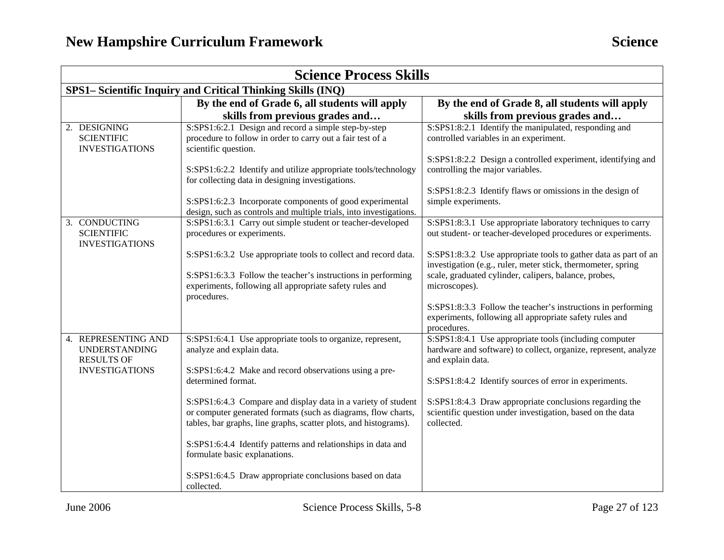| <b>Science Process Skills</b>                                    |                                                                                                                                                                                                    |                                                                                                                                                                                          |  |  |
|------------------------------------------------------------------|----------------------------------------------------------------------------------------------------------------------------------------------------------------------------------------------------|------------------------------------------------------------------------------------------------------------------------------------------------------------------------------------------|--|--|
|                                                                  | SPS1- Scientific Inquiry and Critical Thinking Skills (INQ)                                                                                                                                        |                                                                                                                                                                                          |  |  |
|                                                                  | By the end of Grade 6, all students will apply                                                                                                                                                     | By the end of Grade 8, all students will apply                                                                                                                                           |  |  |
|                                                                  | skills from previous grades and                                                                                                                                                                    | skills from previous grades and                                                                                                                                                          |  |  |
| 2. DESIGNING<br><b>SCIENTIFIC</b><br><b>INVESTIGATIONS</b>       | S:SPS1:6:2.1 Design and record a simple step-by-step<br>procedure to follow in order to carry out a fair test of a<br>scientific question.                                                         | S:SPS1:8:2.1 Identify the manipulated, responding and<br>controlled variables in an experiment.                                                                                          |  |  |
|                                                                  | S:SPS1:6:2.2 Identify and utilize appropriate tools/technology<br>for collecting data in designing investigations.                                                                                 | S:SPS1:8:2.2 Design a controlled experiment, identifying and<br>controlling the major variables.                                                                                         |  |  |
|                                                                  | S:SPS1:6:2.3 Incorporate components of good experimental<br>design, such as controls and multiple trials, into investigations.                                                                     | S:SPS1:8:2.3 Identify flaws or omissions in the design of<br>simple experiments.                                                                                                         |  |  |
| 3. CONDUCTING<br><b>SCIENTIFIC</b><br><b>INVESTIGATIONS</b>      | S:SPS1:6:3.1 Carry out simple student or teacher-developed<br>procedures or experiments.                                                                                                           | S:SPS1:8:3.1 Use appropriate laboratory techniques to carry<br>out student- or teacher-developed procedures or experiments.                                                              |  |  |
|                                                                  | S:SPS1:6:3.2 Use appropriate tools to collect and record data.                                                                                                                                     | S:SPS1:8:3.2 Use appropriate tools to gather data as part of an<br>investigation (e.g., ruler, meter stick, thermometer, spring<br>scale, graduated cylinder, calipers, balance, probes, |  |  |
|                                                                  | S:SPS1:6:3.3 Follow the teacher's instructions in performing<br>experiments, following all appropriate safety rules and<br>procedures.                                                             | microscopes).                                                                                                                                                                            |  |  |
|                                                                  |                                                                                                                                                                                                    | S:SPS1:8:3.3 Follow the teacher's instructions in performing<br>experiments, following all appropriate safety rules and<br>procedures.                                                   |  |  |
| 4. REPRESENTING AND<br><b>UNDERSTANDING</b><br><b>RESULTS OF</b> | S:SPS1:6:4.1 Use appropriate tools to organize, represent,<br>analyze and explain data.                                                                                                            | S:SPS1:8:4.1 Use appropriate tools (including computer<br>hardware and software) to collect, organize, represent, analyze<br>and explain data.                                           |  |  |
| <b>INVESTIGATIONS</b>                                            | S:SPS1:6:4.2 Make and record observations using a pre-<br>determined format.                                                                                                                       | S:SPS1:8:4.2 Identify sources of error in experiments.                                                                                                                                   |  |  |
|                                                                  | S:SPS1:6:4.3 Compare and display data in a variety of student<br>or computer generated formats (such as diagrams, flow charts,<br>tables, bar graphs, line graphs, scatter plots, and histograms). | S:SPS1:8:4.3 Draw appropriate conclusions regarding the<br>scientific question under investigation, based on the data<br>collected.                                                      |  |  |
|                                                                  | S:SPS1:6:4.4 Identify patterns and relationships in data and<br>formulate basic explanations.                                                                                                      |                                                                                                                                                                                          |  |  |
|                                                                  | S:SPS1:6:4.5 Draw appropriate conclusions based on data<br>collected.                                                                                                                              |                                                                                                                                                                                          |  |  |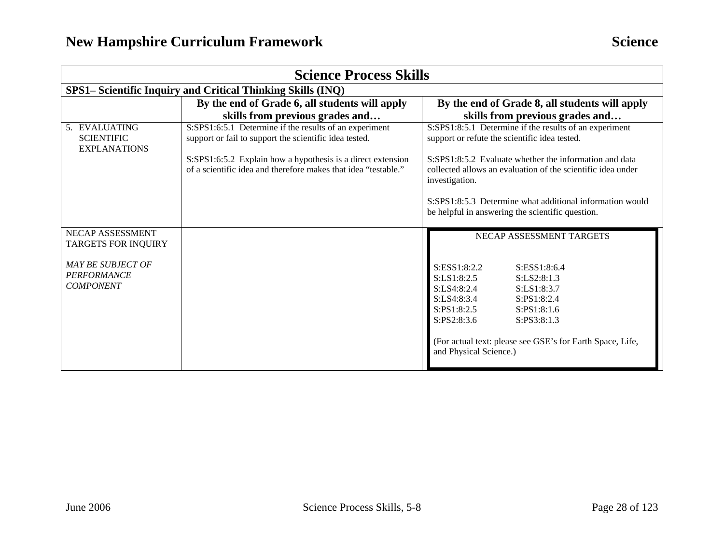| <b>Science Process Skills</b>                                                                                        |                                                                                                                                                                                                                                                   |                                                                                                                                                                                                                                                                                                                                                                    |
|----------------------------------------------------------------------------------------------------------------------|---------------------------------------------------------------------------------------------------------------------------------------------------------------------------------------------------------------------------------------------------|--------------------------------------------------------------------------------------------------------------------------------------------------------------------------------------------------------------------------------------------------------------------------------------------------------------------------------------------------------------------|
| SPS1– Scientific Inquiry and Critical Thinking Skills (INQ)                                                          |                                                                                                                                                                                                                                                   |                                                                                                                                                                                                                                                                                                                                                                    |
|                                                                                                                      | By the end of Grade 6, all students will apply<br>skills from previous grades and                                                                                                                                                                 | By the end of Grade 8, all students will apply<br>skills from previous grades and                                                                                                                                                                                                                                                                                  |
| 5. EVALUATING<br><b>SCIENTIFIC</b><br><b>EXPLANATIONS</b>                                                            | S:SPS1:6:5.1 Determine if the results of an experiment<br>support or fail to support the scientific idea tested.<br>S:SPS1:6:5.2 Explain how a hypothesis is a direct extension<br>of a scientific idea and therefore makes that idea "testable." | S:SPS1:8:5.1 Determine if the results of an experiment<br>support or refute the scientific idea tested.<br>S:SPS1:8:5.2 Evaluate whether the information and data<br>collected allows an evaluation of the scientific idea under<br>investigation.<br>S:SPS1:8:5.3 Determine what additional information would<br>be helpful in answering the scientific question. |
| NECAP ASSESSMENT<br><b>TARGETS FOR INQUIRY</b><br><b>MAY BE SUBJECT OF</b><br><b>PERFORMANCE</b><br><b>COMPONENT</b> |                                                                                                                                                                                                                                                   | NECAP ASSESSMENT TARGETS<br>S:ESS1:8:2.2<br>S:ESS1:8:6.4<br>S:LS1:8:2.5<br>S:LS2:8:1.3<br>S:LS4:8:2.4<br>S:LS1:8:3.7<br>S:LS4:8:3.4<br>S:PS1:8:2.4<br>S:PS1:8:2.5<br>S:PS1:8:1.6<br>S:PS2:8:3.6<br>S:PS3:8:1.3<br>(For actual text: please see GSE's for Earth Space, Life,<br>and Physical Science.)                                                              |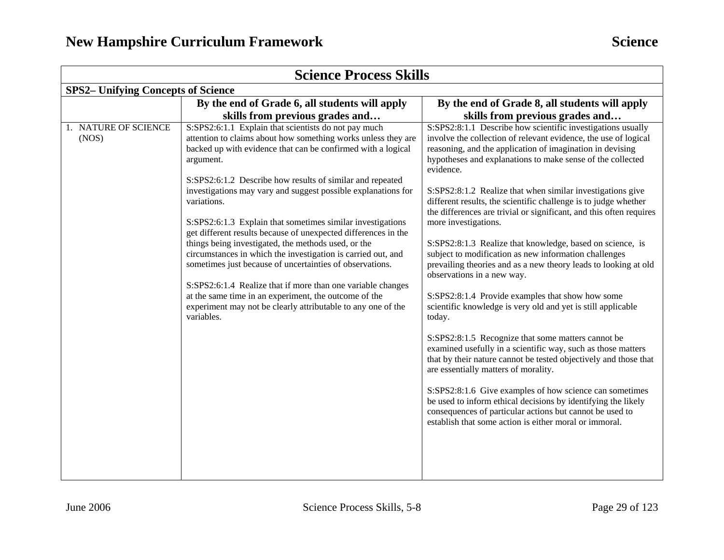| <b>Science Process Skills</b>                                                                                                                                                                                                                                                                                                                                                                                                                                                                                                                                                                                                                                                                                                                                                                                                                                            |                                                                                                                                                                                                                                                                                                                                                                                                                                                                                                                                                                                                                                                                                                                                                                                                                                                                                                                                                                                                                                                                                                                                                                                                                                                                                                                                                 |  |  |
|--------------------------------------------------------------------------------------------------------------------------------------------------------------------------------------------------------------------------------------------------------------------------------------------------------------------------------------------------------------------------------------------------------------------------------------------------------------------------------------------------------------------------------------------------------------------------------------------------------------------------------------------------------------------------------------------------------------------------------------------------------------------------------------------------------------------------------------------------------------------------|-------------------------------------------------------------------------------------------------------------------------------------------------------------------------------------------------------------------------------------------------------------------------------------------------------------------------------------------------------------------------------------------------------------------------------------------------------------------------------------------------------------------------------------------------------------------------------------------------------------------------------------------------------------------------------------------------------------------------------------------------------------------------------------------------------------------------------------------------------------------------------------------------------------------------------------------------------------------------------------------------------------------------------------------------------------------------------------------------------------------------------------------------------------------------------------------------------------------------------------------------------------------------------------------------------------------------------------------------|--|--|
| <b>SPS2-</b> Unifying Concepts of Science                                                                                                                                                                                                                                                                                                                                                                                                                                                                                                                                                                                                                                                                                                                                                                                                                                |                                                                                                                                                                                                                                                                                                                                                                                                                                                                                                                                                                                                                                                                                                                                                                                                                                                                                                                                                                                                                                                                                                                                                                                                                                                                                                                                                 |  |  |
| By the end of Grade 6, all students will apply                                                                                                                                                                                                                                                                                                                                                                                                                                                                                                                                                                                                                                                                                                                                                                                                                           | By the end of Grade 8, all students will apply                                                                                                                                                                                                                                                                                                                                                                                                                                                                                                                                                                                                                                                                                                                                                                                                                                                                                                                                                                                                                                                                                                                                                                                                                                                                                                  |  |  |
| skills from previous grades and                                                                                                                                                                                                                                                                                                                                                                                                                                                                                                                                                                                                                                                                                                                                                                                                                                          | skills from previous grades and                                                                                                                                                                                                                                                                                                                                                                                                                                                                                                                                                                                                                                                                                                                                                                                                                                                                                                                                                                                                                                                                                                                                                                                                                                                                                                                 |  |  |
| S:SPS2:6:1.1 Explain that scientists do not pay much<br>attention to claims about how something works unless they are<br>backed up with evidence that can be confirmed with a logical<br>argument.<br>S:SPS2:6:1.2 Describe how results of similar and repeated<br>investigations may vary and suggest possible explanations for<br>variations.<br>S:SPS2:6:1.3 Explain that sometimes similar investigations<br>get different results because of unexpected differences in the<br>things being investigated, the methods used, or the<br>circumstances in which the investigation is carried out, and<br>sometimes just because of uncertainties of observations.<br>S:SPS2:6:1.4 Realize that if more than one variable changes<br>at the same time in an experiment, the outcome of the<br>experiment may not be clearly attributable to any one of the<br>variables. | S:SPS2:8:1.1 Describe how scientific investigations usually<br>involve the collection of relevant evidence, the use of logical<br>reasoning, and the application of imagination in devising<br>hypotheses and explanations to make sense of the collected<br>evidence.<br>S:SPS2:8:1.2 Realize that when similar investigations give<br>different results, the scientific challenge is to judge whether<br>the differences are trivial or significant, and this often requires<br>more investigations.<br>S:SPS2:8:1.3 Realize that knowledge, based on science, is<br>subject to modification as new information challenges<br>prevailing theories and as a new theory leads to looking at old<br>observations in a new way.<br>S:SPS2:8:1.4 Provide examples that show how some<br>scientific knowledge is very old and yet is still applicable<br>today.<br>S:SPS2:8:1.5 Recognize that some matters cannot be<br>examined usefully in a scientific way, such as those matters<br>that by their nature cannot be tested objectively and those that<br>are essentially matters of morality.<br>S:SPS2:8:1.6 Give examples of how science can sometimes<br>be used to inform ethical decisions by identifying the likely<br>consequences of particular actions but cannot be used to<br>establish that some action is either moral or immoral. |  |  |
|                                                                                                                                                                                                                                                                                                                                                                                                                                                                                                                                                                                                                                                                                                                                                                                                                                                                          |                                                                                                                                                                                                                                                                                                                                                                                                                                                                                                                                                                                                                                                                                                                                                                                                                                                                                                                                                                                                                                                                                                                                                                                                                                                                                                                                                 |  |  |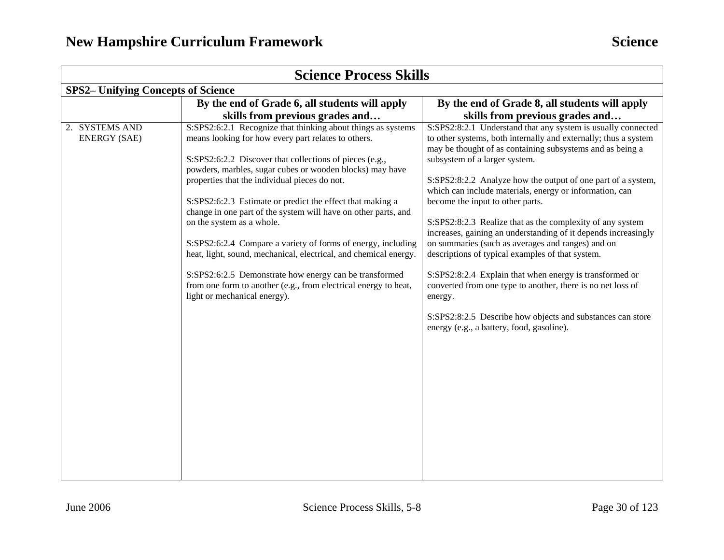| <b>Science Process Skills</b>             |                                                                                                                                                                                                                                                                                                                                                                                                                                                                                                                                                                                                                                                                                                                                                          |                                                                                                                                                                                                                                                                                                                                                                                                                                                                                                                                                                                                                                                                                                                                                                                                                                                                                      |  |
|-------------------------------------------|----------------------------------------------------------------------------------------------------------------------------------------------------------------------------------------------------------------------------------------------------------------------------------------------------------------------------------------------------------------------------------------------------------------------------------------------------------------------------------------------------------------------------------------------------------------------------------------------------------------------------------------------------------------------------------------------------------------------------------------------------------|--------------------------------------------------------------------------------------------------------------------------------------------------------------------------------------------------------------------------------------------------------------------------------------------------------------------------------------------------------------------------------------------------------------------------------------------------------------------------------------------------------------------------------------------------------------------------------------------------------------------------------------------------------------------------------------------------------------------------------------------------------------------------------------------------------------------------------------------------------------------------------------|--|
| <b>SPS2-</b> Unifying Concepts of Science |                                                                                                                                                                                                                                                                                                                                                                                                                                                                                                                                                                                                                                                                                                                                                          |                                                                                                                                                                                                                                                                                                                                                                                                                                                                                                                                                                                                                                                                                                                                                                                                                                                                                      |  |
|                                           | By the end of Grade 6, all students will apply                                                                                                                                                                                                                                                                                                                                                                                                                                                                                                                                                                                                                                                                                                           | By the end of Grade 8, all students will apply                                                                                                                                                                                                                                                                                                                                                                                                                                                                                                                                                                                                                                                                                                                                                                                                                                       |  |
|                                           | skills from previous grades and                                                                                                                                                                                                                                                                                                                                                                                                                                                                                                                                                                                                                                                                                                                          | skills from previous grades and                                                                                                                                                                                                                                                                                                                                                                                                                                                                                                                                                                                                                                                                                                                                                                                                                                                      |  |
| 2. SYSTEMS AND<br><b>ENERGY (SAE)</b>     | S:SPS2:6:2.1 Recognize that thinking about things as systems<br>means looking for how every part relates to others.<br>S:SPS2:6:2.2 Discover that collections of pieces (e.g.,<br>powders, marbles, sugar cubes or wooden blocks) may have<br>properties that the individual pieces do not.<br>S:SPS2:6:2.3 Estimate or predict the effect that making a<br>change in one part of the system will have on other parts, and<br>on the system as a whole.<br>S:SPS2:6:2.4 Compare a variety of forms of energy, including<br>heat, light, sound, mechanical, electrical, and chemical energy.<br>S:SPS2:6:2.5 Demonstrate how energy can be transformed<br>from one form to another (e.g., from electrical energy to heat,<br>light or mechanical energy). | S:SPS2:8:2.1 Understand that any system is usually connected<br>to other systems, both internally and externally; thus a system<br>may be thought of as containing subsystems and as being a<br>subsystem of a larger system.<br>S:SPS2:8:2.2 Analyze how the output of one part of a system,<br>which can include materials, energy or information, can<br>become the input to other parts.<br>S:SPS2:8:2.3 Realize that as the complexity of any system<br>increases, gaining an understanding of it depends increasingly<br>on summaries (such as averages and ranges) and on<br>descriptions of typical examples of that system.<br>S:SPS2:8:2.4 Explain that when energy is transformed or<br>converted from one type to another, there is no net loss of<br>energy.<br>S:SPS2:8:2.5 Describe how objects and substances can store<br>energy (e.g., a battery, food, gasoline). |  |
|                                           |                                                                                                                                                                                                                                                                                                                                                                                                                                                                                                                                                                                                                                                                                                                                                          |                                                                                                                                                                                                                                                                                                                                                                                                                                                                                                                                                                                                                                                                                                                                                                                                                                                                                      |  |
|                                           |                                                                                                                                                                                                                                                                                                                                                                                                                                                                                                                                                                                                                                                                                                                                                          |                                                                                                                                                                                                                                                                                                                                                                                                                                                                                                                                                                                                                                                                                                                                                                                                                                                                                      |  |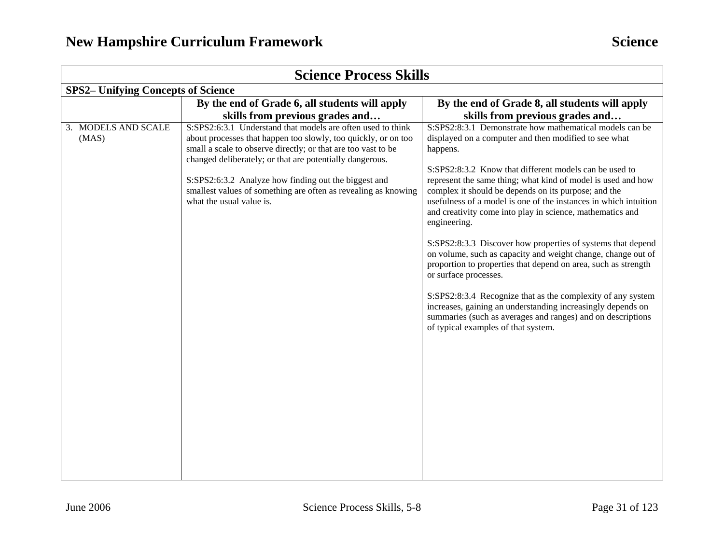| <b>Science Process Skills</b>             |                                                                                                                                                                                                                                                                                                                                                                                                                  |                                                                                                                                                                                                                                                                                                                                                                                                                                                                                                                                                                                                                                                                                                                                                                                                                                                                                                                               |  |
|-------------------------------------------|------------------------------------------------------------------------------------------------------------------------------------------------------------------------------------------------------------------------------------------------------------------------------------------------------------------------------------------------------------------------------------------------------------------|-------------------------------------------------------------------------------------------------------------------------------------------------------------------------------------------------------------------------------------------------------------------------------------------------------------------------------------------------------------------------------------------------------------------------------------------------------------------------------------------------------------------------------------------------------------------------------------------------------------------------------------------------------------------------------------------------------------------------------------------------------------------------------------------------------------------------------------------------------------------------------------------------------------------------------|--|
| <b>SPS2-</b> Unifying Concepts of Science |                                                                                                                                                                                                                                                                                                                                                                                                                  |                                                                                                                                                                                                                                                                                                                                                                                                                                                                                                                                                                                                                                                                                                                                                                                                                                                                                                                               |  |
|                                           | By the end of Grade 6, all students will apply                                                                                                                                                                                                                                                                                                                                                                   | By the end of Grade 8, all students will apply                                                                                                                                                                                                                                                                                                                                                                                                                                                                                                                                                                                                                                                                                                                                                                                                                                                                                |  |
|                                           | skills from previous grades and                                                                                                                                                                                                                                                                                                                                                                                  | skills from previous grades and                                                                                                                                                                                                                                                                                                                                                                                                                                                                                                                                                                                                                                                                                                                                                                                                                                                                                               |  |
| 3. MODELS AND SCALE<br>(MAS)              | S:SPS2:6:3.1 Understand that models are often used to think<br>about processes that happen too slowly, too quickly, or on too<br>small a scale to observe directly; or that are too vast to be<br>changed deliberately; or that are potentially dangerous.<br>S:SPS2:6:3.2 Analyze how finding out the biggest and<br>smallest values of something are often as revealing as knowing<br>what the usual value is. | S:SPS2:8:3.1 Demonstrate how mathematical models can be<br>displayed on a computer and then modified to see what<br>happens.<br>S:SPS2:8:3.2 Know that different models can be used to<br>represent the same thing; what kind of model is used and how<br>complex it should be depends on its purpose; and the<br>usefulness of a model is one of the instances in which intuition<br>and creativity come into play in science, mathematics and<br>engineering.<br>S:SPS2:8:3.3 Discover how properties of systems that depend<br>on volume, such as capacity and weight change, change out of<br>proportion to properties that depend on area, such as strength<br>or surface processes.<br>S:SPS2:8:3.4 Recognize that as the complexity of any system<br>increases, gaining an understanding increasingly depends on<br>summaries (such as averages and ranges) and on descriptions<br>of typical examples of that system. |  |
|                                           |                                                                                                                                                                                                                                                                                                                                                                                                                  |                                                                                                                                                                                                                                                                                                                                                                                                                                                                                                                                                                                                                                                                                                                                                                                                                                                                                                                               |  |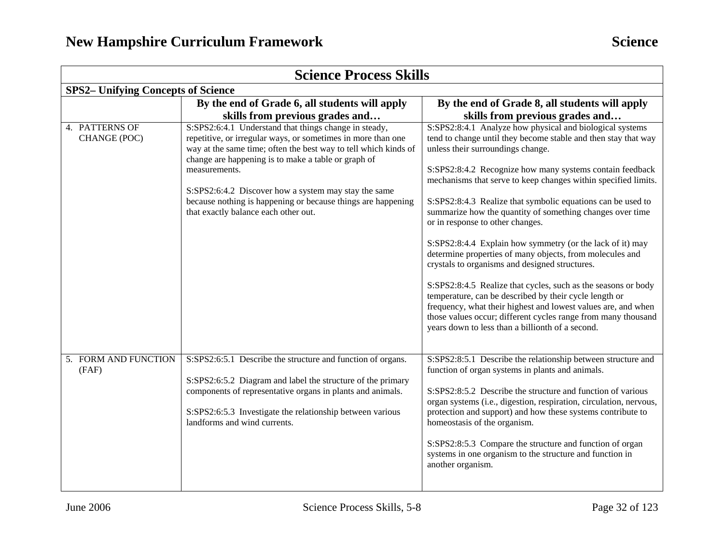| <b>Science Process Skills</b>             |                                                                                                                                                                                                                                                                                                                                                                                                                                  |                                                                                                                                                                                                                                                                                                                                                                                                                                                                                                                                                                                                                                                                                                                                                                                                                                                                                                                                                           |  |
|-------------------------------------------|----------------------------------------------------------------------------------------------------------------------------------------------------------------------------------------------------------------------------------------------------------------------------------------------------------------------------------------------------------------------------------------------------------------------------------|-----------------------------------------------------------------------------------------------------------------------------------------------------------------------------------------------------------------------------------------------------------------------------------------------------------------------------------------------------------------------------------------------------------------------------------------------------------------------------------------------------------------------------------------------------------------------------------------------------------------------------------------------------------------------------------------------------------------------------------------------------------------------------------------------------------------------------------------------------------------------------------------------------------------------------------------------------------|--|
| <b>SPS2-</b> Unifying Concepts of Science |                                                                                                                                                                                                                                                                                                                                                                                                                                  |                                                                                                                                                                                                                                                                                                                                                                                                                                                                                                                                                                                                                                                                                                                                                                                                                                                                                                                                                           |  |
|                                           | By the end of Grade 6, all students will apply<br>skills from previous grades and                                                                                                                                                                                                                                                                                                                                                | By the end of Grade 8, all students will apply<br>skills from previous grades and                                                                                                                                                                                                                                                                                                                                                                                                                                                                                                                                                                                                                                                                                                                                                                                                                                                                         |  |
| 4. PATTERNS OF<br>CHANGE (POC)            | S:SPS2:6:4.1 Understand that things change in steady,<br>repetitive, or irregular ways, or sometimes in more than one<br>way at the same time; often the best way to tell which kinds of<br>change are happening is to make a table or graph of<br>measurements.<br>S:SPS2:6:4.2 Discover how a system may stay the same<br>because nothing is happening or because things are happening<br>that exactly balance each other out. | S:SPS2:8:4.1 Analyze how physical and biological systems<br>tend to change until they become stable and then stay that way<br>unless their surroundings change.<br>S:SPS2:8:4.2 Recognize how many systems contain feedback<br>mechanisms that serve to keep changes within specified limits.<br>S:SPS2:8:4.3 Realize that symbolic equations can be used to<br>summarize how the quantity of something changes over time<br>or in response to other changes.<br>S:SPS2:8:4.4 Explain how symmetry (or the lack of it) may<br>determine properties of many objects, from molecules and<br>crystals to organisms and designed structures.<br>S:SPS2:8:4.5 Realize that cycles, such as the seasons or body<br>temperature, can be described by their cycle length or<br>frequency, what their highest and lowest values are, and when<br>those values occur; different cycles range from many thousand<br>years down to less than a billionth of a second. |  |
| 5. FORM AND FUNCTION<br>(FAF)             | S:SPS2:6:5.1 Describe the structure and function of organs.<br>S:SPS2:6:5.2 Diagram and label the structure of the primary<br>components of representative organs in plants and animals.<br>S:SPS2:6:5.3 Investigate the relationship between various<br>landforms and wind currents.                                                                                                                                            | S:SPS2:8:5.1 Describe the relationship between structure and<br>function of organ systems in plants and animals.<br>S:SPS2:8:5.2 Describe the structure and function of various<br>organ systems (i.e., digestion, respiration, circulation, nervous,<br>protection and support) and how these systems contribute to<br>homeostasis of the organism.<br>S:SPS2:8:5.3 Compare the structure and function of organ<br>systems in one organism to the structure and function in<br>another organism.                                                                                                                                                                                                                                                                                                                                                                                                                                                         |  |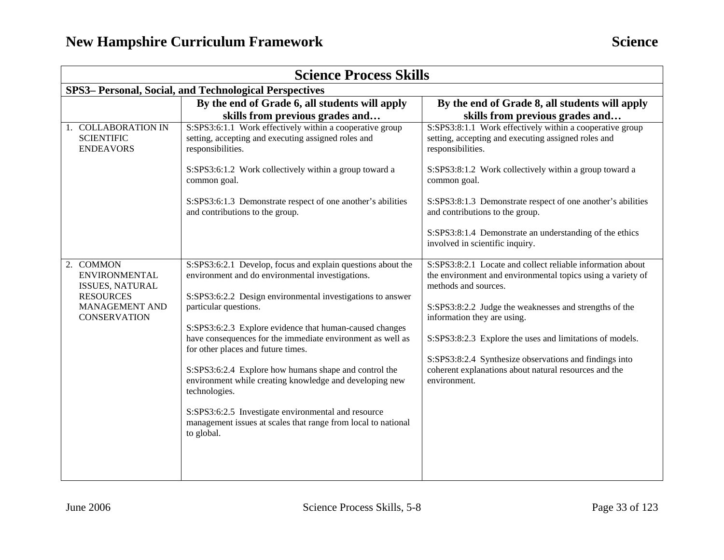| <b>Science Process Skills</b>                                                                                            |                                                                                                                                                                                                                                                                                                                                                                                                                                                                                                                                                                                                                                                  |                                                                                                                                                                                                                                                                                                                                                                                                                                           |  |
|--------------------------------------------------------------------------------------------------------------------------|--------------------------------------------------------------------------------------------------------------------------------------------------------------------------------------------------------------------------------------------------------------------------------------------------------------------------------------------------------------------------------------------------------------------------------------------------------------------------------------------------------------------------------------------------------------------------------------------------------------------------------------------------|-------------------------------------------------------------------------------------------------------------------------------------------------------------------------------------------------------------------------------------------------------------------------------------------------------------------------------------------------------------------------------------------------------------------------------------------|--|
| SPS3- Personal, Social, and Technological Perspectives                                                                   |                                                                                                                                                                                                                                                                                                                                                                                                                                                                                                                                                                                                                                                  |                                                                                                                                                                                                                                                                                                                                                                                                                                           |  |
|                                                                                                                          | By the end of Grade 6, all students will apply<br>skills from previous grades and                                                                                                                                                                                                                                                                                                                                                                                                                                                                                                                                                                | By the end of Grade 8, all students will apply<br>skills from previous grades and                                                                                                                                                                                                                                                                                                                                                         |  |
| 1. COLLABORATION IN<br><b>SCIENTIFIC</b><br><b>ENDEAVORS</b>                                                             | S:SPS3:6:1.1 Work effectively within a cooperative group<br>setting, accepting and executing assigned roles and<br>responsibilities.                                                                                                                                                                                                                                                                                                                                                                                                                                                                                                             | S:SPS3:8:1.1 Work effectively within a cooperative group<br>setting, accepting and executing assigned roles and<br>responsibilities.                                                                                                                                                                                                                                                                                                      |  |
|                                                                                                                          | S:SPS3:6:1.2 Work collectively within a group toward a<br>common goal.                                                                                                                                                                                                                                                                                                                                                                                                                                                                                                                                                                           | S:SPS3:8:1.2 Work collectively within a group toward a<br>common goal.                                                                                                                                                                                                                                                                                                                                                                    |  |
|                                                                                                                          | S:SPS3:6:1.3 Demonstrate respect of one another's abilities<br>and contributions to the group.                                                                                                                                                                                                                                                                                                                                                                                                                                                                                                                                                   | S:SPS3:8:1.3 Demonstrate respect of one another's abilities<br>and contributions to the group.                                                                                                                                                                                                                                                                                                                                            |  |
|                                                                                                                          |                                                                                                                                                                                                                                                                                                                                                                                                                                                                                                                                                                                                                                                  | S:SPS3:8:1.4 Demonstrate an understanding of the ethics<br>involved in scientific inquiry.                                                                                                                                                                                                                                                                                                                                                |  |
| 2. COMMON<br><b>ENVIRONMENTAL</b><br><b>ISSUES, NATURAL</b><br><b>RESOURCES</b><br>MANAGEMENT AND<br><b>CONSERVATION</b> | S:SPS3:6:2.1 Develop, focus and explain questions about the<br>environment and do environmental investigations.<br>S:SPS3:6:2.2 Design environmental investigations to answer<br>particular questions.<br>S:SPS3:6:2.3 Explore evidence that human-caused changes<br>have consequences for the immediate environment as well as<br>for other places and future times.<br>S:SPS3:6:2.4 Explore how humans shape and control the<br>environment while creating knowledge and developing new<br>technologies.<br>S:SPS3:6:2.5 Investigate environmental and resource<br>management issues at scales that range from local to national<br>to global. | S:SPS3:8:2.1 Locate and collect reliable information about<br>the environment and environmental topics using a variety of<br>methods and sources.<br>S:SPS3:8:2.2 Judge the weaknesses and strengths of the<br>information they are using.<br>S:SPS3:8:2.3 Explore the uses and limitations of models.<br>S:SPS3:8:2.4 Synthesize observations and findings into<br>coherent explanations about natural resources and the<br>environment. |  |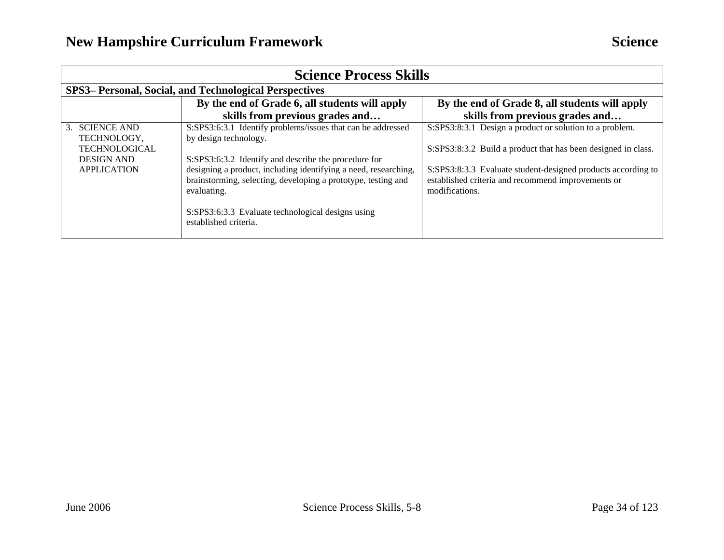| <b>Science Process Skills</b>                                                                    |                                                                                                                                                                                                                                                                                                                                                                               |                                                                                                                                                                                                                                                                  |  |
|--------------------------------------------------------------------------------------------------|-------------------------------------------------------------------------------------------------------------------------------------------------------------------------------------------------------------------------------------------------------------------------------------------------------------------------------------------------------------------------------|------------------------------------------------------------------------------------------------------------------------------------------------------------------------------------------------------------------------------------------------------------------|--|
|                                                                                                  | SPS3– Personal, Social, and Technological Perspectives                                                                                                                                                                                                                                                                                                                        |                                                                                                                                                                                                                                                                  |  |
|                                                                                                  | By the end of Grade 6, all students will apply<br>skills from previous grades and                                                                                                                                                                                                                                                                                             | By the end of Grade 8, all students will apply<br>skills from previous grades and                                                                                                                                                                                |  |
| 3. SCIENCE AND<br>TECHNOLOGY,<br><b>TECHNOLOGICAL</b><br><b>DESIGN AND</b><br><b>APPLICATION</b> | S:SPS3:6:3.1 Identify problems/issues that can be addressed<br>by design technology.<br>S:SPS3:6:3.2 Identify and describe the procedure for<br>designing a product, including identifying a need, researching,<br>brainstorming, selecting, developing a prototype, testing and<br>evaluating.<br>S:SPS3:6:3.3 Evaluate technological designs using<br>established criteria. | S:SPS3:8:3.1 Design a product or solution to a problem.<br>S:SPS3:8:3.2 Build a product that has been designed in class.<br>S:SPS3:8:3.3 Evaluate student-designed products according to<br>established criteria and recommend improvements or<br>modifications. |  |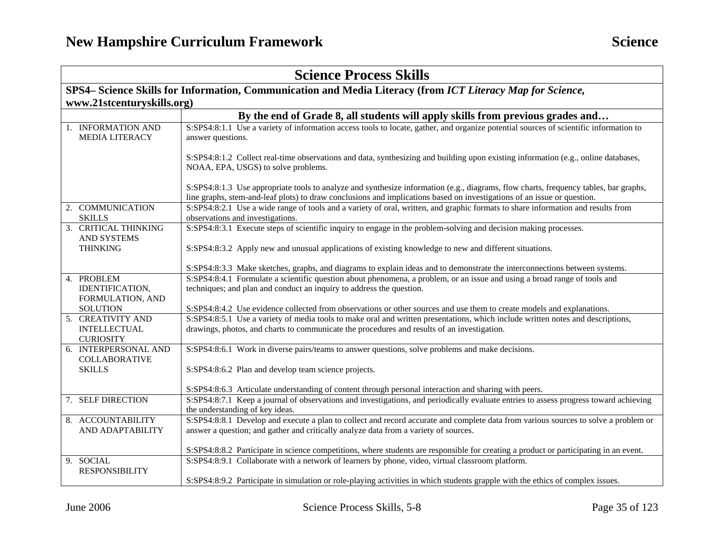| <b>Science Process Skills</b>                                                                              |                                                                                                                                                                                                                                                                 |  |
|------------------------------------------------------------------------------------------------------------|-----------------------------------------------------------------------------------------------------------------------------------------------------------------------------------------------------------------------------------------------------------------|--|
| SPS4– Science Skills for Information, Communication and Media Literacy (from ICT Literacy Map for Science, |                                                                                                                                                                                                                                                                 |  |
| www.21stcenturyskills.org)                                                                                 |                                                                                                                                                                                                                                                                 |  |
|                                                                                                            | By the end of Grade 8, all students will apply skills from previous grades and                                                                                                                                                                                  |  |
| 1. INFORMATION AND<br><b>MEDIA LITERACY</b>                                                                | S:SPS4:8:1.1 Use a variety of information access tools to locate, gather, and organize potential sources of scientific information to<br>answer questions.                                                                                                      |  |
|                                                                                                            | S:SPS4:8:1.2 Collect real-time observations and data, synthesizing and building upon existing information (e.g., online databases,<br>NOAA, EPA, USGS) to solve problems.                                                                                       |  |
|                                                                                                            | S:SPS4:8:1.3 Use appropriate tools to analyze and synthesize information (e.g., diagrams, flow charts, frequency tables, bar graphs,<br>line graphs, stem-and-leaf plots) to draw conclusions and implications based on investigations of an issue or question. |  |
| 2. COMMUNICATION<br><b>SKILLS</b>                                                                          | S:SPS4:8:2.1 Use a wide range of tools and a variety of oral, written, and graphic formats to share information and results from<br>observations and investigations.                                                                                            |  |
| 3. CRITICAL THINKING<br>AND SYSTEMS                                                                        | S:SPS4:8:3.1 Execute steps of scientific inquiry to engage in the problem-solving and decision making processes.                                                                                                                                                |  |
| <b>THINKING</b>                                                                                            | S:SPS4:8:3.2 Apply new and unusual applications of existing knowledge to new and different situations.                                                                                                                                                          |  |
|                                                                                                            | S:SPS4:8:3.3 Make sketches, graphs, and diagrams to explain ideas and to demonstrate the interconnections between systems.                                                                                                                                      |  |
| 4. PROBLEM<br>IDENTIFICATION,<br>FORMULATION, AND                                                          | S:SPS4:8:4.1 Formulate a scientific question about phenomena, a problem, or an issue and using a broad range of tools and<br>techniques; and plan and conduct an inquiry to address the question.                                                               |  |
| <b>SOLUTION</b>                                                                                            | S:SPS4:8:4.2 Use evidence collected from observations or other sources and use them to create models and explanations.                                                                                                                                          |  |
| 5. CREATIVITY AND<br><b>INTELLECTUAL</b><br><b>CURIOSITY</b>                                               | S:SPS4:8:5.1 Use a variety of media tools to make oral and written presentations, which include written notes and descriptions,<br>drawings, photos, and charts to communicate the procedures and results of an investigation.                                  |  |
| 6. INTERPERSONAL AND<br><b>COLLABORATIVE</b>                                                               | S:SPS4:8:6.1 Work in diverse pairs/teams to answer questions, solve problems and make decisions.                                                                                                                                                                |  |
| <b>SKILLS</b>                                                                                              | S:SPS4:8:6.2 Plan and develop team science projects.                                                                                                                                                                                                            |  |
|                                                                                                            | S:SPS4:8:6.3 Articulate understanding of content through personal interaction and sharing with peers.                                                                                                                                                           |  |
| 7. SELF DIRECTION                                                                                          | S:SPS4:8:7.1 Keep a journal of observations and investigations, and periodically evaluate entries to assess progress toward achieving<br>the understanding of key ideas.                                                                                        |  |
| 8. ACCOUNTABILITY<br>AND ADAPTABILITY                                                                      | S:SPS4:8:8.1 Develop and execute a plan to collect and record accurate and complete data from various sources to solve a problem or<br>answer a question; and gather and critically analyze data from a variety of sources.                                     |  |
|                                                                                                            | S:SPS4:8:8.2 Participate in science competitions, where students are responsible for creating a product or participating in an event.                                                                                                                           |  |
| 9. SOCIAL<br><b>RESPONSIBILITY</b>                                                                         | S:SPS4:8:9.1 Collaborate with a network of learners by phone, video, virtual classroom platform.                                                                                                                                                                |  |
|                                                                                                            | S:SPS4:8:9.2 Participate in simulation or role-playing activities in which students grapple with the ethics of complex issues.                                                                                                                                  |  |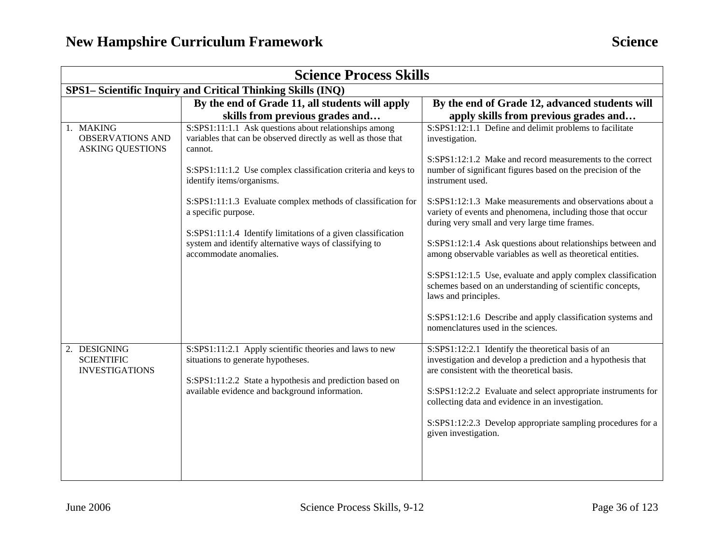| <b>Science Process Skills</b>                                   |                                                                                                                                                                                                                                                                                                                                                                                                                                                                            |                                                                                                                                                                                                                                                                                                                                                                                                                                                                                                                                                                                                                                                                                          |  |
|-----------------------------------------------------------------|----------------------------------------------------------------------------------------------------------------------------------------------------------------------------------------------------------------------------------------------------------------------------------------------------------------------------------------------------------------------------------------------------------------------------------------------------------------------------|------------------------------------------------------------------------------------------------------------------------------------------------------------------------------------------------------------------------------------------------------------------------------------------------------------------------------------------------------------------------------------------------------------------------------------------------------------------------------------------------------------------------------------------------------------------------------------------------------------------------------------------------------------------------------------------|--|
| SPS1- Scientific Inquiry and Critical Thinking Skills (INQ)     |                                                                                                                                                                                                                                                                                                                                                                                                                                                                            |                                                                                                                                                                                                                                                                                                                                                                                                                                                                                                                                                                                                                                                                                          |  |
|                                                                 | By the end of Grade 11, all students will apply                                                                                                                                                                                                                                                                                                                                                                                                                            | By the end of Grade 12, advanced students will                                                                                                                                                                                                                                                                                                                                                                                                                                                                                                                                                                                                                                           |  |
|                                                                 | skills from previous grades and                                                                                                                                                                                                                                                                                                                                                                                                                                            | apply skills from previous grades and                                                                                                                                                                                                                                                                                                                                                                                                                                                                                                                                                                                                                                                    |  |
| 1. MAKING<br><b>OBSERVATIONS AND</b><br><b>ASKING QUESTIONS</b> | S:SPS1:11:1.1 Ask questions about relationships among<br>variables that can be observed directly as well as those that<br>cannot.<br>S:SPS1:11:1.2 Use complex classification criteria and keys to<br>identify items/organisms.<br>S:SPS1:11:1.3 Evaluate complex methods of classification for<br>a specific purpose.<br>S:SPS1:11:1.4 Identify limitations of a given classification<br>system and identify alternative ways of classifying to<br>accommodate anomalies. | S:SPS1:12:1.1 Define and delimit problems to facilitate<br>investigation.<br>S:SPS1:12:1.2 Make and record measurements to the correct<br>number of significant figures based on the precision of the<br>instrument used.<br>S:SPS1:12:1.3 Make measurements and observations about a<br>variety of events and phenomena, including those that occur<br>during very small and very large time frames.<br>S:SPS1:12:1.4 Ask questions about relationships between and<br>among observable variables as well as theoretical entities.<br>S:SPS1:12:1.5 Use, evaluate and apply complex classification<br>schemes based on an understanding of scientific concepts,<br>laws and principles. |  |
| 2. DESIGNING<br><b>SCIENTIFIC</b><br><b>INVESTIGATIONS</b>      | S:SPS1:11:2.1 Apply scientific theories and laws to new<br>situations to generate hypotheses.<br>S:SPS1:11:2.2 State a hypothesis and prediction based on<br>available evidence and background information.                                                                                                                                                                                                                                                                | S:SPS1:12:1.6 Describe and apply classification systems and<br>nomenclatures used in the sciences.<br>S:SPS1:12:2.1 Identify the theoretical basis of an<br>investigation and develop a prediction and a hypothesis that<br>are consistent with the theoretical basis.<br>S:SPS1:12:2.2 Evaluate and select appropriate instruments for<br>collecting data and evidence in an investigation.<br>S:SPS1:12:2.3 Develop appropriate sampling procedures for a<br>given investigation.                                                                                                                                                                                                      |  |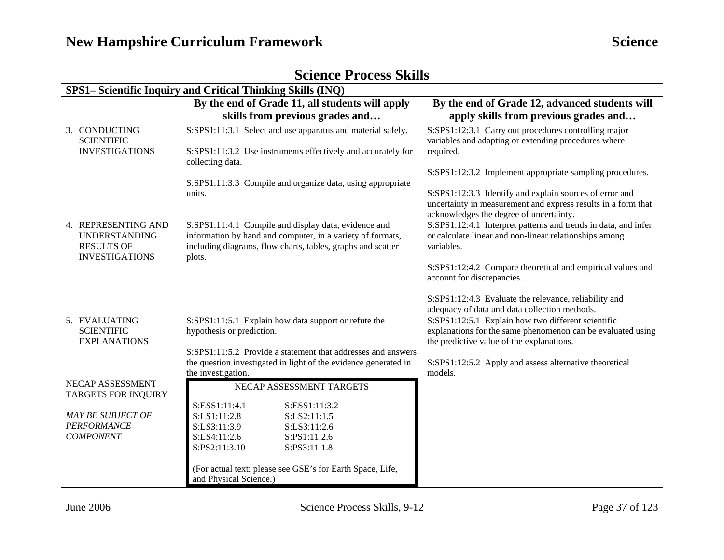| <b>Science Process Skills</b>                                                                                        |                                                                                                                                                                                                                                                                                    |                                                                                                                                                                                                                                                                                                                                              |  |
|----------------------------------------------------------------------------------------------------------------------|------------------------------------------------------------------------------------------------------------------------------------------------------------------------------------------------------------------------------------------------------------------------------------|----------------------------------------------------------------------------------------------------------------------------------------------------------------------------------------------------------------------------------------------------------------------------------------------------------------------------------------------|--|
| SPS1- Scientific Inquiry and Critical Thinking Skills (INQ)                                                          |                                                                                                                                                                                                                                                                                    |                                                                                                                                                                                                                                                                                                                                              |  |
|                                                                                                                      | By the end of Grade 11, all students will apply                                                                                                                                                                                                                                    | By the end of Grade 12, advanced students will                                                                                                                                                                                                                                                                                               |  |
|                                                                                                                      | skills from previous grades and                                                                                                                                                                                                                                                    | apply skills from previous grades and                                                                                                                                                                                                                                                                                                        |  |
| 3. CONDUCTING<br><b>SCIENTIFIC</b><br><b>INVESTIGATIONS</b>                                                          | S:SPS1:11:3.1 Select and use apparatus and material safely.<br>S:SPS1:11:3.2 Use instruments effectively and accurately for<br>collecting data.<br>S:SPS1:11:3.3 Compile and organize data, using appropriate                                                                      | S:SPS1:12:3.1 Carry out procedures controlling major<br>variables and adapting or extending procedures where<br>required.<br>S:SPS1:12:3.2 Implement appropriate sampling procedures.                                                                                                                                                        |  |
|                                                                                                                      | units.                                                                                                                                                                                                                                                                             | S:SPS1:12:3.3 Identify and explain sources of error and<br>uncertainty in measurement and express results in a form that<br>acknowledges the degree of uncertainty.                                                                                                                                                                          |  |
| <b>REPRESENTING AND</b><br>4.<br><b>UNDERSTANDING</b><br><b>RESULTS OF</b><br><b>INVESTIGATIONS</b>                  | S:SPS1:11:4.1 Compile and display data, evidence and<br>information by hand and computer, in a variety of formats,<br>including diagrams, flow charts, tables, graphs and scatter<br>plots.                                                                                        | S:SPS1:12:4.1 Interpret patterns and trends in data, and infer<br>or calculate linear and non-linear relationships among<br>variables.<br>S:SPS1:12:4.2 Compare theoretical and empirical values and<br>account for discrepancies.<br>S:SPS1:12:4.3 Evaluate the relevance, reliability and<br>adequacy of data and data collection methods. |  |
| 5. EVALUATING<br><b>SCIENTIFIC</b><br><b>EXPLANATIONS</b>                                                            | S:SPS1:11:5.1 Explain how data support or refute the<br>hypothesis or prediction.<br>S:SPS1:11:5.2 Provide a statement that addresses and answers<br>the question investigated in light of the evidence generated in<br>the investigation.                                         | S:SPS1:12:5.1 Explain how two different scientific<br>explanations for the same phenomenon can be evaluated using<br>the predictive value of the explanations.<br>S:SPS1:12:5.2 Apply and assess alternative theoretical<br>models.                                                                                                          |  |
| NECAP ASSESSMENT<br><b>TARGETS FOR INQUIRY</b><br><b>MAY BE SUBJECT OF</b><br><b>PERFORMANCE</b><br><b>COMPONENT</b> | NECAP ASSESSMENT TARGETS<br>S:ESS1:11:4.1<br>S:ESS1:11:3.2<br>S:LS1:11:2.8<br>S:LS2:11:1.5<br>S:LS3:11:3.9<br>S:LS3:11:2.6<br>S:LS4:11:2.6<br>S:PS1:11:2.6<br>S:PS2:11:3.10<br>S:PS3:11:1.8<br>(For actual text: please see GSE's for Earth Space, Life,<br>and Physical Science.) |                                                                                                                                                                                                                                                                                                                                              |  |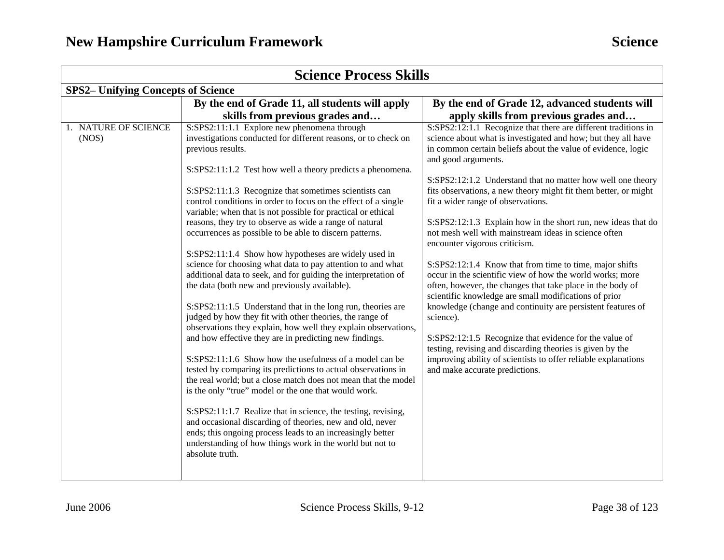| <b>Science Process Skills</b>             |                                                                                                                                                                                                                                                                                                                                                                                                                                                                                                                                                                                                                                                                                                                                                                                                                                                                                                                                                                        |                                                                                                                                                                                                                                                                                                                                                                                                                                                                                                                                                    |  |
|-------------------------------------------|------------------------------------------------------------------------------------------------------------------------------------------------------------------------------------------------------------------------------------------------------------------------------------------------------------------------------------------------------------------------------------------------------------------------------------------------------------------------------------------------------------------------------------------------------------------------------------------------------------------------------------------------------------------------------------------------------------------------------------------------------------------------------------------------------------------------------------------------------------------------------------------------------------------------------------------------------------------------|----------------------------------------------------------------------------------------------------------------------------------------------------------------------------------------------------------------------------------------------------------------------------------------------------------------------------------------------------------------------------------------------------------------------------------------------------------------------------------------------------------------------------------------------------|--|
| <b>SPS2-</b> Unifying Concepts of Science |                                                                                                                                                                                                                                                                                                                                                                                                                                                                                                                                                                                                                                                                                                                                                                                                                                                                                                                                                                        |                                                                                                                                                                                                                                                                                                                                                                                                                                                                                                                                                    |  |
|                                           | By the end of Grade 11, all students will apply                                                                                                                                                                                                                                                                                                                                                                                                                                                                                                                                                                                                                                                                                                                                                                                                                                                                                                                        | By the end of Grade 12, advanced students will                                                                                                                                                                                                                                                                                                                                                                                                                                                                                                     |  |
|                                           | skills from previous grades and                                                                                                                                                                                                                                                                                                                                                                                                                                                                                                                                                                                                                                                                                                                                                                                                                                                                                                                                        | apply skills from previous grades and                                                                                                                                                                                                                                                                                                                                                                                                                                                                                                              |  |
| 1. NATURE OF SCIENCE<br>(NOS)             | S:SPS2:11:1.1 Explore new phenomena through<br>investigations conducted for different reasons, or to check on<br>previous results.                                                                                                                                                                                                                                                                                                                                                                                                                                                                                                                                                                                                                                                                                                                                                                                                                                     | S:SPS2:12:1.1 Recognize that there are different traditions in<br>science about what is investigated and how; but they all have<br>in common certain beliefs about the value of evidence, logic<br>and good arguments.                                                                                                                                                                                                                                                                                                                             |  |
|                                           | S:SPS2:11:1.2 Test how well a theory predicts a phenomena.                                                                                                                                                                                                                                                                                                                                                                                                                                                                                                                                                                                                                                                                                                                                                                                                                                                                                                             |                                                                                                                                                                                                                                                                                                                                                                                                                                                                                                                                                    |  |
|                                           | S:SPS2:11:1.3 Recognize that sometimes scientists can<br>control conditions in order to focus on the effect of a single<br>variable; when that is not possible for practical or ethical<br>reasons, they try to observe as wide a range of natural<br>occurrences as possible to be able to discern patterns.                                                                                                                                                                                                                                                                                                                                                                                                                                                                                                                                                                                                                                                          | S:SPS2:12:1.2 Understand that no matter how well one theory<br>fits observations, a new theory might fit them better, or might<br>fit a wider range of observations.<br>S:SPS2:12:1.3 Explain how in the short run, new ideas that do<br>not mesh well with mainstream ideas in science often<br>encounter vigorous criticism.                                                                                                                                                                                                                     |  |
|                                           | S:SPS2:11:1.4 Show how hypotheses are widely used in                                                                                                                                                                                                                                                                                                                                                                                                                                                                                                                                                                                                                                                                                                                                                                                                                                                                                                                   |                                                                                                                                                                                                                                                                                                                                                                                                                                                                                                                                                    |  |
|                                           | science for choosing what data to pay attention to and what<br>additional data to seek, and for guiding the interpretation of<br>the data (both new and previously available).<br>S:SPS2:11:1.5 Understand that in the long run, theories are<br>judged by how they fit with other theories, the range of<br>observations they explain, how well they explain observations,<br>and how effective they are in predicting new findings.<br>S:SPS2:11:1.6 Show how the usefulness of a model can be<br>tested by comparing its predictions to actual observations in<br>the real world; but a close match does not mean that the model<br>is the only "true" model or the one that would work.<br>S:SPS2:11:1.7 Realize that in science, the testing, revising,<br>and occasional discarding of theories, new and old, never<br>ends; this ongoing process leads to an increasingly better<br>understanding of how things work in the world but not to<br>absolute truth. | S:SPS2:12:1.4 Know that from time to time, major shifts<br>occur in the scientific view of how the world works; more<br>often, however, the changes that take place in the body of<br>scientific knowledge are small modifications of prior<br>knowledge (change and continuity are persistent features of<br>science).<br>S:SPS2:12:1.5 Recognize that evidence for the value of<br>testing, revising and discarding theories is given by the<br>improving ability of scientists to offer reliable explanations<br>and make accurate predictions. |  |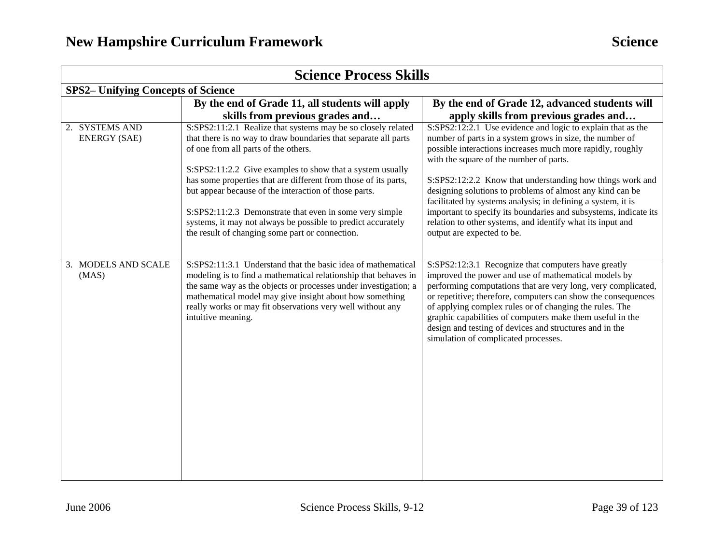| <b>Science Process Skills</b>             |                                                                                                                                                                                                                                                                                                                                                   |                                                                                                                                                                                                                                                                                                                                                                                                                                                                          |  |  |
|-------------------------------------------|---------------------------------------------------------------------------------------------------------------------------------------------------------------------------------------------------------------------------------------------------------------------------------------------------------------------------------------------------|--------------------------------------------------------------------------------------------------------------------------------------------------------------------------------------------------------------------------------------------------------------------------------------------------------------------------------------------------------------------------------------------------------------------------------------------------------------------------|--|--|
| <b>SPS2-</b> Unifying Concepts of Science |                                                                                                                                                                                                                                                                                                                                                   |                                                                                                                                                                                                                                                                                                                                                                                                                                                                          |  |  |
|                                           | By the end of Grade 11, all students will apply                                                                                                                                                                                                                                                                                                   | By the end of Grade 12, advanced students will                                                                                                                                                                                                                                                                                                                                                                                                                           |  |  |
|                                           | skills from previous grades and                                                                                                                                                                                                                                                                                                                   | apply skills from previous grades and                                                                                                                                                                                                                                                                                                                                                                                                                                    |  |  |
| 2. SYSTEMS AND<br><b>ENERGY (SAE)</b>     | S:SPS2:11:2.1 Realize that systems may be so closely related<br>that there is no way to draw boundaries that separate all parts<br>of one from all parts of the others.                                                                                                                                                                           | S:SPS2:12:2.1 Use evidence and logic to explain that as the<br>number of parts in a system grows in size, the number of<br>possible interactions increases much more rapidly, roughly<br>with the square of the number of parts.                                                                                                                                                                                                                                         |  |  |
|                                           | S:SPS2:11:2.2 Give examples to show that a system usually                                                                                                                                                                                                                                                                                         |                                                                                                                                                                                                                                                                                                                                                                                                                                                                          |  |  |
|                                           | has some properties that are different from those of its parts,<br>but appear because of the interaction of those parts.                                                                                                                                                                                                                          | S:SPS2:12:2.2 Know that understanding how things work and<br>designing solutions to problems of almost any kind can be<br>facilitated by systems analysis; in defining a system, it is                                                                                                                                                                                                                                                                                   |  |  |
|                                           | S:SPS2:11:2.3 Demonstrate that even in some very simple<br>systems, it may not always be possible to predict accurately<br>the result of changing some part or connection.                                                                                                                                                                        | important to specify its boundaries and subsystems, indicate its<br>relation to other systems, and identify what its input and<br>output are expected to be.                                                                                                                                                                                                                                                                                                             |  |  |
|                                           |                                                                                                                                                                                                                                                                                                                                                   |                                                                                                                                                                                                                                                                                                                                                                                                                                                                          |  |  |
| 3. MODELS AND SCALE<br>(MAS)              | S:SPS2:11:3.1 Understand that the basic idea of mathematical<br>modeling is to find a mathematical relationship that behaves in<br>the same way as the objects or processes under investigation; a<br>mathematical model may give insight about how something<br>really works or may fit observations very well without any<br>intuitive meaning. | S:SPS2:12:3.1 Recognize that computers have greatly<br>improved the power and use of mathematical models by<br>performing computations that are very long, very complicated,<br>or repetitive; therefore, computers can show the consequences<br>of applying complex rules or of changing the rules. The<br>graphic capabilities of computers make them useful in the<br>design and testing of devices and structures and in the<br>simulation of complicated processes. |  |  |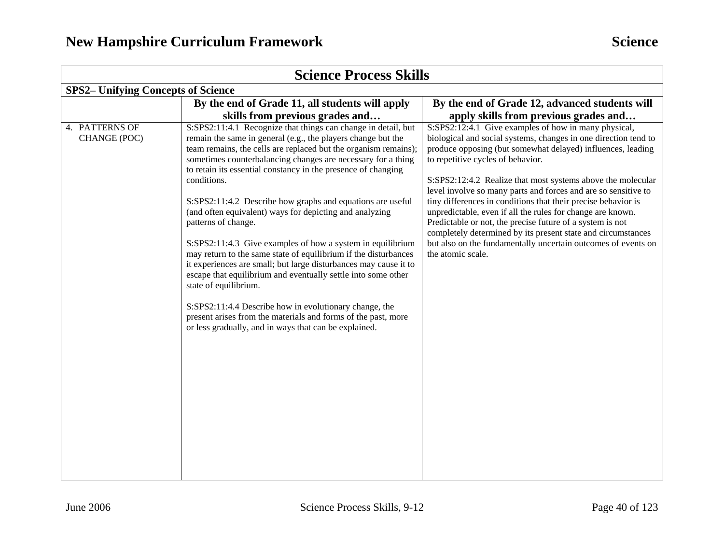| <b>Science Process Skills</b>             |                                                                                                                                                                                                                                                                                                                                                                                                                                                                                                                                                                   |                                                                                                                                                                                                                                                                                                                                                                                                                               |  |
|-------------------------------------------|-------------------------------------------------------------------------------------------------------------------------------------------------------------------------------------------------------------------------------------------------------------------------------------------------------------------------------------------------------------------------------------------------------------------------------------------------------------------------------------------------------------------------------------------------------------------|-------------------------------------------------------------------------------------------------------------------------------------------------------------------------------------------------------------------------------------------------------------------------------------------------------------------------------------------------------------------------------------------------------------------------------|--|
| <b>SPS2-</b> Unifying Concepts of Science |                                                                                                                                                                                                                                                                                                                                                                                                                                                                                                                                                                   |                                                                                                                                                                                                                                                                                                                                                                                                                               |  |
|                                           | By the end of Grade 11, all students will apply                                                                                                                                                                                                                                                                                                                                                                                                                                                                                                                   | By the end of Grade 12, advanced students will                                                                                                                                                                                                                                                                                                                                                                                |  |
|                                           | skills from previous grades and                                                                                                                                                                                                                                                                                                                                                                                                                                                                                                                                   | apply skills from previous grades and                                                                                                                                                                                                                                                                                                                                                                                         |  |
| 4. PATTERNS OF<br>CHANGE (POC)            | S:SPS2:11:4.1 Recognize that things can change in detail, but<br>remain the same in general (e.g., the players change but the<br>team remains, the cells are replaced but the organism remains);<br>sometimes counterbalancing changes are necessary for a thing<br>to retain its essential constancy in the presence of changing<br>conditions.<br>S:SPS2:11:4.2 Describe how graphs and equations are useful                                                                                                                                                    | S:SPS2:12:4.1 Give examples of how in many physical,<br>biological and social systems, changes in one direction tend to<br>produce opposing (but somewhat delayed) influences, leading<br>to repetitive cycles of behavior.<br>S:SPS2:12:4.2 Realize that most systems above the molecular<br>level involve so many parts and forces and are so sensitive to<br>tiny differences in conditions that their precise behavior is |  |
|                                           | (and often equivalent) ways for depicting and analyzing<br>patterns of change.<br>S:SPS2:11:4.3 Give examples of how a system in equilibrium<br>may return to the same state of equilibrium if the disturbances<br>it experiences are small; but large disturbances may cause it to<br>escape that equilibrium and eventually settle into some other<br>state of equilibrium.<br>S:SPS2:11:4.4 Describe how in evolutionary change, the<br>present arises from the materials and forms of the past, more<br>or less gradually, and in ways that can be explained. | unpredictable, even if all the rules for change are known.<br>Predictable or not, the precise future of a system is not<br>completely determined by its present state and circumstances<br>but also on the fundamentally uncertain outcomes of events on<br>the atomic scale.                                                                                                                                                 |  |
|                                           |                                                                                                                                                                                                                                                                                                                                                                                                                                                                                                                                                                   |                                                                                                                                                                                                                                                                                                                                                                                                                               |  |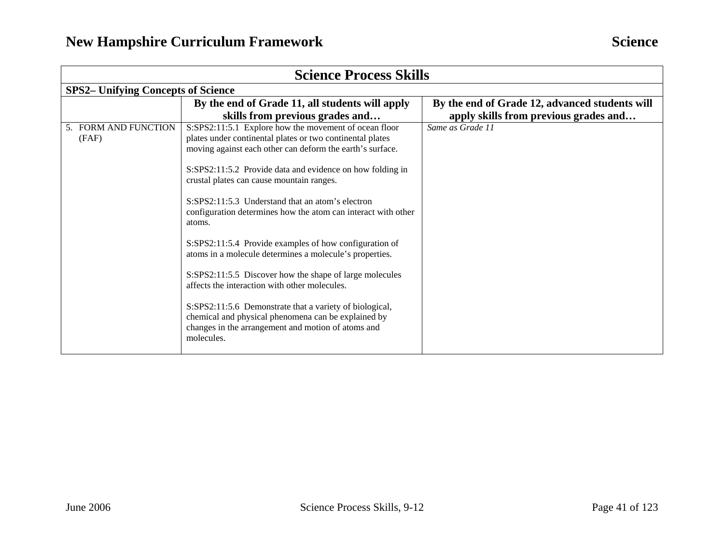| <b>Science Process Skills</b> |                                                                                                                                                                                                                                                                                                                                                                                                                                                                                                                                                                                                                                                                                                                      |                                                |  |  |  |
|-------------------------------|----------------------------------------------------------------------------------------------------------------------------------------------------------------------------------------------------------------------------------------------------------------------------------------------------------------------------------------------------------------------------------------------------------------------------------------------------------------------------------------------------------------------------------------------------------------------------------------------------------------------------------------------------------------------------------------------------------------------|------------------------------------------------|--|--|--|
|                               | <b>SPS2– Unifying Concepts of Science</b>                                                                                                                                                                                                                                                                                                                                                                                                                                                                                                                                                                                                                                                                            |                                                |  |  |  |
|                               | By the end of Grade 11, all students will apply                                                                                                                                                                                                                                                                                                                                                                                                                                                                                                                                                                                                                                                                      | By the end of Grade 12, advanced students will |  |  |  |
|                               | skills from previous grades and                                                                                                                                                                                                                                                                                                                                                                                                                                                                                                                                                                                                                                                                                      | apply skills from previous grades and          |  |  |  |
| 5. FORM AND FUNCTION<br>(FAF) | S:SPS2:11:5.1 Explore how the movement of ocean floor<br>plates under continental plates or two continental plates<br>moving against each other can deform the earth's surface.<br>S:SPS2:11:5.2 Provide data and evidence on how folding in<br>crustal plates can cause mountain ranges.<br>S:SPS2:11:5.3 Understand that an atom's electron<br>configuration determines how the atom can interact with other<br>atoms.<br>S:SPS2:11:5.4 Provide examples of how configuration of<br>atoms in a molecule determines a molecule's properties.<br>S:SPS2:11:5.5 Discover how the shape of large molecules<br>affects the interaction with other molecules.<br>S:SPS2:11:5.6 Demonstrate that a variety of biological, | Same as Grade 11                               |  |  |  |
|                               | chemical and physical phenomena can be explained by<br>changes in the arrangement and motion of atoms and<br>molecules.                                                                                                                                                                                                                                                                                                                                                                                                                                                                                                                                                                                              |                                                |  |  |  |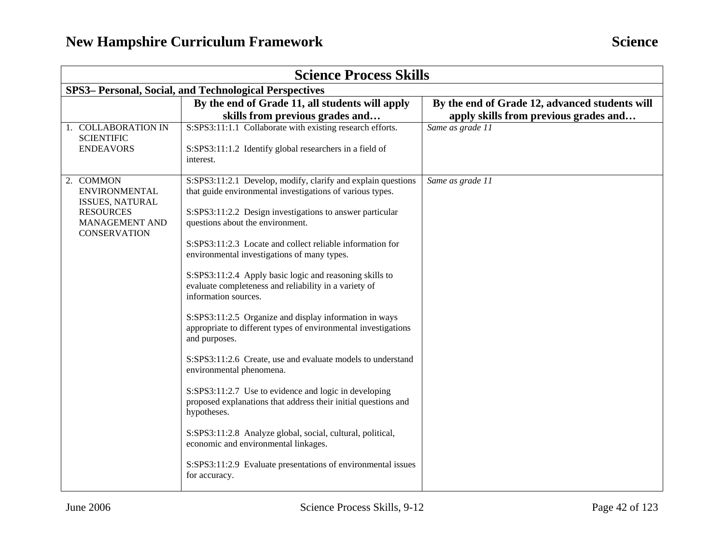| <b>Science Process Skills</b>                                                                                                   |                                                                                                                                                                                                                                                                                                                                                                                                                                                                                                                                                                                                                                                                                                                                                                                                                                                                                                                                                                                                                                                            |                                                                                         |  |
|---------------------------------------------------------------------------------------------------------------------------------|------------------------------------------------------------------------------------------------------------------------------------------------------------------------------------------------------------------------------------------------------------------------------------------------------------------------------------------------------------------------------------------------------------------------------------------------------------------------------------------------------------------------------------------------------------------------------------------------------------------------------------------------------------------------------------------------------------------------------------------------------------------------------------------------------------------------------------------------------------------------------------------------------------------------------------------------------------------------------------------------------------------------------------------------------------|-----------------------------------------------------------------------------------------|--|
| SPS3– Personal, Social, and Technological Perspectives                                                                          |                                                                                                                                                                                                                                                                                                                                                                                                                                                                                                                                                                                                                                                                                                                                                                                                                                                                                                                                                                                                                                                            |                                                                                         |  |
|                                                                                                                                 | By the end of Grade 11, all students will apply<br>skills from previous grades and                                                                                                                                                                                                                                                                                                                                                                                                                                                                                                                                                                                                                                                                                                                                                                                                                                                                                                                                                                         | By the end of Grade 12, advanced students will<br>apply skills from previous grades and |  |
| 1. COLLABORATION IN<br><b>SCIENTIFIC</b><br><b>ENDEAVORS</b>                                                                    | S:SPS3:11:1.1 Collaborate with existing research efforts.<br>S:SPS3:11:1.2 Identify global researchers in a field of<br>interest.                                                                                                                                                                                                                                                                                                                                                                                                                                                                                                                                                                                                                                                                                                                                                                                                                                                                                                                          | Same as grade 11                                                                        |  |
| 2. COMMON<br><b>ENVIRONMENTAL</b><br><b>ISSUES, NATURAL</b><br><b>RESOURCES</b><br><b>MANAGEMENT AND</b><br><b>CONSERVATION</b> | S:SPS3:11:2.1 Develop, modify, clarify and explain questions<br>that guide environmental investigations of various types.<br>S:SPS3:11:2.2 Design investigations to answer particular<br>questions about the environment.<br>S:SPS3:11:2.3 Locate and collect reliable information for<br>environmental investigations of many types.<br>S:SPS3:11:2.4 Apply basic logic and reasoning skills to<br>evaluate completeness and reliability in a variety of<br>information sources.<br>S:SPS3:11:2.5 Organize and display information in ways<br>appropriate to different types of environmental investigations<br>and purposes.<br>S:SPS3:11:2.6 Create, use and evaluate models to understand<br>environmental phenomena.<br>S:SPS3:11:2.7 Use to evidence and logic in developing<br>proposed explanations that address their initial questions and<br>hypotheses.<br>S:SPS3:11:2.8 Analyze global, social, cultural, political,<br>economic and environmental linkages.<br>S:SPS3:11:2.9 Evaluate presentations of environmental issues<br>for accuracy. | Same as grade 11                                                                        |  |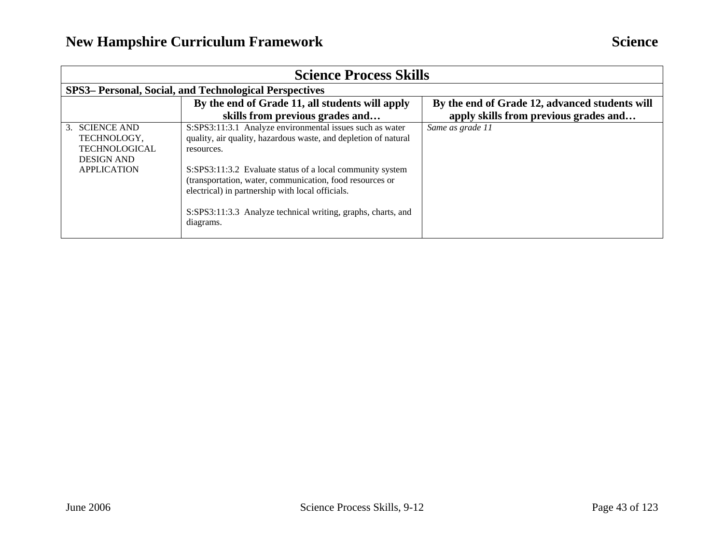| <b>Science Process Skills</b>                                                                    |                                                                                                                                                                                                                                                                                                                                                                                                     |                                                                                         |  |  |
|--------------------------------------------------------------------------------------------------|-----------------------------------------------------------------------------------------------------------------------------------------------------------------------------------------------------------------------------------------------------------------------------------------------------------------------------------------------------------------------------------------------------|-----------------------------------------------------------------------------------------|--|--|
|                                                                                                  | SPS3– Personal, Social, and Technological Perspectives                                                                                                                                                                                                                                                                                                                                              |                                                                                         |  |  |
|                                                                                                  | By the end of Grade 11, all students will apply<br>skills from previous grades and                                                                                                                                                                                                                                                                                                                  | By the end of Grade 12, advanced students will<br>apply skills from previous grades and |  |  |
| 3. SCIENCE AND<br>TECHNOLOGY,<br><b>TECHNOLOGICAL</b><br><b>DESIGN AND</b><br><b>APPLICATION</b> | S:SPS3:11:3.1 Analyze environmental issues such as water<br>quality, air quality, hazardous waste, and depletion of natural<br>resources.<br>S:SPS3:11:3.2 Evaluate status of a local community system<br>(transportation, water, communication, food resources or<br>electrical) in partnership with local officials.<br>S:SPS3:11:3.3 Analyze technical writing, graphs, charts, and<br>diagrams. | Same as grade 11                                                                        |  |  |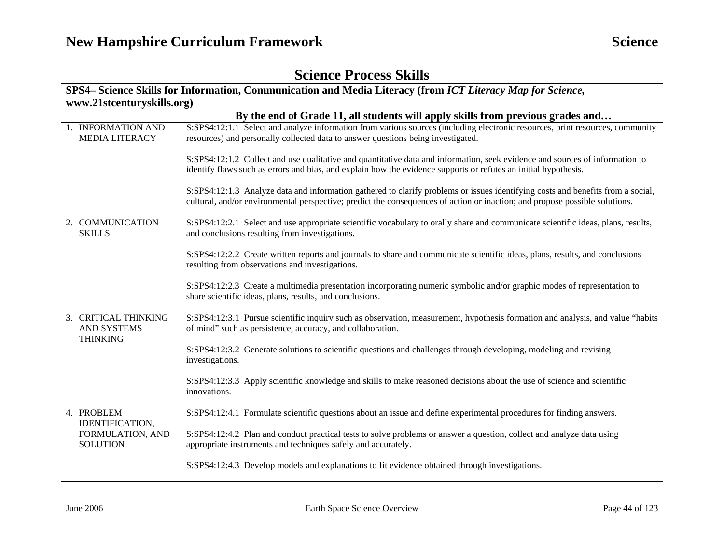| <b>Science Process Skills</b>                                 |                                                                                                                                                                                                                                                                |  |
|---------------------------------------------------------------|----------------------------------------------------------------------------------------------------------------------------------------------------------------------------------------------------------------------------------------------------------------|--|
|                                                               | SPS4- Science Skills for Information, Communication and Media Literacy (from ICT Literacy Map for Science,                                                                                                                                                     |  |
| www.21stcenturyskills.org)                                    |                                                                                                                                                                                                                                                                |  |
|                                                               | By the end of Grade 11, all students will apply skills from previous grades and                                                                                                                                                                                |  |
| 1. INFORMATION AND<br><b>MEDIA LITERACY</b>                   | S:SPS4:12:1.1 Select and analyze information from various sources (including electronic resources, print resources, community<br>resources) and personally collected data to answer questions being investigated.                                              |  |
|                                                               | S:SPS4:12:1.2 Collect and use qualitative and quantitative data and information, seek evidence and sources of information to<br>identify flaws such as errors and bias, and explain how the evidence supports or refutes an initial hypothesis.                |  |
|                                                               | S:SPS4:12:1.3 Analyze data and information gathered to clarify problems or issues identifying costs and benefits from a social,<br>cultural, and/or environmental perspective; predict the consequences of action or inaction; and propose possible solutions. |  |
| 2. COMMUNICATION<br><b>SKILLS</b>                             | S:SPS4:12:2.1 Select and use appropriate scientific vocabulary to orally share and communicate scientific ideas, plans, results,<br>and conclusions resulting from investigations.                                                                             |  |
|                                                               | S:SPS4:12:2.2 Create written reports and journals to share and communicate scientific ideas, plans, results, and conclusions<br>resulting from observations and investigations.                                                                                |  |
|                                                               | S:SPS4:12:2.3 Create a multimedia presentation incorporating numeric symbolic and/or graphic modes of representation to<br>share scientific ideas, plans, results, and conclusions.                                                                            |  |
| 3. CRITICAL THINKING<br><b>AND SYSTEMS</b><br><b>THINKING</b> | S:SPS4:12:3.1 Pursue scientific inquiry such as observation, measurement, hypothesis formation and analysis, and value "habits"<br>of mind" such as persistence, accuracy, and collaboration.                                                                  |  |
|                                                               | S:SPS4:12:3.2 Generate solutions to scientific questions and challenges through developing, modeling and revising<br>investigations.                                                                                                                           |  |
|                                                               | S:SPS4:12:3.3 Apply scientific knowledge and skills to make reasoned decisions about the use of science and scientific<br>innovations.                                                                                                                         |  |
| 4. PROBLEM                                                    | S:SPS4:12:4.1 Formulate scientific questions about an issue and define experimental procedures for finding answers.                                                                                                                                            |  |
| <b>IDENTIFICATION,</b><br>FORMULATION, AND<br><b>SOLUTION</b> | S:SPS4:12:4.2 Plan and conduct practical tests to solve problems or answer a question, collect and analyze data using<br>appropriate instruments and techniques safely and accurately.                                                                         |  |
|                                                               | S:SPS4:12:4.3 Develop models and explanations to fit evidence obtained through investigations.                                                                                                                                                                 |  |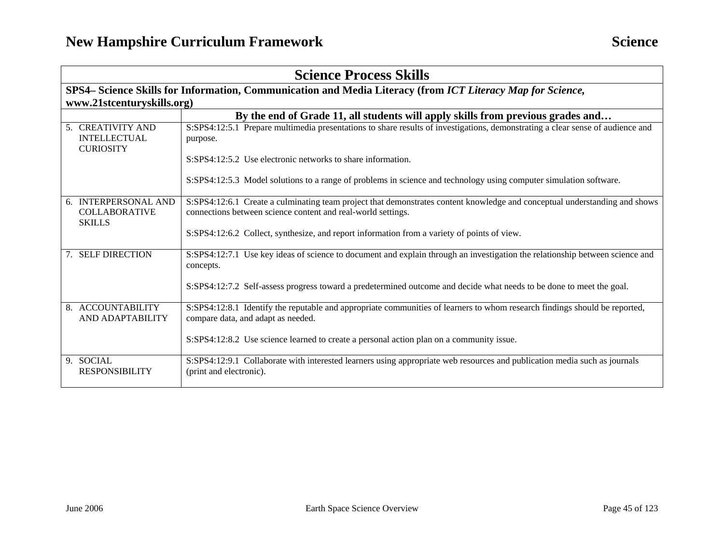| <b>Science Process Skills</b>                                 |                                                                                                                                                                                            |  |
|---------------------------------------------------------------|--------------------------------------------------------------------------------------------------------------------------------------------------------------------------------------------|--|
|                                                               | SPS4– Science Skills for Information, Communication and Media Literacy (from ICT Literacy Map for Science,                                                                                 |  |
| www.21stcenturyskills.org)                                    |                                                                                                                                                                                            |  |
|                                                               | By the end of Grade 11, all students will apply skills from previous grades and                                                                                                            |  |
| 5. CREATIVITY AND<br><b>INTELLECTUAL</b><br><b>CURIOSITY</b>  | S:SPS4:12:5.1 Prepare multimedia presentations to share results of investigations, demonstrating a clear sense of audience and<br>purpose.                                                 |  |
|                                                               | S:SPS4:12:5.2 Use electronic networks to share information.                                                                                                                                |  |
|                                                               | S:SPS4:12:5.3 Model solutions to a range of problems in science and technology using computer simulation software.                                                                         |  |
| 6. INTERPERSONAL AND<br><b>COLLABORATIVE</b><br><b>SKILLS</b> | S:SPS4:12:6.1 Create a culminating team project that demonstrates content knowledge and conceptual understanding and shows<br>connections between science content and real-world settings. |  |
|                                                               | S:SPS4:12:6.2 Collect, synthesize, and report information from a variety of points of view.                                                                                                |  |
| 7. SELF DIRECTION                                             | S:SPS4:12:7.1 Use key ideas of science to document and explain through an investigation the relationship between science and<br>concepts.                                                  |  |
|                                                               | S:SPS4:12:7.2 Self-assess progress toward a predetermined outcome and decide what needs to be done to meet the goal.                                                                       |  |
| 8. ACCOUNTABILITY<br>AND ADAPTABILITY                         | S:SPS4:12:8.1 Identify the reputable and appropriate communities of learners to whom research findings should be reported,<br>compare data, and adapt as needed.                           |  |
|                                                               | S:SPS4:12:8.2 Use science learned to create a personal action plan on a community issue.                                                                                                   |  |
| 9. SOCIAL<br><b>RESPONSIBILITY</b>                            | S:SPS4:12:9.1 Collaborate with interested learners using appropriate web resources and publication media such as journals<br>(print and electronic).                                       |  |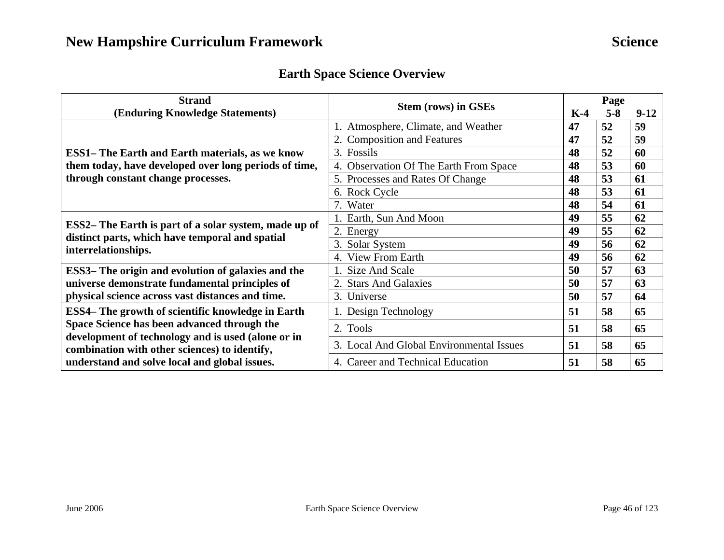### **Earth Space Science Overview**

| <b>Strand</b>                                                                                            | <b>Stem (rows) in GSEs</b>                       |    | Page    |        |  |
|----------------------------------------------------------------------------------------------------------|--------------------------------------------------|----|---------|--------|--|
| (Enduring Knowledge Statements)                                                                          |                                                  |    | $5 - 8$ | $9-12$ |  |
|                                                                                                          | 1. Atmosphere, Climate, and Weather              | 47 | 52      | 59     |  |
|                                                                                                          | 2. Composition and Features                      | 47 | 52      | 59     |  |
| <b>ESS1– The Earth and Earth materials, as we know</b>                                                   | 3. Fossils                                       | 48 | 52      | 60     |  |
| them today, have developed over long periods of time,                                                    | <b>Observation Of The Earth From Space</b><br>4. | 48 | 53      | 60     |  |
| through constant change processes.                                                                       | 5. Processes and Rates Of Change                 | 48 | 53      | 61     |  |
|                                                                                                          | 6. Rock Cycle                                    | 48 | 53      | 61     |  |
|                                                                                                          | 7. Water                                         | 48 | 54      | 61     |  |
|                                                                                                          | Earth, Sun And Moon                              | 49 | 55      | 62     |  |
| ESS2– The Earth is part of a solar system, made up of<br>distinct parts, which have temporal and spatial | 2. Energy                                        | 49 | 55      | 62     |  |
| interrelationships.                                                                                      | 3. Solar System                                  | 49 | 56      | 62     |  |
|                                                                                                          | 4. View From Earth                               | 49 | 56      | 62     |  |
| ESS3– The origin and evolution of galaxies and the                                                       | Size And Scale                                   | 50 | 57      | 63     |  |
| universe demonstrate fundamental principles of                                                           | 2. Stars And Galaxies                            | 50 | 57      | 63     |  |
| physical science across vast distances and time.                                                         | 3. Universe                                      | 50 | 57      | 64     |  |
| ESS4– The growth of scientific knowledge in Earth                                                        | 1. Design Technology                             | 51 | 58      | 65     |  |
| Space Science has been advanced through the                                                              | 2. Tools                                         | 51 | 58      | 65     |  |
| development of technology and is used (alone or in<br>combination with other sciences) to identify,      | 3. Local And Global Environmental Issues         | 51 | 58      | 65     |  |
| understand and solve local and global issues.                                                            | 4. Career and Technical Education                | 51 | 58      | 65     |  |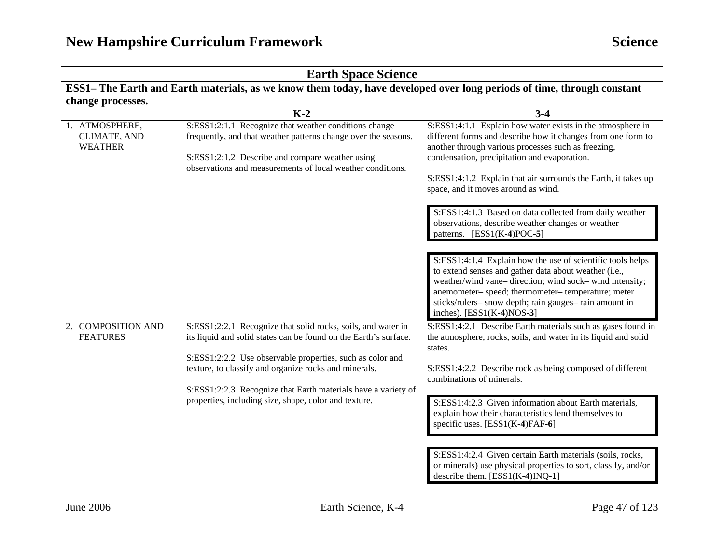| <b>Earth Space Science</b>                                                                                             |                                                                                                                                                                                                                                                                                                                                                                                  |                                                                                                                                                                                                                                                                                                                                                                                                                                                                                                                                                                                                                                                                                                                                                                                                                            |  |  |
|------------------------------------------------------------------------------------------------------------------------|----------------------------------------------------------------------------------------------------------------------------------------------------------------------------------------------------------------------------------------------------------------------------------------------------------------------------------------------------------------------------------|----------------------------------------------------------------------------------------------------------------------------------------------------------------------------------------------------------------------------------------------------------------------------------------------------------------------------------------------------------------------------------------------------------------------------------------------------------------------------------------------------------------------------------------------------------------------------------------------------------------------------------------------------------------------------------------------------------------------------------------------------------------------------------------------------------------------------|--|--|
| ESS1– The Earth and Earth materials, as we know them today, have developed over long periods of time, through constant |                                                                                                                                                                                                                                                                                                                                                                                  |                                                                                                                                                                                                                                                                                                                                                                                                                                                                                                                                                                                                                                                                                                                                                                                                                            |  |  |
| change processes.                                                                                                      |                                                                                                                                                                                                                                                                                                                                                                                  |                                                                                                                                                                                                                                                                                                                                                                                                                                                                                                                                                                                                                                                                                                                                                                                                                            |  |  |
|                                                                                                                        | $K-2$                                                                                                                                                                                                                                                                                                                                                                            | $3 - 4$                                                                                                                                                                                                                                                                                                                                                                                                                                                                                                                                                                                                                                                                                                                                                                                                                    |  |  |
| 1. ATMOSPHERE,<br>CLIMATE, AND<br><b>WEATHER</b>                                                                       | S:ESS1:2:1.1 Recognize that weather conditions change<br>frequently, and that weather patterns change over the seasons.<br>S:ESS1:2:1.2 Describe and compare weather using<br>observations and measurements of local weather conditions.                                                                                                                                         | S:ESS1:4:1.1 Explain how water exists in the atmosphere in<br>different forms and describe how it changes from one form to<br>another through various processes such as freezing,<br>condensation, precipitation and evaporation.<br>S:ESS1:4:1.2 Explain that air surrounds the Earth, it takes up<br>space, and it moves around as wind.<br>S:ESS1:4:1.3 Based on data collected from daily weather<br>observations, describe weather changes or weather<br>patterns. $[ESS1(K-4)POC-5]$<br>S:ESS1:4:1.4 Explain how the use of scientific tools helps<br>to extend senses and gather data about weather (i.e.,<br>weather/wind vane-direction; wind sock-wind intensity;<br>anemometer- speed; thermometer- temperature; meter<br>sticks/rulers- snow depth; rain gauges- rain amount in<br>inches). $[ESS1(K-4)NOS-3]$ |  |  |
| 2. COMPOSITION AND<br><b>FEATURES</b>                                                                                  | S:ESS1:2:2.1 Recognize that solid rocks, soils, and water in<br>its liquid and solid states can be found on the Earth's surface.<br>S:ESS1:2:2.2 Use observable properties, such as color and<br>texture, to classify and organize rocks and minerals.<br>S:ESS1:2:2.3 Recognize that Earth materials have a variety of<br>properties, including size, shape, color and texture. | S:ESS1:4:2.1 Describe Earth materials such as gases found in<br>the atmosphere, rocks, soils, and water in its liquid and solid<br>states.<br>S:ESS1:4:2.2 Describe rock as being composed of different<br>combinations of minerals.<br>S:ESS1:4:2.3 Given information about Earth materials,<br>explain how their characteristics lend themselves to<br>specific uses. [ESS1(K-4)FAF-6]<br>S:ESS1:4:2.4 Given certain Earth materials (soils, rocks,<br>or minerals) use physical properties to sort, classify, and/or<br>describe them. [ESS1(K-4)INQ-1]                                                                                                                                                                                                                                                                 |  |  |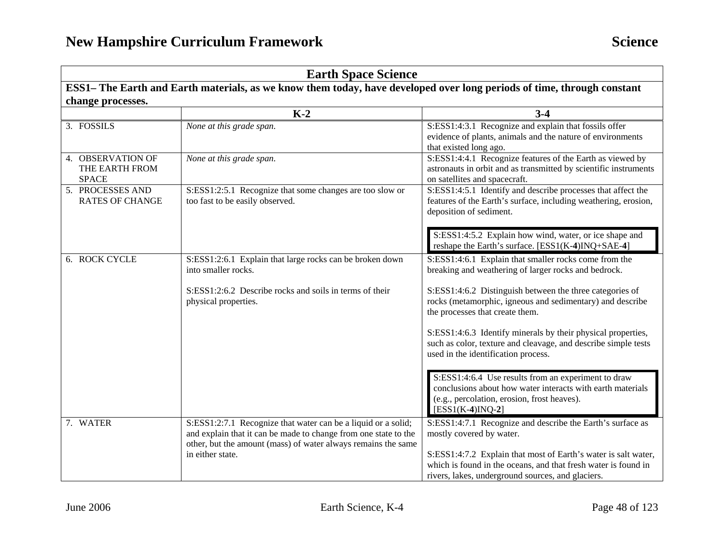### **Earth Space Science**

**ESS1– The Earth and Earth materials, as we know them today, have developed over long periods of time, through constant change processes.** 

|                                                     | $K-2$                                                                                                                                                                                                                 | $3 - 4$                                                                                                                                                                                                                    |
|-----------------------------------------------------|-----------------------------------------------------------------------------------------------------------------------------------------------------------------------------------------------------------------------|----------------------------------------------------------------------------------------------------------------------------------------------------------------------------------------------------------------------------|
| 3. FOSSILS                                          | None at this grade span.                                                                                                                                                                                              | S:ESS1:4:3.1 Recognize and explain that fossils offer<br>evidence of plants, animals and the nature of environments<br>that existed long ago.                                                                              |
| 4. OBSERVATION OF<br>THE EARTH FROM<br><b>SPACE</b> | None at this grade span.                                                                                                                                                                                              | S:ESS1:4:4.1 Recognize features of the Earth as viewed by<br>astronauts in orbit and as transmitted by scientific instruments<br>on satellites and spacecraft.                                                             |
| 5. PROCESSES AND<br><b>RATES OF CHANGE</b>          | S:ESS1:2:5.1 Recognize that some changes are too slow or<br>too fast to be easily observed.                                                                                                                           | S:ESS1:4:5.1 Identify and describe processes that affect the<br>features of the Earth's surface, including weathering, erosion,<br>deposition of sediment.                                                                 |
|                                                     |                                                                                                                                                                                                                       | S:ESS1:4:5.2 Explain how wind, water, or ice shape and<br>reshape the Earth's surface. [ESS1(K-4)INQ+SAE-4]                                                                                                                |
| 6. ROCK CYCLE                                       | S:ESS1:2:6.1 Explain that large rocks can be broken down<br>into smaller rocks.                                                                                                                                       | S:ESS1:4:6.1 Explain that smaller rocks come from the<br>breaking and weathering of larger rocks and bedrock.                                                                                                              |
|                                                     | S:ESS1:2:6.2 Describe rocks and soils in terms of their<br>physical properties.                                                                                                                                       | S:ESS1:4:6.2 Distinguish between the three categories of<br>rocks (metamorphic, igneous and sedimentary) and describe<br>the processes that create them.                                                                   |
|                                                     |                                                                                                                                                                                                                       | S:ESS1:4:6.3 Identify minerals by their physical properties,<br>such as color, texture and cleavage, and describe simple tests<br>used in the identification process.                                                      |
|                                                     |                                                                                                                                                                                                                       | S:ESS1:4:6.4 Use results from an experiment to draw<br>conclusions about how water interacts with earth materials<br>(e.g., percolation, erosion, frost heaves).<br>$[ESS1(K-4)INQ-2]$                                     |
| 7. WATER                                            | S:ESS1:2:7.1 Recognize that water can be a liquid or a solid;<br>and explain that it can be made to change from one state to the<br>other, but the amount (mass) of water always remains the same<br>in either state. | S:ESS1:4:7.1 Recognize and describe the Earth's surface as<br>mostly covered by water.<br>S:ESS1:4:7.2 Explain that most of Earth's water is salt water,<br>which is found in the oceans, and that fresh water is found in |
|                                                     |                                                                                                                                                                                                                       | rivers, lakes, underground sources, and glaciers.                                                                                                                                                                          |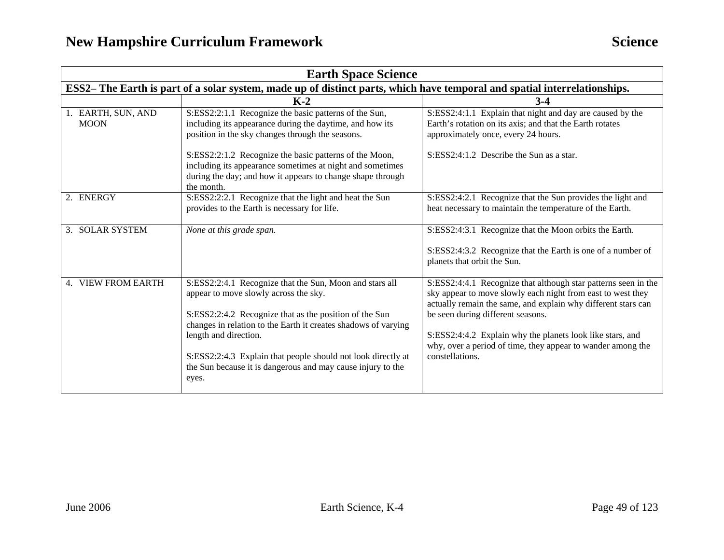| <b>Earth Space Science</b>                                                                                                |                                                                                                                                                                                                                                                                                                                                                                                               |                                                                                                                                                                                                                                                                                                                                                                                    |
|---------------------------------------------------------------------------------------------------------------------------|-----------------------------------------------------------------------------------------------------------------------------------------------------------------------------------------------------------------------------------------------------------------------------------------------------------------------------------------------------------------------------------------------|------------------------------------------------------------------------------------------------------------------------------------------------------------------------------------------------------------------------------------------------------------------------------------------------------------------------------------------------------------------------------------|
| ESS2– The Earth is part of a solar system, made up of distinct parts, which have temporal and spatial interrelationships. |                                                                                                                                                                                                                                                                                                                                                                                               |                                                                                                                                                                                                                                                                                                                                                                                    |
|                                                                                                                           | $K-2$                                                                                                                                                                                                                                                                                                                                                                                         | $3-4$                                                                                                                                                                                                                                                                                                                                                                              |
| 1. EARTH, SUN, AND<br><b>MOON</b>                                                                                         | S:ESS2:2:1.1 Recognize the basic patterns of the Sun,<br>including its appearance during the daytime, and how its<br>position in the sky changes through the seasons.                                                                                                                                                                                                                         | S:ESS2:4:1.1 Explain that night and day are caused by the<br>Earth's rotation on its axis; and that the Earth rotates<br>approximately once, every 24 hours.                                                                                                                                                                                                                       |
|                                                                                                                           | S:ESS2:2:1.2 Recognize the basic patterns of the Moon,<br>including its appearance sometimes at night and sometimes<br>during the day; and how it appears to change shape through<br>the month.                                                                                                                                                                                               | $S: ESS2:4:1.2$ Describe the Sun as a star.                                                                                                                                                                                                                                                                                                                                        |
| 2. ENERGY                                                                                                                 | S:ESS2:2:2.1 Recognize that the light and heat the Sun<br>provides to the Earth is necessary for life.                                                                                                                                                                                                                                                                                        | S:ESS2:4:2.1 Recognize that the Sun provides the light and<br>heat necessary to maintain the temperature of the Earth.                                                                                                                                                                                                                                                             |
| 3. SOLAR SYSTEM                                                                                                           | None at this grade span.                                                                                                                                                                                                                                                                                                                                                                      | S:ESS2:4:3.1 Recognize that the Moon orbits the Earth.<br>S:ESS2:4:3.2 Recognize that the Earth is one of a number of<br>planets that orbit the Sun.                                                                                                                                                                                                                               |
| 4. VIEW FROM EARTH                                                                                                        | S:ESS2:2:4.1 Recognize that the Sun, Moon and stars all<br>appear to move slowly across the sky.<br>S:ESS2:2:4.2 Recognize that as the position of the Sun<br>changes in relation to the Earth it creates shadows of varying<br>length and direction.<br>S:ESS2:2:4.3 Explain that people should not look directly at<br>the Sun because it is dangerous and may cause injury to the<br>eyes. | S:ESS2:4:4.1 Recognize that although star patterns seen in the<br>sky appear to move slowly each night from east to west they<br>actually remain the same, and explain why different stars can<br>be seen during different seasons.<br>S:ESS2:4:4.2 Explain why the planets look like stars, and<br>why, over a period of time, they appear to wander among the<br>constellations. |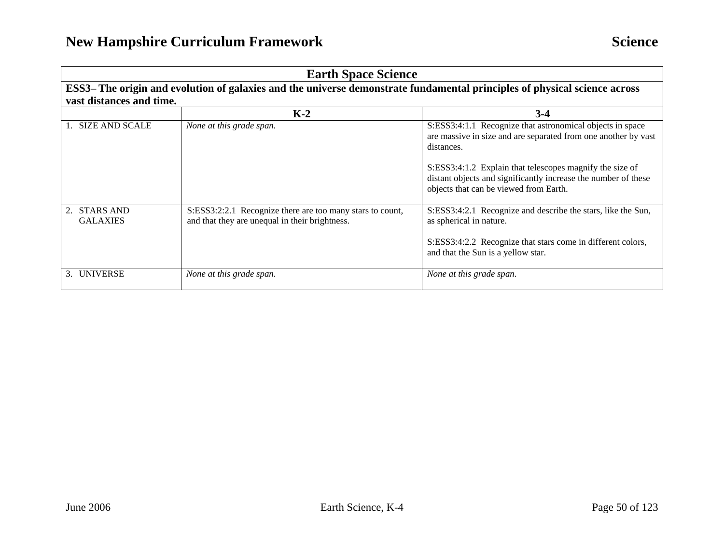| <b>Earth Space Science</b>      |                                                                                                                           |                                                                                                                                                                                                                                                                         |
|---------------------------------|---------------------------------------------------------------------------------------------------------------------------|-------------------------------------------------------------------------------------------------------------------------------------------------------------------------------------------------------------------------------------------------------------------------|
|                                 | ESS3– The origin and evolution of galaxies and the universe demonstrate fundamental principles of physical science across |                                                                                                                                                                                                                                                                         |
| vast distances and time.        |                                                                                                                           |                                                                                                                                                                                                                                                                         |
|                                 | $K-2$                                                                                                                     | $3-4$                                                                                                                                                                                                                                                                   |
| 1. SIZE AND SCALE               | None at this grade span.                                                                                                  | S:ESS3:4:1.1 Recognize that astronomical objects in space<br>are massive in size and are separated from one another by vast<br>distances.<br>S:ESS3:4:1.2 Explain that telescopes magnify the size of<br>distant objects and significantly increase the number of these |
|                                 |                                                                                                                           | objects that can be viewed from Earth.                                                                                                                                                                                                                                  |
| 2. STARS AND<br><b>GALAXIES</b> | S:ESS3:2:2.1 Recognize there are too many stars to count,<br>and that they are unequal in their brightness.               | S:ESS3:4:2.1 Recognize and describe the stars, like the Sun,<br>as spherical in nature.                                                                                                                                                                                 |
|                                 |                                                                                                                           | S:ESS3:4:2.2 Recognize that stars come in different colors,<br>and that the Sun is a yellow star.                                                                                                                                                                       |
| 3. UNIVERSE                     | None at this grade span.                                                                                                  | None at this grade span.                                                                                                                                                                                                                                                |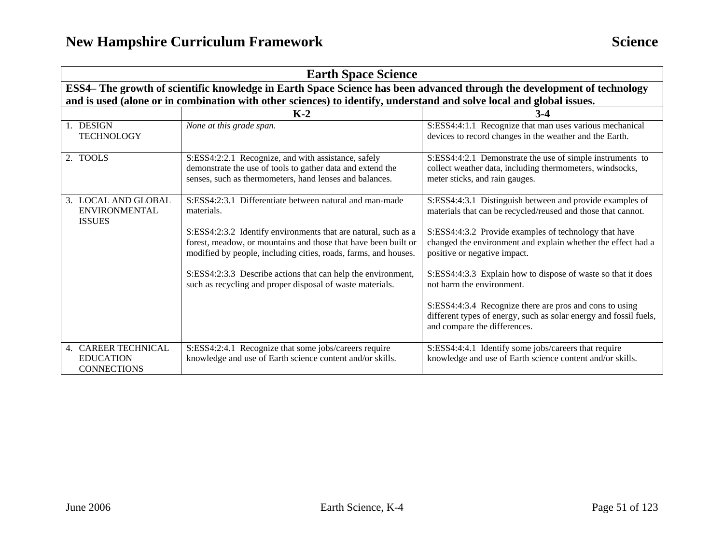| <b>Earth Space Science</b>                                                                                              |                                                                                                                                                                                                                                                                                                                                                                                                           |                                                                                                                                                                                                                                                                                                                                                                                                                                                                                                                |
|-------------------------------------------------------------------------------------------------------------------------|-----------------------------------------------------------------------------------------------------------------------------------------------------------------------------------------------------------------------------------------------------------------------------------------------------------------------------------------------------------------------------------------------------------|----------------------------------------------------------------------------------------------------------------------------------------------------------------------------------------------------------------------------------------------------------------------------------------------------------------------------------------------------------------------------------------------------------------------------------------------------------------------------------------------------------------|
| ESS4- The growth of scientific knowledge in Earth Space Science has been advanced through the development of technology |                                                                                                                                                                                                                                                                                                                                                                                                           |                                                                                                                                                                                                                                                                                                                                                                                                                                                                                                                |
|                                                                                                                         | and is used (alone or in combination with other sciences) to identify, understand and solve local and global issues.                                                                                                                                                                                                                                                                                      |                                                                                                                                                                                                                                                                                                                                                                                                                                                                                                                |
|                                                                                                                         | $K-2$                                                                                                                                                                                                                                                                                                                                                                                                     | $3-4$                                                                                                                                                                                                                                                                                                                                                                                                                                                                                                          |
| 1. DESIGN<br><b>TECHNOLOGY</b>                                                                                          | None at this grade span.                                                                                                                                                                                                                                                                                                                                                                                  | S:ESS4:4:1.1 Recognize that man uses various mechanical<br>devices to record changes in the weather and the Earth.                                                                                                                                                                                                                                                                                                                                                                                             |
| 2. TOOLS                                                                                                                | S:ESS4:2:2.1 Recognize, and with assistance, safely<br>demonstrate the use of tools to gather data and extend the<br>senses, such as thermometers, hand lenses and balances.                                                                                                                                                                                                                              | S:ESS4:4:2.1 Demonstrate the use of simple instruments to<br>collect weather data, including thermometers, windsocks,<br>meter sticks, and rain gauges.                                                                                                                                                                                                                                                                                                                                                        |
| 3. LOCAL AND GLOBAL<br><b>ENVIRONMENTAL</b><br><b>ISSUES</b>                                                            | S:ESS4:2:3.1 Differentiate between natural and man-made<br>materials.<br>S:ESS4:2:3.2 Identify environments that are natural, such as a<br>forest, meadow, or mountains and those that have been built or<br>modified by people, including cities, roads, farms, and houses.<br>S:ESS4:2:3.3 Describe actions that can help the environment,<br>such as recycling and proper disposal of waste materials. | S:ESS4:4:3.1 Distinguish between and provide examples of<br>materials that can be recycled/reused and those that cannot.<br>S:ESS4:4:3.2 Provide examples of technology that have<br>changed the environment and explain whether the effect had a<br>positive or negative impact.<br>S:ESS4:4:3.3 Explain how to dispose of waste so that it does<br>not harm the environment.<br>S:ESS4:4:3.4 Recognize there are pros and cons to using<br>different types of energy, such as solar energy and fossil fuels, |
| 4. CAREER TECHNICAL<br><b>EDUCATION</b>                                                                                 | S:ESS4:2:4.1 Recognize that some jobs/careers require<br>knowledge and use of Earth science content and/or skills.                                                                                                                                                                                                                                                                                        | and compare the differences.<br>S:ESS4:4:4.1 Identify some jobs/careers that require<br>knowledge and use of Earth science content and/or skills.                                                                                                                                                                                                                                                                                                                                                              |
| <b>CONNECTIONS</b>                                                                                                      |                                                                                                                                                                                                                                                                                                                                                                                                           |                                                                                                                                                                                                                                                                                                                                                                                                                                                                                                                |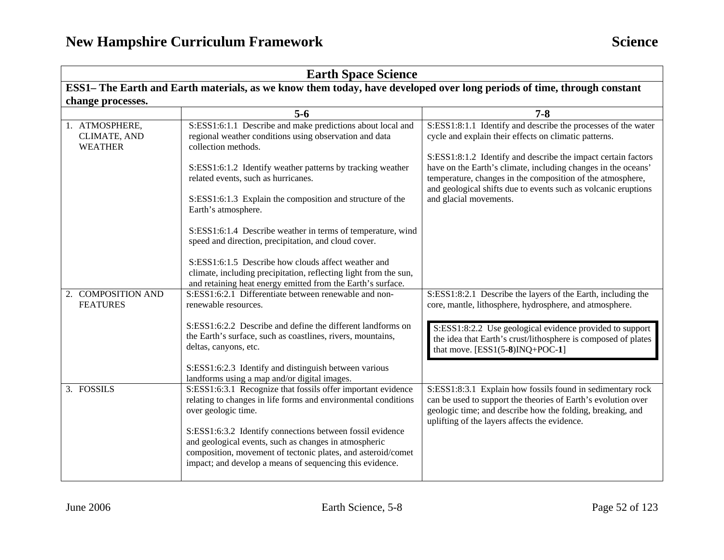| <b>Earth Space Science</b>                                                                                             |                                                                                                                                                                                                                                                |                                                                                                                                                                                                                                            |
|------------------------------------------------------------------------------------------------------------------------|------------------------------------------------------------------------------------------------------------------------------------------------------------------------------------------------------------------------------------------------|--------------------------------------------------------------------------------------------------------------------------------------------------------------------------------------------------------------------------------------------|
| ESS1– The Earth and Earth materials, as we know them today, have developed over long periods of time, through constant |                                                                                                                                                                                                                                                |                                                                                                                                                                                                                                            |
| change processes.                                                                                                      |                                                                                                                                                                                                                                                |                                                                                                                                                                                                                                            |
|                                                                                                                        | $5 - 6$                                                                                                                                                                                                                                        | $7 - 8$                                                                                                                                                                                                                                    |
| 1. ATMOSPHERE,<br>CLIMATE, AND<br><b>WEATHER</b>                                                                       | S:ESS1:6:1.1 Describe and make predictions about local and<br>regional weather conditions using observation and data<br>collection methods.                                                                                                    | S:ESS1:8:1.1 Identify and describe the processes of the water<br>cycle and explain their effects on climatic patterns.<br>S:ESS1:8:1.2 Identify and describe the impact certain factors                                                    |
|                                                                                                                        | S:ESS1:6:1.2 Identify weather patterns by tracking weather<br>related events, such as hurricanes.                                                                                                                                              | have on the Earth's climate, including changes in the oceans'<br>temperature, changes in the composition of the atmosphere,<br>and geological shifts due to events such as volcanic eruptions                                              |
|                                                                                                                        | S:ESS1:6:1.3 Explain the composition and structure of the<br>Earth's atmosphere.                                                                                                                                                               | and glacial movements.                                                                                                                                                                                                                     |
|                                                                                                                        | S:ESS1:6:1.4 Describe weather in terms of temperature, wind<br>speed and direction, precipitation, and cloud cover.                                                                                                                            |                                                                                                                                                                                                                                            |
|                                                                                                                        | S:ESS1:6:1.5 Describe how clouds affect weather and<br>climate, including precipitation, reflecting light from the sun,<br>and retaining heat energy emitted from the Earth's surface.                                                         |                                                                                                                                                                                                                                            |
| 2. COMPOSITION AND<br><b>FEATURES</b>                                                                                  | S:ESS1:6:2.1 Differentiate between renewable and non-<br>renewable resources.                                                                                                                                                                  | S:ESS1:8:2.1 Describe the layers of the Earth, including the<br>core, mantle, lithosphere, hydrosphere, and atmosphere.                                                                                                                    |
|                                                                                                                        | S:ESS1:6:2.2 Describe and define the different landforms on<br>the Earth's surface, such as coastlines, rivers, mountains,<br>deltas, canyons, etc.                                                                                            | S:ESS1:8:2.2 Use geological evidence provided to support<br>the idea that Earth's crust/lithosphere is composed of plates<br>that move. $[ESS1(5-8)INQ+POC-1]$                                                                             |
|                                                                                                                        | S:ESS1:6:2.3 Identify and distinguish between various<br>landforms using a map and/or digital images.                                                                                                                                          |                                                                                                                                                                                                                                            |
| 3. FOSSILS                                                                                                             | S:ESS1:6:3.1 Recognize that fossils offer important evidence<br>relating to changes in life forms and environmental conditions<br>over geologic time.                                                                                          | S:ESS1:8:3.1 Explain how fossils found in sedimentary rock<br>can be used to support the theories of Earth's evolution over<br>geologic time; and describe how the folding, breaking, and<br>uplifting of the layers affects the evidence. |
|                                                                                                                        | S:ESS1:6:3.2 Identify connections between fossil evidence<br>and geological events, such as changes in atmospheric<br>composition, movement of tectonic plates, and asteroid/comet<br>impact; and develop a means of sequencing this evidence. |                                                                                                                                                                                                                                            |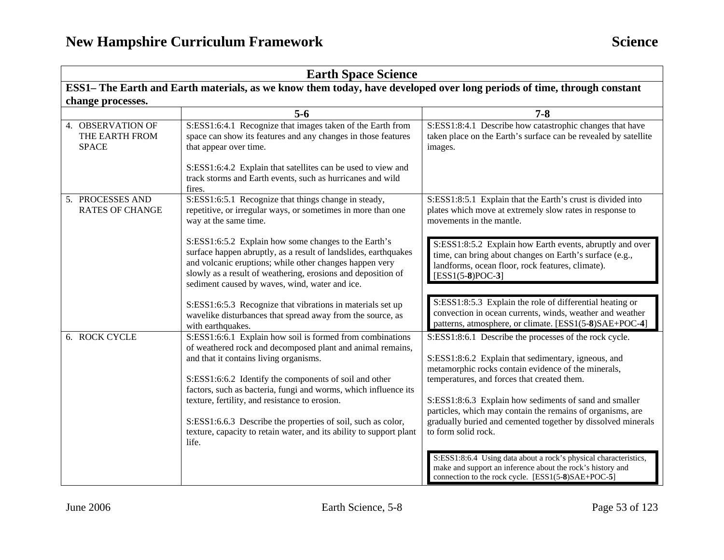| <b>Earth Space Science</b>                          |                                                                                                                                                                                                                                                                                                                                                                                                                                                                                                  |                                                                                                                                                                                                                                                                                                                                                                                                                                                                                                                                                                                                                            |
|-----------------------------------------------------|--------------------------------------------------------------------------------------------------------------------------------------------------------------------------------------------------------------------------------------------------------------------------------------------------------------------------------------------------------------------------------------------------------------------------------------------------------------------------------------------------|----------------------------------------------------------------------------------------------------------------------------------------------------------------------------------------------------------------------------------------------------------------------------------------------------------------------------------------------------------------------------------------------------------------------------------------------------------------------------------------------------------------------------------------------------------------------------------------------------------------------------|
|                                                     | ESS1– The Earth and Earth materials, as we know them today, have developed over long periods of time, through constant                                                                                                                                                                                                                                                                                                                                                                           |                                                                                                                                                                                                                                                                                                                                                                                                                                                                                                                                                                                                                            |
| change processes.                                   |                                                                                                                                                                                                                                                                                                                                                                                                                                                                                                  |                                                                                                                                                                                                                                                                                                                                                                                                                                                                                                                                                                                                                            |
|                                                     | $5-6$                                                                                                                                                                                                                                                                                                                                                                                                                                                                                            | $7 - 8$                                                                                                                                                                                                                                                                                                                                                                                                                                                                                                                                                                                                                    |
| 4. OBSERVATION OF<br>THE EARTH FROM<br><b>SPACE</b> | S:ESS1:6:4.1 Recognize that images taken of the Earth from<br>space can show its features and any changes in those features<br>that appear over time.                                                                                                                                                                                                                                                                                                                                            | S:ESS1:8:4.1 Describe how catastrophic changes that have<br>taken place on the Earth's surface can be revealed by satellite<br>images.                                                                                                                                                                                                                                                                                                                                                                                                                                                                                     |
|                                                     | S:ESS1:6:4.2 Explain that satellites can be used to view and<br>track storms and Earth events, such as hurricanes and wild<br>fires.                                                                                                                                                                                                                                                                                                                                                             |                                                                                                                                                                                                                                                                                                                                                                                                                                                                                                                                                                                                                            |
| 5. PROCESSES AND<br><b>RATES OF CHANGE</b>          | S:ESS1:6:5.1 Recognize that things change in steady,<br>repetitive, or irregular ways, or sometimes in more than one<br>way at the same time.                                                                                                                                                                                                                                                                                                                                                    | S:ESS1:8:5.1 Explain that the Earth's crust is divided into<br>plates which move at extremely slow rates in response to<br>movements in the mantle.                                                                                                                                                                                                                                                                                                                                                                                                                                                                        |
|                                                     | S:ESS1:6:5.2 Explain how some changes to the Earth's<br>surface happen abruptly, as a result of landslides, earthquakes<br>and volcanic eruptions; while other changes happen very<br>slowly as a result of weathering, erosions and deposition of<br>sediment caused by waves, wind, water and ice.                                                                                                                                                                                             | S:ESS1:8:5.2 Explain how Earth events, abruptly and over<br>time, can bring about changes on Earth's surface (e.g.,<br>landforms, ocean floor, rock features, climate).<br>[ESS1(5-8)POC-3]                                                                                                                                                                                                                                                                                                                                                                                                                                |
|                                                     | S:ESS1:6:5.3 Recognize that vibrations in materials set up<br>wavelike disturbances that spread away from the source, as<br>with earthquakes.                                                                                                                                                                                                                                                                                                                                                    | S:ESS1:8:5.3 Explain the role of differential heating or<br>convection in ocean currents, winds, weather and weather<br>patterns, atmosphere, or climate. [ESS1(5-8)SAE+POC-4]                                                                                                                                                                                                                                                                                                                                                                                                                                             |
| 6. ROCK CYCLE                                       | S:ESS1:6:6.1 Explain how soil is formed from combinations<br>of weathered rock and decomposed plant and animal remains,<br>and that it contains living organisms.<br>S:ESS1:6:6.2 Identify the components of soil and other<br>factors, such as bacteria, fungi and worms, which influence its<br>texture, fertility, and resistance to erosion.<br>S:ESS1:6.6.3 Describe the properties of soil, such as color,<br>texture, capacity to retain water, and its ability to support plant<br>life. | S:ESS1:8:6.1 Describe the processes of the rock cycle.<br>S:ESS1:8:6.2 Explain that sedimentary, igneous, and<br>metamorphic rocks contain evidence of the minerals,<br>temperatures, and forces that created them.<br>S:ESS1:8:6.3 Explain how sediments of sand and smaller<br>particles, which may contain the remains of organisms, are<br>gradually buried and cemented together by dissolved minerals<br>to form solid rock.<br>S:ESS1:8:6.4 Using data about a rock's physical characteristics,<br>make and support an inference about the rock's history and<br>connection to the rock cycle. [ESS1(5-8)SAE+POC-5] |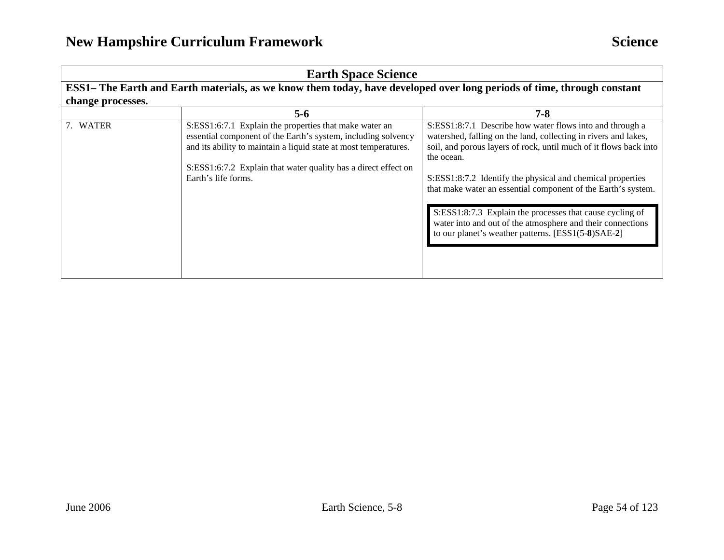| <b>Earth Space Science</b> |                                                                                                                                                                                                                                                                                      |                                                                                                                                                                                                                                                                                                                                                                                                                                                                                                                               |
|----------------------------|--------------------------------------------------------------------------------------------------------------------------------------------------------------------------------------------------------------------------------------------------------------------------------------|-------------------------------------------------------------------------------------------------------------------------------------------------------------------------------------------------------------------------------------------------------------------------------------------------------------------------------------------------------------------------------------------------------------------------------------------------------------------------------------------------------------------------------|
|                            | ESS1– The Earth and Earth materials, as we know them today, have developed over long periods of time, through constant                                                                                                                                                               |                                                                                                                                                                                                                                                                                                                                                                                                                                                                                                                               |
| change processes.          |                                                                                                                                                                                                                                                                                      |                                                                                                                                                                                                                                                                                                                                                                                                                                                                                                                               |
|                            | 5-6                                                                                                                                                                                                                                                                                  | $7 - 8$                                                                                                                                                                                                                                                                                                                                                                                                                                                                                                                       |
| 7. WATER                   | S:ESS1:6:7.1 Explain the properties that make water an<br>essential component of the Earth's system, including solvency<br>and its ability to maintain a liquid state at most temperatures.<br>S:ESS1:6:7.2 Explain that water quality has a direct effect on<br>Earth's life forms. | S:ESS1:8:7.1 Describe how water flows into and through a<br>watershed, falling on the land, collecting in rivers and lakes,<br>soil, and porous layers of rock, until much of it flows back into<br>the ocean.<br>S:ESS1:8:7.2 Identify the physical and chemical properties<br>that make water an essential component of the Earth's system.<br>S:ESS1:8:7.3 Explain the processes that cause cycling of<br>water into and out of the atmosphere and their connections<br>to our planet's weather patterns. [ESS1(5-8)SAE-2] |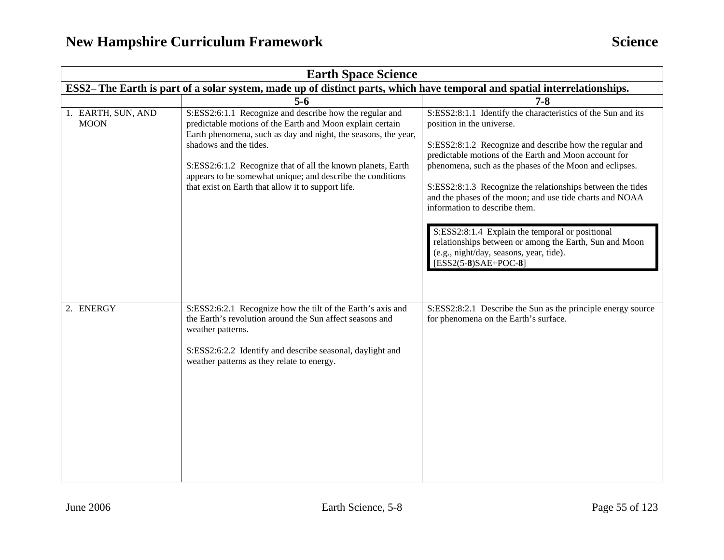| <b>Earth Space Science</b>                                                                                                |                                                                                                                                                                                                                                                                                                                                                                                                     |                                                                                                                                                                                                                                                                                                                                                                                                                                                                                                                                                                                                                       |
|---------------------------------------------------------------------------------------------------------------------------|-----------------------------------------------------------------------------------------------------------------------------------------------------------------------------------------------------------------------------------------------------------------------------------------------------------------------------------------------------------------------------------------------------|-----------------------------------------------------------------------------------------------------------------------------------------------------------------------------------------------------------------------------------------------------------------------------------------------------------------------------------------------------------------------------------------------------------------------------------------------------------------------------------------------------------------------------------------------------------------------------------------------------------------------|
| ESS2– The Earth is part of a solar system, made up of distinct parts, which have temporal and spatial interrelationships. |                                                                                                                                                                                                                                                                                                                                                                                                     |                                                                                                                                                                                                                                                                                                                                                                                                                                                                                                                                                                                                                       |
|                                                                                                                           | $5-6$                                                                                                                                                                                                                                                                                                                                                                                               | $7 - 8$                                                                                                                                                                                                                                                                                                                                                                                                                                                                                                                                                                                                               |
| 1. EARTH, SUN, AND<br><b>MOON</b>                                                                                         | S:ESS2:6:1.1 Recognize and describe how the regular and<br>predictable motions of the Earth and Moon explain certain<br>Earth phenomena, such as day and night, the seasons, the year,<br>shadows and the tides.<br>S:ESS2:6:1.2 Recognize that of all the known planets, Earth<br>appears to be somewhat unique; and describe the conditions<br>that exist on Earth that allow it to support life. | S:ESS2:8:1.1 Identify the characteristics of the Sun and its<br>position in the universe.<br>S:ESS2:8:1.2 Recognize and describe how the regular and<br>predictable motions of the Earth and Moon account for<br>phenomena, such as the phases of the Moon and eclipses.<br>S:ESS2:8:1.3 Recognize the relationships between the tides<br>and the phases of the moon; and use tide charts and NOAA<br>information to describe them.<br>S:ESS2:8:1.4 Explain the temporal or positional<br>relationships between or among the Earth, Sun and Moon<br>(e.g., night/day, seasons, year, tide).<br>$[ESS2(5-8)SAE+POC-8]$ |
| 2. ENERGY                                                                                                                 | S:ESS2:6:2.1 Recognize how the tilt of the Earth's axis and<br>the Earth's revolution around the Sun affect seasons and<br>weather patterns.<br>S:ESS2:6:2.2 Identify and describe seasonal, daylight and<br>weather patterns as they relate to energy.                                                                                                                                             | S:ESS2:8:2.1 Describe the Sun as the principle energy source<br>for phenomena on the Earth's surface.                                                                                                                                                                                                                                                                                                                                                                                                                                                                                                                 |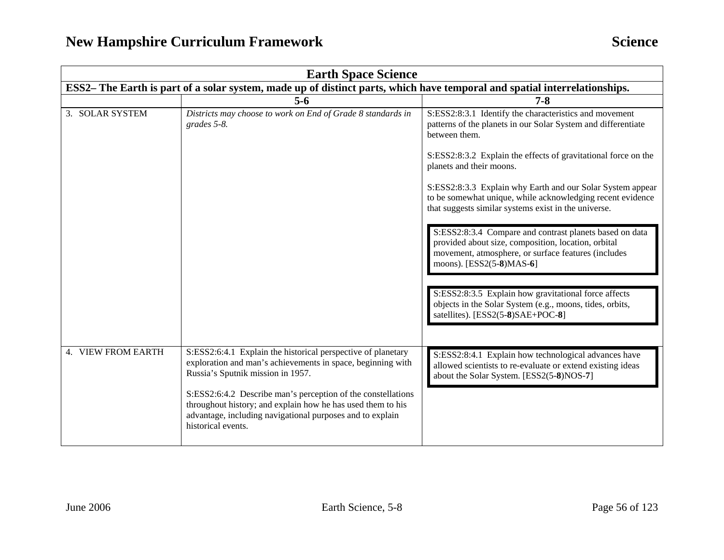| <b>Earth Space Science</b> |                                                                                                                                                                                                                                                                                                                                                                                    |                                                                                                                                                                                                   |  |
|----------------------------|------------------------------------------------------------------------------------------------------------------------------------------------------------------------------------------------------------------------------------------------------------------------------------------------------------------------------------------------------------------------------------|---------------------------------------------------------------------------------------------------------------------------------------------------------------------------------------------------|--|
|                            | ESS2– The Earth is part of a solar system, made up of distinct parts, which have temporal and spatial interrelationships.                                                                                                                                                                                                                                                          |                                                                                                                                                                                                   |  |
|                            | $5-6$                                                                                                                                                                                                                                                                                                                                                                              | $7 - 8$                                                                                                                                                                                           |  |
| 3. SOLAR SYSTEM            | Districts may choose to work on End of Grade 8 standards in<br>grades 5-8.                                                                                                                                                                                                                                                                                                         | S:ESS2:8:3.1 Identify the characteristics and movement<br>patterns of the planets in our Solar System and differentiate<br>between them.                                                          |  |
|                            |                                                                                                                                                                                                                                                                                                                                                                                    | S:ESS2:8:3.2 Explain the effects of gravitational force on the<br>planets and their moons.                                                                                                        |  |
|                            |                                                                                                                                                                                                                                                                                                                                                                                    | S:ESS2:8:3.3 Explain why Earth and our Solar System appear<br>to be somewhat unique, while acknowledging recent evidence<br>that suggests similar systems exist in the universe.                  |  |
|                            |                                                                                                                                                                                                                                                                                                                                                                                    | S:ESS2:8:3.4 Compare and contrast planets based on data<br>provided about size, composition, location, orbital<br>movement, atmosphere, or surface features (includes<br>moons). [ESS2(5-8)MAS-6] |  |
|                            |                                                                                                                                                                                                                                                                                                                                                                                    | S:ESS2:8:3.5 Explain how gravitational force affects<br>objects in the Solar System (e.g., moons, tides, orbits,<br>satellites). [ESS2(5-8)SAE+POC-8]                                             |  |
| 4. VIEW FROM EARTH         | S:ESS2:6:4.1 Explain the historical perspective of planetary<br>exploration and man's achievements in space, beginning with<br>Russia's Sputnik mission in 1957.<br>S:ESS2:6:4.2 Describe man's perception of the constellations<br>throughout history; and explain how he has used them to his<br>advantage, including navigational purposes and to explain<br>historical events. | S:ESS2:8:4.1 Explain how technological advances have<br>allowed scientists to re-evaluate or extend existing ideas<br>about the Solar System. [ESS2(5-8)NOS-7]                                    |  |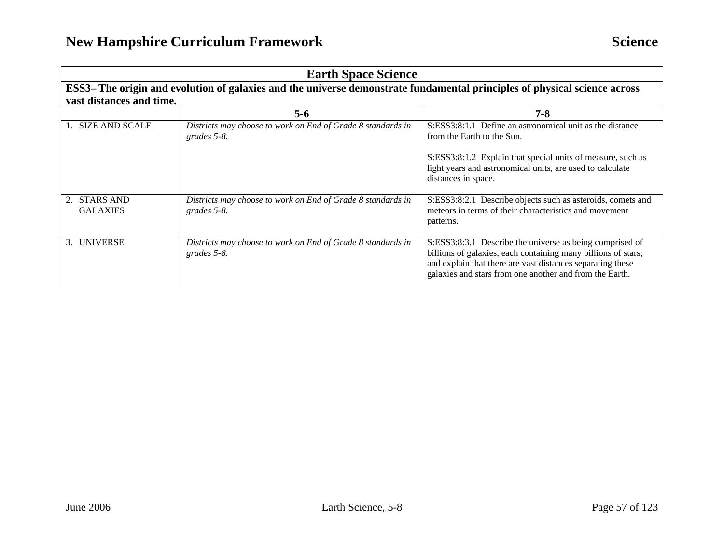| <b>Earth Space Science</b>      |                                                                                                                           |                                                                                                                                                                                                                                                    |  |
|---------------------------------|---------------------------------------------------------------------------------------------------------------------------|----------------------------------------------------------------------------------------------------------------------------------------------------------------------------------------------------------------------------------------------------|--|
|                                 | ESS3– The origin and evolution of galaxies and the universe demonstrate fundamental principles of physical science across |                                                                                                                                                                                                                                                    |  |
| vast distances and time.        |                                                                                                                           |                                                                                                                                                                                                                                                    |  |
|                                 | $5 - 6$                                                                                                                   | $7 - 8$                                                                                                                                                                                                                                            |  |
| 1. SIZE AND SCALE               | Districts may choose to work on End of Grade 8 standards in<br>grades 5-8.                                                | S:ESS3:8:1.1 Define an astronomical unit as the distance<br>from the Earth to the Sun.                                                                                                                                                             |  |
|                                 |                                                                                                                           | S:ESS3:8:1.2 Explain that special units of measure, such as<br>light years and astronomical units, are used to calculate<br>distances in space.                                                                                                    |  |
| 2. STARS AND<br><b>GALAXIES</b> | Districts may choose to work on End of Grade 8 standards in<br>grades 5-8.                                                | S:ESS3:8:2.1 Describe objects such as asteroids, comets and<br>meteors in terms of their characteristics and movement<br>patterns.                                                                                                                 |  |
| 3. UNIVERSE                     | Districts may choose to work on End of Grade 8 standards in<br>grades 5-8.                                                | S:ESS3:8:3.1 Describe the universe as being comprised of<br>billions of galaxies, each containing many billions of stars;<br>and explain that there are vast distances separating these<br>galaxies and stars from one another and from the Earth. |  |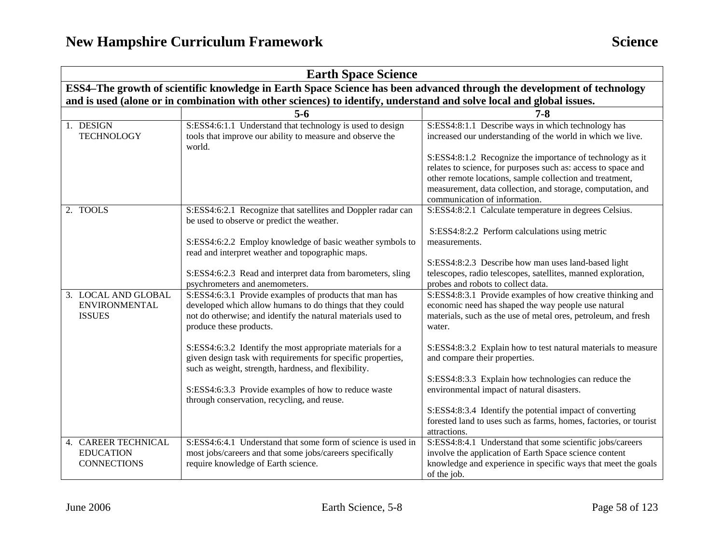| <b>Earth Space Science</b>                                    |                                                                                                                                                                                                                                                                                                                                                                                                                                                                                                             |                                                                                                                                                                                                                                                                                                                                                                                                                                                                                                                                                        |  |
|---------------------------------------------------------------|-------------------------------------------------------------------------------------------------------------------------------------------------------------------------------------------------------------------------------------------------------------------------------------------------------------------------------------------------------------------------------------------------------------------------------------------------------------------------------------------------------------|--------------------------------------------------------------------------------------------------------------------------------------------------------------------------------------------------------------------------------------------------------------------------------------------------------------------------------------------------------------------------------------------------------------------------------------------------------------------------------------------------------------------------------------------------------|--|
|                                                               | ESS4-The growth of scientific knowledge in Earth Space Science has been advanced through the development of technology                                                                                                                                                                                                                                                                                                                                                                                      |                                                                                                                                                                                                                                                                                                                                                                                                                                                                                                                                                        |  |
|                                                               | and is used (alone or in combination with other sciences) to identify, understand and solve local and global issues.                                                                                                                                                                                                                                                                                                                                                                                        |                                                                                                                                                                                                                                                                                                                                                                                                                                                                                                                                                        |  |
|                                                               | $5 - 6$                                                                                                                                                                                                                                                                                                                                                                                                                                                                                                     | $7 - 8$                                                                                                                                                                                                                                                                                                                                                                                                                                                                                                                                                |  |
| 1. DESIGN<br><b>TECHNOLOGY</b>                                | S:ESS4:6:1.1 Understand that technology is used to design<br>tools that improve our ability to measure and observe the<br>world.                                                                                                                                                                                                                                                                                                                                                                            | S:ESS4:8:1.1 Describe ways in which technology has<br>increased our understanding of the world in which we live.                                                                                                                                                                                                                                                                                                                                                                                                                                       |  |
|                                                               |                                                                                                                                                                                                                                                                                                                                                                                                                                                                                                             | S:ESS4:8:1.2 Recognize the importance of technology as it<br>relates to science, for purposes such as: access to space and<br>other remote locations, sample collection and treatment,<br>measurement, data collection, and storage, computation, and<br>communication of information.                                                                                                                                                                                                                                                                 |  |
| 2. TOOLS                                                      | S:ESS4:6:2.1 Recognize that satellites and Doppler radar can<br>be used to observe or predict the weather.<br>S:ESS4:6:2.2 Employ knowledge of basic weather symbols to<br>read and interpret weather and topographic maps.<br>S:ESS4:6:2.3 Read and interpret data from barometers, sling<br>psychrometers and anemometers.                                                                                                                                                                                | S:ESS4:8:2.1 Calculate temperature in degrees Celsius.<br>S:ESS4:8:2.2 Perform calculations using metric<br>measurements.<br>S:ESS4:8:2.3 Describe how man uses land-based light<br>telescopes, radio telescopes, satellites, manned exploration,<br>probes and robots to collect data.                                                                                                                                                                                                                                                                |  |
| 3. LOCAL AND GLOBAL<br><b>ENVIRONMENTAL</b><br><b>ISSUES</b>  | S:ESS4:6:3.1 Provide examples of products that man has<br>developed which allow humans to do things that they could<br>not do otherwise; and identify the natural materials used to<br>produce these products.<br>S:ESS4:6:3.2 Identify the most appropriate materials for a<br>given design task with requirements for specific properties,<br>such as weight, strength, hardness, and flexibility.<br>S:ESS4:6:3.3 Provide examples of how to reduce waste<br>through conservation, recycling, and reuse. | S:ESS4:8:3.1 Provide examples of how creative thinking and<br>economic need has shaped the way people use natural<br>materials, such as the use of metal ores, petroleum, and fresh<br>water.<br>S:ESS4:8:3.2 Explain how to test natural materials to measure<br>and compare their properties.<br>S:ESS4:8:3.3 Explain how technologies can reduce the<br>environmental impact of natural disasters.<br>S:ESS4:8:3.4 Identify the potential impact of converting<br>forested land to uses such as farms, homes, factories, or tourist<br>attractions. |  |
| 4. CAREER TECHNICAL<br><b>EDUCATION</b><br><b>CONNECTIONS</b> | S:ESS4:6:4.1 Understand that some form of science is used in<br>most jobs/careers and that some jobs/careers specifically<br>require knowledge of Earth science.                                                                                                                                                                                                                                                                                                                                            | S:ESS4:8:4.1 Understand that some scientific jobs/careers<br>involve the application of Earth Space science content<br>knowledge and experience in specific ways that meet the goals<br>of the job.                                                                                                                                                                                                                                                                                                                                                    |  |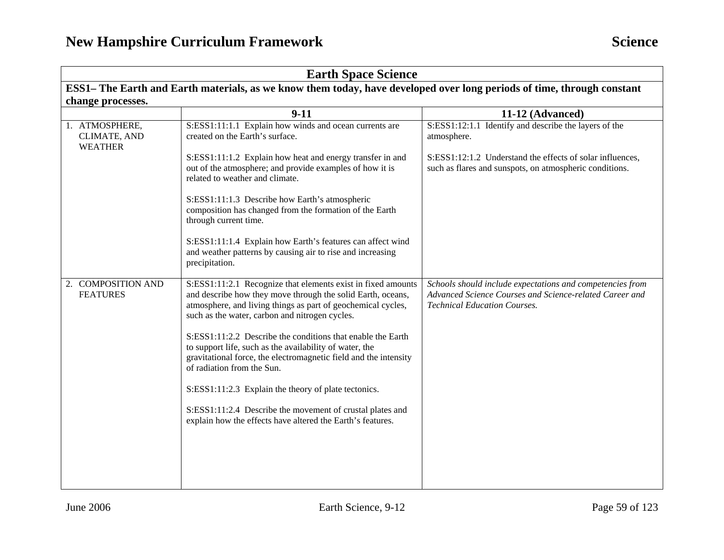| <b>Earth Space Science</b>                       |                                                                                                                                                                                                                                                                                                                                                                                                                                                                                                                                                                                                                                                              |                                                                                                                                                             |  |
|--------------------------------------------------|--------------------------------------------------------------------------------------------------------------------------------------------------------------------------------------------------------------------------------------------------------------------------------------------------------------------------------------------------------------------------------------------------------------------------------------------------------------------------------------------------------------------------------------------------------------------------------------------------------------------------------------------------------------|-------------------------------------------------------------------------------------------------------------------------------------------------------------|--|
|                                                  | ESS1– The Earth and Earth materials, as we know them today, have developed over long periods of time, through constant                                                                                                                                                                                                                                                                                                                                                                                                                                                                                                                                       |                                                                                                                                                             |  |
| change processes.                                |                                                                                                                                                                                                                                                                                                                                                                                                                                                                                                                                                                                                                                                              |                                                                                                                                                             |  |
|                                                  | $9 - 11$                                                                                                                                                                                                                                                                                                                                                                                                                                                                                                                                                                                                                                                     | 11-12 (Advanced)                                                                                                                                            |  |
| 1. ATMOSPHERE,<br>CLIMATE, AND<br><b>WEATHER</b> | S:ESS1:11:1.1 Explain how winds and ocean currents are<br>created on the Earth's surface.                                                                                                                                                                                                                                                                                                                                                                                                                                                                                                                                                                    | S:ESS1:12:1.1 Identify and describe the layers of the<br>atmosphere.                                                                                        |  |
|                                                  | S:ESS1:11:1.2 Explain how heat and energy transfer in and<br>out of the atmosphere; and provide examples of how it is<br>related to weather and climate.                                                                                                                                                                                                                                                                                                                                                                                                                                                                                                     | S:ESS1:12:1.2 Understand the effects of solar influences,<br>such as flares and sunspots, on atmospheric conditions.                                        |  |
|                                                  | S:ESS1:11:1.3 Describe how Earth's atmospheric<br>composition has changed from the formation of the Earth<br>through current time.                                                                                                                                                                                                                                                                                                                                                                                                                                                                                                                           |                                                                                                                                                             |  |
|                                                  | S:ESS1:11:1.4 Explain how Earth's features can affect wind<br>and weather patterns by causing air to rise and increasing<br>precipitation.                                                                                                                                                                                                                                                                                                                                                                                                                                                                                                                   |                                                                                                                                                             |  |
| 2. COMPOSITION AND<br><b>FEATURES</b>            | S:ESS1:11:2.1 Recognize that elements exist in fixed amounts<br>and describe how they move through the solid Earth, oceans,<br>atmosphere, and living things as part of geochemical cycles,<br>such as the water, carbon and nitrogen cycles.<br>S:ESS1:11:2.2 Describe the conditions that enable the Earth<br>to support life, such as the availability of water, the<br>gravitational force, the electromagnetic field and the intensity<br>of radiation from the Sun.<br>S:ESS1:11:2.3 Explain the theory of plate tectonics.<br>S:ESS1:11:2.4 Describe the movement of crustal plates and<br>explain how the effects have altered the Earth's features. | Schools should include expectations and competencies from<br>Advanced Science Courses and Science-related Career and<br><b>Technical Education Courses.</b> |  |
|                                                  |                                                                                                                                                                                                                                                                                                                                                                                                                                                                                                                                                                                                                                                              |                                                                                                                                                             |  |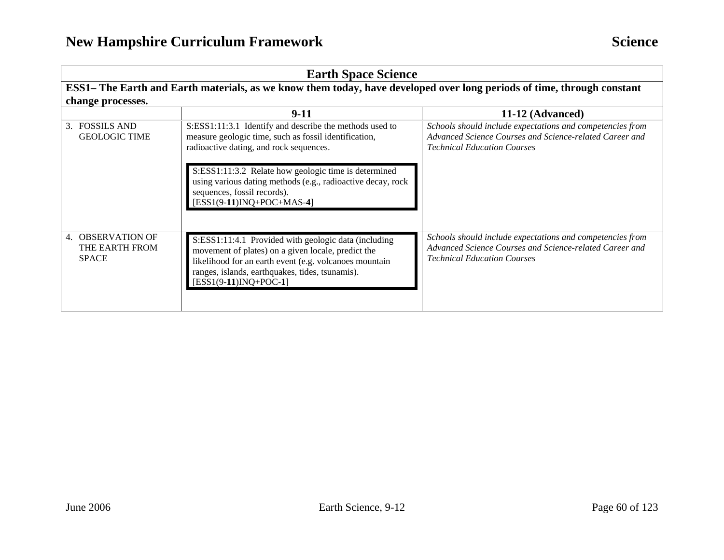| <b>Earth Space Science</b>                          |                                                                                                                                                                                                                                                                                                                                                  |                                                                                                                                                            |
|-----------------------------------------------------|--------------------------------------------------------------------------------------------------------------------------------------------------------------------------------------------------------------------------------------------------------------------------------------------------------------------------------------------------|------------------------------------------------------------------------------------------------------------------------------------------------------------|
|                                                     | ESS1– The Earth and Earth materials, as we know them today, have developed over long periods of time, through constant                                                                                                                                                                                                                           |                                                                                                                                                            |
| change processes.                                   |                                                                                                                                                                                                                                                                                                                                                  |                                                                                                                                                            |
|                                                     | $9-11$                                                                                                                                                                                                                                                                                                                                           | 11-12 (Advanced)                                                                                                                                           |
| 3. FOSSILS AND<br><b>GEOLOGIC TIME</b>              | S:ESS1:11:3.1 Identify and describe the methods used to<br>measure geologic time, such as fossil identification,<br>radioactive dating, and rock sequences.<br>S:ESS1:11:3.2 Relate how geologic time is determined<br>using various dating methods (e.g., radioactive decay, rock<br>sequences, fossil records).<br>$[ESS1(9-11)INQ+POC+MAS-4]$ | Schools should include expectations and competencies from<br>Advanced Science Courses and Science-related Career and<br><b>Technical Education Courses</b> |
| 4. OBSERVATION OF<br>THE EARTH FROM<br><b>SPACE</b> | S:ESS1:11:4.1 Provided with geologic data (including<br>movement of plates) on a given locale, predict the<br>likelihood for an earth event (e.g. volcanoes mountain<br>ranges, islands, earthquakes, tides, tsunamis).<br>$[ESS1(9-11)INQ+POC-1]$                                                                                               | Schools should include expectations and competencies from<br>Advanced Science Courses and Science-related Career and<br><b>Technical Education Courses</b> |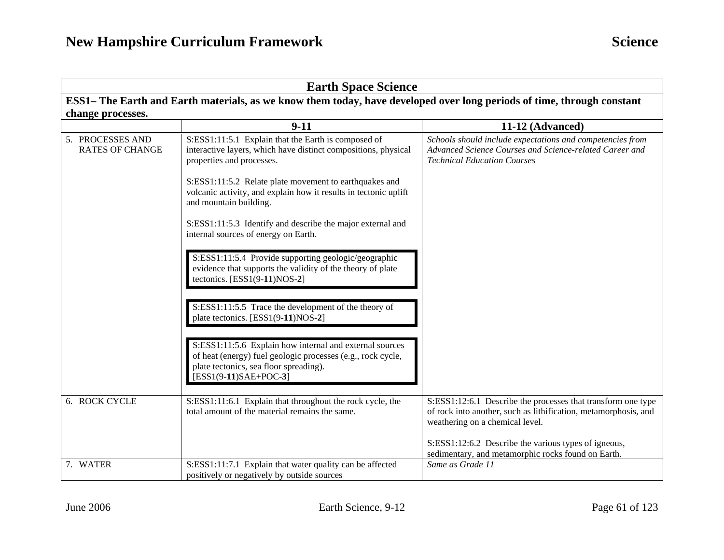| <b>Earth Space Science</b>                                                                                             |                                                                                                                                                                                                                                                                                                                                                                                                                  |                                                                                                                                                                                                                                                                                  |  |
|------------------------------------------------------------------------------------------------------------------------|------------------------------------------------------------------------------------------------------------------------------------------------------------------------------------------------------------------------------------------------------------------------------------------------------------------------------------------------------------------------------------------------------------------|----------------------------------------------------------------------------------------------------------------------------------------------------------------------------------------------------------------------------------------------------------------------------------|--|
| ESS1- The Earth and Earth materials, as we know them today, have developed over long periods of time, through constant |                                                                                                                                                                                                                                                                                                                                                                                                                  |                                                                                                                                                                                                                                                                                  |  |
| change processes.                                                                                                      |                                                                                                                                                                                                                                                                                                                                                                                                                  |                                                                                                                                                                                                                                                                                  |  |
|                                                                                                                        | $9-11$                                                                                                                                                                                                                                                                                                                                                                                                           | 11-12 (Advanced)                                                                                                                                                                                                                                                                 |  |
| 5. PROCESSES AND<br><b>RATES OF CHANGE</b>                                                                             | S:ESS1:11:5.1 Explain that the Earth is composed of<br>interactive layers, which have distinct compositions, physical<br>properties and processes.<br>S:ESS1:11:5.2 Relate plate movement to earthquakes and<br>volcanic activity, and explain how it results in tectonic uplift<br>and mountain building.<br>S:ESS1:11:5.3 Identify and describe the major external and<br>internal sources of energy on Earth. | Schools should include expectations and competencies from<br>Advanced Science Courses and Science-related Career and<br><b>Technical Education Courses</b>                                                                                                                       |  |
|                                                                                                                        | S:ESS1:11:5.4 Provide supporting geologic/geographic<br>evidence that supports the validity of the theory of plate<br>tectonics. [ESS1(9-11)NOS-2]<br>S:ESS1:11:5.5 Trace the development of the theory of<br>plate tectonics. [ESS1(9-11)NOS-2]                                                                                                                                                                 |                                                                                                                                                                                                                                                                                  |  |
|                                                                                                                        | S:ESS1:11:5.6 Explain how internal and external sources<br>of heat (energy) fuel geologic processes (e.g., rock cycle,<br>plate tectonics, sea floor spreading).<br>$[ESS1(9-11)SAE+POC-3]$                                                                                                                                                                                                                      |                                                                                                                                                                                                                                                                                  |  |
| 6. ROCK CYCLE                                                                                                          | S:ESS1:11:6.1 Explain that throughout the rock cycle, the<br>total amount of the material remains the same.                                                                                                                                                                                                                                                                                                      | S:ESS1:12:6.1 Describe the processes that transform one type<br>of rock into another, such as lithification, metamorphosis, and<br>weathering on a chemical level.<br>S:ESS1:12:6.2 Describe the various types of igneous,<br>sedimentary, and metamorphic rocks found on Earth. |  |
| 7. WATER                                                                                                               | S:ESS1:11:7.1 Explain that water quality can be affected<br>positively or negatively by outside sources                                                                                                                                                                                                                                                                                                          | Same as Grade 11                                                                                                                                                                                                                                                                 |  |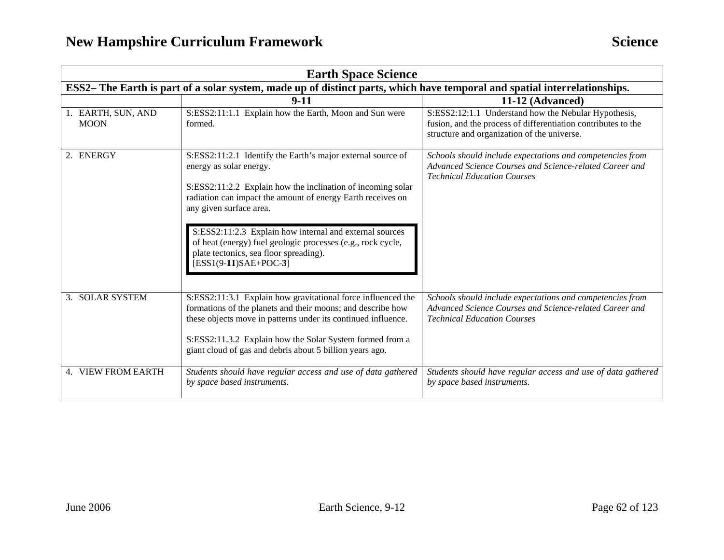| <b>Earth Space Science</b>                                                                                                |                                                                                                                                                                                                                                                                                                                                                                                                                                                |                                                                                                                                                                      |  |
|---------------------------------------------------------------------------------------------------------------------------|------------------------------------------------------------------------------------------------------------------------------------------------------------------------------------------------------------------------------------------------------------------------------------------------------------------------------------------------------------------------------------------------------------------------------------------------|----------------------------------------------------------------------------------------------------------------------------------------------------------------------|--|
| ESS2- The Earth is part of a solar system, made up of distinct parts, which have temporal and spatial interrelationships. |                                                                                                                                                                                                                                                                                                                                                                                                                                                |                                                                                                                                                                      |  |
|                                                                                                                           | $9-11$                                                                                                                                                                                                                                                                                                                                                                                                                                         | 11-12 (Advanced)                                                                                                                                                     |  |
| 1. EARTH, SUN, AND<br><b>MOON</b>                                                                                         | S:ESS2:11:1.1 Explain how the Earth, Moon and Sun were<br>formed.                                                                                                                                                                                                                                                                                                                                                                              | S:ESS2:12:1.1 Understand how the Nebular Hypothesis,<br>fusion, and the process of differentiation contributes to the<br>structure and organization of the universe. |  |
| 2. ENERGY                                                                                                                 | S:ESS2:11:2.1 Identify the Earth's major external source of<br>energy as solar energy.<br>S:ESS2:11:2.2 Explain how the inclination of incoming solar<br>radiation can impact the amount of energy Earth receives on<br>any given surface area.<br>S:ESS2:11:2.3 Explain how internal and external sources<br>of heat (energy) fuel geologic processes (e.g., rock cycle,<br>plate tectonics, sea floor spreading).<br>$[ESS1(9-11)SAE+POC-3]$ | Schools should include expectations and competencies from<br>Advanced Science Courses and Science-related Career and<br><b>Technical Education Courses</b>           |  |
| 3. SOLAR SYSTEM                                                                                                           | S:ESS2:11:3.1 Explain how gravitational force influenced the<br>formations of the planets and their moons; and describe how<br>these objects move in patterns under its continued influence.<br>S:ESS2:11.3.2 Explain how the Solar System formed from a<br>giant cloud of gas and debris about 5 billion years ago.                                                                                                                           | Schools should include expectations and competencies from<br>Advanced Science Courses and Science-related Career and<br><b>Technical Education Courses</b>           |  |
| 4. VIEW FROM EARTH                                                                                                        | Students should have regular access and use of data gathered<br>by space based instruments.                                                                                                                                                                                                                                                                                                                                                    | Students should have regular access and use of data gathered<br>by space based instruments.                                                                          |  |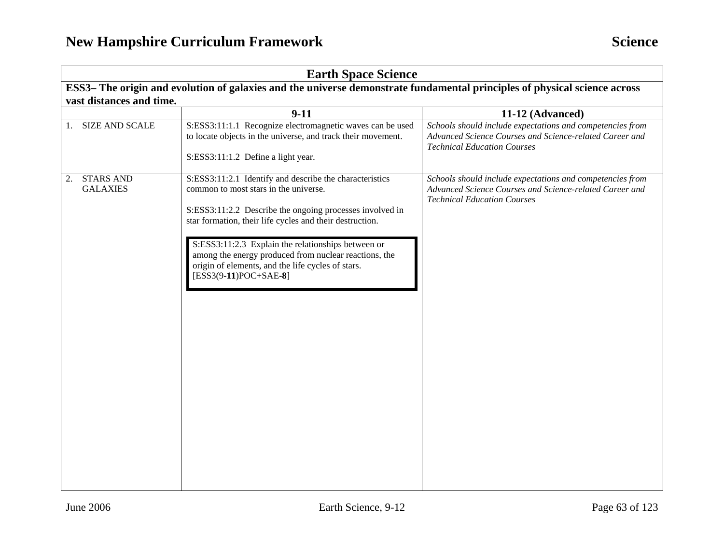| <b>Earth Space Science</b>                                                                                                |                                                                                                                                                                                                                                                                                                                                                                                                                         |                                                                                                                                                            |
|---------------------------------------------------------------------------------------------------------------------------|-------------------------------------------------------------------------------------------------------------------------------------------------------------------------------------------------------------------------------------------------------------------------------------------------------------------------------------------------------------------------------------------------------------------------|------------------------------------------------------------------------------------------------------------------------------------------------------------|
| ESS3- The origin and evolution of galaxies and the universe demonstrate fundamental principles of physical science across |                                                                                                                                                                                                                                                                                                                                                                                                                         |                                                                                                                                                            |
| vast distances and time.                                                                                                  |                                                                                                                                                                                                                                                                                                                                                                                                                         |                                                                                                                                                            |
|                                                                                                                           | $9 - 11$                                                                                                                                                                                                                                                                                                                                                                                                                | 11-12 (Advanced)                                                                                                                                           |
| <b>SIZE AND SCALE</b><br>1.                                                                                               | S:ESS3:11:1.1 Recognize electromagnetic waves can be used<br>to locate objects in the universe, and track their movement.<br>S:ESS3:11:1.2 Define a light year.                                                                                                                                                                                                                                                         | Schools should include expectations and competencies from<br>Advanced Science Courses and Science-related Career and<br><b>Technical Education Courses</b> |
| <b>STARS AND</b><br>2.<br><b>GALAXIES</b>                                                                                 | S:ESS3:11:2.1 Identify and describe the characteristics<br>common to most stars in the universe.<br>S:ESS3:11:2.2 Describe the ongoing processes involved in<br>star formation, their life cycles and their destruction.<br>S:ESS3:11:2.3 Explain the relationships between or<br>among the energy produced from nuclear reactions, the<br>origin of elements, and the life cycles of stars.<br>$[ESS3(9-11)POC+SAE-8]$ | Schools should include expectations and competencies from<br>Advanced Science Courses and Science-related Career and<br><b>Technical Education Courses</b> |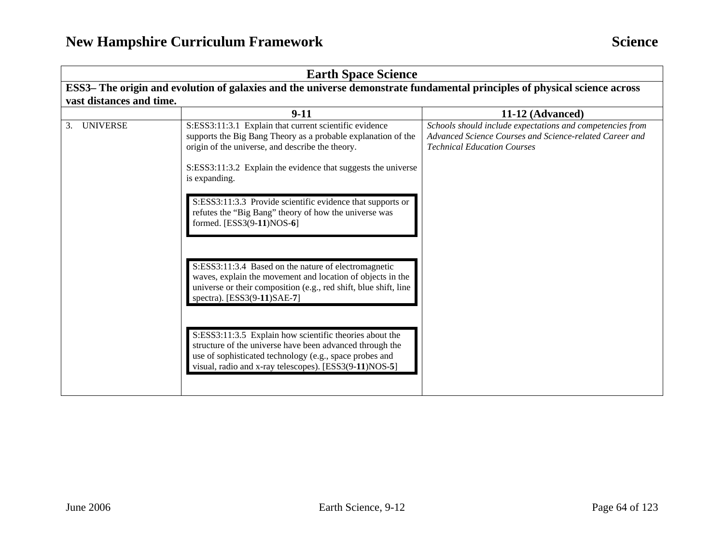| <b>Earth Space Science</b>                                                                                                |                                                                                                                                                                                                                                                                                                                             |                                                                                                                                                            |
|---------------------------------------------------------------------------------------------------------------------------|-----------------------------------------------------------------------------------------------------------------------------------------------------------------------------------------------------------------------------------------------------------------------------------------------------------------------------|------------------------------------------------------------------------------------------------------------------------------------------------------------|
| ESS3– The origin and evolution of galaxies and the universe demonstrate fundamental principles of physical science across |                                                                                                                                                                                                                                                                                                                             |                                                                                                                                                            |
| vast distances and time.                                                                                                  |                                                                                                                                                                                                                                                                                                                             |                                                                                                                                                            |
|                                                                                                                           | $9-11$                                                                                                                                                                                                                                                                                                                      | 11-12 (Advanced)                                                                                                                                           |
| <b>UNIVERSE</b><br>3.                                                                                                     | S:ESS3:11:3.1 Explain that current scientific evidence<br>supports the Big Bang Theory as a probable explanation of the<br>origin of the universe, and describe the theory.<br>S:ESS3:11:3.2 Explain the evidence that suggests the universe<br>is expanding.<br>S:ESS3:11:3.3 Provide scientific evidence that supports or | Schools should include expectations and competencies from<br>Advanced Science Courses and Science-related Career and<br><b>Technical Education Courses</b> |
|                                                                                                                           | refutes the "Big Bang" theory of how the universe was<br>formed. [ESS3(9-11)NOS-6]<br>S:ESS3:11:3.4 Based on the nature of electromagnetic                                                                                                                                                                                  |                                                                                                                                                            |
|                                                                                                                           | waves, explain the movement and location of objects in the<br>universe or their composition (e.g., red shift, blue shift, line<br>spectra). [ESS3(9-11)SAE-7]                                                                                                                                                               |                                                                                                                                                            |
|                                                                                                                           | S:ESS3:11:3.5 Explain how scientific theories about the<br>structure of the universe have been advanced through the<br>use of sophisticated technology (e.g., space probes and<br>visual, radio and x-ray telescopes). [ESS3(9-11)NOS-5]                                                                                    |                                                                                                                                                            |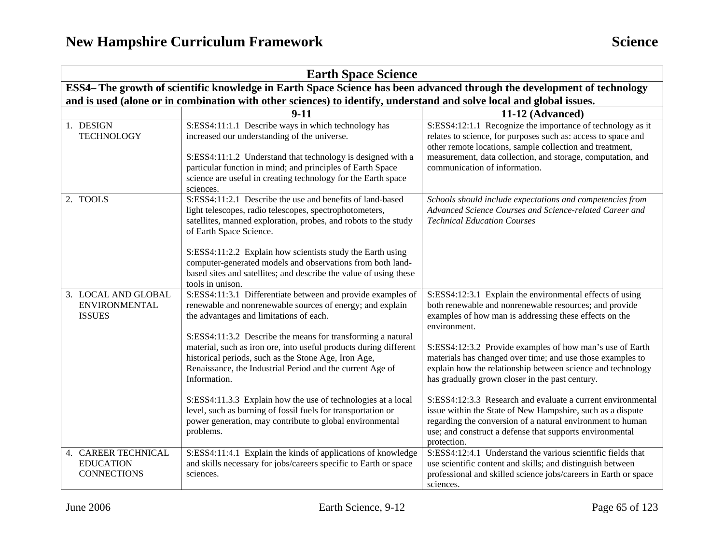|                                                                                                                         | <b>Earth Space Science</b>                                    |                                                                                                                                                                                                                                                                                                                                                                                                                                                                                                                                                                                                                                                       |                                                                                                                                                                                                                                                                                                                                                                                                                                                                                                                                                                                                                                                                                                                |  |
|-------------------------------------------------------------------------------------------------------------------------|---------------------------------------------------------------|-------------------------------------------------------------------------------------------------------------------------------------------------------------------------------------------------------------------------------------------------------------------------------------------------------------------------------------------------------------------------------------------------------------------------------------------------------------------------------------------------------------------------------------------------------------------------------------------------------------------------------------------------------|----------------------------------------------------------------------------------------------------------------------------------------------------------------------------------------------------------------------------------------------------------------------------------------------------------------------------------------------------------------------------------------------------------------------------------------------------------------------------------------------------------------------------------------------------------------------------------------------------------------------------------------------------------------------------------------------------------------|--|
| ESS4– The growth of scientific knowledge in Earth Space Science has been advanced through the development of technology |                                                               |                                                                                                                                                                                                                                                                                                                                                                                                                                                                                                                                                                                                                                                       |                                                                                                                                                                                                                                                                                                                                                                                                                                                                                                                                                                                                                                                                                                                |  |
|                                                                                                                         |                                                               | and is used (alone or in combination with other sciences) to identify, understand and solve local and global issues.                                                                                                                                                                                                                                                                                                                                                                                                                                                                                                                                  |                                                                                                                                                                                                                                                                                                                                                                                                                                                                                                                                                                                                                                                                                                                |  |
|                                                                                                                         |                                                               | $9 - 11$                                                                                                                                                                                                                                                                                                                                                                                                                                                                                                                                                                                                                                              | 11-12 (Advanced)                                                                                                                                                                                                                                                                                                                                                                                                                                                                                                                                                                                                                                                                                               |  |
| 1. DESIGN                                                                                                               | <b>TECHNOLOGY</b>                                             | S:ESS4:11:1.1 Describe ways in which technology has<br>increased our understanding of the universe.<br>S:ESS4:11:1.2 Understand that technology is designed with a<br>particular function in mind; and principles of Earth Space<br>science are useful in creating technology for the Earth space<br>sciences.                                                                                                                                                                                                                                                                                                                                        | S:ESS4:12:1.1 Recognize the importance of technology as it<br>relates to science, for purposes such as: access to space and<br>other remote locations, sample collection and treatment,<br>measurement, data collection, and storage, computation, and<br>communication of information.                                                                                                                                                                                                                                                                                                                                                                                                                        |  |
| 2. TOOLS                                                                                                                |                                                               | S:ESS4:11:2.1 Describe the use and benefits of land-based<br>light telescopes, radio telescopes, spectrophotometers,<br>satellites, manned exploration, probes, and robots to the study<br>of Earth Space Science.<br>S:ESS4:11:2.2 Explain how scientists study the Earth using<br>computer-generated models and observations from both land-<br>based sites and satellites; and describe the value of using these<br>tools in unison.                                                                                                                                                                                                               | Schools should include expectations and competencies from<br>Advanced Science Courses and Science-related Career and<br><b>Technical Education Courses</b>                                                                                                                                                                                                                                                                                                                                                                                                                                                                                                                                                     |  |
| <b>ISSUES</b>                                                                                                           | 3. LOCAL AND GLOBAL<br><b>ENVIRONMENTAL</b>                   | S:ESS4:11:3.1 Differentiate between and provide examples of<br>renewable and nonrenewable sources of energy; and explain<br>the advantages and limitations of each.<br>S:ESS4:11:3.2 Describe the means for transforming a natural<br>material, such as iron ore, into useful products during different<br>historical periods, such as the Stone Age, Iron Age,<br>Renaissance, the Industrial Period and the current Age of<br>Information.<br>S:ESS4:11.3.3 Explain how the use of technologies at a local<br>level, such as burning of fossil fuels for transportation or<br>power generation, may contribute to global environmental<br>problems. | S:ESS4:12:3.1 Explain the environmental effects of using<br>both renewable and nonrenewable resources; and provide<br>examples of how man is addressing these effects on the<br>environment.<br>S:ESS4:12:3.2 Provide examples of how man's use of Earth<br>materials has changed over time; and use those examples to<br>explain how the relationship between science and technology<br>has gradually grown closer in the past century.<br>S:ESS4:12:3.3 Research and evaluate a current environmental<br>issue within the State of New Hampshire, such as a dispute<br>regarding the conversion of a natural environment to human<br>use; and construct a defense that supports environmental<br>protection. |  |
|                                                                                                                         | 4. CAREER TECHNICAL<br><b>EDUCATION</b><br><b>CONNECTIONS</b> | S:ESS4:11:4.1 Explain the kinds of applications of knowledge<br>and skills necessary for jobs/careers specific to Earth or space<br>sciences.                                                                                                                                                                                                                                                                                                                                                                                                                                                                                                         | S:ESS4:12:4.1 Understand the various scientific fields that<br>use scientific content and skills; and distinguish between<br>professional and skilled science jobs/careers in Earth or space<br>sciences.                                                                                                                                                                                                                                                                                                                                                                                                                                                                                                      |  |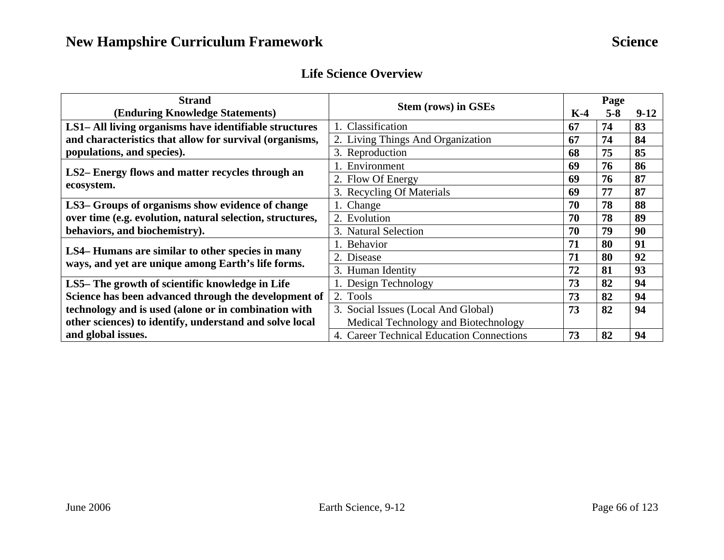### **Life Science Overview**

| <b>Strand</b>                                             | <b>Stem (rows) in GSEs</b>                |    | Page    |        |  |
|-----------------------------------------------------------|-------------------------------------------|----|---------|--------|--|
| (Enduring Knowledge Statements)                           |                                           |    | $5 - 8$ | $9-12$ |  |
| LS1-All living organisms have identifiable structures     | 1. Classification                         | 67 | 74      | 83     |  |
| and characteristics that allow for survival (organisms,   | 2. Living Things And Organization         | 67 | 74      | 84     |  |
| populations, and species).                                | 3. Reproduction                           | 68 | 75      | 85     |  |
| LS2– Energy flows and matter recycles through an          | . Environment                             | 69 | 76      | 86     |  |
| ecosystem.                                                | 2. Flow Of Energy                         | 69 | 76      | 87     |  |
|                                                           | 3. Recycling Of Materials                 | 69 | 77      | 87     |  |
| LS3- Groups of organisms show evidence of change          | 1. Change                                 | 70 | 78      | 88     |  |
| over time (e.g. evolution, natural selection, structures, | 2. Evolution                              | 70 | 78      | 89     |  |
| behaviors, and biochemistry).                             | 3. Natural Selection                      | 70 | 79      | 90     |  |
| LS4– Humans are similar to other species in many          | 1. Behavior                               | 71 | 80      | 91     |  |
| ways, and yet are unique among Earth's life forms.        | 2. Disease                                | 71 | 80      | 92     |  |
|                                                           | 3. Human Identity                         | 72 | 81      | 93     |  |
| LS5– The growth of scientific knowledge in Life           | 1. Design Technology                      | 73 | 82      | 94     |  |
| Science has been advanced through the development of      | 2. Tools                                  | 73 | 82      | 94     |  |
| technology and is used (alone or in combination with      | 3. Social Issues (Local And Global)       | 73 | 82      | 94     |  |
| other sciences) to identify, understand and solve local   | Medical Technology and Biotechnology      |    |         |        |  |
| and global issues.                                        | 4. Career Technical Education Connections | 73 | 82      | 94     |  |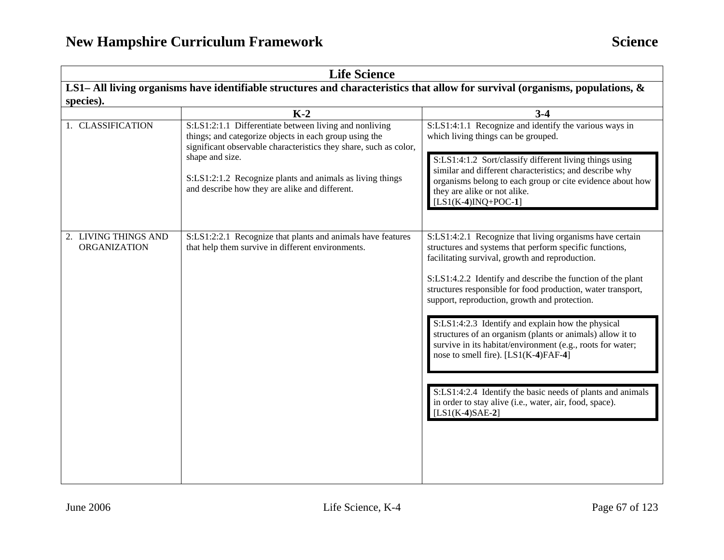| <b>Life Science</b>                  |                                                                                                                                                                                                          |                                                                                                                                                                                                                                                                                                                                                                                                                                                                                                                                                                                                                                                                                                                              |  |
|--------------------------------------|----------------------------------------------------------------------------------------------------------------------------------------------------------------------------------------------------------|------------------------------------------------------------------------------------------------------------------------------------------------------------------------------------------------------------------------------------------------------------------------------------------------------------------------------------------------------------------------------------------------------------------------------------------------------------------------------------------------------------------------------------------------------------------------------------------------------------------------------------------------------------------------------------------------------------------------------|--|
|                                      | LS1– All living organisms have identifiable structures and characteristics that allow for survival (organisms, populations, $\&$                                                                         |                                                                                                                                                                                                                                                                                                                                                                                                                                                                                                                                                                                                                                                                                                                              |  |
| species).                            |                                                                                                                                                                                                          |                                                                                                                                                                                                                                                                                                                                                                                                                                                                                                                                                                                                                                                                                                                              |  |
|                                      | $K-2$                                                                                                                                                                                                    | $3-4$                                                                                                                                                                                                                                                                                                                                                                                                                                                                                                                                                                                                                                                                                                                        |  |
| 1. CLASSIFICATION                    | S:LS1:2:1.1 Differentiate between living and nonliving<br>things; and categorize objects in each group using the<br>significant observable characteristics they share, such as color,<br>shape and size. | S:LS1:4:1.1 Recognize and identify the various ways in<br>which living things can be grouped.                                                                                                                                                                                                                                                                                                                                                                                                                                                                                                                                                                                                                                |  |
|                                      | S:LS1:2:1.2 Recognize plants and animals as living things<br>and describe how they are alike and different.                                                                                              | S:LS1:4:1.2 Sort/classify different living things using<br>similar and different characteristics; and describe why<br>organisms belong to each group or cite evidence about how<br>they are alike or not alike.<br>$[LS1(K-4)INQ+POC-1]$                                                                                                                                                                                                                                                                                                                                                                                                                                                                                     |  |
| 2. LIVING THINGS AND<br>ORGANIZATION | S:LS1:2:2.1 Recognize that plants and animals have features<br>that help them survive in different environments.                                                                                         | S:LS1:4:2.1 Recognize that living organisms have certain<br>structures and systems that perform specific functions,<br>facilitating survival, growth and reproduction.<br>S:LS1:4.2.2 Identify and describe the function of the plant<br>structures responsible for food production, water transport,<br>support, reproduction, growth and protection.<br>S:LS1:4:2.3 Identify and explain how the physical<br>structures of an organism (plants or animals) allow it to<br>survive in its habitat/environment (e.g., roots for water;<br>nose to smell fire). [LS1(K-4)FAF-4]<br>S:LS1:4:2.4 Identify the basic needs of plants and animals<br>in order to stay alive (i.e., water, air, food, space).<br>$[LS1(K-4)SAE-2]$ |  |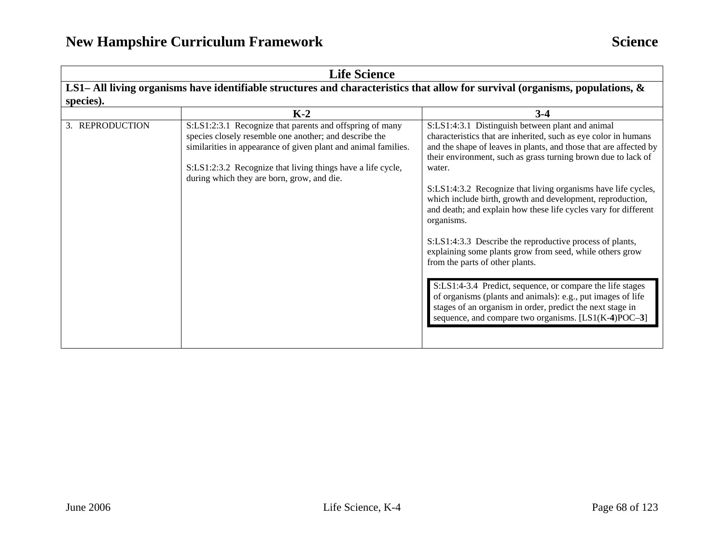| <b>Life Science</b> |                                                                                                                                                                                                                                                                                                   |                                                                                                                                                                                                                                                                                                                                                                                                                                                                                                                                                                                                                                                                                                                                                                                                                                                                                                 |  |  |
|---------------------|---------------------------------------------------------------------------------------------------------------------------------------------------------------------------------------------------------------------------------------------------------------------------------------------------|-------------------------------------------------------------------------------------------------------------------------------------------------------------------------------------------------------------------------------------------------------------------------------------------------------------------------------------------------------------------------------------------------------------------------------------------------------------------------------------------------------------------------------------------------------------------------------------------------------------------------------------------------------------------------------------------------------------------------------------------------------------------------------------------------------------------------------------------------------------------------------------------------|--|--|
|                     | LS1– All living organisms have identifiable structures and characteristics that allow for survival (organisms, populations, &                                                                                                                                                                     |                                                                                                                                                                                                                                                                                                                                                                                                                                                                                                                                                                                                                                                                                                                                                                                                                                                                                                 |  |  |
| species).           |                                                                                                                                                                                                                                                                                                   |                                                                                                                                                                                                                                                                                                                                                                                                                                                                                                                                                                                                                                                                                                                                                                                                                                                                                                 |  |  |
|                     | $K-2$                                                                                                                                                                                                                                                                                             | $3-4$                                                                                                                                                                                                                                                                                                                                                                                                                                                                                                                                                                                                                                                                                                                                                                                                                                                                                           |  |  |
| 3. REPRODUCTION     | S:LS1:2:3.1 Recognize that parents and offspring of many<br>species closely resemble one another; and describe the<br>similarities in appearance of given plant and animal families.<br>S:LS1:2:3.2 Recognize that living things have a life cycle,<br>during which they are born, grow, and die. | S:LS1:4:3.1 Distinguish between plant and animal<br>characteristics that are inherited, such as eye color in humans<br>and the shape of leaves in plants, and those that are affected by<br>their environment, such as grass turning brown due to lack of<br>water.<br>S:LS1:4:3.2 Recognize that living organisms have life cycles,<br>which include birth, growth and development, reproduction,<br>and death; and explain how these life cycles vary for different<br>organisms.<br>S:LS1:4:3.3 Describe the reproductive process of plants,<br>explaining some plants grow from seed, while others grow<br>from the parts of other plants.<br>S:LS1:4-3.4 Predict, sequence, or compare the life stages<br>of organisms (plants and animals): e.g., put images of life<br>stages of an organism in order, predict the next stage in<br>sequence, and compare two organisms. [LS1(K-4)POC-3] |  |  |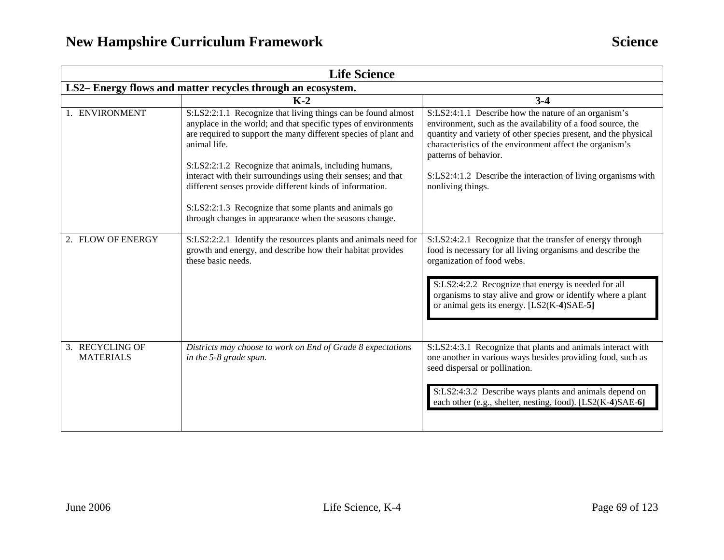| <b>Life Science</b>                                                                                                                                                                                               |                                                                                                                                                                                                                                                                                      |  |  |  |
|-------------------------------------------------------------------------------------------------------------------------------------------------------------------------------------------------------------------|--------------------------------------------------------------------------------------------------------------------------------------------------------------------------------------------------------------------------------------------------------------------------------------|--|--|--|
| LS2-Energy flows and matter recycles through an ecosystem.                                                                                                                                                        |                                                                                                                                                                                                                                                                                      |  |  |  |
| $K-2$                                                                                                                                                                                                             | $3-4$                                                                                                                                                                                                                                                                                |  |  |  |
| S:LS2:2:1.1 Recognize that living things can be found almost<br>anyplace in the world; and that specific types of environments<br>are required to support the many different species of plant and<br>animal life. | S:LS2:4:1.1 Describe how the nature of an organism's<br>environment, such as the availability of a food source, the<br>quantity and variety of other species present, and the physical<br>characteristics of the environment affect the organism's<br>patterns of behavior.          |  |  |  |
| interact with their surroundings using their senses; and that<br>different senses provide different kinds of information.                                                                                         | S:LS2:4:1.2 Describe the interaction of living organisms with<br>nonliving things.                                                                                                                                                                                                   |  |  |  |
| S:LS2:2:1.3 Recognize that some plants and animals go<br>through changes in appearance when the seasons change.                                                                                                   |                                                                                                                                                                                                                                                                                      |  |  |  |
| growth and energy, and describe how their habitat provides<br>these basic needs.                                                                                                                                  | S:LS2:4:2.1 Recognize that the transfer of energy through<br>food is necessary for all living organisms and describe the<br>organization of food webs.                                                                                                                               |  |  |  |
|                                                                                                                                                                                                                   | S:LS2:4:2.2 Recognize that energy is needed for all<br>organisms to stay alive and grow or identify where a plant<br>or animal gets its energy. [LS2(K-4)SAE-5]                                                                                                                      |  |  |  |
| Districts may choose to work on End of Grade 8 expectations<br>in the 5-8 grade span.                                                                                                                             | S:LS2:4:3.1 Recognize that plants and animals interact with<br>one another in various ways besides providing food, such as<br>seed dispersal or pollination.<br>S:LS2:4:3.2 Describe ways plants and animals depend on<br>each other (e.g., shelter, nesting, food). [LS2(K-4)SAE-6] |  |  |  |
|                                                                                                                                                                                                                   | S:LS2:2:1.2 Recognize that animals, including humans,<br>S:LS2:2:2.1 Identify the resources plants and animals need for                                                                                                                                                              |  |  |  |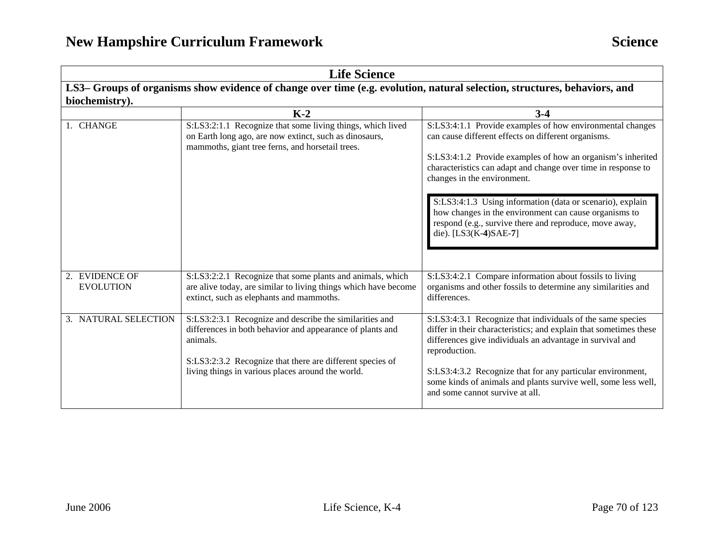| <b>Life Science</b>                                                                                                                        |                                                                                                                                                                                                                                                    |                                                                                                                                                                                                                                                                                                                                                                                  |  |
|--------------------------------------------------------------------------------------------------------------------------------------------|----------------------------------------------------------------------------------------------------------------------------------------------------------------------------------------------------------------------------------------------------|----------------------------------------------------------------------------------------------------------------------------------------------------------------------------------------------------------------------------------------------------------------------------------------------------------------------------------------------------------------------------------|--|
| LS3-Groups of organisms show evidence of change over time (e.g. evolution, natural selection, structures, behaviors, and<br>biochemistry). |                                                                                                                                                                                                                                                    |                                                                                                                                                                                                                                                                                                                                                                                  |  |
|                                                                                                                                            | $K-2$                                                                                                                                                                                                                                              | $3-4$                                                                                                                                                                                                                                                                                                                                                                            |  |
| 1. CHANGE                                                                                                                                  | S:LS3:2:1.1 Recognize that some living things, which lived<br>on Earth long ago, are now extinct, such as dinosaurs,<br>mammoths, giant tree ferns, and horsetail trees.                                                                           | S:LS3:4:1.1 Provide examples of how environmental changes<br>can cause different effects on different organisms.<br>S:LS3:4:1.2 Provide examples of how an organism's inherited<br>characteristics can adapt and change over time in response to<br>changes in the environment.                                                                                                  |  |
|                                                                                                                                            |                                                                                                                                                                                                                                                    | S:LS3:4:1.3 Using information (data or scenario), explain<br>how changes in the environment can cause organisms to<br>respond (e.g., survive there and reproduce, move away,<br>die). [LS3(K-4)SAE-7]                                                                                                                                                                            |  |
| 2. EVIDENCE OF<br><b>EVOLUTION</b>                                                                                                         | S:LS3:2:2.1 Recognize that some plants and animals, which<br>are alive today, are similar to living things which have become<br>extinct, such as elephants and mammoths.                                                                           | S:LS3:4:2.1 Compare information about fossils to living<br>organisms and other fossils to determine any similarities and<br>differences.                                                                                                                                                                                                                                         |  |
| 3. NATURAL SELECTION                                                                                                                       | S:LS3:2:3.1 Recognize and describe the similarities and<br>differences in both behavior and appearance of plants and<br>animals.<br>S:LS3:2:3.2 Recognize that there are different species of<br>living things in various places around the world. | S:LS3:4:3.1 Recognize that individuals of the same species<br>differ in their characteristics; and explain that sometimes these<br>differences give individuals an advantage in survival and<br>reproduction.<br>S:LS3:4:3.2 Recognize that for any particular environment,<br>some kinds of animals and plants survive well, some less well,<br>and some cannot survive at all. |  |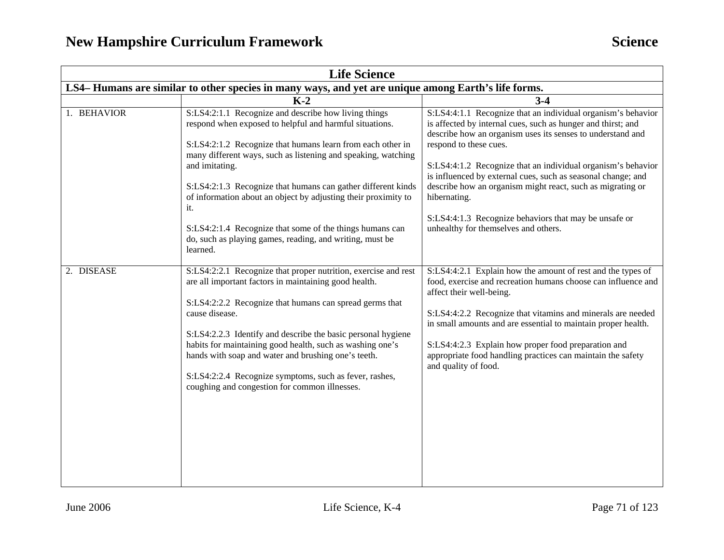| <b>Life Science</b>                                                                                |                                                                                                                                                                                                                                                                                                                                                                                                                                                                                                     |                                                                                                                                                                                                                                                                                                                                                                                                                                                                                                                                     |  |
|----------------------------------------------------------------------------------------------------|-----------------------------------------------------------------------------------------------------------------------------------------------------------------------------------------------------------------------------------------------------------------------------------------------------------------------------------------------------------------------------------------------------------------------------------------------------------------------------------------------------|-------------------------------------------------------------------------------------------------------------------------------------------------------------------------------------------------------------------------------------------------------------------------------------------------------------------------------------------------------------------------------------------------------------------------------------------------------------------------------------------------------------------------------------|--|
| LS4-Humans are similar to other species in many ways, and yet are unique among Earth's life forms. |                                                                                                                                                                                                                                                                                                                                                                                                                                                                                                     |                                                                                                                                                                                                                                                                                                                                                                                                                                                                                                                                     |  |
|                                                                                                    | $K-2$                                                                                                                                                                                                                                                                                                                                                                                                                                                                                               | $3-4$                                                                                                                                                                                                                                                                                                                                                                                                                                                                                                                               |  |
| 1. BEHAVIOR                                                                                        | S:LS4:2:1.1 Recognize and describe how living things<br>respond when exposed to helpful and harmful situations.<br>S:LS4:2:1.2 Recognize that humans learn from each other in<br>many different ways, such as listening and speaking, watching<br>and imitating.<br>S:LS4:2:1.3 Recognize that humans can gather different kinds<br>of information about an object by adjusting their proximity to<br>it.<br>S:LS4:2:1.4 Recognize that some of the things humans can                               | S:LS4:4:1.1 Recognize that an individual organism's behavior<br>is affected by internal cues, such as hunger and thirst; and<br>describe how an organism uses its senses to understand and<br>respond to these cues.<br>S:LS4:4:1.2 Recognize that an individual organism's behavior<br>is influenced by external cues, such as seasonal change; and<br>describe how an organism might react, such as migrating or<br>hibernating.<br>S:LS4:4:1.3 Recognize behaviors that may be unsafe or<br>unhealthy for themselves and others. |  |
|                                                                                                    | do, such as playing games, reading, and writing, must be<br>learned.                                                                                                                                                                                                                                                                                                                                                                                                                                |                                                                                                                                                                                                                                                                                                                                                                                                                                                                                                                                     |  |
| 2. DISEASE                                                                                         | S:LS4:2:2.1 Recognize that proper nutrition, exercise and rest<br>are all important factors in maintaining good health.<br>S:LS4:2:2.2 Recognize that humans can spread germs that<br>cause disease.<br>S:LS4:2.2.3 Identify and describe the basic personal hygiene<br>habits for maintaining good health, such as washing one's<br>hands with soap and water and brushing one's teeth.<br>S:LS4:2:2.4 Recognize symptoms, such as fever, rashes,<br>coughing and congestion for common illnesses. | S:LS4:4:2.1 Explain how the amount of rest and the types of<br>food, exercise and recreation humans choose can influence and<br>affect their well-being.<br>S:LS4:4:2.2 Recognize that vitamins and minerals are needed<br>in small amounts and are essential to maintain proper health.<br>S:LS4:4:2.3 Explain how proper food preparation and<br>appropriate food handling practices can maintain the safety<br>and quality of food.                                                                                              |  |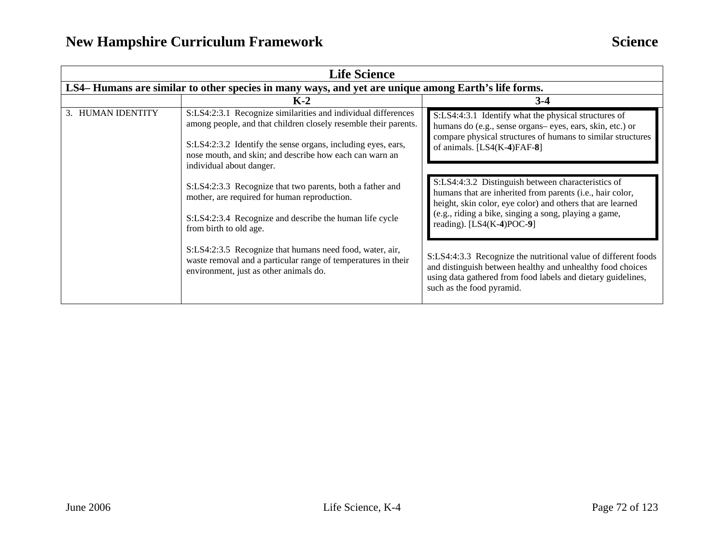| <b>Life Science</b> |                                                                                                                                                                     |                                                                                                                                                                                                                           |  |  |  |
|---------------------|---------------------------------------------------------------------------------------------------------------------------------------------------------------------|---------------------------------------------------------------------------------------------------------------------------------------------------------------------------------------------------------------------------|--|--|--|
|                     | LS4-Humans are similar to other species in many ways, and yet are unique among Earth's life forms.                                                                  |                                                                                                                                                                                                                           |  |  |  |
|                     | $K-2$                                                                                                                                                               | $3-4$                                                                                                                                                                                                                     |  |  |  |
| 3. HUMAN IDENTITY   | S:LS4:2:3.1 Recognize similarities and individual differences<br>among people, and that children closely resemble their parents.                                    | S:LS4:4:3.1 Identify what the physical structures of<br>humans do (e.g., sense organs– eyes, ears, skin, etc.) or                                                                                                         |  |  |  |
|                     | S:LS4:2:3.2 Identify the sense organs, including eyes, ears,<br>nose mouth, and skin; and describe how each can warn an<br>individual about danger.                 | compare physical structures of humans to similar structures<br>of animals. $[LS4(K-4)FAF-8]$                                                                                                                              |  |  |  |
|                     | S:LS4:2:3.3 Recognize that two parents, both a father and<br>mother, are required for human reproduction.                                                           | S:LS4:4:3.2 Distinguish between characteristics of<br>humans that are inherited from parents (i.e., hair color,<br>height, skin color, eye color) and others that are learned                                             |  |  |  |
|                     | S:LS4:2:3.4 Recognize and describe the human life cycle<br>from birth to old age.                                                                                   | (e.g., riding a bike, singing a song, playing a game,<br>reading). $[LS4(K-4)POC-9]$                                                                                                                                      |  |  |  |
|                     | S:LS4:2:3.5 Recognize that humans need food, water, air,<br>waste removal and a particular range of temperatures in their<br>environment, just as other animals do. | S:LS4:4:3.3 Recognize the nutritional value of different foods<br>and distinguish between healthy and unhealthy food choices<br>using data gathered from food labels and dietary guidelines,<br>such as the food pyramid. |  |  |  |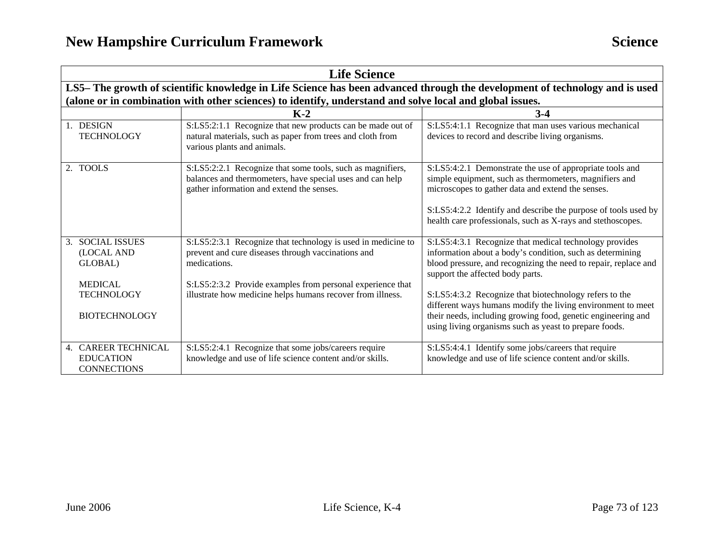|                                                                                                                             | <b>Life Science</b>                                                                                                                                                                                                                                            |                                                                                                                                                                                                                                                                                                                                                                                                                                                                               |
|-----------------------------------------------------------------------------------------------------------------------------|----------------------------------------------------------------------------------------------------------------------------------------------------------------------------------------------------------------------------------------------------------------|-------------------------------------------------------------------------------------------------------------------------------------------------------------------------------------------------------------------------------------------------------------------------------------------------------------------------------------------------------------------------------------------------------------------------------------------------------------------------------|
| LS5– The growth of scientific knowledge in Life Science has been advanced through the development of technology and is used |                                                                                                                                                                                                                                                                |                                                                                                                                                                                                                                                                                                                                                                                                                                                                               |
|                                                                                                                             | (alone or in combination with other sciences) to identify, understand and solve local and global issues.                                                                                                                                                       |                                                                                                                                                                                                                                                                                                                                                                                                                                                                               |
|                                                                                                                             | $K-2$                                                                                                                                                                                                                                                          | $3-4$                                                                                                                                                                                                                                                                                                                                                                                                                                                                         |
| 1. DESIGN<br><b>TECHNOLOGY</b>                                                                                              | S:LS5:2:1.1 Recognize that new products can be made out of<br>natural materials, such as paper from trees and cloth from<br>various plants and animals.                                                                                                        | S:LS5:4:1.1 Recognize that man uses various mechanical<br>devices to record and describe living organisms.                                                                                                                                                                                                                                                                                                                                                                    |
| 2. TOOLS                                                                                                                    | S:LS5:2:2.1 Recognize that some tools, such as magnifiers,<br>balances and thermometers, have special uses and can help<br>gather information and extend the senses.                                                                                           | S:LS5:4:2.1 Demonstrate the use of appropriate tools and<br>simple equipment, such as thermometers, magnifiers and<br>microscopes to gather data and extend the senses.<br>S:LS5:4:2.2 Identify and describe the purpose of tools used by<br>health care professionals, such as X-rays and stethoscopes.                                                                                                                                                                      |
| 3. SOCIAL ISSUES<br>(LOCAL AND<br>GLOBAL)<br><b>MEDICAL</b><br><b>TECHNOLOGY</b><br><b>BIOTECHNOLOGY</b>                    | S:LS5:2:3.1 Recognize that technology is used in medicine to<br>prevent and cure diseases through vaccinations and<br>medications.<br>S:LS5:2:3.2 Provide examples from personal experience that<br>illustrate how medicine helps humans recover from illness. | S:LS5:4:3.1 Recognize that medical technology provides<br>information about a body's condition, such as determining<br>blood pressure, and recognizing the need to repair, replace and<br>support the affected body parts.<br>S:LS5:4:3.2 Recognize that biotechnology refers to the<br>different ways humans modify the living environment to meet<br>their needs, including growing food, genetic engineering and<br>using living organisms such as yeast to prepare foods. |
| 4. CAREER TECHNICAL<br><b>EDUCATION</b><br><b>CONNECTIONS</b>                                                               | S:LS5:2:4.1 Recognize that some jobs/careers require<br>knowledge and use of life science content and/or skills.                                                                                                                                               | S:LS5:4:4.1 Identify some jobs/careers that require<br>knowledge and use of life science content and/or skills.                                                                                                                                                                                                                                                                                                                                                               |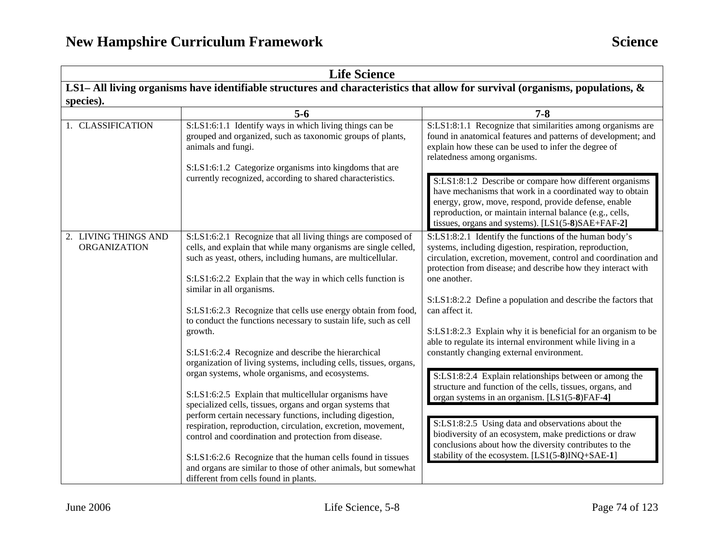| <b>Life Science</b>                                                                                                          |                                                                                                                                                                                                                                                                                                                                                                                                                                                                                                                                                                                                                                                                   |                                                                                                                                                                                                                                                                                                                                                                                                                                                                                          |
|------------------------------------------------------------------------------------------------------------------------------|-------------------------------------------------------------------------------------------------------------------------------------------------------------------------------------------------------------------------------------------------------------------------------------------------------------------------------------------------------------------------------------------------------------------------------------------------------------------------------------------------------------------------------------------------------------------------------------------------------------------------------------------------------------------|------------------------------------------------------------------------------------------------------------------------------------------------------------------------------------------------------------------------------------------------------------------------------------------------------------------------------------------------------------------------------------------------------------------------------------------------------------------------------------------|
| LS1-All living organisms have identifiable structures and characteristics that allow for survival (organisms, populations, & |                                                                                                                                                                                                                                                                                                                                                                                                                                                                                                                                                                                                                                                                   |                                                                                                                                                                                                                                                                                                                                                                                                                                                                                          |
| species).                                                                                                                    |                                                                                                                                                                                                                                                                                                                                                                                                                                                                                                                                                                                                                                                                   |                                                                                                                                                                                                                                                                                                                                                                                                                                                                                          |
|                                                                                                                              | $5-6$                                                                                                                                                                                                                                                                                                                                                                                                                                                                                                                                                                                                                                                             | $7 - 8$                                                                                                                                                                                                                                                                                                                                                                                                                                                                                  |
| 1. CLASSIFICATION                                                                                                            | S:LS1:6:1.1 Identify ways in which living things can be<br>grouped and organized, such as taxonomic groups of plants,<br>animals and fungi.<br>S:LS1:6:1.2 Categorize organisms into kingdoms that are                                                                                                                                                                                                                                                                                                                                                                                                                                                            | S:LS1:8:1.1 Recognize that similarities among organisms are<br>found in anatomical features and patterns of development; and<br>explain how these can be used to infer the degree of<br>relatedness among organisms.                                                                                                                                                                                                                                                                     |
|                                                                                                                              | currently recognized, according to shared characteristics.                                                                                                                                                                                                                                                                                                                                                                                                                                                                                                                                                                                                        | S:LS1:8:1.2 Describe or compare how different organisms<br>have mechanisms that work in a coordinated way to obtain<br>energy, grow, move, respond, provide defense, enable<br>reproduction, or maintain internal balance (e.g., cells,<br>tissues, organs and systems). [LS1(5-8)SAE+FAF-2]                                                                                                                                                                                             |
| 2. LIVING THINGS AND<br><b>ORGANIZATION</b>                                                                                  | S:LS1:6:2.1 Recognize that all living things are composed of<br>cells, and explain that while many organisms are single celled,<br>such as yeast, others, including humans, are multicellular.<br>S:LS1:6:2.2 Explain that the way in which cells function is<br>similar in all organisms.<br>S:LS1:6:2.3 Recognize that cells use energy obtain from food,<br>to conduct the functions necessary to sustain life, such as cell<br>growth.                                                                                                                                                                                                                        | S:LS1:8:2.1 Identify the functions of the human body's<br>systems, including digestion, respiration, reproduction,<br>circulation, excretion, movement, control and coordination and<br>protection from disease; and describe how they interact with<br>one another.<br>S:LS1:8:2.2 Define a population and describe the factors that<br>can affect it.<br>S:LS1:8:2.3 Explain why it is beneficial for an organism to be<br>able to regulate its internal environment while living in a |
|                                                                                                                              | S:LS1:6:2.4 Recognize and describe the hierarchical<br>organization of living systems, including cells, tissues, organs,<br>organ systems, whole organisms, and ecosystems.<br>S:LS1:6:2.5 Explain that multicellular organisms have<br>specialized cells, tissues, organs and organ systems that<br>perform certain necessary functions, including digestion,<br>respiration, reproduction, circulation, excretion, movement,<br>control and coordination and protection from disease.<br>S:LS1:6:2.6 Recognize that the human cells found in tissues<br>and organs are similar to those of other animals, but somewhat<br>different from cells found in plants. | constantly changing external environment.<br>S:LS1:8:2.4 Explain relationships between or among the<br>structure and function of the cells, tissues, organs, and<br>organ systems in an organism. [LS1(5-8)FAF-4]<br>S:LS1:8:2.5 Using data and observations about the<br>biodiversity of an ecosystem, make predictions or draw<br>conclusions about how the diversity contributes to the<br>stability of the ecosystem. [LS1(5-8)INQ+SAE-1]                                            |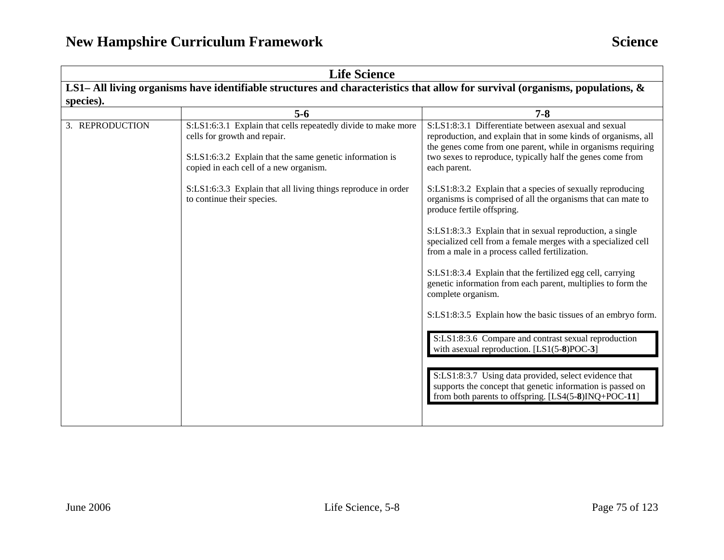| <b>Life Science</b>                                                                                                           |                                                                                                                                                                                                                                                                                                    |                                                                                                                                                                                                                                                                                                                                                                                                                                                                                                                                                                                                                                                                                                                                                |
|-------------------------------------------------------------------------------------------------------------------------------|----------------------------------------------------------------------------------------------------------------------------------------------------------------------------------------------------------------------------------------------------------------------------------------------------|------------------------------------------------------------------------------------------------------------------------------------------------------------------------------------------------------------------------------------------------------------------------------------------------------------------------------------------------------------------------------------------------------------------------------------------------------------------------------------------------------------------------------------------------------------------------------------------------------------------------------------------------------------------------------------------------------------------------------------------------|
| LS1– All living organisms have identifiable structures and characteristics that allow for survival (organisms, populations, & |                                                                                                                                                                                                                                                                                                    |                                                                                                                                                                                                                                                                                                                                                                                                                                                                                                                                                                                                                                                                                                                                                |
| species).                                                                                                                     |                                                                                                                                                                                                                                                                                                    |                                                                                                                                                                                                                                                                                                                                                                                                                                                                                                                                                                                                                                                                                                                                                |
|                                                                                                                               | $5-6$                                                                                                                                                                                                                                                                                              | $7 - 8$                                                                                                                                                                                                                                                                                                                                                                                                                                                                                                                                                                                                                                                                                                                                        |
| 3. REPRODUCTION                                                                                                               | S:LS1:6:3.1 Explain that cells repeatedly divide to make more<br>cells for growth and repair.<br>S:LS1:6:3.2 Explain that the same genetic information is<br>copied in each cell of a new organism.<br>S:LS1:6:3.3 Explain that all living things reproduce in order<br>to continue their species. | S:LS1:8:3.1 Differentiate between asexual and sexual<br>reproduction, and explain that in some kinds of organisms, all<br>the genes come from one parent, while in organisms requiring<br>two sexes to reproduce, typically half the genes come from<br>each parent.<br>S:LS1:8:3.2 Explain that a species of sexually reproducing<br>organisms is comprised of all the organisms that can mate to<br>produce fertile offspring.<br>S:LS1:8:3.3 Explain that in sexual reproduction, a single<br>specialized cell from a female merges with a specialized cell<br>from a male in a process called fertilization.<br>S:LS1:8:3.4 Explain that the fertilized egg cell, carrying<br>genetic information from each parent, multiplies to form the |
|                                                                                                                               |                                                                                                                                                                                                                                                                                                    | complete organism.<br>S:LS1:8:3.5 Explain how the basic tissues of an embryo form.<br>S:LS1:8:3.6 Compare and contrast sexual reproduction<br>with asexual reproduction. [LS1(5-8)POC-3]<br>S:LS1:8:3.7 Using data provided, select evidence that<br>supports the concept that genetic information is passed on<br>from both parents to offspring. $[LS4(5-8)INQ+POC-11]$                                                                                                                                                                                                                                                                                                                                                                      |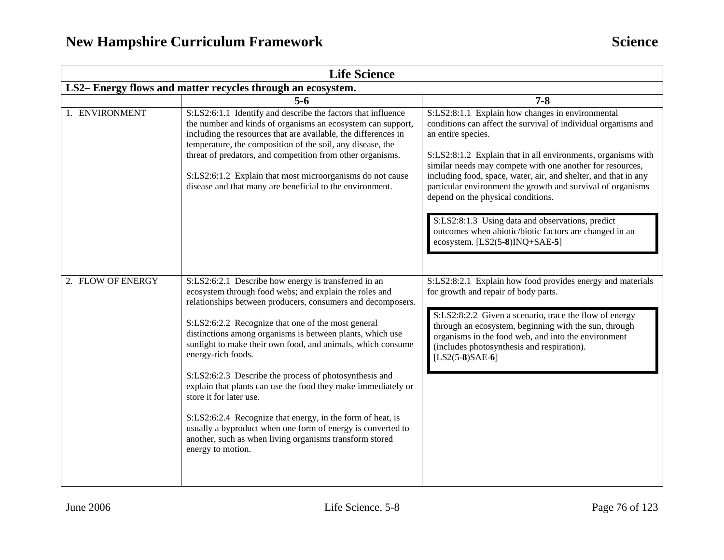| <b>Life Science</b>                                        |                                                                                                                                                                                                                                                                                                                                                                                                                                                                                                                                                                                                                                                                                                                                                          |                                                                                                                                                                                                                                                                                                                                                                                                                                                                                                                                                                                                 |
|------------------------------------------------------------|----------------------------------------------------------------------------------------------------------------------------------------------------------------------------------------------------------------------------------------------------------------------------------------------------------------------------------------------------------------------------------------------------------------------------------------------------------------------------------------------------------------------------------------------------------------------------------------------------------------------------------------------------------------------------------------------------------------------------------------------------------|-------------------------------------------------------------------------------------------------------------------------------------------------------------------------------------------------------------------------------------------------------------------------------------------------------------------------------------------------------------------------------------------------------------------------------------------------------------------------------------------------------------------------------------------------------------------------------------------------|
| LS2-Energy flows and matter recycles through an ecosystem. |                                                                                                                                                                                                                                                                                                                                                                                                                                                                                                                                                                                                                                                                                                                                                          |                                                                                                                                                                                                                                                                                                                                                                                                                                                                                                                                                                                                 |
|                                                            | $5 - 6$                                                                                                                                                                                                                                                                                                                                                                                                                                                                                                                                                                                                                                                                                                                                                  | $7 - 8$                                                                                                                                                                                                                                                                                                                                                                                                                                                                                                                                                                                         |
| 1. ENVIRONMENT                                             | S:LS2:6:1.1 Identify and describe the factors that influence<br>the number and kinds of organisms an ecosystem can support,<br>including the resources that are available, the differences in<br>temperature, the composition of the soil, any disease, the<br>threat of predators, and competition from other organisms.<br>S:LS2:6:1.2 Explain that most microorganisms do not cause<br>disease and that many are beneficial to the environment.                                                                                                                                                                                                                                                                                                       | S:LS2:8:1.1 Explain how changes in environmental<br>conditions can affect the survival of individual organisms and<br>an entire species.<br>S:LS2:8:1.2 Explain that in all environments, organisms with<br>similar needs may compete with one another for resources,<br>including food, space, water, air, and shelter, and that in any<br>particular environment the growth and survival of organisms<br>depend on the physical conditions.<br>S:LS2:8:1.3 Using data and observations, predict<br>outcomes when abiotic/biotic factors are changed in an<br>ecosystem. $[LS2(5-8)INQ+SAE-5]$ |
| 2. FLOW OF ENERGY                                          | S:LS2:6:2.1 Describe how energy is transferred in an<br>ecosystem through food webs; and explain the roles and<br>relationships between producers, consumers and decomposers.<br>S:LS2:6:2.2 Recognize that one of the most general<br>distinctions among organisms is between plants, which use<br>sunlight to make their own food, and animals, which consume<br>energy-rich foods.<br>S:LS2:6:2.3 Describe the process of photosynthesis and<br>explain that plants can use the food they make immediately or<br>store it for later use.<br>S:LS2:6:2.4 Recognize that energy, in the form of heat, is<br>usually a byproduct when one form of energy is converted to<br>another, such as when living organisms transform stored<br>energy to motion. | S:LS2:8:2.1 Explain how food provides energy and materials<br>for growth and repair of body parts.<br>S:LS2:8:2.2 Given a scenario, trace the flow of energy<br>through an ecosystem, beginning with the sun, through<br>organisms in the food web, and into the environment<br>(includes photosynthesis and respiration).<br>$[LS2(5-8)SAE-6]$                                                                                                                                                                                                                                                 |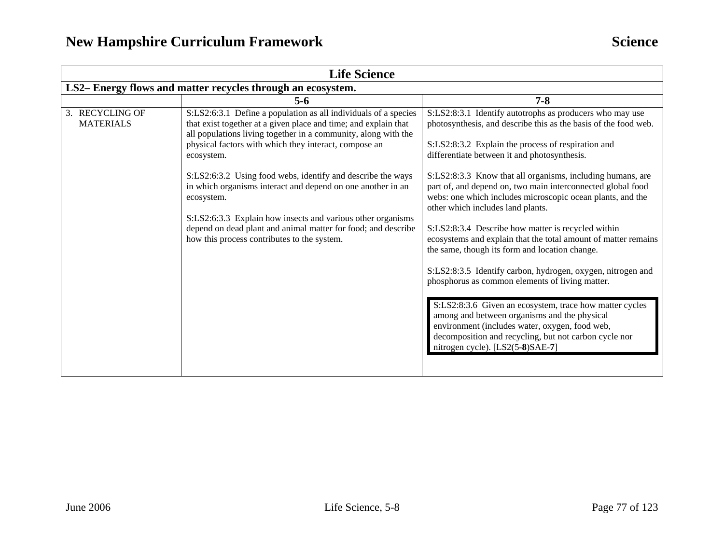| <b>Life Science</b>                                        |                                                                                                                                                                                                                                                                                                                                                                                                                                                                                                                                                                                                        |                                                                                                                                                                                                                                                                                                                                                                                                                                                                                                                                                                                                                                                                                                                                                                                                                                                                                                                                                                                                                         |
|------------------------------------------------------------|--------------------------------------------------------------------------------------------------------------------------------------------------------------------------------------------------------------------------------------------------------------------------------------------------------------------------------------------------------------------------------------------------------------------------------------------------------------------------------------------------------------------------------------------------------------------------------------------------------|-------------------------------------------------------------------------------------------------------------------------------------------------------------------------------------------------------------------------------------------------------------------------------------------------------------------------------------------------------------------------------------------------------------------------------------------------------------------------------------------------------------------------------------------------------------------------------------------------------------------------------------------------------------------------------------------------------------------------------------------------------------------------------------------------------------------------------------------------------------------------------------------------------------------------------------------------------------------------------------------------------------------------|
| LS2-Energy flows and matter recycles through an ecosystem. |                                                                                                                                                                                                                                                                                                                                                                                                                                                                                                                                                                                                        |                                                                                                                                                                                                                                                                                                                                                                                                                                                                                                                                                                                                                                                                                                                                                                                                                                                                                                                                                                                                                         |
|                                                            | $5-6$                                                                                                                                                                                                                                                                                                                                                                                                                                                                                                                                                                                                  | $7 - 8$                                                                                                                                                                                                                                                                                                                                                                                                                                                                                                                                                                                                                                                                                                                                                                                                                                                                                                                                                                                                                 |
| 3. RECYCLING OF<br><b>MATERIALS</b>                        | S:LS2:6:3.1 Define a population as all individuals of a species<br>that exist together at a given place and time; and explain that<br>all populations living together in a community, along with the<br>physical factors with which they interact, compose an<br>ecosystem.<br>S:LS2:6:3.2 Using food webs, identify and describe the ways<br>in which organisms interact and depend on one another in an<br>ecosystem.<br>S:LS2:6:3.3 Explain how insects and various other organisms<br>depend on dead plant and animal matter for food; and describe<br>how this process contributes to the system. | S:LS2:8:3.1 Identify autotrophs as producers who may use<br>photosynthesis, and describe this as the basis of the food web.<br>S:LS2:8:3.2 Explain the process of respiration and<br>differentiate between it and photosynthesis.<br>S:LS2:8:3.3 Know that all organisms, including humans, are<br>part of, and depend on, two main interconnected global food<br>webs: one which includes microscopic ocean plants, and the<br>other which includes land plants.<br>S:LS2:8:3.4 Describe how matter is recycled within<br>ecosystems and explain that the total amount of matter remains<br>the same, though its form and location change.<br>S:LS2:8:3.5 Identify carbon, hydrogen, oxygen, nitrogen and<br>phosphorus as common elements of living matter.<br>S:LS2:8:3.6 Given an ecosystem, trace how matter cycles<br>among and between organisms and the physical<br>environment (includes water, oxygen, food web,<br>decomposition and recycling, but not carbon cycle nor<br>nitrogen cycle). [LS2(5-8)SAE-7] |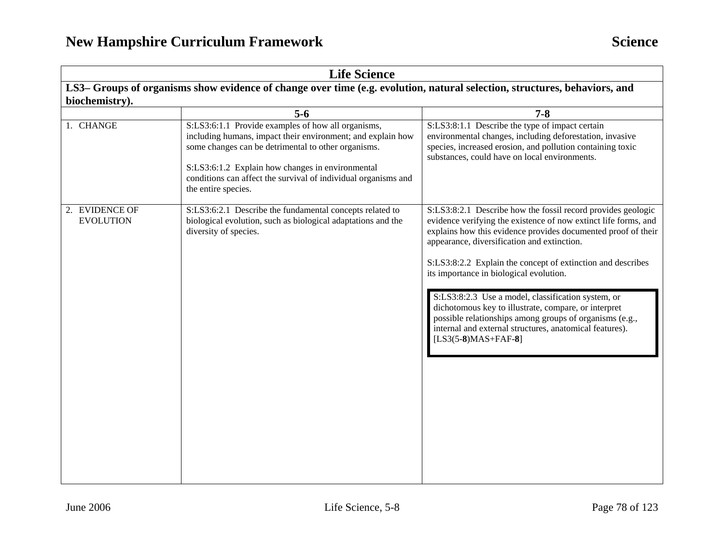| <b>Life Science</b><br>LS3– Groups of organisms show evidence of change over time (e.g. evolution, natural selection, structures, behaviors, and |                                                                                                                                                                                                                                                                                                                       |                                                                                                                                                                                                                                                                                                                                                                                                                                                                                                                                                                                                                        |
|--------------------------------------------------------------------------------------------------------------------------------------------------|-----------------------------------------------------------------------------------------------------------------------------------------------------------------------------------------------------------------------------------------------------------------------------------------------------------------------|------------------------------------------------------------------------------------------------------------------------------------------------------------------------------------------------------------------------------------------------------------------------------------------------------------------------------------------------------------------------------------------------------------------------------------------------------------------------------------------------------------------------------------------------------------------------------------------------------------------------|
|                                                                                                                                                  |                                                                                                                                                                                                                                                                                                                       |                                                                                                                                                                                                                                                                                                                                                                                                                                                                                                                                                                                                                        |
|                                                                                                                                                  | $5 - 6$                                                                                                                                                                                                                                                                                                               | $7 - 8$                                                                                                                                                                                                                                                                                                                                                                                                                                                                                                                                                                                                                |
| 1. CHANGE                                                                                                                                        | S:LS3:6:1.1 Provide examples of how all organisms,<br>including humans, impact their environment; and explain how<br>some changes can be detrimental to other organisms.<br>S:LS3:6:1.2 Explain how changes in environmental<br>conditions can affect the survival of individual organisms and<br>the entire species. | S:LS3:8:1.1 Describe the type of impact certain<br>environmental changes, including deforestation, invasive<br>species, increased erosion, and pollution containing toxic<br>substances, could have on local environments.                                                                                                                                                                                                                                                                                                                                                                                             |
| 2. EVIDENCE OF<br><b>EVOLUTION</b>                                                                                                               | S:LS3:6:2.1 Describe the fundamental concepts related to<br>biological evolution, such as biological adaptations and the<br>diversity of species.                                                                                                                                                                     | S:LS3:8:2.1 Describe how the fossil record provides geologic<br>evidence verifying the existence of now extinct life forms, and<br>explains how this evidence provides documented proof of their<br>appearance, diversification and extinction.<br>S:LS3:8:2.2 Explain the concept of extinction and describes<br>its importance in biological evolution.<br>S:LS3:8:2.3 Use a model, classification system, or<br>dichotomous key to illustrate, compare, or interpret<br>possible relationships among groups of organisms (e.g.,<br>internal and external structures, anatomical features).<br>$[LS3(5-8)MAS+FAF-8]$ |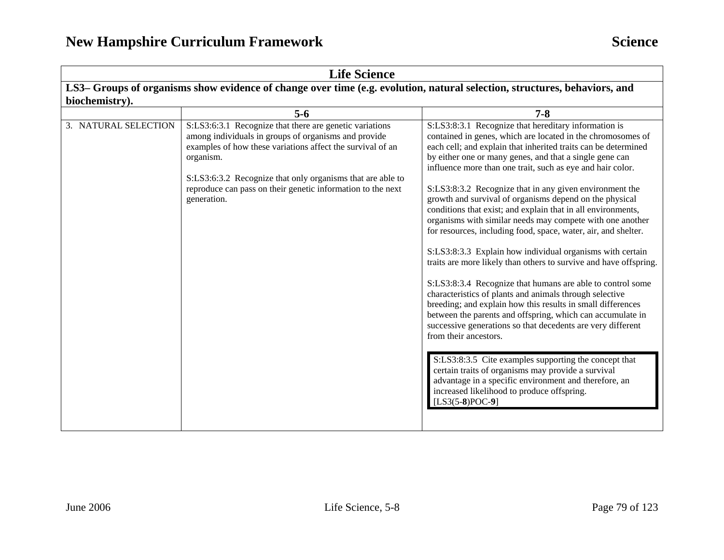| <b>Life Science</b>                                                                                                       |                                                                                                                                                                                                                                                                                                                                        |                                                                                                                                                                                                                                                                                                                                                                                                                                                                                                                                                                                                                                                                                                                                                                                                                                                                                                                                                                                                                                                                                                                                                                                                                                                                                                                                                                |
|---------------------------------------------------------------------------------------------------------------------------|----------------------------------------------------------------------------------------------------------------------------------------------------------------------------------------------------------------------------------------------------------------------------------------------------------------------------------------|----------------------------------------------------------------------------------------------------------------------------------------------------------------------------------------------------------------------------------------------------------------------------------------------------------------------------------------------------------------------------------------------------------------------------------------------------------------------------------------------------------------------------------------------------------------------------------------------------------------------------------------------------------------------------------------------------------------------------------------------------------------------------------------------------------------------------------------------------------------------------------------------------------------------------------------------------------------------------------------------------------------------------------------------------------------------------------------------------------------------------------------------------------------------------------------------------------------------------------------------------------------------------------------------------------------------------------------------------------------|
| LS3- Groups of organisms show evidence of change over time (e.g. evolution, natural selection, structures, behaviors, and |                                                                                                                                                                                                                                                                                                                                        |                                                                                                                                                                                                                                                                                                                                                                                                                                                                                                                                                                                                                                                                                                                                                                                                                                                                                                                                                                                                                                                                                                                                                                                                                                                                                                                                                                |
| biochemistry).                                                                                                            |                                                                                                                                                                                                                                                                                                                                        |                                                                                                                                                                                                                                                                                                                                                                                                                                                                                                                                                                                                                                                                                                                                                                                                                                                                                                                                                                                                                                                                                                                                                                                                                                                                                                                                                                |
|                                                                                                                           | $5-6$                                                                                                                                                                                                                                                                                                                                  | $7 - 8$                                                                                                                                                                                                                                                                                                                                                                                                                                                                                                                                                                                                                                                                                                                                                                                                                                                                                                                                                                                                                                                                                                                                                                                                                                                                                                                                                        |
| 3. NATURAL SELECTION                                                                                                      | S:LS3:6:3.1 Recognize that there are genetic variations<br>among individuals in groups of organisms and provide<br>examples of how these variations affect the survival of an<br>organism.<br>S:LS3:6:3.2 Recognize that only organisms that are able to<br>reproduce can pass on their genetic information to the next<br>generation. | S:LS3:8:3.1 Recognize that hereditary information is<br>contained in genes, which are located in the chromosomes of<br>each cell; and explain that inherited traits can be determined<br>by either one or many genes, and that a single gene can<br>influence more than one trait, such as eye and hair color.<br>S:LS3:8:3.2 Recognize that in any given environment the<br>growth and survival of organisms depend on the physical<br>conditions that exist; and explain that in all environments,<br>organisms with similar needs may compete with one another<br>for resources, including food, space, water, air, and shelter.<br>S:LS3:8:3.3 Explain how individual organisms with certain<br>traits are more likely than others to survive and have offspring.<br>S:LS3:8:3.4 Recognize that humans are able to control some<br>characteristics of plants and animals through selective<br>breeding; and explain how this results in small differences<br>between the parents and offspring, which can accumulate in<br>successive generations so that decedents are very different<br>from their ancestors.<br>S:LS3:8:3.5 Cite examples supporting the concept that<br>certain traits of organisms may provide a survival<br>advantage in a specific environment and therefore, an<br>increased likelihood to produce offspring.<br>$[LS3(5-8)POC-9]$ |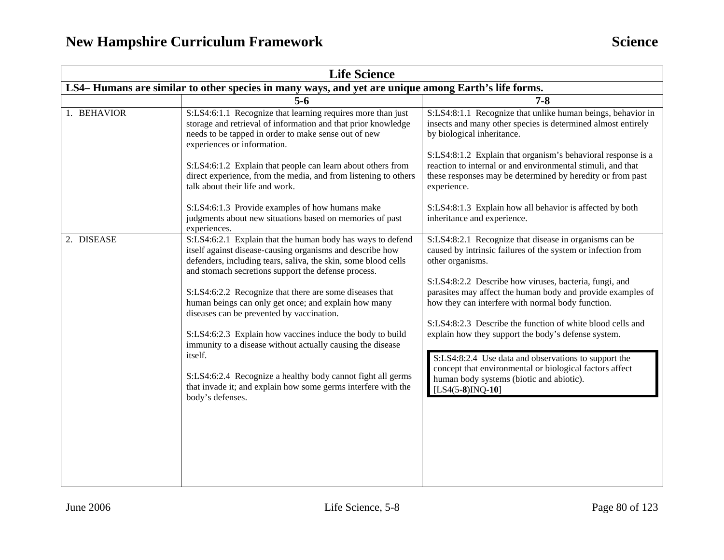| <b>Life Science</b>                                                                                 |                                                                                                                                                                                                                                                                                                                                                                                                                                                                                                                                                                                                                                                                                                            |                                                                                                                                                                                                                                                                                                                                                                                                                                                                                                                                                                                                                                    |
|-----------------------------------------------------------------------------------------------------|------------------------------------------------------------------------------------------------------------------------------------------------------------------------------------------------------------------------------------------------------------------------------------------------------------------------------------------------------------------------------------------------------------------------------------------------------------------------------------------------------------------------------------------------------------------------------------------------------------------------------------------------------------------------------------------------------------|------------------------------------------------------------------------------------------------------------------------------------------------------------------------------------------------------------------------------------------------------------------------------------------------------------------------------------------------------------------------------------------------------------------------------------------------------------------------------------------------------------------------------------------------------------------------------------------------------------------------------------|
| LS4– Humans are similar to other species in many ways, and yet are unique among Earth's life forms. |                                                                                                                                                                                                                                                                                                                                                                                                                                                                                                                                                                                                                                                                                                            |                                                                                                                                                                                                                                                                                                                                                                                                                                                                                                                                                                                                                                    |
|                                                                                                     | $5-6$                                                                                                                                                                                                                                                                                                                                                                                                                                                                                                                                                                                                                                                                                                      | $7 - 8$                                                                                                                                                                                                                                                                                                                                                                                                                                                                                                                                                                                                                            |
| 1. BEHAVIOR                                                                                         | S:LS4:6:1.1 Recognize that learning requires more than just<br>storage and retrieval of information and that prior knowledge<br>needs to be tapped in order to make sense out of new<br>experiences or information.                                                                                                                                                                                                                                                                                                                                                                                                                                                                                        | S:LS4:8:1.1 Recognize that unlike human beings, behavior in<br>insects and many other species is determined almost entirely<br>by biological inheritance.<br>S:LS4:8:1.2 Explain that organism's behavioral response is a                                                                                                                                                                                                                                                                                                                                                                                                          |
|                                                                                                     | S:LS4:6:1.2 Explain that people can learn about others from<br>direct experience, from the media, and from listening to others<br>talk about their life and work.<br>S:LS4:6:1.3 Provide examples of how humans make<br>judgments about new situations based on memories of past<br>experiences.                                                                                                                                                                                                                                                                                                                                                                                                           | reaction to internal or and environmental stimuli, and that<br>these responses may be determined by heredity or from past<br>experience.<br>S:LS4:8:1.3 Explain how all behavior is affected by both<br>inheritance and experience.                                                                                                                                                                                                                                                                                                                                                                                                |
| 2. DISEASE                                                                                          | S:LS4:6:2.1 Explain that the human body has ways to defend<br>itself against disease-causing organisms and describe how<br>defenders, including tears, saliva, the skin, some blood cells<br>and stomach secretions support the defense process.<br>S:LS4:6:2.2 Recognize that there are some diseases that<br>human beings can only get once; and explain how many<br>diseases can be prevented by vaccination.<br>S:LS4:6:2.3 Explain how vaccines induce the body to build<br>immunity to a disease without actually causing the disease<br>itself.<br>S:LS4:6:2.4 Recognize a healthy body cannot fight all germs<br>that invade it; and explain how some germs interfere with the<br>body's defenses. | S:LS4:8:2.1 Recognize that disease in organisms can be<br>caused by intrinsic failures of the system or infection from<br>other organisms.<br>S:LS4:8:2.2 Describe how viruses, bacteria, fungi, and<br>parasites may affect the human body and provide examples of<br>how they can interfere with normal body function.<br>S:LS4:8:2.3 Describe the function of white blood cells and<br>explain how they support the body's defense system.<br>S:LS4:8:2.4 Use data and observations to support the<br>concept that environmental or biological factors affect<br>human body systems (biotic and abiotic).<br>$[LS4(5-8)INQ-10]$ |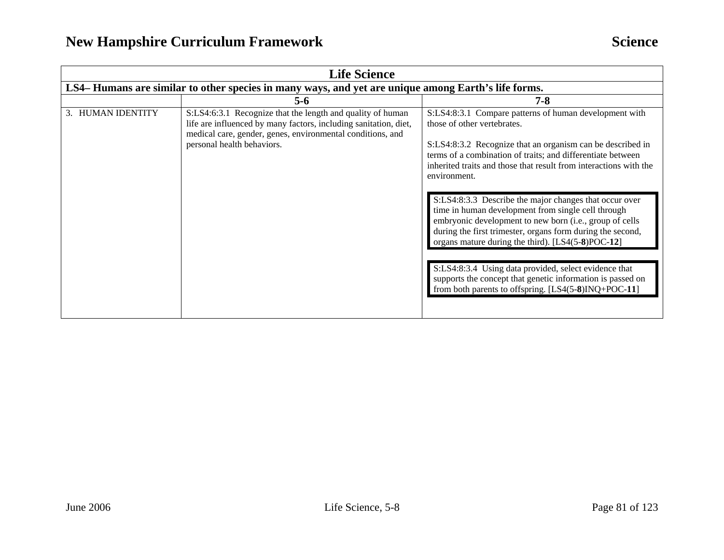## **New Hampshire Curriculum Framework Science Science Science**

| <b>Life Science</b>                                                                                |                                                                                                                                                                                                                            |                                                                                                                                                                                                                                                                                                                                                                                                                                                                                                                                                                                                                                                                                                                                                                                      |
|----------------------------------------------------------------------------------------------------|----------------------------------------------------------------------------------------------------------------------------------------------------------------------------------------------------------------------------|--------------------------------------------------------------------------------------------------------------------------------------------------------------------------------------------------------------------------------------------------------------------------------------------------------------------------------------------------------------------------------------------------------------------------------------------------------------------------------------------------------------------------------------------------------------------------------------------------------------------------------------------------------------------------------------------------------------------------------------------------------------------------------------|
| LS4-Humans are similar to other species in many ways, and yet are unique among Earth's life forms. |                                                                                                                                                                                                                            |                                                                                                                                                                                                                                                                                                                                                                                                                                                                                                                                                                                                                                                                                                                                                                                      |
|                                                                                                    | $5 - 6$                                                                                                                                                                                                                    | $7 - 8$                                                                                                                                                                                                                                                                                                                                                                                                                                                                                                                                                                                                                                                                                                                                                                              |
| 3. HUMAN IDENTITY                                                                                  | S:LS4:6:3.1 Recognize that the length and quality of human<br>life are influenced by many factors, including sanitation, diet,<br>medical care, gender, genes, environmental conditions, and<br>personal health behaviors. | S:LS4:8:3.1 Compare patterns of human development with<br>those of other vertebrates.<br>S:LS4:8:3.2 Recognize that an organism can be described in<br>terms of a combination of traits; and differentiate between<br>inherited traits and those that result from interactions with the<br>environment.<br>S:LS4:8:3.3 Describe the major changes that occur over<br>time in human development from single cell through<br>embryonic development to new born (i.e., group of cells<br>during the first trimester, organs form during the second,<br>organs mature during the third). [LS4(5-8)POC-12]<br>S:LS4:8:3.4 Using data provided, select evidence that<br>supports the concept that genetic information is passed on<br>from both parents to offspring. [LS4(5-8)INQ+POC-11] |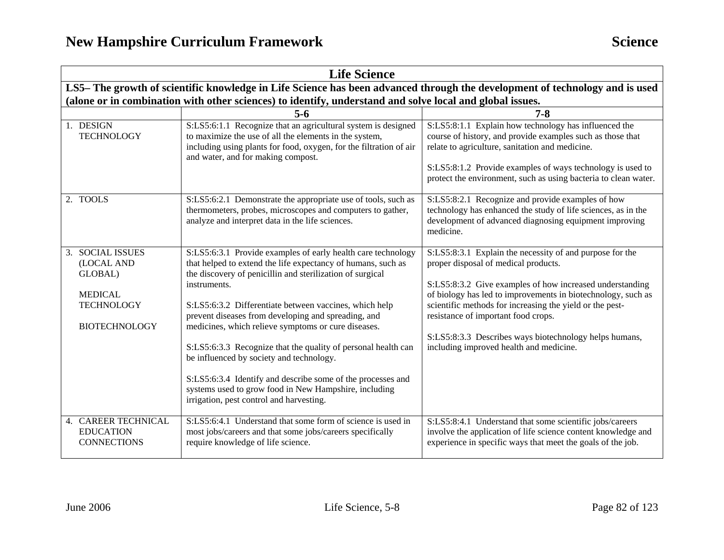| <b>Life Science</b>                                                                                                        |                                                                                                                                                                                                                                                                                                                                                                                                                                                                                                                                                                                                                                                                    |                                                                                                                                                                                                                                                                                                                                                                                                                                      |  |  |
|----------------------------------------------------------------------------------------------------------------------------|--------------------------------------------------------------------------------------------------------------------------------------------------------------------------------------------------------------------------------------------------------------------------------------------------------------------------------------------------------------------------------------------------------------------------------------------------------------------------------------------------------------------------------------------------------------------------------------------------------------------------------------------------------------------|--------------------------------------------------------------------------------------------------------------------------------------------------------------------------------------------------------------------------------------------------------------------------------------------------------------------------------------------------------------------------------------------------------------------------------------|--|--|
| LS5-The growth of scientific knowledge in Life Science has been advanced through the development of technology and is used |                                                                                                                                                                                                                                                                                                                                                                                                                                                                                                                                                                                                                                                                    |                                                                                                                                                                                                                                                                                                                                                                                                                                      |  |  |
|                                                                                                                            | (alone or in combination with other sciences) to identify, understand and solve local and global issues.                                                                                                                                                                                                                                                                                                                                                                                                                                                                                                                                                           |                                                                                                                                                                                                                                                                                                                                                                                                                                      |  |  |
|                                                                                                                            | $5 - 6$                                                                                                                                                                                                                                                                                                                                                                                                                                                                                                                                                                                                                                                            | $7 - 8$                                                                                                                                                                                                                                                                                                                                                                                                                              |  |  |
| 1. DESIGN<br><b>TECHNOLOGY</b>                                                                                             | S:LS5:6:1.1 Recognize that an agricultural system is designed<br>to maximize the use of all the elements in the system,<br>including using plants for food, oxygen, for the filtration of air<br>and water, and for making compost.                                                                                                                                                                                                                                                                                                                                                                                                                                | S:LS5:8:1.1 Explain how technology has influenced the<br>course of history, and provide examples such as those that<br>relate to agriculture, sanitation and medicine.<br>S:LS5:8:1.2 Provide examples of ways technology is used to<br>protect the environment, such as using bacteria to clean water.                                                                                                                              |  |  |
| 2. TOOLS                                                                                                                   | S:LS5:6:2.1 Demonstrate the appropriate use of tools, such as<br>thermometers, probes, microscopes and computers to gather,<br>analyze and interpret data in the life sciences.                                                                                                                                                                                                                                                                                                                                                                                                                                                                                    | S:LS5:8:2.1 Recognize and provide examples of how<br>technology has enhanced the study of life sciences, as in the<br>development of advanced diagnosing equipment improving<br>medicine.                                                                                                                                                                                                                                            |  |  |
| 3. SOCIAL ISSUES<br>(LOCAL AND<br>GLOBAL)<br><b>MEDICAL</b><br><b>TECHNOLOGY</b><br><b>BIOTECHNOLOGY</b>                   | S:LS5:6:3.1 Provide examples of early health care technology<br>that helped to extend the life expectancy of humans, such as<br>the discovery of penicillin and sterilization of surgical<br>instruments.<br>S:LS5:6:3.2 Differentiate between vaccines, which help<br>prevent diseases from developing and spreading, and<br>medicines, which relieve symptoms or cure diseases.<br>S:LS5:6:3.3 Recognize that the quality of personal health can<br>be influenced by society and technology.<br>S:LS5:6:3.4 Identify and describe some of the processes and<br>systems used to grow food in New Hampshire, including<br>irrigation, pest control and harvesting. | S:LS5:8:3.1 Explain the necessity of and purpose for the<br>proper disposal of medical products.<br>S:LS5:8:3.2 Give examples of how increased understanding<br>of biology has led to improvements in biotechnology, such as<br>scientific methods for increasing the yield or the pest-<br>resistance of important food crops.<br>S:LS5:8:3.3 Describes ways biotechnology helps humans,<br>including improved health and medicine. |  |  |
| 4. CAREER TECHNICAL<br><b>EDUCATION</b><br><b>CONNECTIONS</b>                                                              | S:LS5:6:4.1 Understand that some form of science is used in<br>most jobs/careers and that some jobs/careers specifically<br>require knowledge of life science.                                                                                                                                                                                                                                                                                                                                                                                                                                                                                                     | S:LS5:8:4.1 Understand that some scientific jobs/careers<br>involve the application of life science content knowledge and<br>experience in specific ways that meet the goals of the job.                                                                                                                                                                                                                                             |  |  |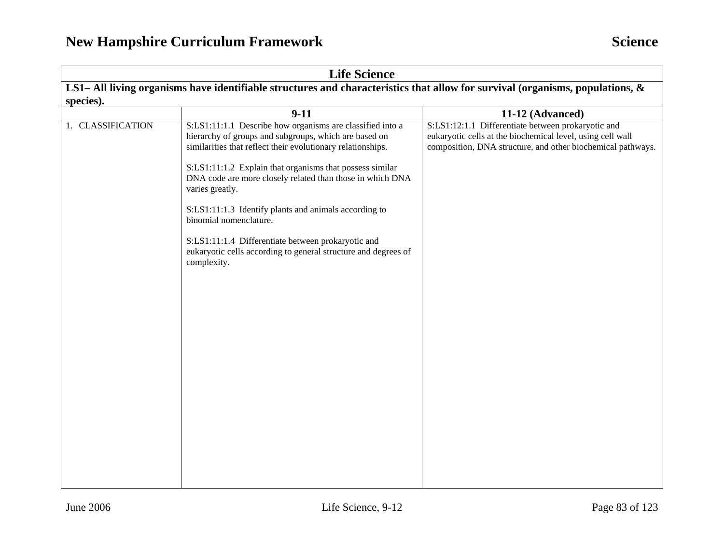| <b>Life Science</b>                                                                                                           |                                                                                                                                                                                                                                                                                                                                                                                                                                                                                                                                                         |                                                                                                                                                                                 |  |
|-------------------------------------------------------------------------------------------------------------------------------|---------------------------------------------------------------------------------------------------------------------------------------------------------------------------------------------------------------------------------------------------------------------------------------------------------------------------------------------------------------------------------------------------------------------------------------------------------------------------------------------------------------------------------------------------------|---------------------------------------------------------------------------------------------------------------------------------------------------------------------------------|--|
| LS1- All living organisms have identifiable structures and characteristics that allow for survival (organisms, populations, & |                                                                                                                                                                                                                                                                                                                                                                                                                                                                                                                                                         |                                                                                                                                                                                 |  |
| species).                                                                                                                     |                                                                                                                                                                                                                                                                                                                                                                                                                                                                                                                                                         |                                                                                                                                                                                 |  |
|                                                                                                                               | $9 - 11$                                                                                                                                                                                                                                                                                                                                                                                                                                                                                                                                                | 11-12 (Advanced)                                                                                                                                                                |  |
| 1. CLASSIFICATION                                                                                                             | S:LS1:11:1.1 Describe how organisms are classified into a<br>hierarchy of groups and subgroups, which are based on<br>similarities that reflect their evolutionary relationships.<br>S:LS1:11:1.2 Explain that organisms that possess similar<br>DNA code are more closely related than those in which DNA<br>varies greatly.<br>S:LS1:11:1.3 Identify plants and animals according to<br>binomial nomenclature.<br>S:LS1:11:1.4 Differentiate between prokaryotic and<br>eukaryotic cells according to general structure and degrees of<br>complexity. | S:LS1:12:1.1 Differentiate between prokaryotic and<br>eukaryotic cells at the biochemical level, using cell wall<br>composition, DNA structure, and other biochemical pathways. |  |
|                                                                                                                               |                                                                                                                                                                                                                                                                                                                                                                                                                                                                                                                                                         |                                                                                                                                                                                 |  |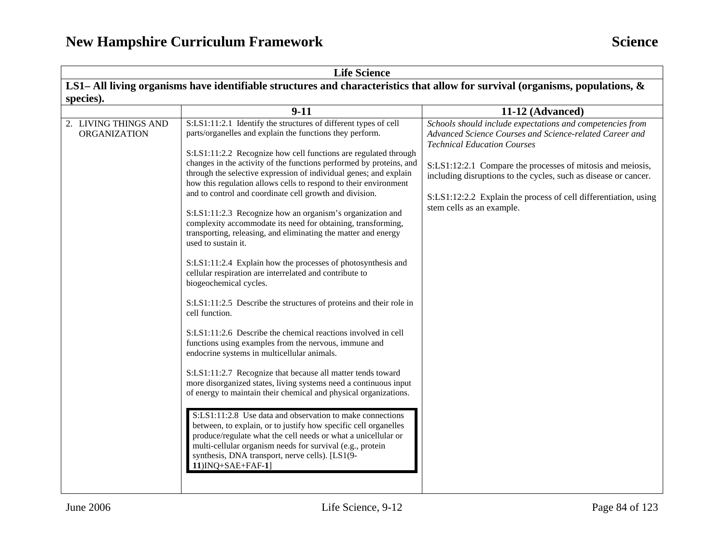| <b>Life Science</b>                                                                                                              |                                                                                                                                                                                                                                                                                                                                                                                                                                                                                                                                                                                                                                                                                                                                                                                                                                                                                                                                                                                                                                                                                                                                                                                                                                                                                                                                                                                                                                                                                                                                                                                                                                                                    |                                                                                                                                                                                                                                                                                                                                                                                             |
|----------------------------------------------------------------------------------------------------------------------------------|--------------------------------------------------------------------------------------------------------------------------------------------------------------------------------------------------------------------------------------------------------------------------------------------------------------------------------------------------------------------------------------------------------------------------------------------------------------------------------------------------------------------------------------------------------------------------------------------------------------------------------------------------------------------------------------------------------------------------------------------------------------------------------------------------------------------------------------------------------------------------------------------------------------------------------------------------------------------------------------------------------------------------------------------------------------------------------------------------------------------------------------------------------------------------------------------------------------------------------------------------------------------------------------------------------------------------------------------------------------------------------------------------------------------------------------------------------------------------------------------------------------------------------------------------------------------------------------------------------------------------------------------------------------------|---------------------------------------------------------------------------------------------------------------------------------------------------------------------------------------------------------------------------------------------------------------------------------------------------------------------------------------------------------------------------------------------|
| LS1– All living organisms have identifiable structures and characteristics that allow for survival (organisms, populations, $\&$ |                                                                                                                                                                                                                                                                                                                                                                                                                                                                                                                                                                                                                                                                                                                                                                                                                                                                                                                                                                                                                                                                                                                                                                                                                                                                                                                                                                                                                                                                                                                                                                                                                                                                    |                                                                                                                                                                                                                                                                                                                                                                                             |
| species).                                                                                                                        |                                                                                                                                                                                                                                                                                                                                                                                                                                                                                                                                                                                                                                                                                                                                                                                                                                                                                                                                                                                                                                                                                                                                                                                                                                                                                                                                                                                                                                                                                                                                                                                                                                                                    |                                                                                                                                                                                                                                                                                                                                                                                             |
|                                                                                                                                  | $9 - 11$                                                                                                                                                                                                                                                                                                                                                                                                                                                                                                                                                                                                                                                                                                                                                                                                                                                                                                                                                                                                                                                                                                                                                                                                                                                                                                                                                                                                                                                                                                                                                                                                                                                           | 11-12 (Advanced)                                                                                                                                                                                                                                                                                                                                                                            |
| 2. LIVING THINGS AND<br><b>ORGANIZATION</b>                                                                                      | S:LS1:11:2.1 Identify the structures of different types of cell<br>parts/organelles and explain the functions they perform.<br>S:LS1:11:2.2 Recognize how cell functions are regulated through<br>changes in the activity of the functions performed by proteins, and<br>through the selective expression of individual genes; and explain<br>how this regulation allows cells to respond to their environment<br>and to control and coordinate cell growth and division.<br>S:LS1:11:2.3 Recognize how an organism's organization and<br>complexity accommodate its need for obtaining, transforming,<br>transporting, releasing, and eliminating the matter and energy<br>used to sustain it.<br>S:LS1:11:2.4 Explain how the processes of photosynthesis and<br>cellular respiration are interrelated and contribute to<br>biogeochemical cycles.<br>S:LS1:11:2.5 Describe the structures of proteins and their role in<br>cell function.<br>S:LS1:11:2.6 Describe the chemical reactions involved in cell<br>functions using examples from the nervous, immune and<br>endocrine systems in multicellular animals.<br>S:LS1:11:2.7 Recognize that because all matter tends toward<br>more disorganized states, living systems need a continuous input<br>of energy to maintain their chemical and physical organizations.<br>S:LS1:11:2.8 Use data and observation to make connections<br>between, to explain, or to justify how specific cell organelles<br>produce/regulate what the cell needs or what a unicellular or<br>multi-cellular organism needs for survival (e.g., protein<br>synthesis, DNA transport, nerve cells). [LS1(9-<br>11)INQ+SAE+FAF-1] | Schools should include expectations and competencies from<br>Advanced Science Courses and Science-related Career and<br><b>Technical Education Courses</b><br>S:LS1:12:2.1 Compare the processes of mitosis and meiosis,<br>including disruptions to the cycles, such as disease or cancer.<br>S:LS1:12:2.2 Explain the process of cell differentiation, using<br>stem cells as an example. |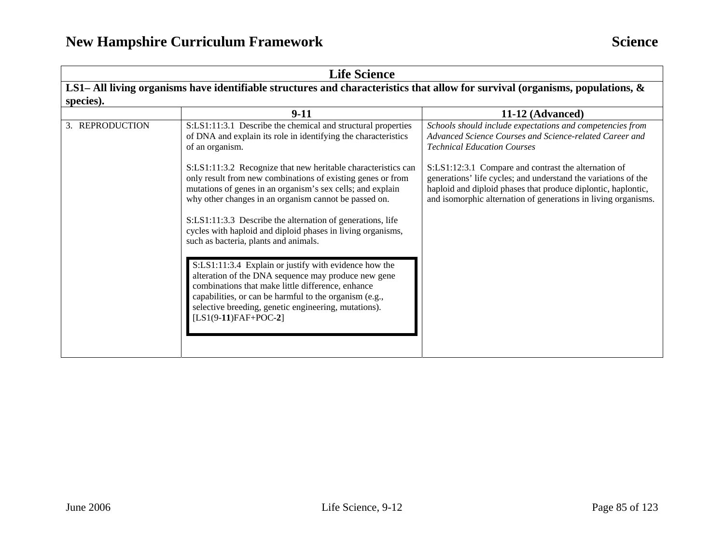| <b>Life Science</b>                                                                                                           |                                                                                                                                                                                                                                                                                                                                                                                                                                                                                                                                                                                                                                                                                                                                                                                                                                                                                                 |                                                                                                                                                                                                                                                                                                                                                                                                                         |  |  |
|-------------------------------------------------------------------------------------------------------------------------------|-------------------------------------------------------------------------------------------------------------------------------------------------------------------------------------------------------------------------------------------------------------------------------------------------------------------------------------------------------------------------------------------------------------------------------------------------------------------------------------------------------------------------------------------------------------------------------------------------------------------------------------------------------------------------------------------------------------------------------------------------------------------------------------------------------------------------------------------------------------------------------------------------|-------------------------------------------------------------------------------------------------------------------------------------------------------------------------------------------------------------------------------------------------------------------------------------------------------------------------------------------------------------------------------------------------------------------------|--|--|
| LS1– All living organisms have identifiable structures and characteristics that allow for survival (organisms, populations, & |                                                                                                                                                                                                                                                                                                                                                                                                                                                                                                                                                                                                                                                                                                                                                                                                                                                                                                 |                                                                                                                                                                                                                                                                                                                                                                                                                         |  |  |
| species).                                                                                                                     |                                                                                                                                                                                                                                                                                                                                                                                                                                                                                                                                                                                                                                                                                                                                                                                                                                                                                                 |                                                                                                                                                                                                                                                                                                                                                                                                                         |  |  |
|                                                                                                                               | $9-11$                                                                                                                                                                                                                                                                                                                                                                                                                                                                                                                                                                                                                                                                                                                                                                                                                                                                                          | 11-12 (Advanced)                                                                                                                                                                                                                                                                                                                                                                                                        |  |  |
| 3. REPRODUCTION                                                                                                               | S:LS1:11:3.1 Describe the chemical and structural properties<br>of DNA and explain its role in identifying the characteristics<br>of an organism.<br>S:LS1:11:3.2 Recognize that new heritable characteristics can<br>only result from new combinations of existing genes or from<br>mutations of genes in an organism's sex cells; and explain<br>why other changes in an organism cannot be passed on.<br>S:LS1:11:3.3 Describe the alternation of generations, life<br>cycles with haploid and diploid phases in living organisms,<br>such as bacteria, plants and animals.<br>S:LS1:11:3.4 Explain or justify with evidence how the<br>alteration of the DNA sequence may produce new gene<br>combinations that make little difference, enhance<br>capabilities, or can be harmful to the organism (e.g.,<br>selective breeding, genetic engineering, mutations).<br>$[LS1(9-11)FAF+POC-2]$ | Schools should include expectations and competencies from<br>Advanced Science Courses and Science-related Career and<br><b>Technical Education Courses</b><br>S:LS1:12:3.1 Compare and contrast the alternation of<br>generations' life cycles; and understand the variations of the<br>haploid and diploid phases that produce diplontic, haplontic,<br>and isomorphic alternation of generations in living organisms. |  |  |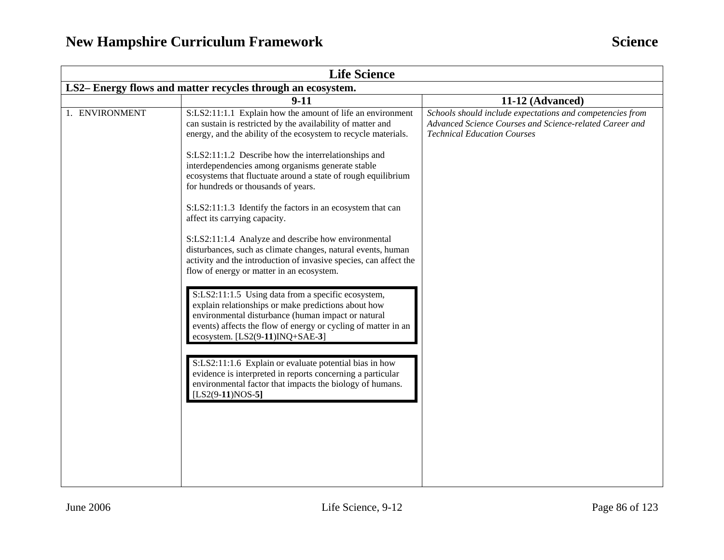| <b>Life Science</b>                                         |                                                                                                                                                                                                                                                                     |                                                                                                                                                            |  |
|-------------------------------------------------------------|---------------------------------------------------------------------------------------------------------------------------------------------------------------------------------------------------------------------------------------------------------------------|------------------------------------------------------------------------------------------------------------------------------------------------------------|--|
| LS2– Energy flows and matter recycles through an ecosystem. |                                                                                                                                                                                                                                                                     |                                                                                                                                                            |  |
|                                                             | $9 - 11$                                                                                                                                                                                                                                                            | 11-12 (Advanced)                                                                                                                                           |  |
| 1. ENVIRONMENT                                              | S:LS2:11:1.1 Explain how the amount of life an environment<br>can sustain is restricted by the availability of matter and<br>energy, and the ability of the ecosystem to recycle materials.                                                                         | Schools should include expectations and competencies from<br>Advanced Science Courses and Science-related Career and<br><b>Technical Education Courses</b> |  |
|                                                             | S:LS2:11:1.2 Describe how the interrelationships and<br>interdependencies among organisms generate stable<br>ecosystems that fluctuate around a state of rough equilibrium<br>for hundreds or thousands of years.                                                   |                                                                                                                                                            |  |
|                                                             | S:LS2:11:1.3 Identify the factors in an ecosystem that can<br>affect its carrying capacity.                                                                                                                                                                         |                                                                                                                                                            |  |
|                                                             | S:LS2:11:1.4 Analyze and describe how environmental<br>disturbances, such as climate changes, natural events, human<br>activity and the introduction of invasive species, can affect the<br>flow of energy or matter in an ecosystem.                               |                                                                                                                                                            |  |
|                                                             | S:LS2:11:1.5 Using data from a specific ecosystem,<br>explain relationships or make predictions about how<br>environmental disturbance (human impact or natural<br>events) affects the flow of energy or cycling of matter in an<br>ecosystem. [LS2(9-11)INQ+SAE-3] |                                                                                                                                                            |  |
|                                                             | S:LS2:11:1.6 Explain or evaluate potential bias in how<br>evidence is interpreted in reports concerning a particular<br>environmental factor that impacts the biology of humans.<br>$[LS2(9-11)NOS-5]$                                                              |                                                                                                                                                            |  |
|                                                             |                                                                                                                                                                                                                                                                     |                                                                                                                                                            |  |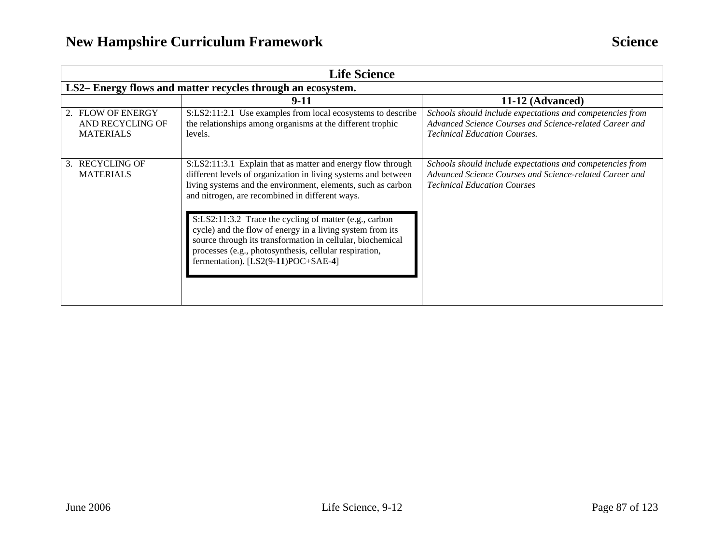| <b>Life Science</b>                                       |                                                                                                                                                                                                                                                                                                                                                                                                                                                                                                                                        |                                                                                                                                                             |  |
|-----------------------------------------------------------|----------------------------------------------------------------------------------------------------------------------------------------------------------------------------------------------------------------------------------------------------------------------------------------------------------------------------------------------------------------------------------------------------------------------------------------------------------------------------------------------------------------------------------------|-------------------------------------------------------------------------------------------------------------------------------------------------------------|--|
|                                                           | LS2-Energy flows and matter recycles through an ecosystem.                                                                                                                                                                                                                                                                                                                                                                                                                                                                             |                                                                                                                                                             |  |
|                                                           | 9-11                                                                                                                                                                                                                                                                                                                                                                                                                                                                                                                                   | 11-12 (Advanced)                                                                                                                                            |  |
| 2. FLOW OF ENERGY<br>AND RECYCLING OF<br><b>MATERIALS</b> | S:LS2:11:2.1 Use examples from local ecosystems to describe<br>the relationships among organisms at the different trophic<br>levels.                                                                                                                                                                                                                                                                                                                                                                                                   | Schools should include expectations and competencies from<br>Advanced Science Courses and Science-related Career and<br><b>Technical Education Courses.</b> |  |
| 3. RECYCLING OF<br><b>MATERIALS</b>                       | S:LS2:11:3.1 Explain that as matter and energy flow through<br>different levels of organization in living systems and between<br>living systems and the environment, elements, such as carbon<br>and nitrogen, are recombined in different ways.<br>S:LS2:11:3.2 Trace the cycling of matter (e.g., carbon<br>cycle) and the flow of energy in a living system from its<br>source through its transformation in cellular, biochemical<br>processes (e.g., photosynthesis, cellular respiration,<br>fermentation). [LS2(9-11)POC+SAE-4] | Schools should include expectations and competencies from<br>Advanced Science Courses and Science-related Career and<br><b>Technical Education Courses</b>  |  |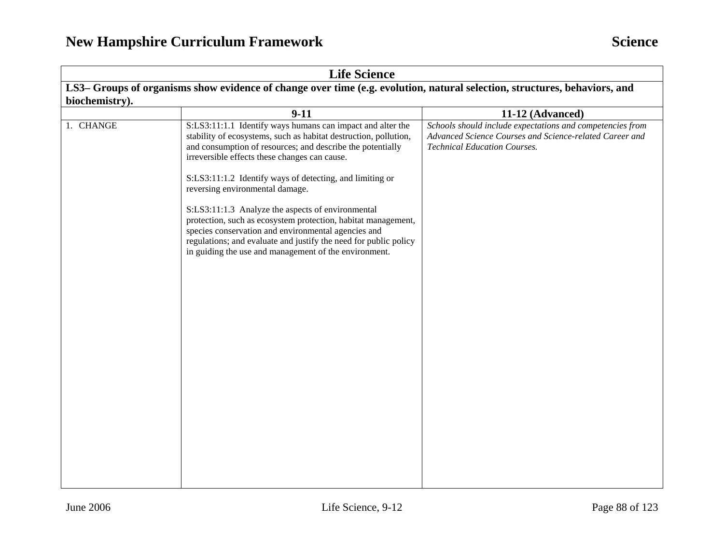| <b>Life Science</b>                                                                                                      |                                                                                                                                                                                                                                                                                                        |                                                                                                                                                             |  |  |
|--------------------------------------------------------------------------------------------------------------------------|--------------------------------------------------------------------------------------------------------------------------------------------------------------------------------------------------------------------------------------------------------------------------------------------------------|-------------------------------------------------------------------------------------------------------------------------------------------------------------|--|--|
| LS3-Groups of organisms show evidence of change over time (e.g. evolution, natural selection, structures, behaviors, and |                                                                                                                                                                                                                                                                                                        |                                                                                                                                                             |  |  |
| biochemistry).                                                                                                           | $9 - 11$                                                                                                                                                                                                                                                                                               | 11-12 (Advanced)                                                                                                                                            |  |  |
| 1. CHANGE                                                                                                                | S:LS3:11:1.1 Identify ways humans can impact and alter the<br>stability of ecosystems, such as habitat destruction, pollution,<br>and consumption of resources; and describe the potentially<br>irreversible effects these changes can cause.                                                          | Schools should include expectations and competencies from<br>Advanced Science Courses and Science-related Career and<br><b>Technical Education Courses.</b> |  |  |
|                                                                                                                          | S:LS3:11:1.2 Identify ways of detecting, and limiting or<br>reversing environmental damage.                                                                                                                                                                                                            |                                                                                                                                                             |  |  |
|                                                                                                                          | S:LS3:11:1.3 Analyze the aspects of environmental<br>protection, such as ecosystem protection, habitat management,<br>species conservation and environmental agencies and<br>regulations; and evaluate and justify the need for public policy<br>in guiding the use and management of the environment. |                                                                                                                                                             |  |  |
|                                                                                                                          |                                                                                                                                                                                                                                                                                                        |                                                                                                                                                             |  |  |
|                                                                                                                          |                                                                                                                                                                                                                                                                                                        |                                                                                                                                                             |  |  |
|                                                                                                                          |                                                                                                                                                                                                                                                                                                        |                                                                                                                                                             |  |  |
|                                                                                                                          |                                                                                                                                                                                                                                                                                                        |                                                                                                                                                             |  |  |
|                                                                                                                          |                                                                                                                                                                                                                                                                                                        |                                                                                                                                                             |  |  |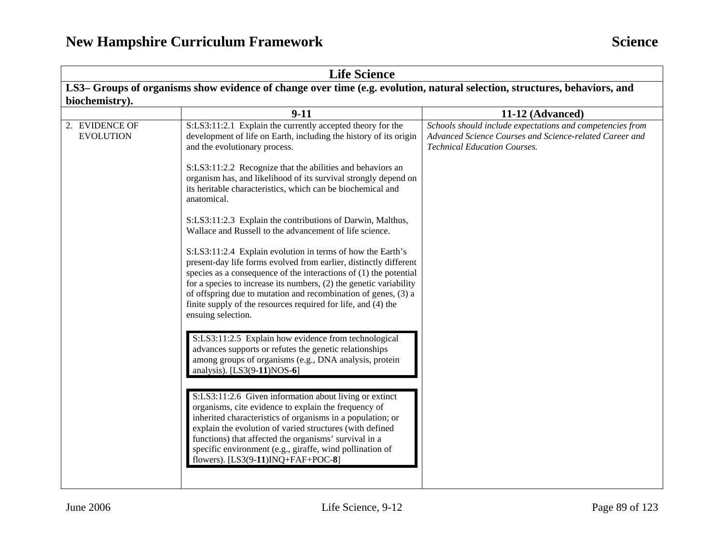| <b>Life Science</b>                                                                                                       |                                                                                                                                                                                                                                                                                                                                                                                                     |                                                                                                                                                             |  |
|---------------------------------------------------------------------------------------------------------------------------|-----------------------------------------------------------------------------------------------------------------------------------------------------------------------------------------------------------------------------------------------------------------------------------------------------------------------------------------------------------------------------------------------------|-------------------------------------------------------------------------------------------------------------------------------------------------------------|--|
| LS3– Groups of organisms show evidence of change over time (e.g. evolution, natural selection, structures, behaviors, and |                                                                                                                                                                                                                                                                                                                                                                                                     |                                                                                                                                                             |  |
| biochemistry).                                                                                                            |                                                                                                                                                                                                                                                                                                                                                                                                     |                                                                                                                                                             |  |
|                                                                                                                           | $9-11$                                                                                                                                                                                                                                                                                                                                                                                              | 11-12 (Advanced)                                                                                                                                            |  |
| 2. EVIDENCE OF<br><b>EVOLUTION</b>                                                                                        | S:LS3:11:2.1 Explain the currently accepted theory for the<br>development of life on Earth, including the history of its origin<br>and the evolutionary process.<br>S:LS3:11:2.2 Recognize that the abilities and behaviors an<br>organism has, and likelihood of its survival strongly depend on                                                                                                   | Schools should include expectations and competencies from<br>Advanced Science Courses and Science-related Career and<br><b>Technical Education Courses.</b> |  |
|                                                                                                                           | its heritable characteristics, which can be biochemical and<br>anatomical.                                                                                                                                                                                                                                                                                                                          |                                                                                                                                                             |  |
|                                                                                                                           | S:LS3:11:2.3 Explain the contributions of Darwin, Malthus,<br>Wallace and Russell to the advancement of life science.<br>S:LS3:11:2.4 Explain evolution in terms of how the Earth's                                                                                                                                                                                                                 |                                                                                                                                                             |  |
|                                                                                                                           | present-day life forms evolved from earlier, distinctly different<br>species as a consequence of the interactions of $(1)$ the potential<br>for a species to increase its numbers, $(2)$ the genetic variability<br>of offspring due to mutation and recombination of genes, (3) a<br>finite supply of the resources required for life, and (4) the<br>ensuing selection.                           |                                                                                                                                                             |  |
|                                                                                                                           | S:LS3:11:2.5 Explain how evidence from technological<br>advances supports or refutes the genetic relationships<br>among groups of organisms (e.g., DNA analysis, protein<br>analysis). [LS3(9-11)NOS-6]                                                                                                                                                                                             |                                                                                                                                                             |  |
|                                                                                                                           | S:LS3:11:2.6 Given information about living or extinct<br>organisms, cite evidence to explain the frequency of<br>inherited characteristics of organisms in a population; or<br>explain the evolution of varied structures (with defined<br>functions) that affected the organisms' survival in a<br>specific environment (e.g., giraffe, wind pollination of<br>flowers). [LS3(9-11)INQ+FAF+POC-8] |                                                                                                                                                             |  |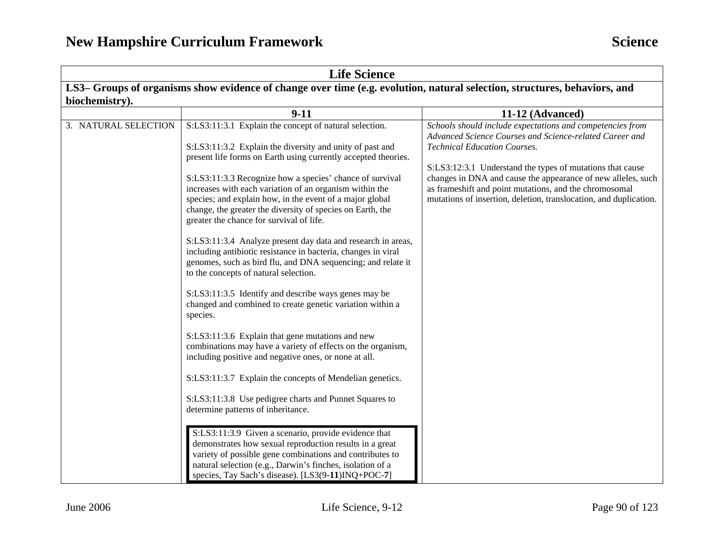| <b>Life Science</b>                                                                                                       |                                                                                                                                                                                                                                                                                                |                                                                                                                                                                                                                                                          |  |  |  |
|---------------------------------------------------------------------------------------------------------------------------|------------------------------------------------------------------------------------------------------------------------------------------------------------------------------------------------------------------------------------------------------------------------------------------------|----------------------------------------------------------------------------------------------------------------------------------------------------------------------------------------------------------------------------------------------------------|--|--|--|
| LS3– Groups of organisms show evidence of change over time (e.g. evolution, natural selection, structures, behaviors, and |                                                                                                                                                                                                                                                                                                |                                                                                                                                                                                                                                                          |  |  |  |
| biochemistry).                                                                                                            |                                                                                                                                                                                                                                                                                                |                                                                                                                                                                                                                                                          |  |  |  |
|                                                                                                                           | $9-11$                                                                                                                                                                                                                                                                                         | 11-12 (Advanced)                                                                                                                                                                                                                                         |  |  |  |
| 3. NATURAL SELECTION                                                                                                      | S:LS3:11:3.1 Explain the concept of natural selection.<br>S:LS3:11:3.2 Explain the diversity and unity of past and<br>present life forms on Earth using currently accepted theories.                                                                                                           | Schools should include expectations and competencies from<br>Advanced Science Courses and Science-related Career and<br><b>Technical Education Courses.</b>                                                                                              |  |  |  |
|                                                                                                                           | S:LS3:11:3.3 Recognize how a species' chance of survival<br>increases with each variation of an organism within the<br>species; and explain how, in the event of a major global<br>change, the greater the diversity of species on Earth, the<br>greater the chance for survival of life.      | S:LS3:12:3.1 Understand the types of mutations that cause<br>changes in DNA and cause the appearance of new alleles, such<br>as frameshift and point mutations, and the chromosomal<br>mutations of insertion, deletion, translocation, and duplication. |  |  |  |
|                                                                                                                           | S:LS3:11:3.4 Analyze present day data and research in areas,<br>including antibiotic resistance in bacteria, changes in viral<br>genomes, such as bird flu, and DNA sequencing; and relate it<br>to the concepts of natural selection.                                                         |                                                                                                                                                                                                                                                          |  |  |  |
|                                                                                                                           | S:LS3:11:3.5 Identify and describe ways genes may be<br>changed and combined to create genetic variation within a<br>species.                                                                                                                                                                  |                                                                                                                                                                                                                                                          |  |  |  |
|                                                                                                                           | S:LS3:11:3.6 Explain that gene mutations and new<br>combinations may have a variety of effects on the organism,<br>including positive and negative ones, or none at all.                                                                                                                       |                                                                                                                                                                                                                                                          |  |  |  |
|                                                                                                                           | S:LS3:11:3.7 Explain the concepts of Mendelian genetics.                                                                                                                                                                                                                                       |                                                                                                                                                                                                                                                          |  |  |  |
|                                                                                                                           | S:LS3:11:3.8 Use pedigree charts and Punnet Squares to<br>determine patterns of inheritance.                                                                                                                                                                                                   |                                                                                                                                                                                                                                                          |  |  |  |
|                                                                                                                           | S:LS3:11:3.9 Given a scenario, provide evidence that<br>demonstrates how sexual reproduction results in a great<br>variety of possible gene combinations and contributes to<br>natural selection (e.g., Darwin's finches, isolation of a<br>species, Tay Sach's disease). [LS3(9-11)INQ+POC-7] |                                                                                                                                                                                                                                                          |  |  |  |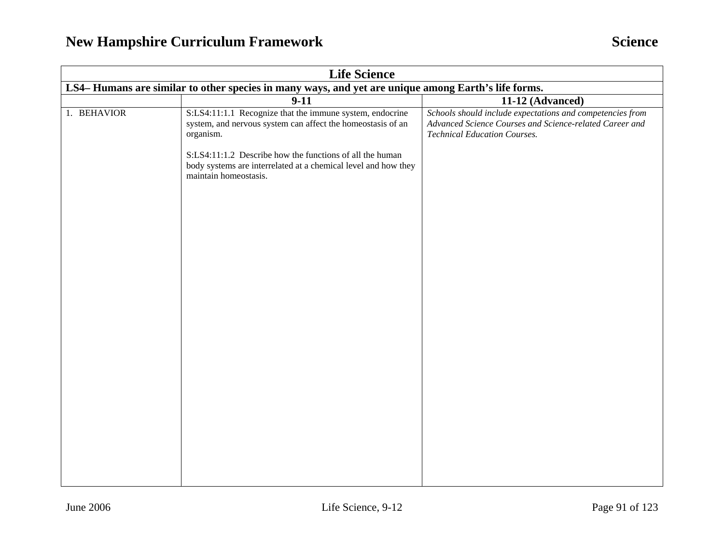## **New Hampshire Curriculum Framework Science Science Science**

| <b>Life Science</b>                                                                                |                                                                                                                                                     |                                                                                                                                                             |  |
|----------------------------------------------------------------------------------------------------|-----------------------------------------------------------------------------------------------------------------------------------------------------|-------------------------------------------------------------------------------------------------------------------------------------------------------------|--|
| LS4-Humans are similar to other species in many ways, and yet are unique among Earth's life forms. |                                                                                                                                                     |                                                                                                                                                             |  |
|                                                                                                    | $9 - 11$                                                                                                                                            | 11-12 (Advanced)                                                                                                                                            |  |
| 1. BEHAVIOR                                                                                        | S:LS4:11:1.1 Recognize that the immune system, endocrine<br>system, and nervous system can affect the homeostasis of an<br>organism.                | Schools should include expectations and competencies from<br>Advanced Science Courses and Science-related Career and<br><b>Technical Education Courses.</b> |  |
|                                                                                                    | S:LS4:11:1.2 Describe how the functions of all the human<br>body systems are interrelated at a chemical level and how they<br>maintain homeostasis. |                                                                                                                                                             |  |
|                                                                                                    |                                                                                                                                                     |                                                                                                                                                             |  |
|                                                                                                    |                                                                                                                                                     |                                                                                                                                                             |  |
|                                                                                                    |                                                                                                                                                     |                                                                                                                                                             |  |
|                                                                                                    |                                                                                                                                                     |                                                                                                                                                             |  |
|                                                                                                    |                                                                                                                                                     |                                                                                                                                                             |  |
|                                                                                                    |                                                                                                                                                     |                                                                                                                                                             |  |
|                                                                                                    |                                                                                                                                                     |                                                                                                                                                             |  |
|                                                                                                    |                                                                                                                                                     |                                                                                                                                                             |  |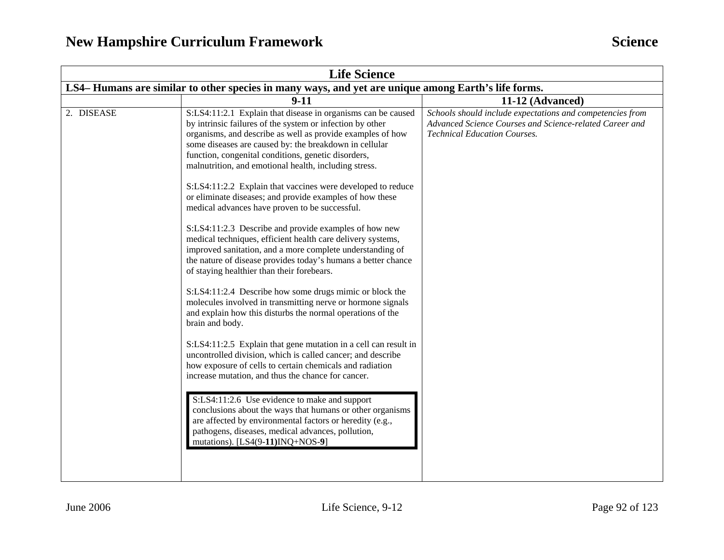| <b>Life Science</b>                                                                                                                                                                                                                                                                                                                                                                                                                                                                                                                                                                                                                                                                                                                                                                                                                                                                                                                                                                                                                                                                                                                                                                                                                                                                                                                                                                                                                                                                                                                                                                  |                                                                                                                                                             |  |  |
|--------------------------------------------------------------------------------------------------------------------------------------------------------------------------------------------------------------------------------------------------------------------------------------------------------------------------------------------------------------------------------------------------------------------------------------------------------------------------------------------------------------------------------------------------------------------------------------------------------------------------------------------------------------------------------------------------------------------------------------------------------------------------------------------------------------------------------------------------------------------------------------------------------------------------------------------------------------------------------------------------------------------------------------------------------------------------------------------------------------------------------------------------------------------------------------------------------------------------------------------------------------------------------------------------------------------------------------------------------------------------------------------------------------------------------------------------------------------------------------------------------------------------------------------------------------------------------------|-------------------------------------------------------------------------------------------------------------------------------------------------------------|--|--|
| LS4– Humans are similar to other species in many ways, and yet are unique among Earth's life forms.                                                                                                                                                                                                                                                                                                                                                                                                                                                                                                                                                                                                                                                                                                                                                                                                                                                                                                                                                                                                                                                                                                                                                                                                                                                                                                                                                                                                                                                                                  |                                                                                                                                                             |  |  |
| $9 - 11$                                                                                                                                                                                                                                                                                                                                                                                                                                                                                                                                                                                                                                                                                                                                                                                                                                                                                                                                                                                                                                                                                                                                                                                                                                                                                                                                                                                                                                                                                                                                                                             | 11-12 (Advanced)                                                                                                                                            |  |  |
| S:LS4:11:2.1 Explain that disease in organisms can be caused<br>by intrinsic failures of the system or infection by other<br>organisms, and describe as well as provide examples of how<br>some diseases are caused by: the breakdown in cellular<br>function, congenital conditions, genetic disorders,<br>malnutrition, and emotional health, including stress.<br>S:LS4:11:2.2 Explain that vaccines were developed to reduce<br>or eliminate diseases; and provide examples of how these<br>medical advances have proven to be successful.<br>S:LS4:11:2.3 Describe and provide examples of how new<br>medical techniques, efficient health care delivery systems,<br>improved sanitation, and a more complete understanding of<br>the nature of disease provides today's humans a better chance<br>of staying healthier than their forebears.<br>S:LS4:11:2.4 Describe how some drugs mimic or block the<br>molecules involved in transmitting nerve or hormone signals<br>and explain how this disturbs the normal operations of the<br>brain and body.<br>S:LS4:11:2.5 Explain that gene mutation in a cell can result in<br>uncontrolled division, which is called cancer; and describe<br>how exposure of cells to certain chemicals and radiation<br>increase mutation, and thus the chance for cancer.<br>S:LS4:11:2.6 Use evidence to make and support<br>conclusions about the ways that humans or other organisms<br>are affected by environmental factors or heredity (e.g.,<br>pathogens, diseases, medical advances, pollution,<br>mutations). [LS4(9-11)INQ+NOS-9] | Schools should include expectations and competencies from<br>Advanced Science Courses and Science-related Career and<br><b>Technical Education Courses.</b> |  |  |
|                                                                                                                                                                                                                                                                                                                                                                                                                                                                                                                                                                                                                                                                                                                                                                                                                                                                                                                                                                                                                                                                                                                                                                                                                                                                                                                                                                                                                                                                                                                                                                                      |                                                                                                                                                             |  |  |
|                                                                                                                                                                                                                                                                                                                                                                                                                                                                                                                                                                                                                                                                                                                                                                                                                                                                                                                                                                                                                                                                                                                                                                                                                                                                                                                                                                                                                                                                                                                                                                                      |                                                                                                                                                             |  |  |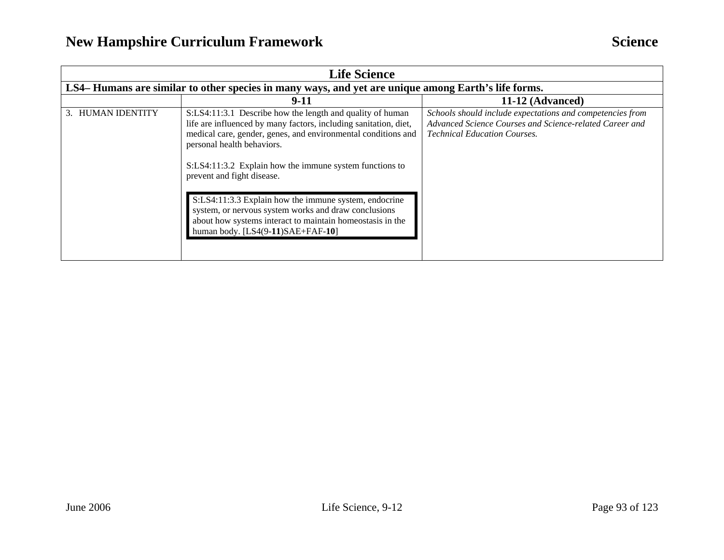| <b>Life Science</b> |                                                                                                                                                                                                                                                                                                                                                                                                                                                                                                                                          |                                                                                                                                                             |  |
|---------------------|------------------------------------------------------------------------------------------------------------------------------------------------------------------------------------------------------------------------------------------------------------------------------------------------------------------------------------------------------------------------------------------------------------------------------------------------------------------------------------------------------------------------------------------|-------------------------------------------------------------------------------------------------------------------------------------------------------------|--|
|                     | LS4– Humans are similar to other species in many ways, and yet are unique among Earth's life forms.                                                                                                                                                                                                                                                                                                                                                                                                                                      |                                                                                                                                                             |  |
|                     | $9 - 11$                                                                                                                                                                                                                                                                                                                                                                                                                                                                                                                                 | 11-12 (Advanced)                                                                                                                                            |  |
| 3. HUMAN IDENTITY   | S:LS4:11:3.1 Describe how the length and quality of human<br>life are influenced by many factors, including sanitation, diet,<br>medical care, gender, genes, and environmental conditions and<br>personal health behaviors.<br>S:LS4:11:3.2 Explain how the immune system functions to<br>prevent and fight disease.<br>S:LS4:11:3.3 Explain how the immune system, endocrine<br>system, or nervous system works and draw conclusions<br>about how systems interact to maintain homeostasis in the<br>human body. [LS4(9-11)SAE+FAF-10] | Schools should include expectations and competencies from<br>Advanced Science Courses and Science-related Career and<br><b>Technical Education Courses.</b> |  |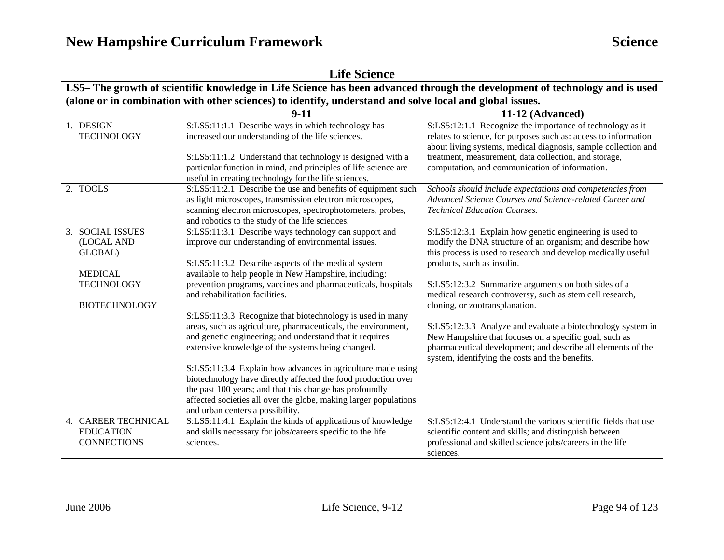| <b>Life Science</b>                                                                                      |                                                                                                                                                                                                                                                                                                                                                                                                                                                                                                                                                                                                                                                                                                                                                                                                                                                                                 |                                                                                                                                                                                                                                                                                                                                                                                                                                                                                                                                                                                                                       |  |  |
|----------------------------------------------------------------------------------------------------------|---------------------------------------------------------------------------------------------------------------------------------------------------------------------------------------------------------------------------------------------------------------------------------------------------------------------------------------------------------------------------------------------------------------------------------------------------------------------------------------------------------------------------------------------------------------------------------------------------------------------------------------------------------------------------------------------------------------------------------------------------------------------------------------------------------------------------------------------------------------------------------|-----------------------------------------------------------------------------------------------------------------------------------------------------------------------------------------------------------------------------------------------------------------------------------------------------------------------------------------------------------------------------------------------------------------------------------------------------------------------------------------------------------------------------------------------------------------------------------------------------------------------|--|--|
|                                                                                                          | LS5-The growth of scientific knowledge in Life Science has been advanced through the development of technology and is used                                                                                                                                                                                                                                                                                                                                                                                                                                                                                                                                                                                                                                                                                                                                                      |                                                                                                                                                                                                                                                                                                                                                                                                                                                                                                                                                                                                                       |  |  |
|                                                                                                          | (alone or in combination with other sciences) to identify, understand and solve local and global issues.                                                                                                                                                                                                                                                                                                                                                                                                                                                                                                                                                                                                                                                                                                                                                                        |                                                                                                                                                                                                                                                                                                                                                                                                                                                                                                                                                                                                                       |  |  |
|                                                                                                          | $9 - 11$                                                                                                                                                                                                                                                                                                                                                                                                                                                                                                                                                                                                                                                                                                                                                                                                                                                                        | 11-12 (Advanced)                                                                                                                                                                                                                                                                                                                                                                                                                                                                                                                                                                                                      |  |  |
| 1. DESIGN<br><b>TECHNOLOGY</b>                                                                           | S:LS5:11:1.1 Describe ways in which technology has<br>increased our understanding of the life sciences.<br>S:LS5:11:1.2 Understand that technology is designed with a<br>particular function in mind, and principles of life science are<br>useful in creating technology for the life sciences.                                                                                                                                                                                                                                                                                                                                                                                                                                                                                                                                                                                | S:LS5:12:1.1 Recognize the importance of technology as it<br>relates to science, for purposes such as: access to information<br>about living systems, medical diagnosis, sample collection and<br>treatment, measurement, data collection, and storage,<br>computation, and communication of information.                                                                                                                                                                                                                                                                                                             |  |  |
| 2. TOOLS                                                                                                 | S:LS5:11:2.1 Describe the use and benefits of equipment such<br>as light microscopes, transmission electron microscopes,<br>scanning electron microscopes, spectrophotometers, probes,<br>and robotics to the study of the life sciences.                                                                                                                                                                                                                                                                                                                                                                                                                                                                                                                                                                                                                                       | Schools should include expectations and competencies from<br>Advanced Science Courses and Science-related Career and<br><b>Technical Education Courses.</b>                                                                                                                                                                                                                                                                                                                                                                                                                                                           |  |  |
| 3. SOCIAL ISSUES<br>(LOCAL AND<br>GLOBAL)<br><b>MEDICAL</b><br><b>TECHNOLOGY</b><br><b>BIOTECHNOLOGY</b> | S:LS5:11:3.1 Describe ways technology can support and<br>improve our understanding of environmental issues.<br>S:LS5:11:3.2 Describe aspects of the medical system<br>available to help people in New Hampshire, including:<br>prevention programs, vaccines and pharmaceuticals, hospitals<br>and rehabilitation facilities.<br>S:LS5:11:3.3 Recognize that biotechnology is used in many<br>areas, such as agriculture, pharmaceuticals, the environment,<br>and genetic engineering; and understand that it requires<br>extensive knowledge of the systems being changed.<br>S:LS5:11:3.4 Explain how advances in agriculture made using<br>biotechnology have directly affected the food production over<br>the past 100 years; and that this change has profoundly<br>affected societies all over the globe, making larger populations<br>and urban centers a possibility. | S:LS5:12:3.1 Explain how genetic engineering is used to<br>modify the DNA structure of an organism; and describe how<br>this process is used to research and develop medically useful<br>products, such as insulin.<br>S:LS5:12:3.2 Summarize arguments on both sides of a<br>medical research controversy, such as stem cell research,<br>cloning, or zootransplanation.<br>S:LS5:12:3.3 Analyze and evaluate a biotechnology system in<br>New Hampshire that focuses on a specific goal, such as<br>pharmaceutical development; and describe all elements of the<br>system, identifying the costs and the benefits. |  |  |
| 4. CAREER TECHNICAL<br><b>EDUCATION</b><br><b>CONNECTIONS</b>                                            | S:LS5:11:4.1 Explain the kinds of applications of knowledge<br>and skills necessary for jobs/careers specific to the life<br>sciences.                                                                                                                                                                                                                                                                                                                                                                                                                                                                                                                                                                                                                                                                                                                                          | S:LS5:12:4.1 Understand the various scientific fields that use<br>scientific content and skills; and distinguish between<br>professional and skilled science jobs/careers in the life<br>sciences.                                                                                                                                                                                                                                                                                                                                                                                                                    |  |  |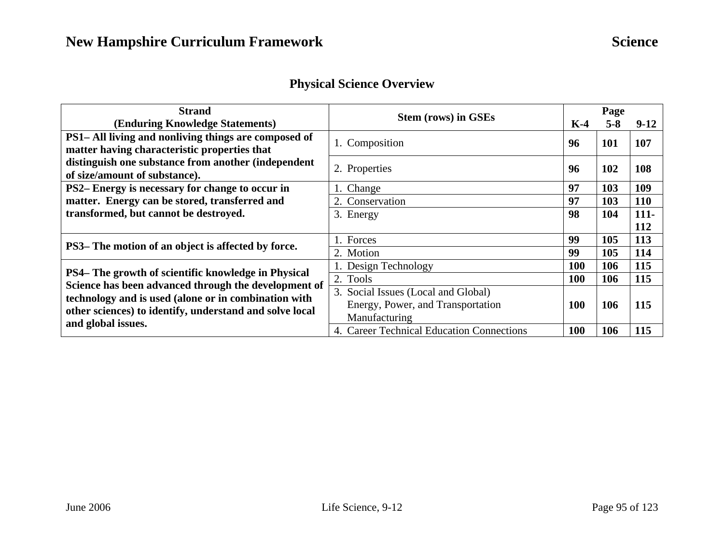|  |  | <b>Physical Science Overview</b> |
|--|--|----------------------------------|
|--|--|----------------------------------|

| <b>Strand</b>                                                                                               | <b>Stem (rows) in GSEs</b>                |            | Page    |            |
|-------------------------------------------------------------------------------------------------------------|-------------------------------------------|------------|---------|------------|
| (Enduring Knowledge Statements)                                                                             |                                           |            | $5 - 8$ | $9-12$     |
| PS1– All living and nonliving things are composed of                                                        | 1. Composition                            | 96         | 101     | 107        |
| matter having characteristic properties that                                                                |                                           |            |         |            |
| distinguish one substance from another (independent                                                         | 2. Properties                             | 96         | 102     | 108        |
| of size/amount of substance).                                                                               |                                           |            |         |            |
| PS2-Energy is necessary for change to occur in                                                              | 1. Change                                 | 97         | 103     | 109        |
| matter. Energy can be stored, transferred and                                                               | 2. Conservation                           | 97         | 103     | <b>110</b> |
| transformed, but cannot be destroyed.                                                                       | 3. Energy                                 | 98         | 104     | $111-$     |
|                                                                                                             |                                           |            |         | 112        |
|                                                                                                             | 1. Forces                                 | 99         | 105     | 113        |
| PS3– The motion of an object is affected by force.                                                          | 2. Motion                                 | 99         | 105     | 114        |
|                                                                                                             | Design Technology                         | <b>100</b> | 106     | 115        |
| PS4– The growth of scientific knowledge in Physical<br>Science has been advanced through the development of | 2. Tools                                  | <b>100</b> | 106     | 115        |
| technology and is used (alone or in combination with                                                        | 3. Social Issues (Local and Global)       |            |         |            |
| other sciences) to identify, understand and solve local<br>and global issues.                               | Energy, Power, and Transportation         | 100        | 106     | 115        |
|                                                                                                             | Manufacturing                             |            |         |            |
|                                                                                                             | 4. Career Technical Education Connections | <b>100</b> | 106     | 115        |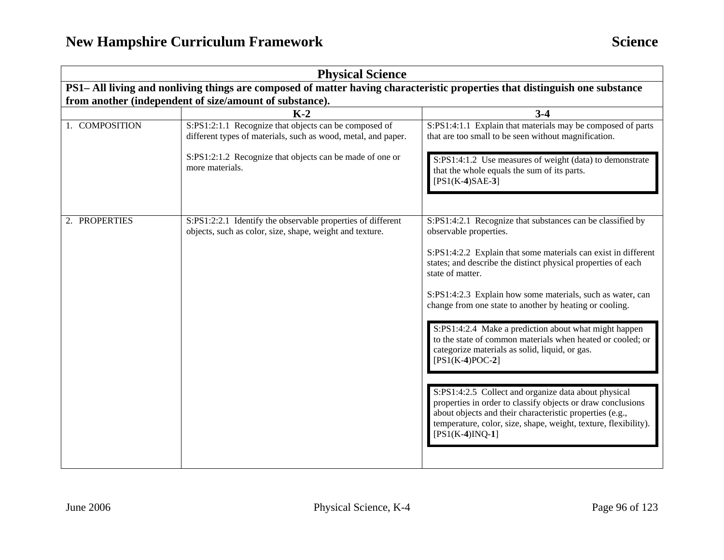| <b>Physical Science</b>                                                                                                     |                                                                                                                         |                                                                                                                                                                                                                                                                         |
|-----------------------------------------------------------------------------------------------------------------------------|-------------------------------------------------------------------------------------------------------------------------|-------------------------------------------------------------------------------------------------------------------------------------------------------------------------------------------------------------------------------------------------------------------------|
| PS1- All living and nonliving things are composed of matter having characteristic properties that distinguish one substance |                                                                                                                         |                                                                                                                                                                                                                                                                         |
|                                                                                                                             | from another (independent of size/amount of substance).                                                                 |                                                                                                                                                                                                                                                                         |
|                                                                                                                             | $K-2$                                                                                                                   | $3 - 4$                                                                                                                                                                                                                                                                 |
| 1. COMPOSITION                                                                                                              | S:PS1:2:1.1 Recognize that objects can be composed of<br>different types of materials, such as wood, metal, and paper.  | S:PS1:4:1.1 Explain that materials may be composed of parts<br>that are too small to be seen without magnification.                                                                                                                                                     |
|                                                                                                                             | S:PS1:2:1.2 Recognize that objects can be made of one or<br>more materials.                                             | S:PS1:4:1.2 Use measures of weight (data) to demonstrate<br>that the whole equals the sum of its parts.<br>$[PS1(K-4)SAE-3]$                                                                                                                                            |
| 2. PROPERTIES                                                                                                               | S:PS1:2:2.1 Identify the observable properties of different<br>objects, such as color, size, shape, weight and texture. | S:PS1:4:2.1 Recognize that substances can be classified by<br>observable properties.                                                                                                                                                                                    |
|                                                                                                                             |                                                                                                                         | S:PS1:4:2.2 Explain that some materials can exist in different<br>states; and describe the distinct physical properties of each<br>state of matter.                                                                                                                     |
|                                                                                                                             |                                                                                                                         | S:PS1:4:2.3 Explain how some materials, such as water, can<br>change from one state to another by heating or cooling.                                                                                                                                                   |
|                                                                                                                             |                                                                                                                         | S:PS1:4:2.4 Make a prediction about what might happen<br>to the state of common materials when heated or cooled; or<br>categorize materials as solid, liquid, or gas.<br>$[PS1(K-4)POC-2]$                                                                              |
|                                                                                                                             |                                                                                                                         | S:PS1:4:2.5 Collect and organize data about physical<br>properties in order to classify objects or draw conclusions<br>about objects and their characteristic properties (e.g.,<br>temperature, color, size, shape, weight, texture, flexibility).<br>$[PS1(K-4)INQ-1]$ |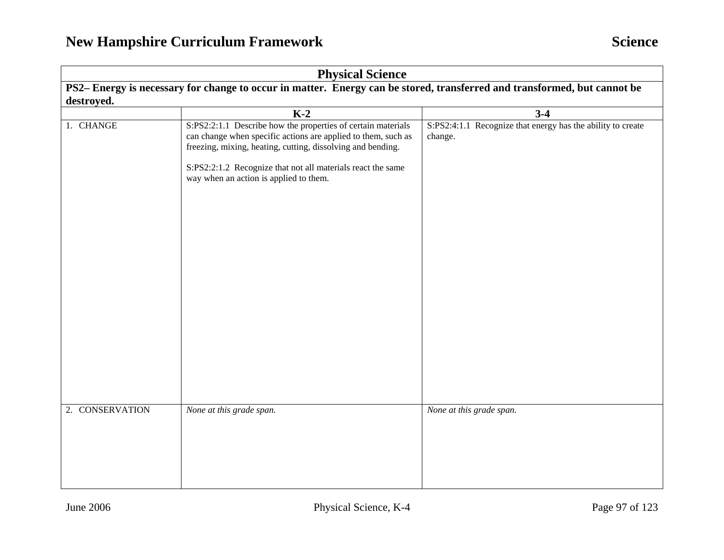| <b>Physical Science</b>                                                                                                 |                                                                                                                                                                                                                                                                                                       |                                                                        |  |
|-------------------------------------------------------------------------------------------------------------------------|-------------------------------------------------------------------------------------------------------------------------------------------------------------------------------------------------------------------------------------------------------------------------------------------------------|------------------------------------------------------------------------|--|
| PS2-Energy is necessary for change to occur in matter. Energy can be stored, transferred and transformed, but cannot be |                                                                                                                                                                                                                                                                                                       |                                                                        |  |
| destroyed.                                                                                                              |                                                                                                                                                                                                                                                                                                       |                                                                        |  |
|                                                                                                                         | $K-2$                                                                                                                                                                                                                                                                                                 | $3-4$                                                                  |  |
| 1. CHANGE                                                                                                               | S:PS2:2:1.1 Describe how the properties of certain materials<br>can change when specific actions are applied to them, such as<br>freezing, mixing, heating, cutting, dissolving and bending.<br>S:PS2:2:1.2 Recognize that not all materials react the same<br>way when an action is applied to them. | S:PS2:4:1.1 Recognize that energy has the ability to create<br>change. |  |
| 2. CONSERVATION                                                                                                         | None at this grade span.                                                                                                                                                                                                                                                                              | None at this grade span.                                               |  |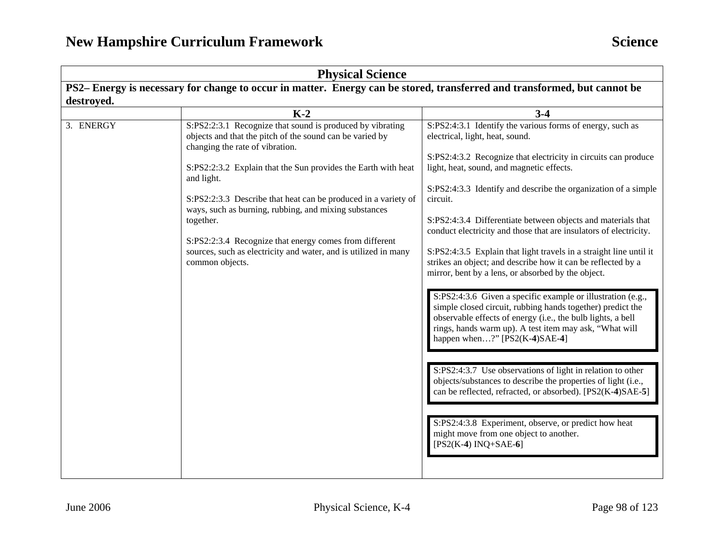| <b>Physical Science</b>                                                                                                  |                                                                                                                                                                                                                                                                                                                                                                                                                                                                                                                                 |                                                                                                                                                                                                                                                                                                                                                                                                                                                                                                                                                                                                                                                                                                                                                                                                                                                                                                                                                                                                                                                                                                                                                                                                                                            |  |
|--------------------------------------------------------------------------------------------------------------------------|---------------------------------------------------------------------------------------------------------------------------------------------------------------------------------------------------------------------------------------------------------------------------------------------------------------------------------------------------------------------------------------------------------------------------------------------------------------------------------------------------------------------------------|--------------------------------------------------------------------------------------------------------------------------------------------------------------------------------------------------------------------------------------------------------------------------------------------------------------------------------------------------------------------------------------------------------------------------------------------------------------------------------------------------------------------------------------------------------------------------------------------------------------------------------------------------------------------------------------------------------------------------------------------------------------------------------------------------------------------------------------------------------------------------------------------------------------------------------------------------------------------------------------------------------------------------------------------------------------------------------------------------------------------------------------------------------------------------------------------------------------------------------------------|--|
| PS2– Energy is necessary for change to occur in matter. Energy can be stored, transferred and transformed, but cannot be |                                                                                                                                                                                                                                                                                                                                                                                                                                                                                                                                 |                                                                                                                                                                                                                                                                                                                                                                                                                                                                                                                                                                                                                                                                                                                                                                                                                                                                                                                                                                                                                                                                                                                                                                                                                                            |  |
| destroyed.                                                                                                               |                                                                                                                                                                                                                                                                                                                                                                                                                                                                                                                                 |                                                                                                                                                                                                                                                                                                                                                                                                                                                                                                                                                                                                                                                                                                                                                                                                                                                                                                                                                                                                                                                                                                                                                                                                                                            |  |
|                                                                                                                          | $K-2$                                                                                                                                                                                                                                                                                                                                                                                                                                                                                                                           | $3-4$                                                                                                                                                                                                                                                                                                                                                                                                                                                                                                                                                                                                                                                                                                                                                                                                                                                                                                                                                                                                                                                                                                                                                                                                                                      |  |
| 3. ENERGY                                                                                                                | S:PS2:2:3.1 Recognize that sound is produced by vibrating<br>objects and that the pitch of the sound can be varied by<br>changing the rate of vibration.<br>S:PS2:2:3.2 Explain that the Sun provides the Earth with heat<br>and light.<br>S:PS2:2:3.3 Describe that heat can be produced in a variety of<br>ways, such as burning, rubbing, and mixing substances<br>together.<br>S:PS2:2:3.4 Recognize that energy comes from different<br>sources, such as electricity and water, and is utilized in many<br>common objects. | S:PS2:4:3.1 Identify the various forms of energy, such as<br>electrical, light, heat, sound.<br>S:PS2:4:3.2 Recognize that electricity in circuits can produce<br>light, heat, sound, and magnetic effects.<br>S:PS2:4:3.3 Identify and describe the organization of a simple<br>circuit.<br>S:PS2:4:3.4 Differentiate between objects and materials that<br>conduct electricity and those that are insulators of electricity.<br>S:PS2:4:3.5 Explain that light travels in a straight line until it<br>strikes an object; and describe how it can be reflected by a<br>mirror, bent by a lens, or absorbed by the object.<br>S:PS2:4:3.6 Given a specific example or illustration (e.g.,<br>simple closed circuit, rubbing hands together) predict the<br>observable effects of energy (i.e., the bulb lights, a bell<br>rings, hands warm up). A test item may ask, "What will<br>happen when?" [PS2(K-4)SAE-4]<br>S:PS2:4:3.7 Use observations of light in relation to other<br>objects/substances to describe the properties of light (i.e.,<br>can be reflected, refracted, or absorbed). [PS2(K-4)SAE-5]<br>S:PS2:4:3.8 Experiment, observe, or predict how heat<br>might move from one object to another.<br>$[PS2(K-4) INQ+SAE-6]$ |  |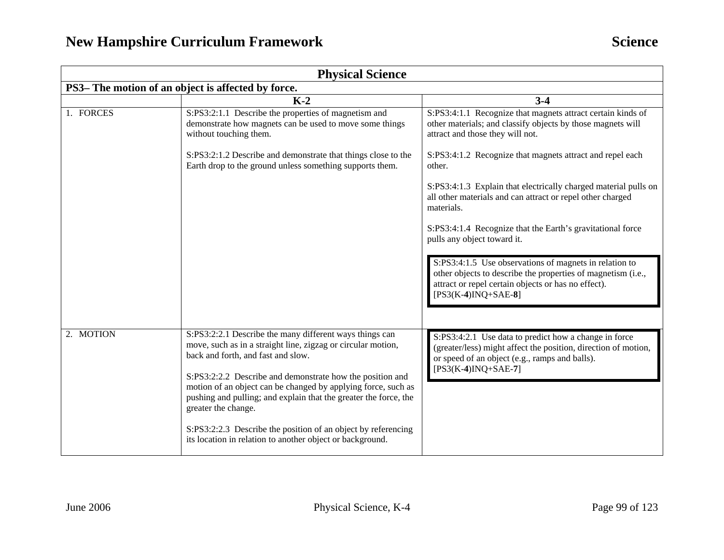| <b>Physical Science</b>                            |                                                                                                                                                                                                                                                                                                                                                                                        |                                                                                                                                                                                                        |
|----------------------------------------------------|----------------------------------------------------------------------------------------------------------------------------------------------------------------------------------------------------------------------------------------------------------------------------------------------------------------------------------------------------------------------------------------|--------------------------------------------------------------------------------------------------------------------------------------------------------------------------------------------------------|
| PS3- The motion of an object is affected by force. |                                                                                                                                                                                                                                                                                                                                                                                        |                                                                                                                                                                                                        |
|                                                    | $K-2$                                                                                                                                                                                                                                                                                                                                                                                  | $3-4$                                                                                                                                                                                                  |
| 1. FORCES                                          | S:PS3:2:1.1 Describe the properties of magnetism and<br>demonstrate how magnets can be used to move some things<br>without touching them.                                                                                                                                                                                                                                              | S:PS3:4:1.1 Recognize that magnets attract certain kinds of<br>other materials; and classify objects by those magnets will<br>attract and those they will not.                                         |
|                                                    | S:PS3:2:1.2 Describe and demonstrate that things close to the<br>Earth drop to the ground unless something supports them.                                                                                                                                                                                                                                                              | S:PS3:4:1.2 Recognize that magnets attract and repel each<br>other.                                                                                                                                    |
|                                                    |                                                                                                                                                                                                                                                                                                                                                                                        | S:PS3:4:1.3 Explain that electrically charged material pulls on<br>all other materials and can attract or repel other charged<br>materials.                                                            |
|                                                    |                                                                                                                                                                                                                                                                                                                                                                                        | S:PS3:4:1.4 Recognize that the Earth's gravitational force<br>pulls any object toward it.                                                                                                              |
|                                                    |                                                                                                                                                                                                                                                                                                                                                                                        | S:PS3:4:1.5 Use observations of magnets in relation to<br>other objects to describe the properties of magnetism (i.e.,<br>attract or repel certain objects or has no effect).<br>$[PS3(K-4)INQ+SAE-8]$ |
|                                                    |                                                                                                                                                                                                                                                                                                                                                                                        |                                                                                                                                                                                                        |
| 2. MOTION                                          | S:PS3:2:2.1 Describe the many different ways things can<br>move, such as in a straight line, zigzag or circular motion,<br>back and forth, and fast and slow.<br>S:PS3:2:2.2 Describe and demonstrate how the position and<br>motion of an object can be changed by applying force, such as<br>pushing and pulling; and explain that the greater the force, the<br>greater the change. | S:PS3:4:2.1 Use data to predict how a change in force<br>(greater/less) might affect the position, direction of motion,<br>or speed of an object (e.g., ramps and balls).<br>$[PS3(K-4)INQ+SAE-7]$     |
|                                                    | S:PS3:2:2.3 Describe the position of an object by referencing<br>its location in relation to another object or background.                                                                                                                                                                                                                                                             |                                                                                                                                                                                                        |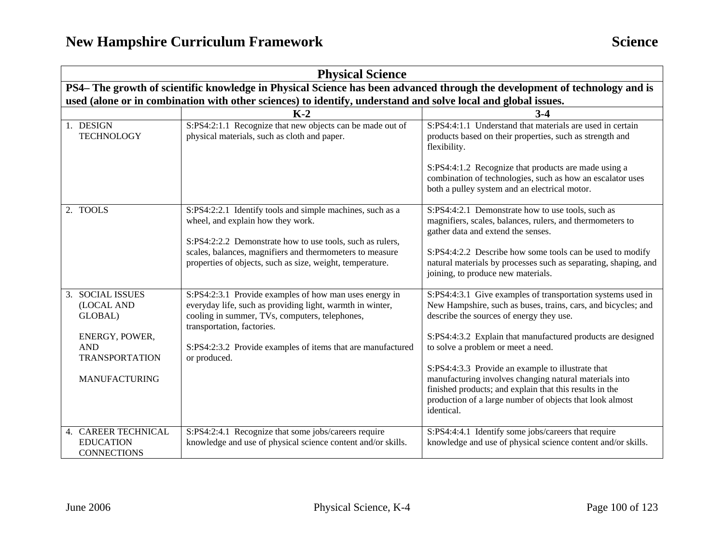|                                                                                                                            | <b>Physical Science</b>                                                                                                                                                                                                                                                            |                                                                                                                                                                                                                                                                                                                                                                                                                                                                                                                                   |  |
|----------------------------------------------------------------------------------------------------------------------------|------------------------------------------------------------------------------------------------------------------------------------------------------------------------------------------------------------------------------------------------------------------------------------|-----------------------------------------------------------------------------------------------------------------------------------------------------------------------------------------------------------------------------------------------------------------------------------------------------------------------------------------------------------------------------------------------------------------------------------------------------------------------------------------------------------------------------------|--|
| PS4- The growth of scientific knowledge in Physical Science has been advanced through the development of technology and is |                                                                                                                                                                                                                                                                                    |                                                                                                                                                                                                                                                                                                                                                                                                                                                                                                                                   |  |
| used (alone or in combination with other sciences) to identify, understand and solve local and global issues.              |                                                                                                                                                                                                                                                                                    |                                                                                                                                                                                                                                                                                                                                                                                                                                                                                                                                   |  |
|                                                                                                                            | $K-2$                                                                                                                                                                                                                                                                              | $3-4$                                                                                                                                                                                                                                                                                                                                                                                                                                                                                                                             |  |
| 1. DESIGN<br><b>TECHNOLOGY</b>                                                                                             | S:PS4:2:1.1 Recognize that new objects can be made out of<br>physical materials, such as cloth and paper.                                                                                                                                                                          | S:PS4:4:1.1 Understand that materials are used in certain<br>products based on their properties, such as strength and<br>flexibility.                                                                                                                                                                                                                                                                                                                                                                                             |  |
|                                                                                                                            |                                                                                                                                                                                                                                                                                    | S:PS4:4:1.2 Recognize that products are made using a<br>combination of technologies, such as how an escalator uses<br>both a pulley system and an electrical motor.                                                                                                                                                                                                                                                                                                                                                               |  |
| 2. TOOLS                                                                                                                   | S:PS4:2:2.1 Identify tools and simple machines, such as a<br>wheel, and explain how they work.<br>S:PS4:2:2.2 Demonstrate how to use tools, such as rulers,                                                                                                                        | S:PS4:4:2.1 Demonstrate how to use tools, such as<br>magnifiers, scales, balances, rulers, and thermometers to<br>gather data and extend the senses.                                                                                                                                                                                                                                                                                                                                                                              |  |
|                                                                                                                            | scales, balances, magnifiers and thermometers to measure<br>properties of objects, such as size, weight, temperature.                                                                                                                                                              | S:PS4:4:2.2 Describe how some tools can be used to modify<br>natural materials by processes such as separating, shaping, and<br>joining, to produce new materials.                                                                                                                                                                                                                                                                                                                                                                |  |
| 3. SOCIAL ISSUES<br>(LOCAL AND<br>GLOBAL)<br>ENERGY, POWER,<br><b>AND</b><br><b>TRANSPORTATION</b><br><b>MANUFACTURING</b> | S:PS4:2:3.1 Provide examples of how man uses energy in<br>everyday life, such as providing light, warmth in winter,<br>cooling in summer, TVs, computers, telephones,<br>transportation, factories.<br>S:PS4:2:3.2 Provide examples of items that are manufactured<br>or produced. | S:PS4:4:3.1 Give examples of transportation systems used in<br>New Hampshire, such as buses, trains, cars, and bicycles; and<br>describe the sources of energy they use.<br>S:PS4:4:3.2 Explain that manufactured products are designed<br>to solve a problem or meet a need.<br>S:PS4:4:3.3 Provide an example to illustrate that<br>manufacturing involves changing natural materials into<br>finished products; and explain that this results in the<br>production of a large number of objects that look almost<br>identical. |  |
| 4. CAREER TECHNICAL<br><b>EDUCATION</b><br><b>CONNECTIONS</b>                                                              | S:PS4:2:4.1 Recognize that some jobs/careers require<br>knowledge and use of physical science content and/or skills.                                                                                                                                                               | S:PS4:4:4.1 Identify some jobs/careers that require<br>knowledge and use of physical science content and/or skills.                                                                                                                                                                                                                                                                                                                                                                                                               |  |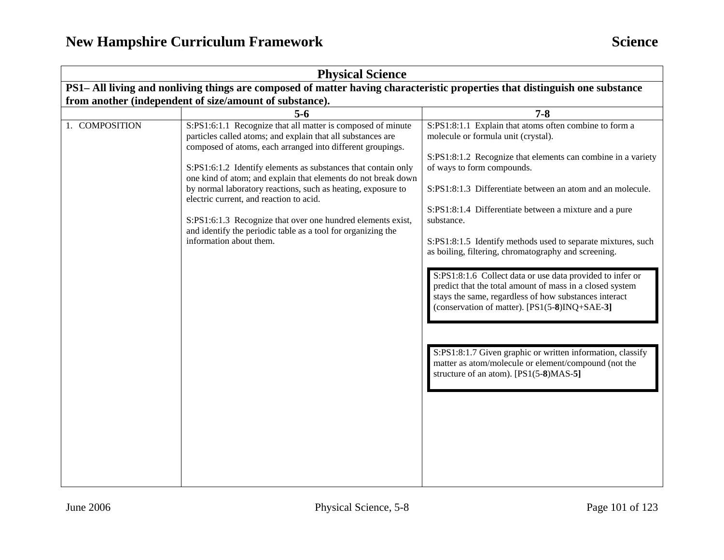| <b>Physical Science</b>                                                                                                     |                                                                                                                                                                                                                                                                                                                                                                                                                                                                                                                                                                                                 |                                                                                                                                                                                                                                                                                                                                                                                                                                                                                                                                                                                                                                                                                                                                                                                                                                                              |
|-----------------------------------------------------------------------------------------------------------------------------|-------------------------------------------------------------------------------------------------------------------------------------------------------------------------------------------------------------------------------------------------------------------------------------------------------------------------------------------------------------------------------------------------------------------------------------------------------------------------------------------------------------------------------------------------------------------------------------------------|--------------------------------------------------------------------------------------------------------------------------------------------------------------------------------------------------------------------------------------------------------------------------------------------------------------------------------------------------------------------------------------------------------------------------------------------------------------------------------------------------------------------------------------------------------------------------------------------------------------------------------------------------------------------------------------------------------------------------------------------------------------------------------------------------------------------------------------------------------------|
| PS1– All living and nonliving things are composed of matter having characteristic properties that distinguish one substance |                                                                                                                                                                                                                                                                                                                                                                                                                                                                                                                                                                                                 |                                                                                                                                                                                                                                                                                                                                                                                                                                                                                                                                                                                                                                                                                                                                                                                                                                                              |
| from another (independent of size/amount of substance).                                                                     |                                                                                                                                                                                                                                                                                                                                                                                                                                                                                                                                                                                                 |                                                                                                                                                                                                                                                                                                                                                                                                                                                                                                                                                                                                                                                                                                                                                                                                                                                              |
|                                                                                                                             | $5-6$                                                                                                                                                                                                                                                                                                                                                                                                                                                                                                                                                                                           | $7 - 8$                                                                                                                                                                                                                                                                                                                                                                                                                                                                                                                                                                                                                                                                                                                                                                                                                                                      |
| 1. COMPOSITION                                                                                                              | S:PS1:6:1.1 Recognize that all matter is composed of minute<br>particles called atoms; and explain that all substances are<br>composed of atoms, each arranged into different groupings.<br>S:PS1:6:1.2 Identify elements as substances that contain only<br>one kind of atom; and explain that elements do not break down<br>by normal laboratory reactions, such as heating, exposure to<br>electric current, and reaction to acid.<br>S:PS1:6:1.3 Recognize that over one hundred elements exist,<br>and identify the periodic table as a tool for organizing the<br>information about them. | S:PS1:8:1.1 Explain that atoms often combine to form a<br>molecule or formula unit (crystal).<br>S:PS1:8:1.2 Recognize that elements can combine in a variety<br>of ways to form compounds.<br>S:PS1:8:1.3 Differentiate between an atom and an molecule.<br>S:PS1:8:1.4 Differentiate between a mixture and a pure<br>substance.<br>S:PS1:8:1.5 Identify methods used to separate mixtures, such<br>as boiling, filtering, chromatography and screening.<br>S:PS1:8:1.6 Collect data or use data provided to infer or<br>predict that the total amount of mass in a closed system<br>stays the same, regardless of how substances interact<br>(conservation of matter). [PS1(5-8)INQ+SAE-3]<br>S:PS1:8:1.7 Given graphic or written information, classify<br>matter as atom/molecule or element/compound (not the<br>structure of an atom). [PS1(5-8)MAS-5] |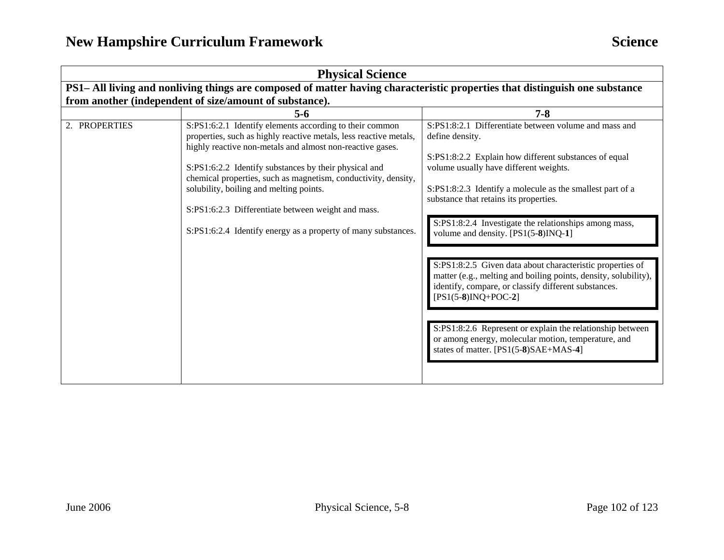| <b>Physical Science</b>                                                                                                     |                                                                                                                                                                                           |                                                                                                                                                                                                               |
|-----------------------------------------------------------------------------------------------------------------------------|-------------------------------------------------------------------------------------------------------------------------------------------------------------------------------------------|---------------------------------------------------------------------------------------------------------------------------------------------------------------------------------------------------------------|
| PS1- All living and nonliving things are composed of matter having characteristic properties that distinguish one substance |                                                                                                                                                                                           |                                                                                                                                                                                                               |
|                                                                                                                             | from another (independent of size/amount of substance).                                                                                                                                   |                                                                                                                                                                                                               |
|                                                                                                                             | $5 - 6$                                                                                                                                                                                   | $7 - 8$                                                                                                                                                                                                       |
| 2. PROPERTIES                                                                                                               | S:PS1:6:2.1 Identify elements according to their common<br>properties, such as highly reactive metals, less reactive metals,<br>highly reactive non-metals and almost non-reactive gases. | S:PS1:8:2.1 Differentiate between volume and mass and<br>define density.                                                                                                                                      |
|                                                                                                                             | S:PS1:6:2.2 Identify substances by their physical and<br>chemical properties, such as magnetism, conductivity, density,                                                                   | S:PS1:8:2.2 Explain how different substances of equal<br>volume usually have different weights.                                                                                                               |
|                                                                                                                             | solubility, boiling and melting points.                                                                                                                                                   | S:PS1:8:2.3 Identify a molecule as the smallest part of a<br>substance that retains its properties.                                                                                                           |
|                                                                                                                             | S:PS1:6:2.3 Differentiate between weight and mass.                                                                                                                                        |                                                                                                                                                                                                               |
|                                                                                                                             | S:PS1:6:2.4 Identify energy as a property of many substances.                                                                                                                             | S:PS1:8:2.4 Investigate the relationships among mass,<br>volume and density. [PS1(5-8)INQ-1]                                                                                                                  |
|                                                                                                                             |                                                                                                                                                                                           | S:PS1:8:2.5 Given data about characteristic properties of<br>matter (e.g., melting and boiling points, density, solubility),<br>identify, compare, or classify different substances.<br>$[PS1(5-8)INQ+POC-2]$ |
|                                                                                                                             |                                                                                                                                                                                           | S:PS1:8:2.6 Represent or explain the relationship between<br>or among energy, molecular motion, temperature, and<br>states of matter. [PS1(5-8)SAE+MAS-4]                                                     |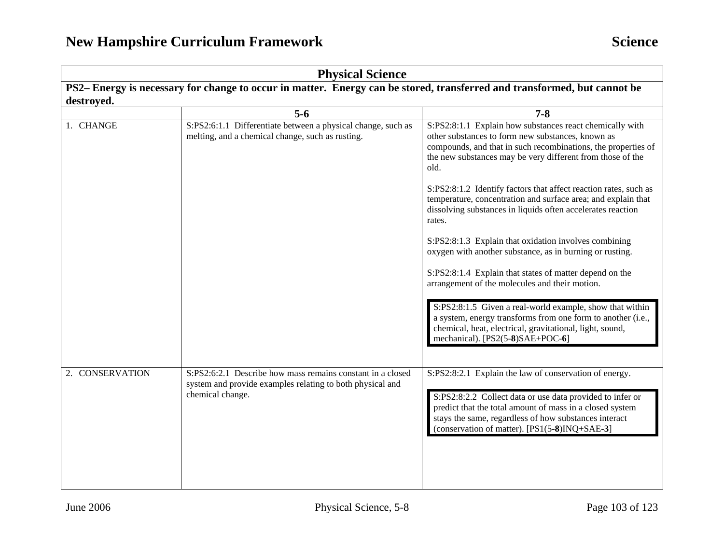| <b>Physical Science</b>                                                                                                  |                                                                                                                                             |                                                                                                                                                                                                                                                                                           |
|--------------------------------------------------------------------------------------------------------------------------|---------------------------------------------------------------------------------------------------------------------------------------------|-------------------------------------------------------------------------------------------------------------------------------------------------------------------------------------------------------------------------------------------------------------------------------------------|
| PS2– Energy is necessary for change to occur in matter. Energy can be stored, transferred and transformed, but cannot be |                                                                                                                                             |                                                                                                                                                                                                                                                                                           |
| destroyed.                                                                                                               |                                                                                                                                             |                                                                                                                                                                                                                                                                                           |
|                                                                                                                          | $5-6$                                                                                                                                       | $7 - 8$                                                                                                                                                                                                                                                                                   |
| 1. CHANGE                                                                                                                | S:PS2:6:1.1 Differentiate between a physical change, such as<br>melting, and a chemical change, such as rusting.                            | S:PS2:8:1.1 Explain how substances react chemically with<br>other substances to form new substances, known as<br>compounds, and that in such recombinations, the properties of<br>the new substances may be very different from those of the<br>old.                                      |
|                                                                                                                          |                                                                                                                                             | S:PS2:8:1.2 Identify factors that affect reaction rates, such as<br>temperature, concentration and surface area; and explain that<br>dissolving substances in liquids often accelerates reaction<br>rates.                                                                                |
|                                                                                                                          |                                                                                                                                             | S:PS2:8:1.3 Explain that oxidation involves combining<br>oxygen with another substance, as in burning or rusting.                                                                                                                                                                         |
|                                                                                                                          |                                                                                                                                             | S:PS2:8:1.4 Explain that states of matter depend on the<br>arrangement of the molecules and their motion.                                                                                                                                                                                 |
|                                                                                                                          |                                                                                                                                             | S:PS2:8:1.5 Given a real-world example, show that within<br>a system, energy transforms from one form to another (i.e.,<br>chemical, heat, electrical, gravitational, light, sound,<br>mechanical). [PS2(5-8)SAE+POC-6]                                                                   |
| 2. CONSERVATION                                                                                                          | S:PS2:6:2.1 Describe how mass remains constant in a closed<br>system and provide examples relating to both physical and<br>chemical change. | S:PS2:8:2.1 Explain the law of conservation of energy.<br>S:PS2:8:2.2 Collect data or use data provided to infer or<br>predict that the total amount of mass in a closed system<br>stays the same, regardless of how substances interact<br>(conservation of matter). [PS1(5-8)INQ+SAE-3] |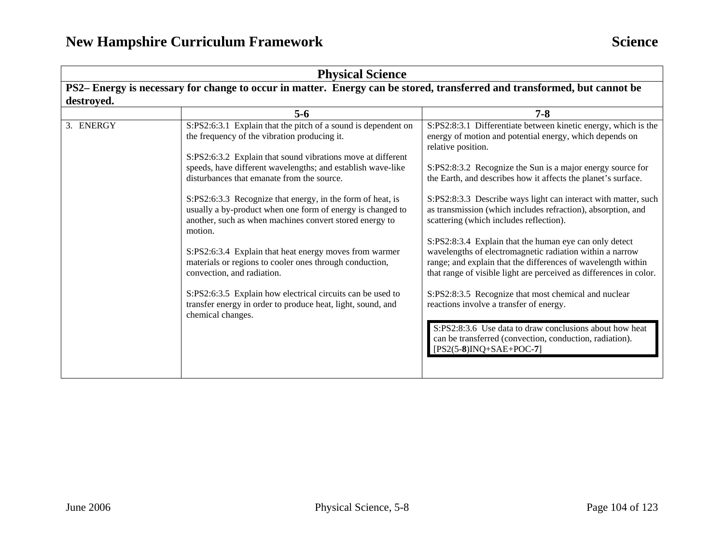| <b>Physical Science</b>                                                                                                                |                                                                                                                                                                                                |                                                                                                                                                                                                                                                          |
|----------------------------------------------------------------------------------------------------------------------------------------|------------------------------------------------------------------------------------------------------------------------------------------------------------------------------------------------|----------------------------------------------------------------------------------------------------------------------------------------------------------------------------------------------------------------------------------------------------------|
| PS2– Energy is necessary for change to occur in matter. Energy can be stored, transferred and transformed, but cannot be<br>destroyed. |                                                                                                                                                                                                |                                                                                                                                                                                                                                                          |
|                                                                                                                                        | $5 - 6$                                                                                                                                                                                        | $7 - 8$                                                                                                                                                                                                                                                  |
| 3. ENERGY                                                                                                                              | S:PS2:6:3.1 Explain that the pitch of a sound is dependent on<br>the frequency of the vibration producing it.                                                                                  | S:PS2:8:3.1 Differentiate between kinetic energy, which is the<br>energy of motion and potential energy, which depends on<br>relative position.                                                                                                          |
|                                                                                                                                        | S:PS2:6:3.2 Explain that sound vibrations move at different                                                                                                                                    |                                                                                                                                                                                                                                                          |
|                                                                                                                                        | speeds, have different wavelengths; and establish wave-like<br>disturbances that emanate from the source.                                                                                      | S:PS2:8:3.2 Recognize the Sun is a major energy source for<br>the Earth, and describes how it affects the planet's surface.                                                                                                                              |
|                                                                                                                                        | S:PS2:6:3.3 Recognize that energy, in the form of heat, is<br>usually a by-product when one form of energy is changed to<br>another, such as when machines convert stored energy to<br>motion. | S:PS2:8:3.3 Describe ways light can interact with matter, such<br>as transmission (which includes refraction), absorption, and<br>scattering (which includes reflection).                                                                                |
|                                                                                                                                        | S:PS2:6:3.4 Explain that heat energy moves from warmer<br>materials or regions to cooler ones through conduction,<br>convection, and radiation.                                                | S:PS2:8:3.4 Explain that the human eye can only detect<br>wavelengths of electromagnetic radiation within a narrow<br>range; and explain that the differences of wavelength within<br>that range of visible light are perceived as differences in color. |
|                                                                                                                                        | S:PS2:6:3.5 Explain how electrical circuits can be used to<br>transfer energy in order to produce heat, light, sound, and<br>chemical changes.                                                 | S:PS2:8:3.5 Recognize that most chemical and nuclear<br>reactions involve a transfer of energy.                                                                                                                                                          |
|                                                                                                                                        |                                                                                                                                                                                                | S:PS2:8:3.6 Use data to draw conclusions about how heat<br>can be transferred (convection, conduction, radiation).<br>$[PS2(5-8)INQ+SAE+POC-7]$                                                                                                          |
|                                                                                                                                        |                                                                                                                                                                                                |                                                                                                                                                                                                                                                          |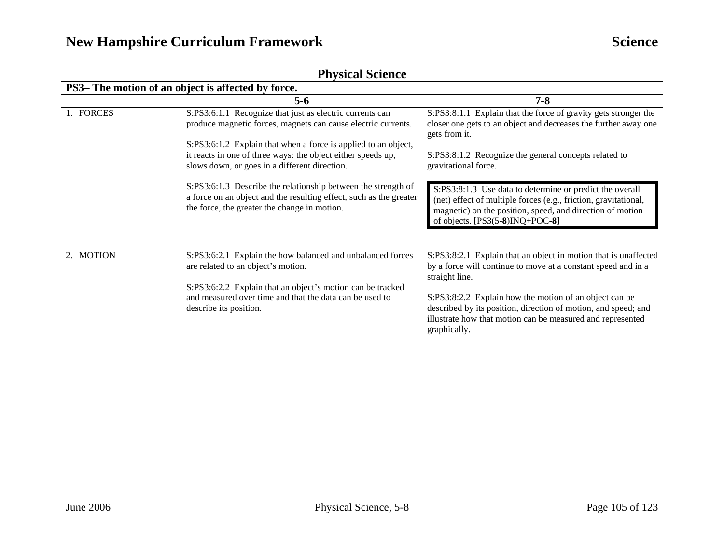| <b>Physical Science</b>                            |                                                                                                                                                                                                                                                                                                              |                                                                                                                                                                                                                                                                                                                                                              |
|----------------------------------------------------|--------------------------------------------------------------------------------------------------------------------------------------------------------------------------------------------------------------------------------------------------------------------------------------------------------------|--------------------------------------------------------------------------------------------------------------------------------------------------------------------------------------------------------------------------------------------------------------------------------------------------------------------------------------------------------------|
| PS3– The motion of an object is affected by force. |                                                                                                                                                                                                                                                                                                              |                                                                                                                                                                                                                                                                                                                                                              |
|                                                    | $5-6$                                                                                                                                                                                                                                                                                                        | $7 - 8$                                                                                                                                                                                                                                                                                                                                                      |
| 1. FORCES                                          | S:PS3:6:1.1 Recognize that just as electric currents can<br>produce magnetic forces, magnets can cause electric currents.<br>S:PS3:6:1.2 Explain that when a force is applied to an object,<br>it reacts in one of three ways: the object either speeds up,<br>slows down, or goes in a different direction. | S:PS3:8:1.1 Explain that the force of gravity gets stronger the<br>closer one gets to an object and decreases the further away one<br>gets from it.<br>S:PS3:8:1.2 Recognize the general concepts related to<br>gravitational force.                                                                                                                         |
|                                                    | S:PS3:6:1.3 Describe the relationship between the strength of<br>a force on an object and the resulting effect, such as the greater<br>the force, the greater the change in motion.                                                                                                                          | S:PS3:8:1.3 Use data to determine or predict the overall<br>(net) effect of multiple forces (e.g., friction, gravitational,<br>magnetic) on the position, speed, and direction of motion<br>of objects. $[PS3(5-8)INQ+POC-8]$                                                                                                                                |
| 2. MOTION                                          | S:PS3:6:2.1 Explain the how balanced and unbalanced forces<br>are related to an object's motion.<br>S:PS3:6:2.2 Explain that an object's motion can be tracked<br>and measured over time and that the data can be used to<br>describe its position.                                                          | S:PS3:8:2.1 Explain that an object in motion that is unaffected<br>by a force will continue to move at a constant speed and in a<br>straight line.<br>S:PS3:8:2.2 Explain how the motion of an object can be<br>described by its position, direction of motion, and speed; and<br>illustrate how that motion can be measured and represented<br>graphically. |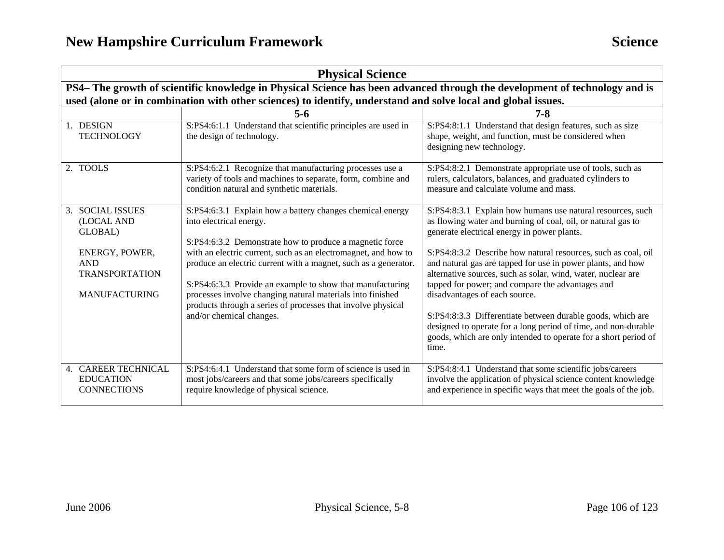| <b>Physical Science</b>                                                                                                         |                                                                                                                                                                                                                                                                                                                                                                                                                                                                                                             |                                                                                                                                                                                                                                                                                                                                                                                                                                                                                                                                                                                                                                                                            |
|---------------------------------------------------------------------------------------------------------------------------------|-------------------------------------------------------------------------------------------------------------------------------------------------------------------------------------------------------------------------------------------------------------------------------------------------------------------------------------------------------------------------------------------------------------------------------------------------------------------------------------------------------------|----------------------------------------------------------------------------------------------------------------------------------------------------------------------------------------------------------------------------------------------------------------------------------------------------------------------------------------------------------------------------------------------------------------------------------------------------------------------------------------------------------------------------------------------------------------------------------------------------------------------------------------------------------------------------|
| PS4- The growth of scientific knowledge in Physical Science has been advanced through the development of technology and is      |                                                                                                                                                                                                                                                                                                                                                                                                                                                                                                             |                                                                                                                                                                                                                                                                                                                                                                                                                                                                                                                                                                                                                                                                            |
| used (alone or in combination with other sciences) to identify, understand and solve local and global issues.<br>$5 - 6$<br>7-8 |                                                                                                                                                                                                                                                                                                                                                                                                                                                                                                             |                                                                                                                                                                                                                                                                                                                                                                                                                                                                                                                                                                                                                                                                            |
| 1. DESIGN<br><b>TECHNOLOGY</b>                                                                                                  | S:PS4:6:1.1 Understand that scientific principles are used in<br>the design of technology.                                                                                                                                                                                                                                                                                                                                                                                                                  | S:PS4:8:1.1 Understand that design features, such as size<br>shape, weight, and function, must be considered when<br>designing new technology.                                                                                                                                                                                                                                                                                                                                                                                                                                                                                                                             |
| 2. TOOLS                                                                                                                        | S:PS4:6:2.1 Recognize that manufacturing processes use a<br>variety of tools and machines to separate, form, combine and<br>condition natural and synthetic materials.                                                                                                                                                                                                                                                                                                                                      | S:PS4:8:2.1 Demonstrate appropriate use of tools, such as<br>rulers, calculators, balances, and graduated cylinders to<br>measure and calculate volume and mass.                                                                                                                                                                                                                                                                                                                                                                                                                                                                                                           |
| 3. SOCIAL ISSUES<br>(LOCAL AND<br>GLOBAL)<br>ENERGY, POWER,<br><b>AND</b><br><b>TRANSPORTATION</b><br><b>MANUFACTURING</b>      | S:PS4:6:3.1 Explain how a battery changes chemical energy<br>into electrical energy.<br>S:PS4:6:3.2 Demonstrate how to produce a magnetic force<br>with an electric current, such as an electromagnet, and how to<br>produce an electric current with a magnet, such as a generator.<br>S:PS4:6:3.3 Provide an example to show that manufacturing<br>processes involve changing natural materials into finished<br>products through a series of processes that involve physical<br>and/or chemical changes. | S:PS4:8:3.1 Explain how humans use natural resources, such<br>as flowing water and burning of coal, oil, or natural gas to<br>generate electrical energy in power plants.<br>S:PS4:8:3.2 Describe how natural resources, such as coal, oil<br>and natural gas are tapped for use in power plants, and how<br>alternative sources, such as solar, wind, water, nuclear are<br>tapped for power; and compare the advantages and<br>disadvantages of each source.<br>S:PS4:8:3.3 Differentiate between durable goods, which are<br>designed to operate for a long period of time, and non-durable<br>goods, which are only intended to operate for a short period of<br>time. |
| 4. CAREER TECHNICAL<br><b>EDUCATION</b><br><b>CONNECTIONS</b>                                                                   | S:PS4:6:4.1 Understand that some form of science is used in<br>most jobs/careers and that some jobs/careers specifically<br>require knowledge of physical science.                                                                                                                                                                                                                                                                                                                                          | S:PS4:8:4.1 Understand that some scientific jobs/careers<br>involve the application of physical science content knowledge<br>and experience in specific ways that meet the goals of the job.                                                                                                                                                                                                                                                                                                                                                                                                                                                                               |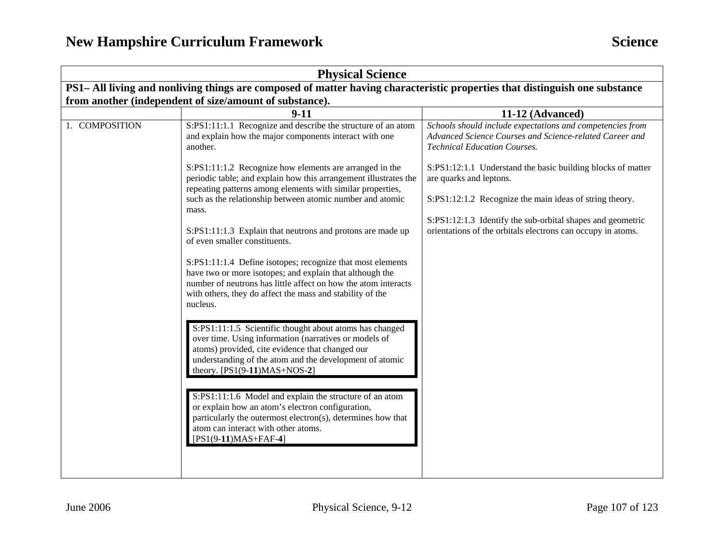| <b>Physical Science</b>                                                                                                     |                                                                                                                                                                                                                                                                   |                                                                                                                                                             |  |  |
|-----------------------------------------------------------------------------------------------------------------------------|-------------------------------------------------------------------------------------------------------------------------------------------------------------------------------------------------------------------------------------------------------------------|-------------------------------------------------------------------------------------------------------------------------------------------------------------|--|--|
| PS1– All living and nonliving things are composed of matter having characteristic properties that distinguish one substance |                                                                                                                                                                                                                                                                   |                                                                                                                                                             |  |  |
|                                                                                                                             | from another (independent of size/amount of substance).                                                                                                                                                                                                           |                                                                                                                                                             |  |  |
|                                                                                                                             | $9-11$                                                                                                                                                                                                                                                            | 11-12 (Advanced)                                                                                                                                            |  |  |
| 1. COMPOSITION                                                                                                              | S:PS1:11:1.1 Recognize and describe the structure of an atom<br>and explain how the major components interact with one<br>another.                                                                                                                                | Schools should include expectations and competencies from<br>Advanced Science Courses and Science-related Career and<br><b>Technical Education Courses.</b> |  |  |
|                                                                                                                             | S:PS1:11:1.2 Recognize how elements are arranged in the<br>periodic table; and explain how this arrangement illustrates the<br>repeating patterns among elements with similar properties,                                                                         | S:PS1:12:1.1 Understand the basic building blocks of matter<br>are quarks and leptons.                                                                      |  |  |
|                                                                                                                             | such as the relationship between atomic number and atomic<br>mass.                                                                                                                                                                                                | S:PS1:12:1.2 Recognize the main ideas of string theory.                                                                                                     |  |  |
|                                                                                                                             | S:PS1:11:1.3 Explain that neutrons and protons are made up<br>of even smaller constituents.                                                                                                                                                                       | S:PS1:12:1.3 Identify the sub-orbital shapes and geometric<br>orientations of the orbitals electrons can occupy in atoms.                                   |  |  |
|                                                                                                                             | S:PS1:11:1.4 Define isotopes; recognize that most elements<br>have two or more isotopes; and explain that although the<br>number of neutrons has little affect on how the atom interacts<br>with others, they do affect the mass and stability of the<br>nucleus. |                                                                                                                                                             |  |  |
|                                                                                                                             | S:PS1:11:1.5 Scientific thought about atoms has changed<br>over time. Using information (narratives or models of<br>atoms) provided, cite evidence that changed our<br>understanding of the atom and the development of atomic<br>theory. [PS1(9-11)MAS+NOS-2]    |                                                                                                                                                             |  |  |
|                                                                                                                             | S:PS1:11:1.6 Model and explain the structure of an atom<br>or explain how an atom's electron configuration,<br>particularly the outermost electron(s), determines how that<br>atom can interact with other atoms.<br>$[PS1(9-11)MAS+FAF-4]$                       |                                                                                                                                                             |  |  |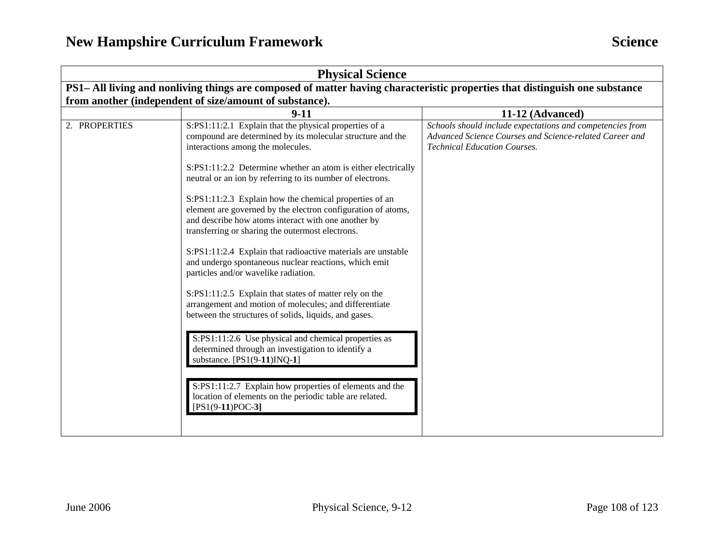| <b>Physical Science</b>                                                                                                     |                                                                                                                                                                                                                                                                                                                                                                                                                                                                                                                                                                                                                                                                                                                                                                                                                                                                                                                                                                                                                                                                                                                                                                       |                                                                                                                                                             |
|-----------------------------------------------------------------------------------------------------------------------------|-----------------------------------------------------------------------------------------------------------------------------------------------------------------------------------------------------------------------------------------------------------------------------------------------------------------------------------------------------------------------------------------------------------------------------------------------------------------------------------------------------------------------------------------------------------------------------------------------------------------------------------------------------------------------------------------------------------------------------------------------------------------------------------------------------------------------------------------------------------------------------------------------------------------------------------------------------------------------------------------------------------------------------------------------------------------------------------------------------------------------------------------------------------------------|-------------------------------------------------------------------------------------------------------------------------------------------------------------|
| PS1- All living and nonliving things are composed of matter having characteristic properties that distinguish one substance |                                                                                                                                                                                                                                                                                                                                                                                                                                                                                                                                                                                                                                                                                                                                                                                                                                                                                                                                                                                                                                                                                                                                                                       |                                                                                                                                                             |
| from another (independent of size/amount of substance).                                                                     |                                                                                                                                                                                                                                                                                                                                                                                                                                                                                                                                                                                                                                                                                                                                                                                                                                                                                                                                                                                                                                                                                                                                                                       |                                                                                                                                                             |
|                                                                                                                             | $9 - 11$                                                                                                                                                                                                                                                                                                                                                                                                                                                                                                                                                                                                                                                                                                                                                                                                                                                                                                                                                                                                                                                                                                                                                              | 11-12 (Advanced)                                                                                                                                            |
| 2. PROPERTIES                                                                                                               | S:PS1:11:2.1 Explain that the physical properties of a<br>compound are determined by its molecular structure and the<br>interactions among the molecules.<br>S:PS1:11:2.2 Determine whether an atom is either electrically<br>neutral or an ion by referring to its number of electrons.<br>S:PS1:11:2.3 Explain how the chemical properties of an<br>element are governed by the electron configuration of atoms,<br>and describe how atoms interact with one another by<br>transferring or sharing the outermost electrons.<br>S:PS1:11:2.4 Explain that radioactive materials are unstable<br>and undergo spontaneous nuclear reactions, which emit<br>particles and/or wavelike radiation.<br>S:PS1:11:2.5 Explain that states of matter rely on the<br>arrangement and motion of molecules; and differentiate<br>between the structures of solids, liquids, and gases.<br>S:PS1:11:2.6 Use physical and chemical properties as<br>determined through an investigation to identify a<br>substance. $[PS1(9-11)INQ-1]$<br>S:PS1:11:2.7 Explain how properties of elements and the<br>location of elements on the periodic table are related.<br>$[PS1(9-11)POC-3]$ | Schools should include expectations and competencies from<br>Advanced Science Courses and Science-related Career and<br><b>Technical Education Courses.</b> |
|                                                                                                                             |                                                                                                                                                                                                                                                                                                                                                                                                                                                                                                                                                                                                                                                                                                                                                                                                                                                                                                                                                                                                                                                                                                                                                                       |                                                                                                                                                             |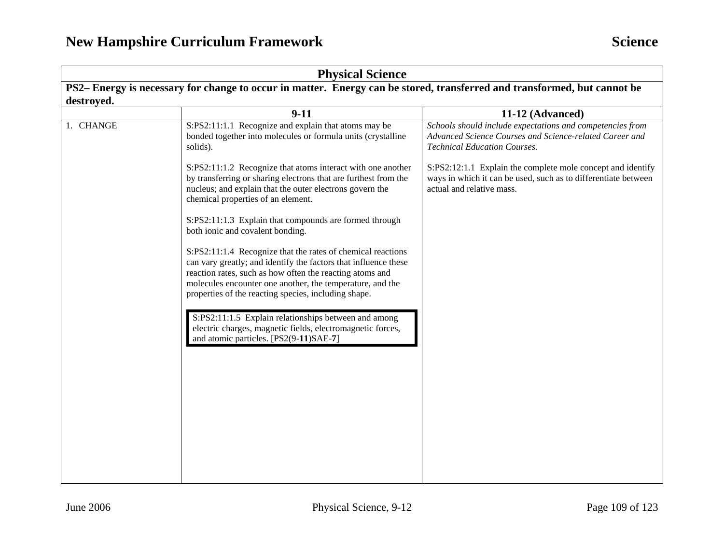|                                                                                                                          | <b>Physical Science</b>                                                                                                                                                                                                                                                                                         |                                                                                                                                                             |  |
|--------------------------------------------------------------------------------------------------------------------------|-----------------------------------------------------------------------------------------------------------------------------------------------------------------------------------------------------------------------------------------------------------------------------------------------------------------|-------------------------------------------------------------------------------------------------------------------------------------------------------------|--|
| PS2– Energy is necessary for change to occur in matter. Energy can be stored, transferred and transformed, but cannot be |                                                                                                                                                                                                                                                                                                                 |                                                                                                                                                             |  |
| destroyed.                                                                                                               |                                                                                                                                                                                                                                                                                                                 |                                                                                                                                                             |  |
|                                                                                                                          | $9-11$                                                                                                                                                                                                                                                                                                          | 11-12 (Advanced)                                                                                                                                            |  |
| 1. CHANGE                                                                                                                | S:PS2:11:1.1 Recognize and explain that atoms may be<br>bonded together into molecules or formula units (crystalline<br>solids).                                                                                                                                                                                | Schools should include expectations and competencies from<br>Advanced Science Courses and Science-related Career and<br><b>Technical Education Courses.</b> |  |
|                                                                                                                          | S:PS2:11:1.2 Recognize that atoms interact with one another<br>by transferring or sharing electrons that are furthest from the<br>nucleus; and explain that the outer electrons govern the<br>chemical properties of an element.                                                                                | S:PS2:12:1.1 Explain the complete mole concept and identify<br>ways in which it can be used, such as to differentiate between<br>actual and relative mass.  |  |
|                                                                                                                          | S:PS2:11:1.3 Explain that compounds are formed through<br>both ionic and covalent bonding.                                                                                                                                                                                                                      |                                                                                                                                                             |  |
|                                                                                                                          | S:PS2:11:1.4 Recognize that the rates of chemical reactions<br>can vary greatly; and identify the factors that influence these<br>reaction rates, such as how often the reacting atoms and<br>molecules encounter one another, the temperature, and the<br>properties of the reacting species, including shape. |                                                                                                                                                             |  |
|                                                                                                                          | S:PS2:11:1.5 Explain relationships between and among<br>electric charges, magnetic fields, electromagnetic forces,<br>and atomic particles. [PS2(9-11)SAE-7]                                                                                                                                                    |                                                                                                                                                             |  |
|                                                                                                                          |                                                                                                                                                                                                                                                                                                                 |                                                                                                                                                             |  |
|                                                                                                                          |                                                                                                                                                                                                                                                                                                                 |                                                                                                                                                             |  |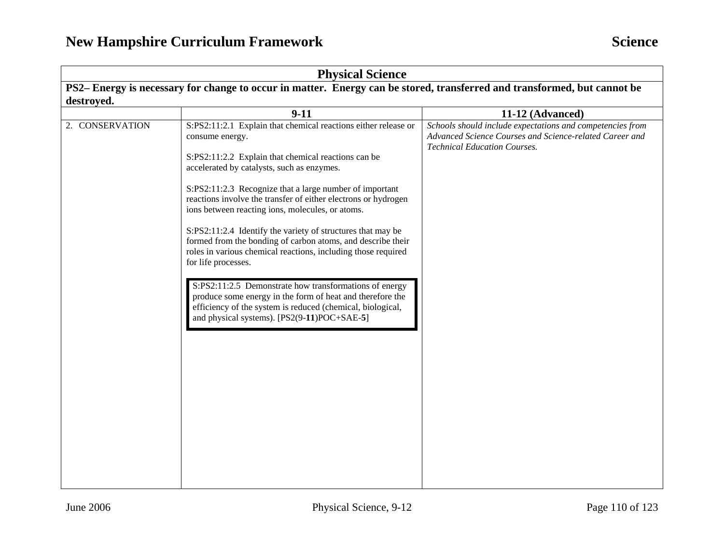|                                                                                                                         | <b>Physical Science</b>                                                                                                                                                                                                                                                                                                                                                                                                                                                                                                                                                                                                                                                                                                                                                                                                                     |                                                                                                                                                                                 |  |
|-------------------------------------------------------------------------------------------------------------------------|---------------------------------------------------------------------------------------------------------------------------------------------------------------------------------------------------------------------------------------------------------------------------------------------------------------------------------------------------------------------------------------------------------------------------------------------------------------------------------------------------------------------------------------------------------------------------------------------------------------------------------------------------------------------------------------------------------------------------------------------------------------------------------------------------------------------------------------------|---------------------------------------------------------------------------------------------------------------------------------------------------------------------------------|--|
| PS2-Energy is necessary for change to occur in matter. Energy can be stored, transferred and transformed, but cannot be |                                                                                                                                                                                                                                                                                                                                                                                                                                                                                                                                                                                                                                                                                                                                                                                                                                             |                                                                                                                                                                                 |  |
| destroyed.                                                                                                              |                                                                                                                                                                                                                                                                                                                                                                                                                                                                                                                                                                                                                                                                                                                                                                                                                                             |                                                                                                                                                                                 |  |
|                                                                                                                         |                                                                                                                                                                                                                                                                                                                                                                                                                                                                                                                                                                                                                                                                                                                                                                                                                                             |                                                                                                                                                                                 |  |
| 2. CONSERVATION                                                                                                         | $9-11$<br>S:PS2:11:2.1 Explain that chemical reactions either release or<br>consume energy.<br>S:PS2:11:2.2 Explain that chemical reactions can be<br>accelerated by catalysts, such as enzymes.<br>S:PS2:11:2.3 Recognize that a large number of important<br>reactions involve the transfer of either electrons or hydrogen<br>ions between reacting ions, molecules, or atoms.<br>S:PS2:11:2.4 Identify the variety of structures that may be<br>formed from the bonding of carbon atoms, and describe their<br>roles in various chemical reactions, including those required<br>for life processes.<br>S:PS2:11:2.5 Demonstrate how transformations of energy<br>produce some energy in the form of heat and therefore the<br>efficiency of the system is reduced (chemical, biological,<br>and physical systems). [PS2(9-11)POC+SAE-5] | 11-12 (Advanced)<br>Schools should include expectations and competencies from<br>Advanced Science Courses and Science-related Career and<br><b>Technical Education Courses.</b> |  |
|                                                                                                                         |                                                                                                                                                                                                                                                                                                                                                                                                                                                                                                                                                                                                                                                                                                                                                                                                                                             |                                                                                                                                                                                 |  |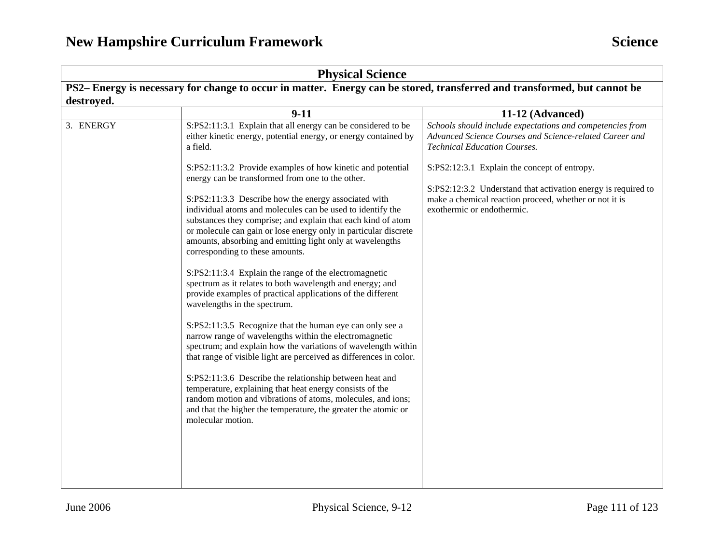|                                                                                                                          | <b>Physical Science</b>                                                                                                                                                                                                                                                                                                                               |                                                                                                                                                             |  |
|--------------------------------------------------------------------------------------------------------------------------|-------------------------------------------------------------------------------------------------------------------------------------------------------------------------------------------------------------------------------------------------------------------------------------------------------------------------------------------------------|-------------------------------------------------------------------------------------------------------------------------------------------------------------|--|
| PS2– Energy is necessary for change to occur in matter. Energy can be stored, transferred and transformed, but cannot be |                                                                                                                                                                                                                                                                                                                                                       |                                                                                                                                                             |  |
| destroved.                                                                                                               |                                                                                                                                                                                                                                                                                                                                                       |                                                                                                                                                             |  |
|                                                                                                                          | $9-11$                                                                                                                                                                                                                                                                                                                                                | 11-12 (Advanced)                                                                                                                                            |  |
| 3. ENERGY                                                                                                                | S:PS2:11:3.1 Explain that all energy can be considered to be<br>either kinetic energy, potential energy, or energy contained by<br>a field.                                                                                                                                                                                                           | Schools should include expectations and competencies from<br>Advanced Science Courses and Science-related Career and<br><b>Technical Education Courses.</b> |  |
|                                                                                                                          | S:PS2:11:3.2 Provide examples of how kinetic and potential<br>energy can be transformed from one to the other.                                                                                                                                                                                                                                        | S:PS2:12:3.1 Explain the concept of entropy.                                                                                                                |  |
|                                                                                                                          | S:PS2:11:3.3 Describe how the energy associated with<br>individual atoms and molecules can be used to identify the<br>substances they comprise; and explain that each kind of atom<br>or molecule can gain or lose energy only in particular discrete<br>amounts, absorbing and emitting light only at wavelengths<br>corresponding to these amounts. | S:PS2:12:3.2 Understand that activation energy is required to<br>make a chemical reaction proceed, whether or not it is<br>exothermic or endothermic.       |  |
|                                                                                                                          | S:PS2:11:3.4 Explain the range of the electromagnetic<br>spectrum as it relates to both wavelength and energy; and<br>provide examples of practical applications of the different<br>wavelengths in the spectrum.                                                                                                                                     |                                                                                                                                                             |  |
|                                                                                                                          | S:PS2:11:3.5 Recognize that the human eye can only see a<br>narrow range of wavelengths within the electromagnetic<br>spectrum; and explain how the variations of wavelength within<br>that range of visible light are perceived as differences in color.                                                                                             |                                                                                                                                                             |  |
|                                                                                                                          | S:PS2:11:3.6 Describe the relationship between heat and<br>temperature, explaining that heat energy consists of the<br>random motion and vibrations of atoms, molecules, and ions;<br>and that the higher the temperature, the greater the atomic or<br>molecular motion.                                                                             |                                                                                                                                                             |  |
|                                                                                                                          |                                                                                                                                                                                                                                                                                                                                                       |                                                                                                                                                             |  |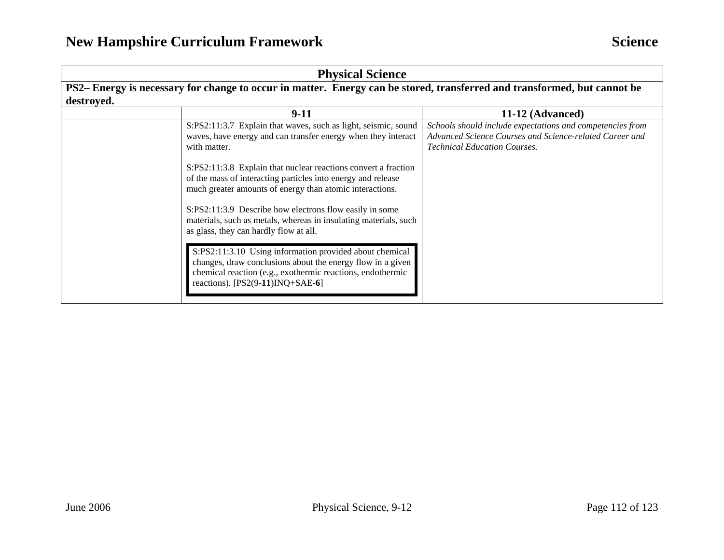|                                                                                                                          | <b>Physical Science</b>                                                                                                                                                                                                                                                                                                                                                                                                                                                      |                                                                                                                                                             |  |
|--------------------------------------------------------------------------------------------------------------------------|------------------------------------------------------------------------------------------------------------------------------------------------------------------------------------------------------------------------------------------------------------------------------------------------------------------------------------------------------------------------------------------------------------------------------------------------------------------------------|-------------------------------------------------------------------------------------------------------------------------------------------------------------|--|
| PS2– Energy is necessary for change to occur in matter. Energy can be stored, transferred and transformed, but cannot be |                                                                                                                                                                                                                                                                                                                                                                                                                                                                              |                                                                                                                                                             |  |
| destroyed.                                                                                                               |                                                                                                                                                                                                                                                                                                                                                                                                                                                                              |                                                                                                                                                             |  |
|                                                                                                                          | $9-11$                                                                                                                                                                                                                                                                                                                                                                                                                                                                       | 11-12 (Advanced)                                                                                                                                            |  |
|                                                                                                                          | S:PS2:11:3.7 Explain that waves, such as light, seismic, sound<br>waves, have energy and can transfer energy when they interact<br>with matter.<br>S:PS2:11:3.8 Explain that nuclear reactions convert a fraction<br>of the mass of interacting particles into energy and release<br>much greater amounts of energy than atomic interactions.<br>S:PS2:11:3.9 Describe how electrons flow easily in some<br>materials, such as metals, whereas in insulating materials, such | Schools should include expectations and competencies from<br>Advanced Science Courses and Science-related Career and<br><b>Technical Education Courses.</b> |  |
|                                                                                                                          | as glass, they can hardly flow at all.<br>S:PS2:11:3.10 Using information provided about chemical<br>changes, draw conclusions about the energy flow in a given<br>chemical reaction (e.g., exothermic reactions, endothermic<br>reactions). $[PS2(9-11)INQ+SAE-6]$                                                                                                                                                                                                          |                                                                                                                                                             |  |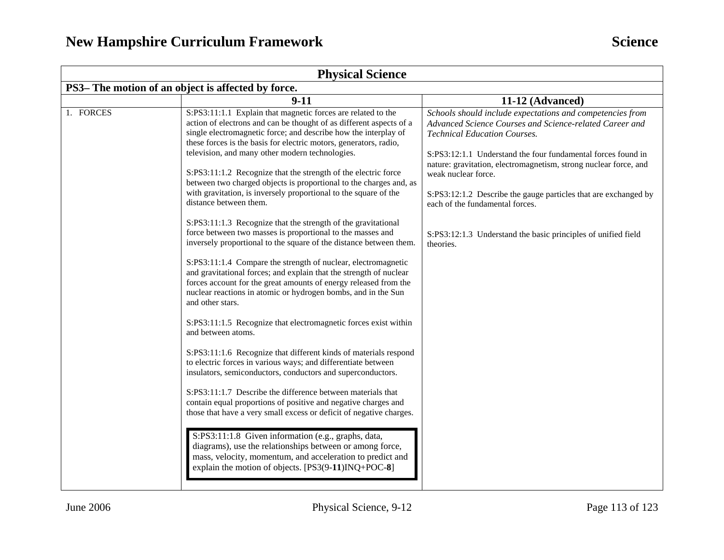| <b>Physical Science</b>                            |                                                                                                                                                                                                                                                                                                                                                                                                                                                                                                                                                                                                                                                                                                                                                                                                                                                                                                                                                                                                                                                                                                                                                                                                                                                                                                                                                                                                                                                                                                                                                                                                                                                                                                                                                                                                                       |                                                                                                                                                                                                                                                                                                                                                                                                                                                                                                            |  |
|----------------------------------------------------|-----------------------------------------------------------------------------------------------------------------------------------------------------------------------------------------------------------------------------------------------------------------------------------------------------------------------------------------------------------------------------------------------------------------------------------------------------------------------------------------------------------------------------------------------------------------------------------------------------------------------------------------------------------------------------------------------------------------------------------------------------------------------------------------------------------------------------------------------------------------------------------------------------------------------------------------------------------------------------------------------------------------------------------------------------------------------------------------------------------------------------------------------------------------------------------------------------------------------------------------------------------------------------------------------------------------------------------------------------------------------------------------------------------------------------------------------------------------------------------------------------------------------------------------------------------------------------------------------------------------------------------------------------------------------------------------------------------------------------------------------------------------------------------------------------------------------|------------------------------------------------------------------------------------------------------------------------------------------------------------------------------------------------------------------------------------------------------------------------------------------------------------------------------------------------------------------------------------------------------------------------------------------------------------------------------------------------------------|--|
| PS3– The motion of an object is affected by force. |                                                                                                                                                                                                                                                                                                                                                                                                                                                                                                                                                                                                                                                                                                                                                                                                                                                                                                                                                                                                                                                                                                                                                                                                                                                                                                                                                                                                                                                                                                                                                                                                                                                                                                                                                                                                                       |                                                                                                                                                                                                                                                                                                                                                                                                                                                                                                            |  |
|                                                    | $9-11$                                                                                                                                                                                                                                                                                                                                                                                                                                                                                                                                                                                                                                                                                                                                                                                                                                                                                                                                                                                                                                                                                                                                                                                                                                                                                                                                                                                                                                                                                                                                                                                                                                                                                                                                                                                                                | 11-12 (Advanced)                                                                                                                                                                                                                                                                                                                                                                                                                                                                                           |  |
| 1. FORCES                                          | S:PS3:11:1.1 Explain that magnetic forces are related to the<br>action of electrons and can be thought of as different aspects of a<br>single electromagnetic force; and describe how the interplay of<br>these forces is the basis for electric motors, generators, radio,<br>television, and many other modern technologies.<br>S:PS3:11:1.2 Recognize that the strength of the electric force<br>between two charged objects is proportional to the charges and, as<br>with gravitation, is inversely proportional to the square of the<br>distance between them.<br>S:PS3:11:1.3 Recognize that the strength of the gravitational<br>force between two masses is proportional to the masses and<br>inversely proportional to the square of the distance between them.<br>S:PS3:11:1.4 Compare the strength of nuclear, electromagnetic<br>and gravitational forces; and explain that the strength of nuclear<br>forces account for the great amounts of energy released from the<br>nuclear reactions in atomic or hydrogen bombs, and in the Sun<br>and other stars.<br>S:PS3:11:1.5 Recognize that electromagnetic forces exist within<br>and between atoms.<br>S:PS3:11:1.6 Recognize that different kinds of materials respond<br>to electric forces in various ways; and differentiate between<br>insulators, semiconductors, conductors and superconductors.<br>S:PS3:11:1.7 Describe the difference between materials that<br>contain equal proportions of positive and negative charges and<br>those that have a very small excess or deficit of negative charges.<br>S:PS3:11:1.8 Given information (e.g., graphs, data,<br>diagrams), use the relationships between or among force,<br>mass, velocity, momentum, and acceleration to predict and<br>explain the motion of objects. [PS3(9-11)INQ+POC-8] | Schools should include expectations and competencies from<br>Advanced Science Courses and Science-related Career and<br><b>Technical Education Courses.</b><br>S:PS3:12:1.1 Understand the four fundamental forces found in<br>nature: gravitation, electromagnetism, strong nuclear force, and<br>weak nuclear force.<br>S:PS3:12:1.2 Describe the gauge particles that are exchanged by<br>each of the fundamental forces.<br>S:PS3:12:1.3 Understand the basic principles of unified field<br>theories. |  |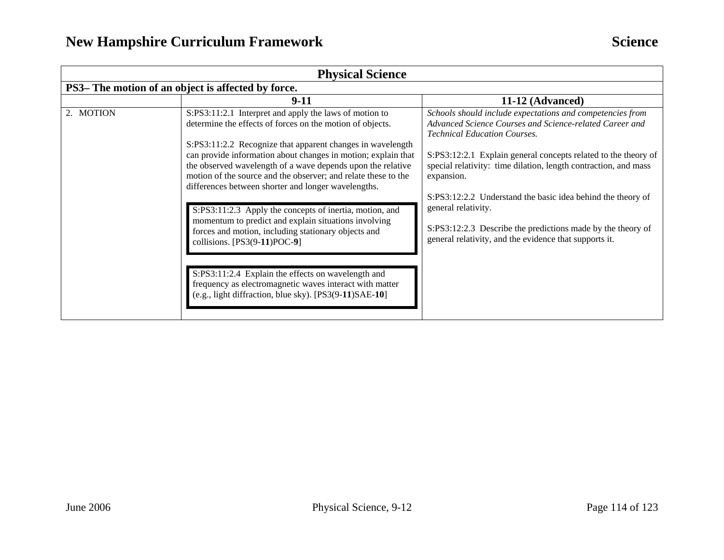| <b>Physical Science</b>                                                                                                                                                                                                                                                                                                                                                                                                                                                                                                                                                                                                                                                                                                                                                                                                                                                                                                                                                                                                                                                                                                                                                              |                                                                                                                               |
|--------------------------------------------------------------------------------------------------------------------------------------------------------------------------------------------------------------------------------------------------------------------------------------------------------------------------------------------------------------------------------------------------------------------------------------------------------------------------------------------------------------------------------------------------------------------------------------------------------------------------------------------------------------------------------------------------------------------------------------------------------------------------------------------------------------------------------------------------------------------------------------------------------------------------------------------------------------------------------------------------------------------------------------------------------------------------------------------------------------------------------------------------------------------------------------|-------------------------------------------------------------------------------------------------------------------------------|
| PS3– The motion of an object is affected by force.                                                                                                                                                                                                                                                                                                                                                                                                                                                                                                                                                                                                                                                                                                                                                                                                                                                                                                                                                                                                                                                                                                                                   |                                                                                                                               |
| $9-11$<br>11-12 (Advanced)                                                                                                                                                                                                                                                                                                                                                                                                                                                                                                                                                                                                                                                                                                                                                                                                                                                                                                                                                                                                                                                                                                                                                           |                                                                                                                               |
| 2. MOTION<br>S:PS3:11:2.1 Interpret and apply the laws of motion to<br>Schools should include expectations and competencies from<br>Advanced Science Courses and Science-related Career and<br>determine the effects of forces on the motion of objects.<br><b>Technical Education Courses.</b><br>S:PS3:11:2.2 Recognize that apparent changes in wavelength<br>can provide information about changes in motion; explain that<br>the observed wavelength of a wave depends upon the relative<br>special relativity: time dilation, length contraction, and mass<br>motion of the source and the observer; and relate these to the<br>expansion.<br>differences between shorter and longer wavelengths.<br>S:PS3:12:2.2 Understand the basic idea behind the theory of<br>general relativity.<br>S:PS3:11:2.3 Apply the concepts of inertia, motion, and<br>momentum to predict and explain situations involving<br>forces and motion, including stationary objects and<br>general relativity, and the evidence that supports it.<br>collisions. $[PS3(9-11)POC-9]$<br>S:PS3:11:2.4 Explain the effects on wavelength and<br>frequency as electromagnetic waves interact with matter | S:PS3:12:2.1 Explain general concepts related to the theory of<br>S:PS3:12:2.3 Describe the predictions made by the theory of |
| (e.g., light diffraction, blue sky). [PS3(9-11)SAE-10]                                                                                                                                                                                                                                                                                                                                                                                                                                                                                                                                                                                                                                                                                                                                                                                                                                                                                                                                                                                                                                                                                                                               |                                                                                                                               |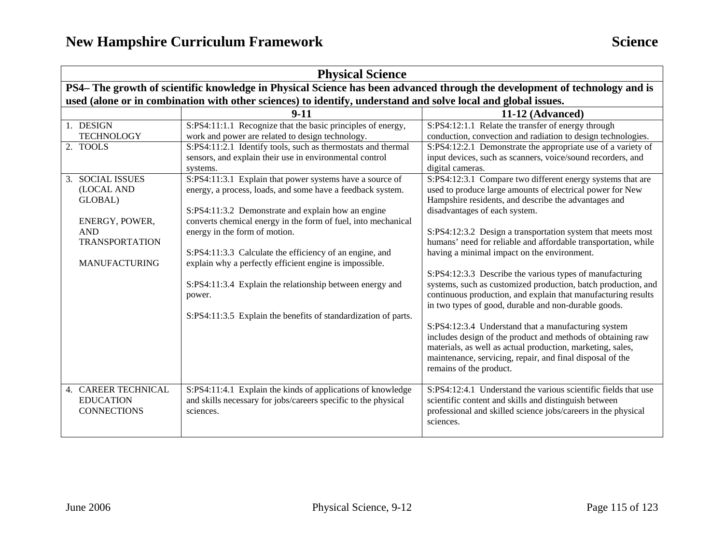| <b>Physical Science</b>                                                                                                    |                                                                                                                                                                                                                                                                                                                                                                                                                                                                  |                                                                                                                                                                                                                                                                                                                                                                                                                                                                                                                               |  |
|----------------------------------------------------------------------------------------------------------------------------|------------------------------------------------------------------------------------------------------------------------------------------------------------------------------------------------------------------------------------------------------------------------------------------------------------------------------------------------------------------------------------------------------------------------------------------------------------------|-------------------------------------------------------------------------------------------------------------------------------------------------------------------------------------------------------------------------------------------------------------------------------------------------------------------------------------------------------------------------------------------------------------------------------------------------------------------------------------------------------------------------------|--|
| PS4- The growth of scientific knowledge in Physical Science has been advanced through the development of technology and is |                                                                                                                                                                                                                                                                                                                                                                                                                                                                  |                                                                                                                                                                                                                                                                                                                                                                                                                                                                                                                               |  |
| used (alone or in combination with other sciences) to identify, understand and solve local and global issues.              |                                                                                                                                                                                                                                                                                                                                                                                                                                                                  |                                                                                                                                                                                                                                                                                                                                                                                                                                                                                                                               |  |
|                                                                                                                            | $9 - 11$                                                                                                                                                                                                                                                                                                                                                                                                                                                         | 11-12 (Advanced)                                                                                                                                                                                                                                                                                                                                                                                                                                                                                                              |  |
| 1. DESIGN<br><b>TECHNOLOGY</b>                                                                                             | S:PS4:11:1.1 Recognize that the basic principles of energy,<br>work and power are related to design technology.                                                                                                                                                                                                                                                                                                                                                  | S:PS4:12:1.1 Relate the transfer of energy through<br>conduction, convection and radiation to design technologies.                                                                                                                                                                                                                                                                                                                                                                                                            |  |
| 2. TOOLS                                                                                                                   | S:PS4:11:2.1 Identify tools, such as thermostats and thermal<br>sensors, and explain their use in environmental control<br>systems.                                                                                                                                                                                                                                                                                                                              | S:PS4:12:2.1 Demonstrate the appropriate use of a variety of<br>input devices, such as scanners, voice/sound recorders, and<br>digital cameras.                                                                                                                                                                                                                                                                                                                                                                               |  |
| 3. SOCIAL ISSUES<br>(LOCAL AND<br>GLOBAL)<br>ENERGY, POWER,<br><b>AND</b><br><b>TRANSPORTATION</b><br><b>MANUFACTURING</b> | S:PS4:11:3.1 Explain that power systems have a source of<br>energy, a process, loads, and some have a feedback system.<br>S:PS4:11:3.2 Demonstrate and explain how an engine<br>converts chemical energy in the form of fuel, into mechanical<br>energy in the form of motion.<br>S:PS4:11:3.3 Calculate the efficiency of an engine, and<br>explain why a perfectly efficient engine is impossible.<br>S:PS4:11:3.4 Explain the relationship between energy and | S:PS4:12:3.1 Compare two different energy systems that are<br>used to produce large amounts of electrical power for New<br>Hampshire residents, and describe the advantages and<br>disadvantages of each system.<br>S:PS4:12:3.2 Design a transportation system that meets most<br>humans' need for reliable and affordable transportation, while<br>having a minimal impact on the environment.<br>S:PS4:12:3.3 Describe the various types of manufacturing<br>systems, such as customized production, batch production, and |  |
|                                                                                                                            | power.<br>S:PS4:11:3.5 Explain the benefits of standardization of parts.                                                                                                                                                                                                                                                                                                                                                                                         | continuous production, and explain that manufacturing results<br>in two types of good, durable and non-durable goods.<br>S:PS4:12:3.4 Understand that a manufacturing system<br>includes design of the product and methods of obtaining raw<br>materials, as well as actual production, marketing, sales,<br>maintenance, servicing, repair, and final disposal of the<br>remains of the product.                                                                                                                             |  |
| 4. CAREER TECHNICAL<br><b>EDUCATION</b><br><b>CONNECTIONS</b>                                                              | S:PS4:11:4.1 Explain the kinds of applications of knowledge<br>and skills necessary for jobs/careers specific to the physical<br>sciences.                                                                                                                                                                                                                                                                                                                       | S:PS4:12:4.1 Understand the various scientific fields that use<br>scientific content and skills and distinguish between<br>professional and skilled science jobs/careers in the physical<br>sciences.                                                                                                                                                                                                                                                                                                                         |  |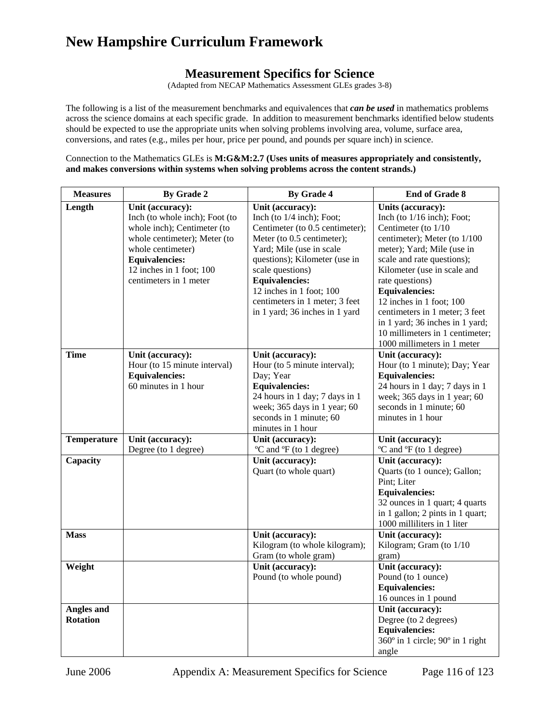### **Measurement Specifics for Science**

(Adapted from NECAP Mathematics Assessment GLEs grades 3-8)

The following is a list of the measurement benchmarks and equivalences that *can be used* in mathematics problems across the science domains at each specific grade. In addition to measurement benchmarks identified below students should be expected to use the appropriate units when solving problems involving area, volume, surface area, conversions, and rates (e.g., miles per hour, price per pound, and pounds per square inch) in science.

Connection to the Mathematics GLEs is **M:G&M:2.7 (Uses units of measures appropriately and consistently, and makes conversions within systems when solving problems across the content strands.)** 

| <b>Measures</b>                      | By Grade 2                                                                                                                                                                                                            | By Grade 4                                                                                                                                                                                                                                                                                                                 | <b>End of Grade 8</b>                                                                                                                                                                                                                                                                                                                                                                                              |
|--------------------------------------|-----------------------------------------------------------------------------------------------------------------------------------------------------------------------------------------------------------------------|----------------------------------------------------------------------------------------------------------------------------------------------------------------------------------------------------------------------------------------------------------------------------------------------------------------------------|--------------------------------------------------------------------------------------------------------------------------------------------------------------------------------------------------------------------------------------------------------------------------------------------------------------------------------------------------------------------------------------------------------------------|
| Length                               | Unit (accuracy):<br>Inch (to whole inch); Foot (to<br>whole inch); Centimeter (to<br>whole centimeter); Meter (to<br>whole centimeter)<br><b>Equivalencies:</b><br>12 inches in 1 foot; 100<br>centimeters in 1 meter | Unit (accuracy):<br>Inch (to $1/4$ inch); Foot;<br>Centimeter (to 0.5 centimeter);<br>Meter (to 0.5 centimeter);<br>Yard; Mile (use in scale<br>questions); Kilometer (use in<br>scale questions)<br><b>Equivalencies:</b><br>12 inches in 1 foot; 100<br>centimeters in 1 meter; 3 feet<br>in 1 yard; 36 inches in 1 yard | Units (accuracy):<br>Inch (to $1/16$ inch); Foot;<br>Centimeter (to 1/10<br>centimeter); Meter (to 1/100<br>meter); Yard; Mile (use in<br>scale and rate questions);<br>Kilometer (use in scale and<br>rate questions)<br><b>Equivalencies:</b><br>12 inches in 1 foot; 100<br>centimeters in 1 meter; 3 feet<br>in 1 yard; 36 inches in 1 yard;<br>10 millimeters in 1 centimeter;<br>1000 millimeters in 1 meter |
| <b>Time</b>                          | Unit (accuracy):<br>Hour (to 15 minute interval)<br><b>Equivalencies:</b><br>60 minutes in 1 hour                                                                                                                     | Unit (accuracy):<br>Hour (to 5 minute interval);<br>Day; Year<br><b>Equivalencies:</b><br>24 hours in 1 day; 7 days in 1<br>week; 365 days in 1 year; 60<br>seconds in 1 minute; 60<br>minutes in 1 hour                                                                                                                   | Unit (accuracy):<br>Hour (to 1 minute); Day; Year<br><b>Equivalencies:</b><br>24 hours in 1 day; 7 days in 1<br>week; 365 days in 1 year; 60<br>seconds in 1 minute; 60<br>minutes in 1 hour                                                                                                                                                                                                                       |
| <b>Temperature</b>                   | Unit (accuracy):<br>Degree (to 1 degree)                                                                                                                                                                              | Unit (accuracy):<br>°C and °F (to 1 degree)                                                                                                                                                                                                                                                                                | Unit (accuracy):<br>°C and °F (to 1 degree)                                                                                                                                                                                                                                                                                                                                                                        |
| Capacity                             |                                                                                                                                                                                                                       | Unit (accuracy):<br>Quart (to whole quart)                                                                                                                                                                                                                                                                                 | Unit (accuracy):<br>Quarts (to 1 ounce); Gallon;<br>Pint; Liter<br><b>Equivalencies:</b><br>32 ounces in 1 quart; 4 quarts<br>in 1 gallon; 2 pints in 1 quart;<br>1000 milliliters in 1 liter                                                                                                                                                                                                                      |
| <b>Mass</b>                          |                                                                                                                                                                                                                       | Unit (accuracy):<br>Kilogram (to whole kilogram);<br>Gram (to whole gram)                                                                                                                                                                                                                                                  | Unit (accuracy):<br>Kilogram; Gram (to 1/10<br>gram)                                                                                                                                                                                                                                                                                                                                                               |
| Weight                               |                                                                                                                                                                                                                       | Unit (accuracy):<br>Pound (to whole pound)                                                                                                                                                                                                                                                                                 | Unit (accuracy):<br>Pound (to 1 ounce)<br><b>Equivalencies:</b><br>16 ounces in 1 pound                                                                                                                                                                                                                                                                                                                            |
| <b>Angles and</b><br><b>Rotation</b> |                                                                                                                                                                                                                       |                                                                                                                                                                                                                                                                                                                            | Unit (accuracy):<br>Degree (to 2 degrees)<br><b>Equivalencies:</b><br>360° in 1 circle; 90° in 1 right<br>angle                                                                                                                                                                                                                                                                                                    |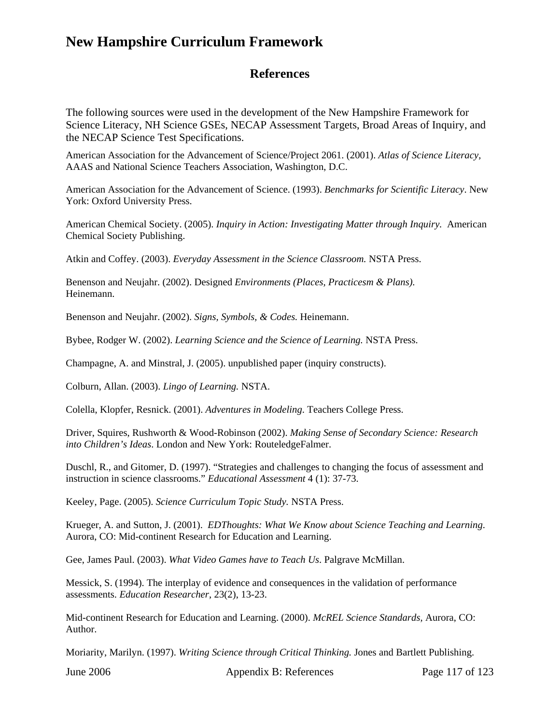### **References**

The following sources were used in the development of the New Hampshire Framework for Science Literacy, NH Science GSEs, NECAP Assessment Targets, Broad Areas of Inquiry, and the NECAP Science Test Specifications.

American Association for the Advancement of Science/Project 2061. (2001). *Atlas of Science Literacy,*  AAAS and National Science Teachers Association, Washington, D.C.

American Association for the Advancement of Science. (1993). *Benchmarks for Scientific Literacy*. New York: Oxford University Press.

American Chemical Society. (2005). *Inquiry in Action: Investigating Matter through Inquiry.* American Chemical Society Publishing.

Atkin and Coffey. (2003). *Everyday Assessment in the Science Classroom.* NSTA Press.

Benenson and Neujahr. (2002). Designed *Environments (Places, Practicesm & Plans).* Heinemann.

Benenson and Neujahr. (2002). *Signs, Symbols, & Codes.* Heinemann.

Bybee, Rodger W. (2002). *Learning Science and the Science of Learning.* NSTA Press.

Champagne, A. and Minstral, J. (2005). unpublished paper (inquiry constructs).

Colburn, Allan. (2003). *Lingo of Learning.* NSTA.

Colella, Klopfer, Resnick. (2001). *Adventures in Modeling*. Teachers College Press.

Driver, Squires, Rushworth & Wood-Robinson (2002). *Making Sense of Secondary Science: Research into Children's Ideas*. London and New York: RouteledgeFalmer.

Duschl, R., and Gitomer, D. (1997). "Strategies and challenges to changing the focus of assessment and instruction in science classrooms." *Educational Assessment* 4 (1): 37-73.

Keeley, Page. (2005). *Science Curriculum Topic Study.* NSTA Press.

Krueger, A. and Sutton, J. (2001). *EDThoughts: What We Know about Science Teaching and Learning*. Aurora, CO: Mid-continent Research for Education and Learning.

Gee, James Paul. (2003). *What Video Games have to Teach Us*. Palgrave McMillan.

Messick, S. (1994). The interplay of evidence and consequences in the validation of performance assessments. *Education Researcher*, 23(2), 13-23.

Mid-continent Research for Education and Learning. (2000). *McREL Science Standards,* Aurora, CO: Author.

Moriarity, Marilyn. (1997). *Writing Science through Critical Thinking.* Jones and Bartlett Publishing.

June 2006 Appendix B: References Page 117 of 123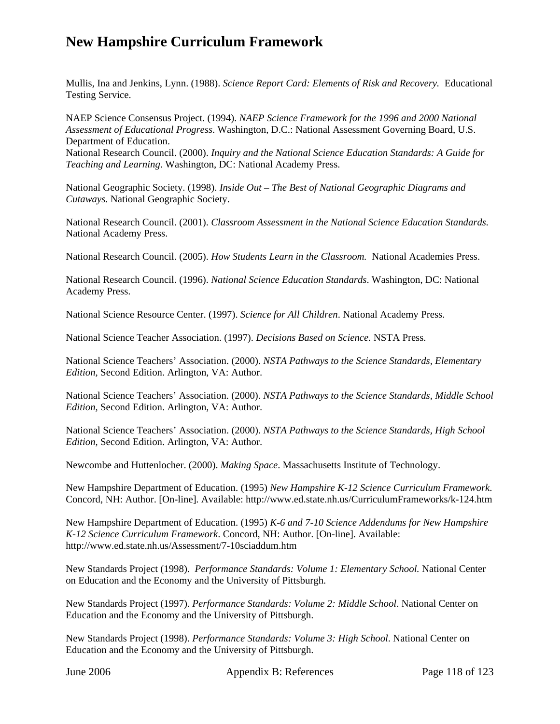Mullis, Ina and Jenkins, Lynn. (1988). *Science Report Card: Elements of Risk and Recovery.* Educational Testing Service.

NAEP Science Consensus Project. (1994). *NAEP Science Framework for the 1996 and 2000 National Assessment of Educational Progress*. Washington, D.C.: National Assessment Governing Board, U.S. Department of Education.

National Research Council. (2000). *Inquiry and the National Science Education Standards: A Guide for Teaching and Learning*. Washington, DC: National Academy Press.

National Geographic Society. (1998). *Inside Out – The Best of National Geographic Diagrams and Cutaways.* National Geographic Society.

National Research Council. (2001). *Classroom Assessment in the National Science Education Standards.*  National Academy Press.

National Research Council. (2005). *How Students Learn in the Classroom.* National Academies Press.

National Research Council. (1996). *National Science Education Standards*. Washington, DC: National Academy Press.

National Science Resource Center. (1997). *Science for All Children*. National Academy Press.

National Science Teacher Association. (1997). *Decisions Based on Science.* NSTA Press.

National Science Teachers' Association. (2000). *NSTA Pathways to the Science Standards, Elementary Edition,* Second Edition. Arlington, VA: Author.

National Science Teachers' Association. (2000). *NSTA Pathways to the Science Standards, Middle School Edition,* Second Edition. Arlington, VA: Author.

National Science Teachers' Association. (2000). *NSTA Pathways to the Science Standards, High School Edition,* Second Edition. Arlington, VA: Author.

Newcombe and Huttenlocher. (2000). *Making Space*. Massachusetts Institute of Technology.

New Hampshire Department of Education. (1995) *New Hampshire K-12 Science Curriculum Framework*. Concord, NH: Author. [On-line]. Available: http://www.ed.state.nh.us/CurriculumFrameworks/k-124.htm

New Hampshire Department of Education. (1995) *K-6 and 7-10 Science Addendums for New Hampshire K-12 Science Curriculum Framework*. Concord, NH: Author. [On-line]. Available: http://www.ed.state.nh.us/Assessment/7-10sciaddum.htm

New Standards Project (1998). *Performance Standards: Volume 1: Elementary School.* National Center on Education and the Economy and the University of Pittsburgh.

New Standards Project (1997). *Performance Standards: Volume 2: Middle School*. National Center on Education and the Economy and the University of Pittsburgh.

New Standards Project (1998). *Performance Standards: Volume 3: High School*. National Center on Education and the Economy and the University of Pittsburgh.

June 2006 Appendix B: References Page 118 of 123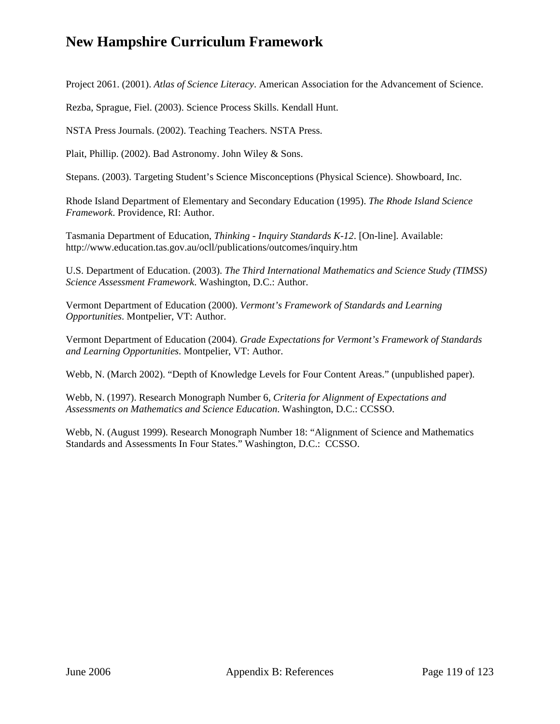Project 2061. (2001). *Atlas of Science Literacy*. American Association for the Advancement of Science.

Rezba, Sprague, Fiel. (2003). Science Process Skills. Kendall Hunt.

NSTA Press Journals. (2002). Teaching Teachers. NSTA Press.

Plait, Phillip. (2002). Bad Astronomy. John Wiley & Sons.

Stepans. (2003). Targeting Student's Science Misconceptions (Physical Science). Showboard, Inc.

Rhode Island Department of Elementary and Secondary Education (1995). *The Rhode Island Science Framework*. Providence, RI: Author.

Tasmania Department of Education, *Thinking* - *Inquiry Standards K-12*. [On-line]. Available: http://www.education.tas.gov.au/ocll/publications/outcomes/inquiry.htm

U.S. Department of Education. (2003). *The Third International Mathematics and Science Study (TIMSS) Science Assessment Framework*. Washington, D.C.: Author.

Vermont Department of Education (2000). *Vermont's Framework of Standards and Learning Opportunities*. Montpelier, VT: Author.

Vermont Department of Education (2004). *Grade Expectations for Vermont's Framework of Standards and Learning Opportunities*. Montpelier, VT: Author.

Webb, N. (March 2002). "Depth of Knowledge Levels for Four Content Areas." (unpublished paper).

Webb, N. (1997). Research Monograph Number 6, *Criteria for Alignment of Expectations and Assessments on Mathematics and Science Education*. Washington, D.C.: CCSSO.

Webb, N. (August 1999). Research Monograph Number 18: "Alignment of Science and Mathematics Standards and Assessments In Four States." Washington, D.C.: CCSSO.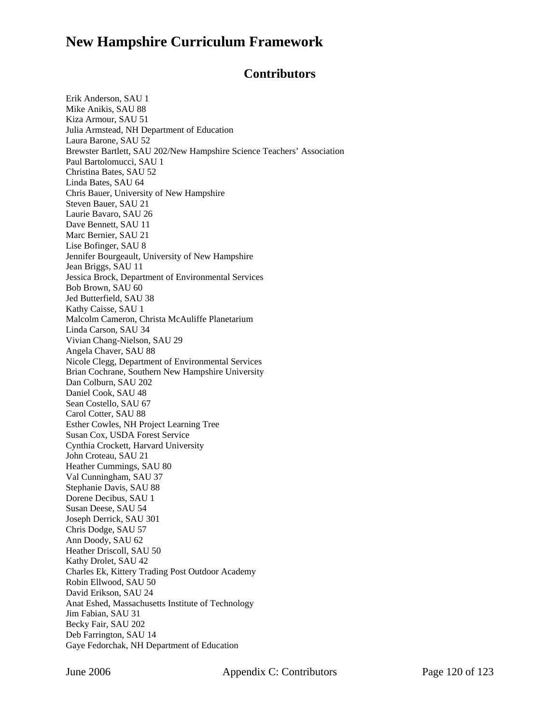#### **Contributors**

Erik Anderson, SAU 1 Mike Anikis, SAU 88 Kiza Armour, SAU 51 Julia Armstead, NH Department of Education Laura Barone, SAU 52 Brewster Bartlett, SAU 202/New Hampshire Science Teachers' Association Paul Bartolomucci, SAU 1 Christina Bates, SAU 52 Linda Bates, SAU 64 Chris Bauer, University of New Hampshire Steven Bauer, SAU 21 Laurie Bavaro, SAU 26 Dave Bennett, SAU 11 Marc Bernier, SAU 21 Lise Bofinger, SAU 8 Jennifer Bourgeault, University of New Hampshire Jean Briggs, SAU 11 Jessica Brock, Department of Environmental Services Bob Brown, SAU 60 Jed Butterfield, SAU 38 Kathy Caisse, SAU 1 Malcolm Cameron, Christa McAuliffe Planetarium Linda Carson, SAU 34 Vivian Chang-Nielson, SAU 29 Angela Chaver, SAU 88 Nicole Clegg, Department of Environmental Services Brian Cochrane, Southern New Hampshire University Dan Colburn, SAU 202 Daniel Cook, SAU 48 Sean Costello, SAU 67 Carol Cotter, SAU 88 Esther Cowles, NH Project Learning Tree Susan Cox, USDA Forest Service Cynthia Crockett, Harvard University John Croteau, SAU 21 Heather Cummings, SAU 80 Val Cunningham, SAU 37 Stephanie Davis, SAU 88 Dorene Decibus, SAU 1 Susan Deese, SAU 54 Joseph Derrick, SAU 301 Chris Dodge, SAU 57 Ann Doody, SAU 62 Heather Driscoll, SAU 50 Kathy Drolet, SAU 42 Charles Ek, Kittery Trading Post Outdoor Academy Robin Ellwood, SAU 50 David Erikson, SAU 24 Anat Eshed, Massachusetts Institute of Technology Jim Fabian, SAU 31 Becky Fair, SAU 202 Deb Farrington, SAU 14 Gaye Fedorchak, NH Department of Education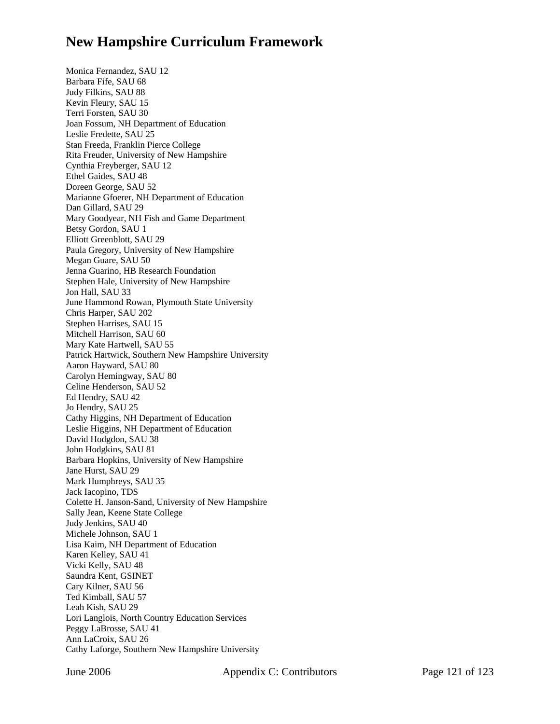Monica Fernandez, SAU 12 Barbara Fife, SAU 68 Judy Filkins, SAU 88 Kevin Fleury, SAU 15 Terri Forsten, SAU 30 Joan Fossum, NH Department of Education Leslie Fredette, SAU 25 Stan Freeda, Franklin Pierce College Rita Freuder, University of New Hampshire Cynthia Freyberger, SAU 12 Ethel Gaides, SAU 48 Doreen George, SAU 52 Marianne Gfoerer, NH Department of Education Dan Gillard, SAU 29 Mary Goodyear, NH Fish and Game Department Betsy Gordon, SAU 1 Elliott Greenblott, SAU 29 Paula Gregory, University of New Hampshire Megan Guare, SAU 50 Jenna Guarino, HB Research Foundation Stephen Hale, University of New Hampshire Jon Hall, SAU 33 June Hammond Rowan, Plymouth State University Chris Harper, SAU 202 Stephen Harrises, SAU 15 Mitchell Harrison, SAU 60 Mary Kate Hartwell, SAU 55 Patrick Hartwick, Southern New Hampshire University Aaron Hayward, SAU 80 Carolyn Hemingway, SAU 80 Celine Henderson, SAU 52 Ed Hendry, SAU 42 Jo Hendry, SAU 25 Cathy Higgins, NH Department of Education Leslie Higgins, NH Department of Education David Hodgdon, SAU 38 John Hodgkins, SAU 81 Barbara Hopkins, University of New Hampshire Jane Hurst, SAU 29 Mark Humphreys, SAU 35 Jack Iacopino, TDS Colette H. Janson-Sand, University of New Hampshire Sally Jean, Keene State College Judy Jenkins, SAU 40 Michele Johnson, SAU 1 Lisa Kaim, NH Department of Education Karen Kelley, SAU 41 Vicki Kelly, SAU 48 Saundra Kent, GSINET Cary Kilner, SAU 56 Ted Kimball, SAU 57 Leah Kish, SAU 29 Lori Langlois, North Country Education Services Peggy LaBrosse, SAU 41 Ann LaCroix, SAU 26 Cathy Laforge, Southern New Hampshire University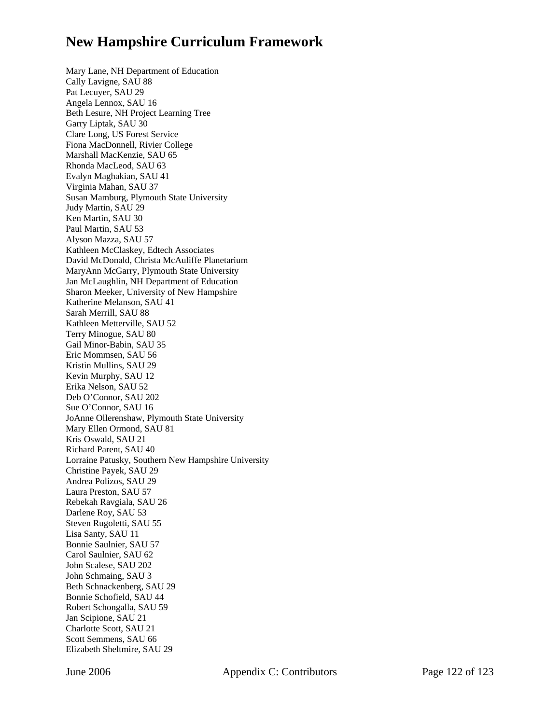Mary Lane, NH Department of Education Cally Lavigne, SAU 88 Pat Lecuyer, SAU 29 Angela Lennox, SAU 16 Beth Lesure, NH Project Learning Tree Garry Liptak, SAU 30 Clare Long, US Forest Service Fiona MacDonnell, Rivier College Marshall MacKenzie, SAU 65 Rhonda MacLeod, SAU 63 Evalyn Maghakian, SAU 41 Virginia Mahan, SAU 37 Susan Mamburg, Plymouth State University Judy Martin, SAU 29 Ken Martin, SAU 30 Paul Martin, SAU 53 Alyson Mazza, SAU 57 Kathleen McClaskey, Edtech Associates David McDonald, Christa McAuliffe Planetarium MaryAnn McGarry, Plymouth State University Jan McLaughlin, NH Department of Education Sharon Meeker, University of New Hampshire Katherine Melanson, SAU 41 Sarah Merrill, SAU 88 Kathleen Metterville, SAU 52 Terry Minogue, SAU 80 Gail Minor-Babin, SAU 35 Eric Mommsen, SAU 56 Kristin Mullins, SAU 29 Kevin Murphy, SAU 12 Erika Nelson, SAU 52 Deb O'Connor, SAU 202 Sue O'Connor, SAU 16 JoAnne Ollerenshaw, Plymouth State University Mary Ellen Ormond, SAU 81 Kris Oswald, SAU 21 Richard Parent, SAU 40 Lorraine Patusky, Southern New Hampshire University Christine Payek, SAU 29 Andrea Polizos, SAU 29 Laura Preston, SAU 57 Rebekah Ravgiala, SAU 26 Darlene Roy, SAU 53 Steven Rugoletti, SAU 55 Lisa Santy, SAU 11 Bonnie Saulnier, SAU 57 Carol Saulnier, SAU 62 John Scalese, SAU 202 John Schmaing, SAU 3 Beth Schnackenberg, SAU 29 Bonnie Schofield, SAU 44 Robert Schongalla, SAU 59 Jan Scipione, SAU 21 Charlotte Scott, SAU 21 Scott Semmens, SAU 66 Elizabeth Sheltmire, SAU 29